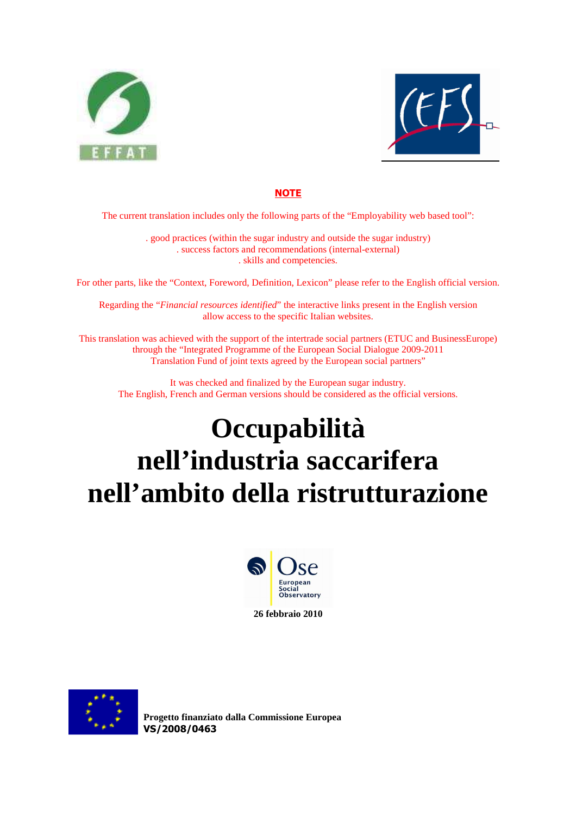



#### **NOTE**

The current translation includes only the following parts of the "Employability web based tool":

. good practices (within the sugar industry and outside the sugar industry) . success factors and recommendations (internal-external) . skills and competencies.

For other parts, like the "Context, Foreword, Definition, Lexicon" please refer to the English official version.

Regarding the "*Financial resources identified*" the interactive links present in the English version allow access to the specific Italian websites.

This translation was achieved with the support of the intertrade social partners (ETUC and BusinessEurope) through the "Integrated Programme of the European Social Dialogue 2009-2011 Translation Fund of joint texts agreed by the European social partners"

It was checked and finalized by the European sugar industry. The English, French and German versions should be considered as the official versions.

# **Occupabilità nell'industria saccarifera nell'ambito della ristrutturazione**





**Progetto finanziato dalla Commissione Europea VS/2008/0463**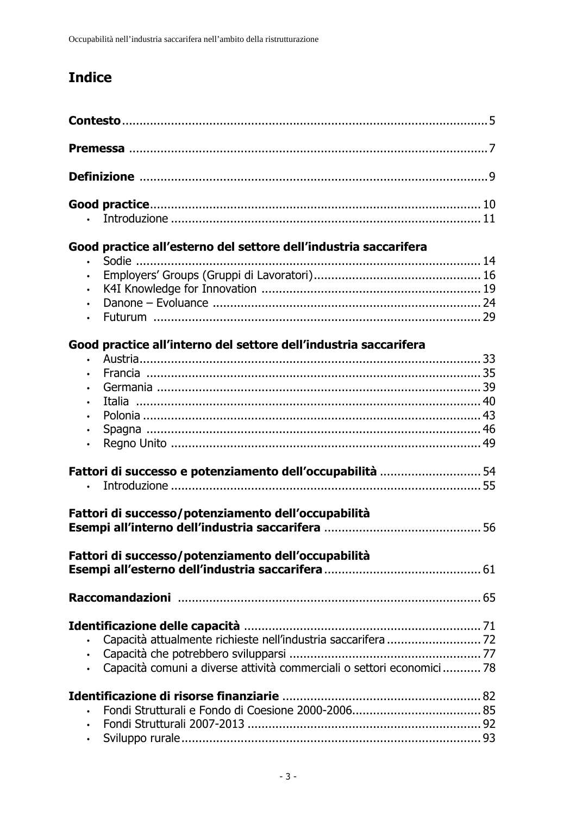## **Indice**

| Good practice all'esterno del settore dell'industria saccarifera<br>$\bullet$<br>$\bullet$ |
|--------------------------------------------------------------------------------------------|
| Good practice all'interno del settore dell'industria saccarifera<br>$\bullet$<br>$\bullet$ |
| Fattori di successo e potenziamento dell'occupabilità  54                                  |
| Fattori di successo/potenziamento dell'occupabilità                                        |
| Fattori di successo/potenziamento dell'occupabilità                                        |
|                                                                                            |
| $\bullet$<br>Capacità comuni a diverse attività commerciali o settori economici  78        |
| $\bullet$                                                                                  |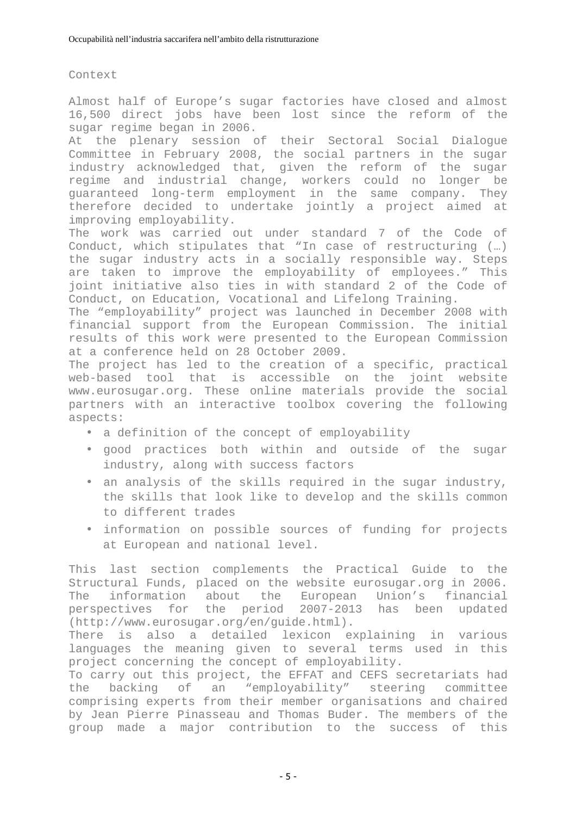Context

Almost half of Europe's sugar factories have closed and almost 16,500 direct jobs have been lost since the reform of the sugar regime began in 2006.

At the plenary session of their Sectoral Social Dialogue Committee in February 2008, the social partners in the sugar industry acknowledged that, given the reform of the sugar regime and industrial change, workers could no longer be guaranteed long-term employment in the same company. They therefore decided to undertake jointly a project aimed at improving employability.

The work was carried out under standard 7 of the Code of Conduct, which stipulates that "In case of restructuring (…) the sugar industry acts in a socially responsible way. Steps are taken to improve the employability of employees." This joint initiative also ties in with standard 2 of the Code of Conduct, on Education, Vocational and Lifelong Training.

The "employability" project was launched in December 2008 with financial support from the European Commission. The initial results of this work were presented to the European Commission at a conference held on 28 October 2009.

The project has led to the creation of a specific, practical web-based tool that is accessible on the joint website www.eurosugar.org. These online materials provide the social partners with an interactive toolbox covering the following aspects:

- a definition of the concept of employability
- good practices both within and outside of the sugar industry, along with success factors
- an analysis of the skills required in the sugar industry, the skills that look like to develop and the skills common to different trades
- information on possible sources of funding for projects at European and national level.

This last section complements the Practical Guide to the Structural Funds, placed on the website eurosugar.org in 2006. The information about the European Union's financial perspectives for the period 2007-2013 has been updated (http://www.eurosugar.org/en/guide.html).

There is also a detailed lexicon explaining in various languages the meaning given to several terms used in this project concerning the concept of employability.

To carry out this project, the EFFAT and CEFS secretariats had the backing of an "employability" steering committee comprising experts from their member organisations and chaired by Jean Pierre Pinasseau and Thomas Buder. The members of the group made a major contribution to the success of this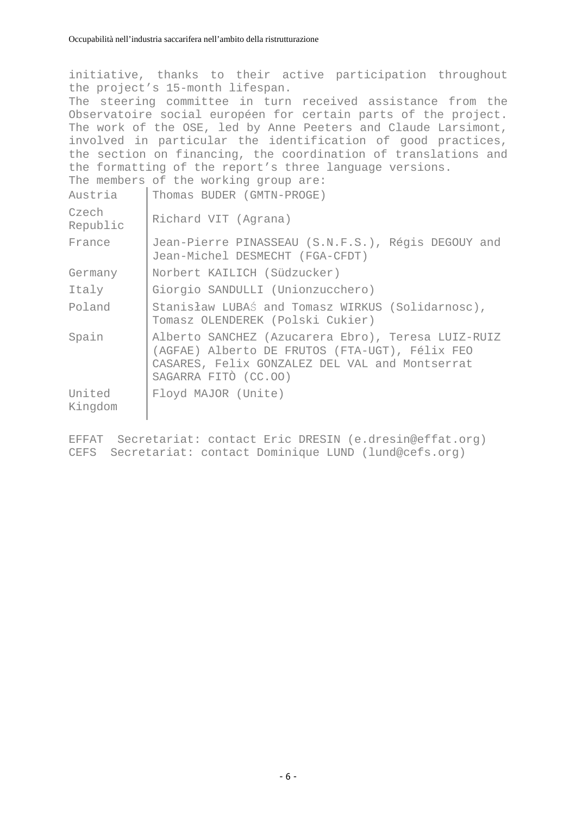initiative, thanks to their active participation throughout the project's 15-month lifespan. The steering committee in turn received assistance from the Observatoire social européen for certain parts of the project. The work of the OSE, led by Anne Peeters and Claude Larsimont, involved in particular the identification of good practices, the section on financing, the coordination of translations and the formatting of the report's three language versions. The members of the working group are: Austria Thomas BUDER (GMTN-PROGE) Czech Richard VIT (Agrana)<br>Republic France Jean-Pierre PINASSEAU (S.N.F.S.), Régis DEGOUY and Jean-Michel DESMECHT (FGA-CFDT) Germany Norbert KAILICH (Südzucker) Italy Giorgio SANDULLI (Unionzucchero) Poland Stanisław LUBAŚ and Tomasz WIRKUS (Solidarnosc), Tomasz OLENDEREK (Polski Cukier) Spain Alberto SANCHEZ (Azucarera Ebro), Teresa LUIZ-RUIZ (AGFAE) Alberto DE FRUTOS (FTA-UGT), Félix FEO CASARES, Felix GONZALEZ DEL VAL and Montserrat SAGARRA FITÒ (CC.OO) United Kingdom Floyd MAJOR (Unite)

EFFAT Secretariat: contact Eric DRESIN (e.dresin@effat.org) CEFS Secretariat: contact Dominique LUND (lund@cefs.org)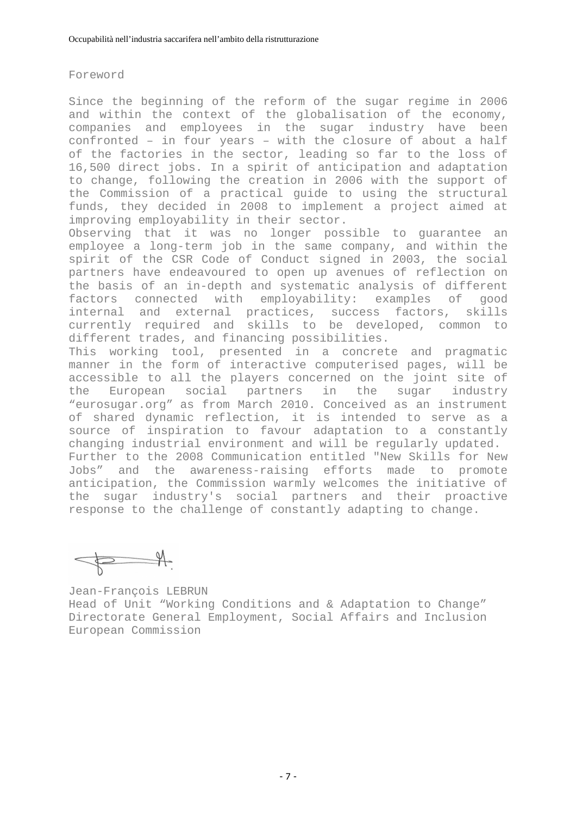#### Foreword

Since the beginning of the reform of the sugar regime in 2006 and within the context of the globalisation of the economy, companies and employees in the sugar industry have been confronted – in four years – with the closure of about a half of the factories in the sector, leading so far to the loss of 16,500 direct jobs. In a spirit of anticipation and adaptation to change, following the creation in 2006 with the support of the Commission of a practical guide to using the structural funds, they decided in 2008 to implement a project aimed at improving employability in their sector.

Observing that it was no longer possible to guarantee an employee a long-term job in the same company, and within the spirit of the CSR Code of Conduct signed in 2003, the social partners have endeavoured to open up avenues of reflection on the basis of an in-depth and systematic analysis of different factors connected with employability: examples of good internal and external practices, success factors, skills currently required and skills to be developed, common to different trades, and financing possibilities.

This working tool, presented in a concrete and pragmatic manner in the form of interactive computerised pages, will be accessible to all the players concerned on the joint site of the European social partners in the sugar industry "eurosugar.org" as from March 2010. Conceived as an instrument of shared dynamic reflection, it is intended to serve as a source of inspiration to favour adaptation to a constantly changing industrial environment and will be regularly updated. Further to the 2008 Communication entitled "New Skills for New Jobs" and the awareness-raising efforts made to promote anticipation, the Commission warmly welcomes the initiative of the sugar industry's social partners and their proactive response to the challenge of constantly adapting to change.

 $\leftarrow$  1

Jean-François LEBRUN Head of Unit "Working Conditions and & Adaptation to Change" Directorate General Employment, Social Affairs and Inclusion European Commission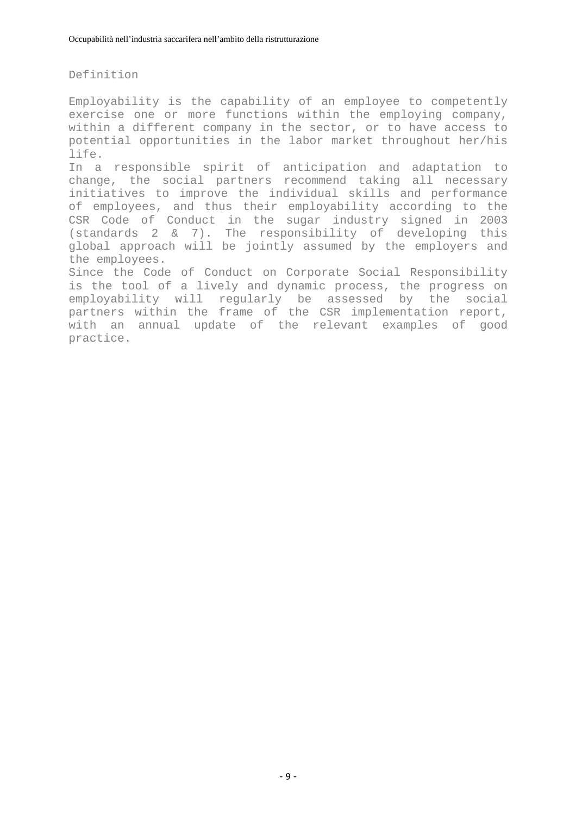Definition

Employability is the capability of an employee to competently exercise one or more functions within the employing company, within a different company in the sector, or to have access to potential opportunities in the labor market throughout her/his life.

In a responsible spirit of anticipation and adaptation to change, the social partners recommend taking all necessary initiatives to improve the individual skills and performance of employees, and thus their employability according to the CSR Code of Conduct in the sugar industry signed in 2003 (standards 2 & 7). The responsibility of developing this global approach will be jointly assumed by the employers and the employees.

Since the Code of Conduct on Corporate Social Responsibility is the tool of a lively and dynamic process, the progress on employability will regularly be assessed by the social partners within the frame of the CSR implementation report, with an annual update of the relevant examples of good practice.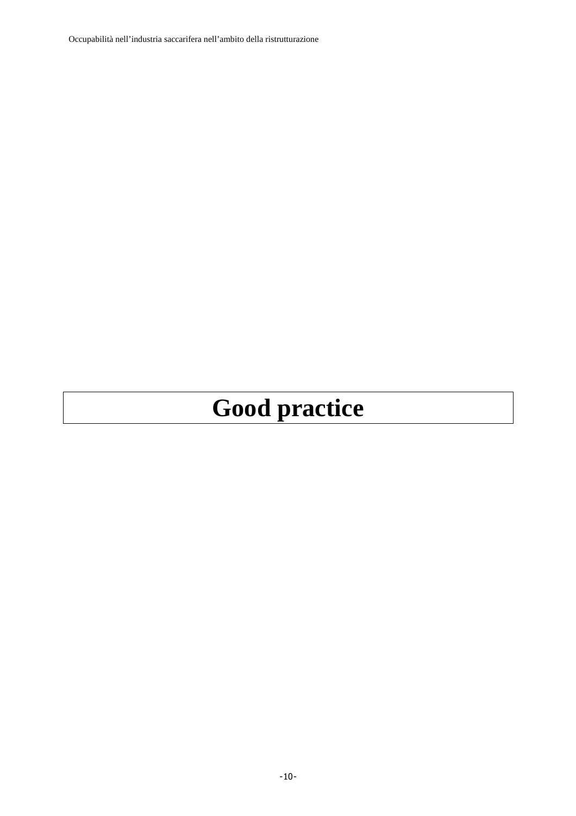# **Good practice**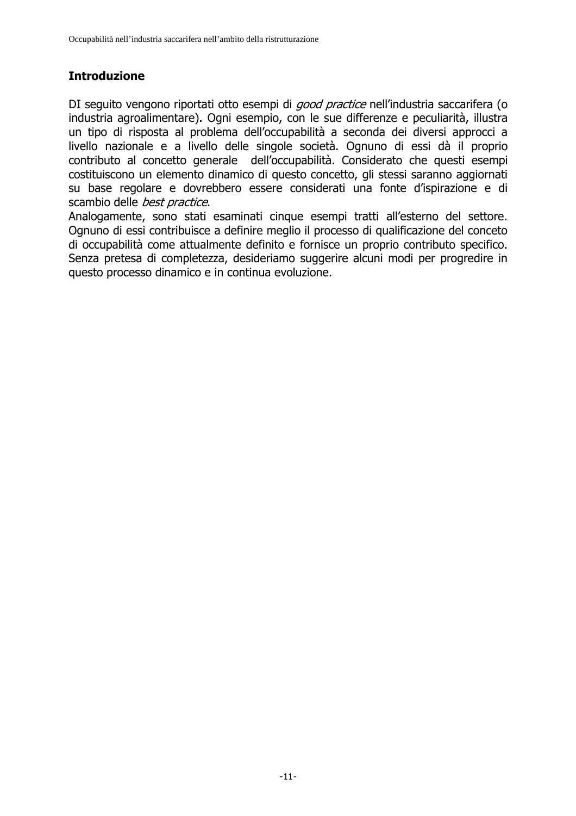## **Introduzione**

DI seguito vengono riportati otto esempi di *good practice* nell'industria saccarifera (o industria agroalimentare). Ogni esempio, con le sue differenze e peculiarità, illustra un tipo di risposta al problema dell'occupabilità a seconda dei diversi approcci a livello nazionale e a livello delle singole società. Ognuno di essi dà il proprio contributo al concetto generale dell'occupabilità. Considerato che questi esempi costituiscono un elemento dinamico di questo concetto, gli stessi saranno aggiornati su base regolare e dovrebbero essere considerati una fonte d'ispirazione e di scambio delle best practice.

Analogamente, sono stati esaminati cinque esempi tratti all'esterno del settore. Ognuno di essi contribuisce a definire meglio il processo di qualificazione del conceto di occupabilità come attualmente definito e fornisce un proprio contributo specifico. Senza pretesa di completezza, desideriamo suggerire alcuni modi per progredire in questo processo dinamico e in continua evoluzione.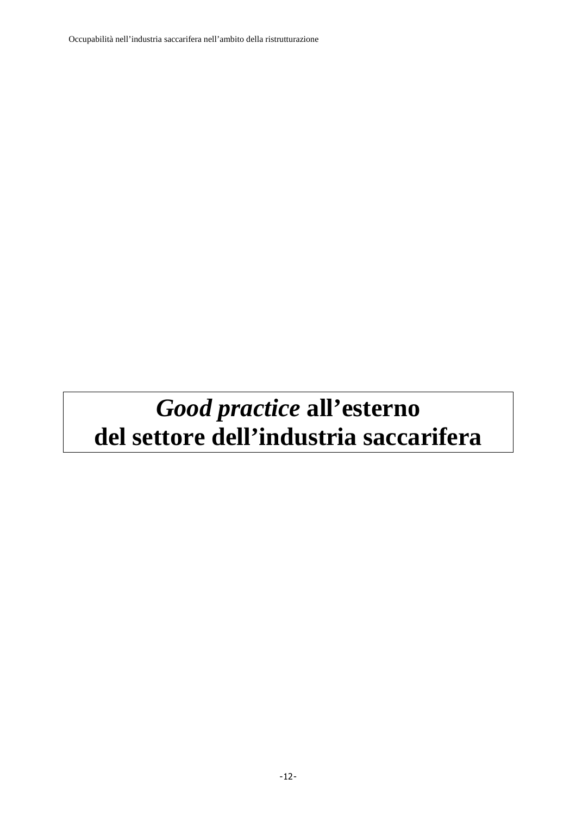## *Good practice* **all'esterno del settore dell'industria saccarifera**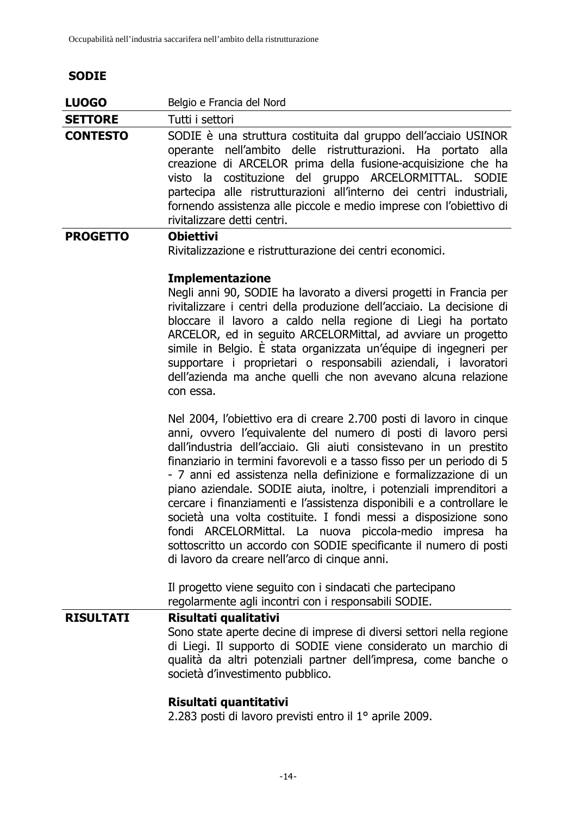#### **SODIE**

| <b>LUOGO</b>    | Belgio e Francia del Nord                                                                                                                                                                                                                                                                                                                                                                                                             |
|-----------------|---------------------------------------------------------------------------------------------------------------------------------------------------------------------------------------------------------------------------------------------------------------------------------------------------------------------------------------------------------------------------------------------------------------------------------------|
| <b>SETTORE</b>  | Tutti i settori                                                                                                                                                                                                                                                                                                                                                                                                                       |
| <b>CONTESTO</b> | SODIE è una struttura costituita dal gruppo dell'acciaio USINOR<br>operante nell'ambito delle ristrutturazioni. Ha portato alla<br>creazione di ARCELOR prima della fusione-acquisizione che ha<br>visto la costituzione del gruppo ARCELORMITTAL. SODIE<br>partecipa alle ristrutturazioni all'interno dei centri industriali,<br>fornendo assistenza alle piccole e medio imprese con l'obiettivo di<br>rivitalizzare detti centri. |
| <b>PROGETTO</b> | <b>Obiettivi</b><br>Rivitalizzazione e ristrutturazione dei centri economici.                                                                                                                                                                                                                                                                                                                                                         |

#### **Implementazione**

Negli anni 90, SODIE ha lavorato a diversi progetti in Francia per rivitalizzare i centri della produzione dell'acciaio. La decisione di bloccare il lavoro a caldo nella regione di Liegi ha portato ARCELOR, ed in seguito ARCELORMittal, ad avviare un progetto simile in Belgio. È stata organizzata un'équipe di ingegneri per supportare i proprietari o responsabili aziendali, i lavoratori dell'azienda ma anche quelli che non avevano alcuna relazione con essa.

Nel 2004, l'obiettivo era di creare 2.700 posti di lavoro in cinque anni, ovvero l'equivalente del numero di posti di lavoro persi dall'industria dell'acciaio. Gli aiuti consistevano in un prestito finanziario in termini favorevoli e a tasso fisso per un periodo di 5 - 7 anni ed assistenza nella definizione e formalizzazione di un piano aziendale. SODIE aiuta, inoltre, i potenziali imprenditori a cercare i finanziamenti e l'assistenza disponibili e a controllare le società una volta costituite. I fondi messi a disposizione sono fondi ARCELORMittal. La nuova piccola-medio impresa ha sottoscritto un accordo con SODIE specificante il numero di posti di lavoro da creare nell'arco di cinque anni.

Il progetto viene seguito con i sindacati che partecipano regolarmente agli incontri con i responsabili SODIE.

#### **RISULTATI Risultati qualitativi**

Sono state aperte decine di imprese di diversi settori nella regione di Liegi. Il supporto di SODIE viene considerato un marchio di qualità da altri potenziali partner dell'impresa, come banche o società d'investimento pubblico.

#### **Risultati quantitativi**

2.283 posti di lavoro previsti entro il 1° aprile 2009.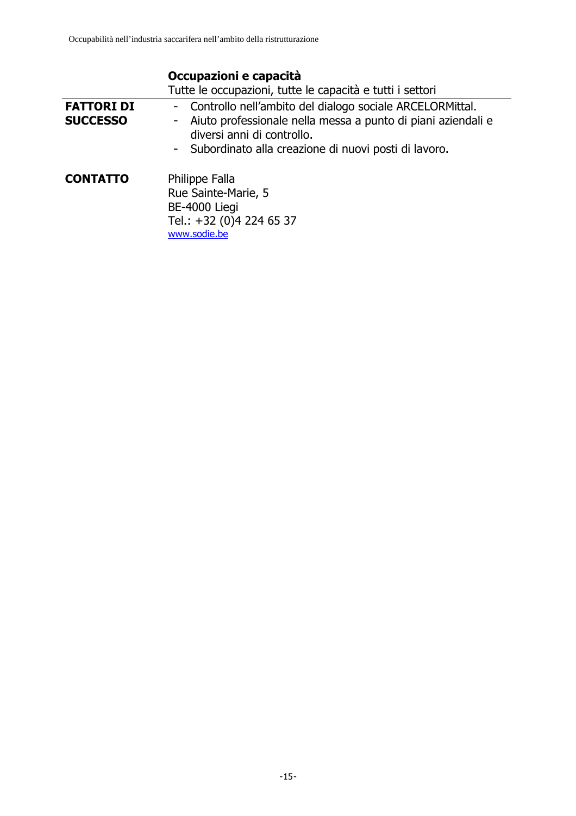|                                      | Occupazioni e capacità                                                                                                                                                                                                           |
|--------------------------------------|----------------------------------------------------------------------------------------------------------------------------------------------------------------------------------------------------------------------------------|
|                                      | Tutte le occupazioni, tutte le capacità e tutti i settori                                                                                                                                                                        |
| <b>FATTORI DI</b><br><b>SUCCESSO</b> | Controllo nell'ambito del dialogo sociale ARCELORMittal.<br>$\sim$ $-$<br>- Aiuto professionale nella messa a punto di piani aziendali e<br>diversi anni di controllo.<br>- Subordinato alla creazione di nuovi posti di lavoro. |
| <b>CONTATTO</b>                      | Philippe Falla<br>Rue Sainte-Marie, 5<br>BE-4000 Liegi<br>Tel.: +32 (0)4 224 65 37<br>www.sodie.be                                                                                                                               |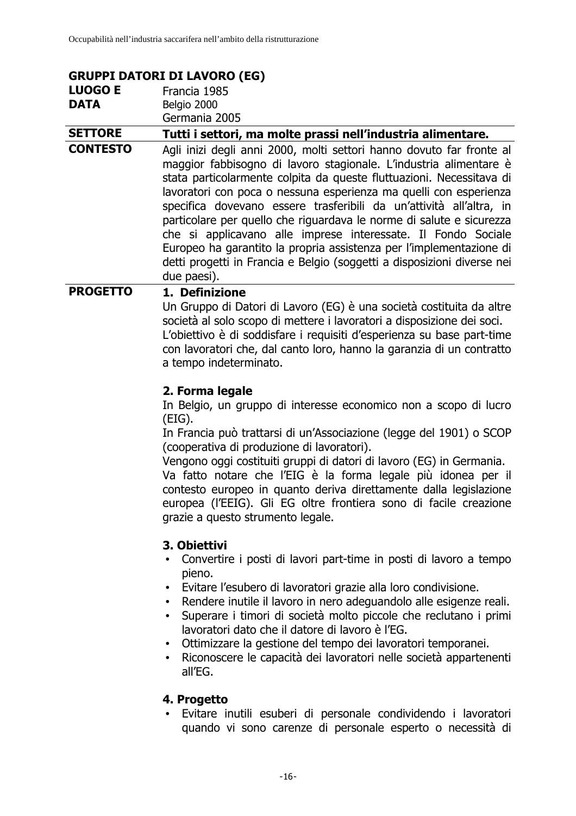## **GRUPPI DATORI DI LAVORO (EG)**

| <b>LUOGO E</b><br><b>DATA</b> | Francia 1985<br>Belgio 2000<br>Germania 2005                                                                                                                                                                                                                                                                                                                                                                                                                                                                                                                                                                                                                            |  |  |  |  |
|-------------------------------|-------------------------------------------------------------------------------------------------------------------------------------------------------------------------------------------------------------------------------------------------------------------------------------------------------------------------------------------------------------------------------------------------------------------------------------------------------------------------------------------------------------------------------------------------------------------------------------------------------------------------------------------------------------------------|--|--|--|--|
| <b>SETTORE</b>                | Tutti i settori, ma molte prassi nell'industria alimentare.                                                                                                                                                                                                                                                                                                                                                                                                                                                                                                                                                                                                             |  |  |  |  |
| <b>CONTESTO</b>               | Agli inizi degli anni 2000, molti settori hanno dovuto far fronte al<br>maggior fabbisogno di lavoro stagionale. L'industria alimentare è<br>stata particolarmente colpita da queste fluttuazioni. Necessitava di<br>lavoratori con poca o nessuna esperienza ma quelli con esperienza<br>specifica dovevano essere trasferibili da un'attività all'altra, in<br>particolare per quello che riguardava le norme di salute e sicurezza<br>che si applicavano alle imprese interessate. Il Fondo Sociale<br>Europeo ha garantito la propria assistenza per l'implementazione di<br>detti progetti in Francia e Belgio (soggetti a disposizioni diverse nei<br>due paesi). |  |  |  |  |
| <b>PROGETTO</b>               | 1. Definizione<br>Un Gruppo di Datori di Lavoro (EG) è una società costituita da altre<br>società al solo scopo di mettere i lavoratori a disposizione dei soci.<br>L'obiettivo è di soddisfare i requisiti d'esperienza su base part-time<br>con lavoratori che, dal canto loro, hanno la garanzia di un contratto<br>a tempo indeterminato.<br>2. Forma legale<br>In Belgio, un gruppo di interesse economico non a scopo di lucro<br>(EIG).                                                                                                                                                                                                                          |  |  |  |  |

In Francia può trattarsi di un'Associazione (legge del 1901) o SCOP (cooperativa di produzione di lavoratori).

Vengono oggi costituiti gruppi di datori di lavoro (EG) in Germania.

Va fatto notare che l'EIG è la forma legale più idonea per il contesto europeo in quanto deriva direttamente dalla legislazione europea (l'EEIG). Gli EG oltre frontiera sono di facile creazione grazie a questo strumento legale.

## **3. Obiettivi**

- Convertire i posti di lavori part-time in posti di lavoro a tempo pieno.
- Evitare l'esubero di lavoratori grazie alla loro condivisione.
- Rendere inutile il lavoro in nero adeguandolo alle esigenze reali.
- Superare i timori di società molto piccole che reclutano i primi lavoratori dato che il datore di lavoro è l'EG.
- Ottimizzare la gestione del tempo dei lavoratori temporanei.
- Riconoscere le capacità dei lavoratori nelle società appartenenti all'EG.

## **4. Progetto**

• Evitare inutili esuberi di personale condividendo i lavoratori quando vi sono carenze di personale esperto o necessità di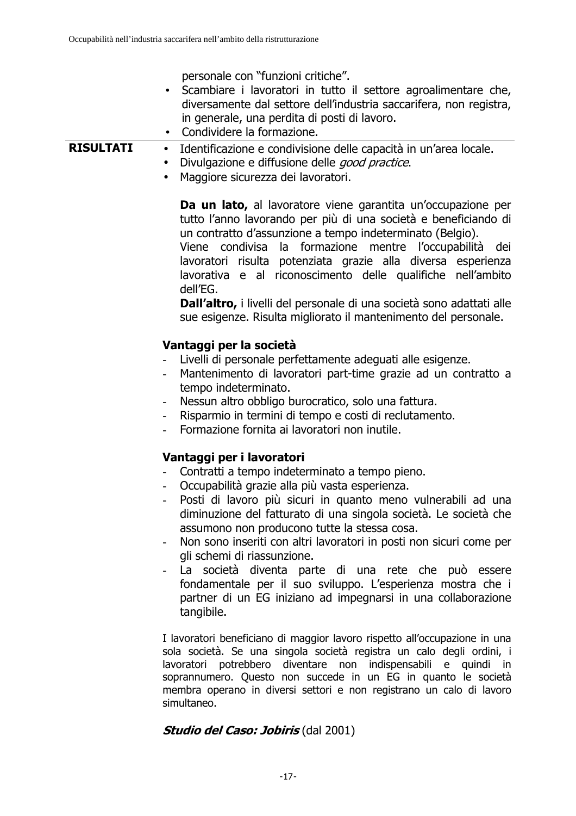personale con "funzioni critiche".

- Scambiare i lavoratori in tutto il settore agroalimentare che, diversamente dal settore dell'industria saccarifera, non registra, in generale, una perdita di posti di lavoro.
- Condividere la formazione.

## **RISULTATI** • Identificazione e condivisione delle capacità in un'area locale.

- Divulgazione e diffusione delle good practice.
- Maggiore sicurezza dei lavoratori.

**Da un lato,** al lavoratore viene garantita un'occupazione per tutto l'anno lavorando per più di una società e beneficiando di un contratto d'assunzione a tempo indeterminato (Belgio).

Viene condivisa la formazione mentre l'occupabilità dei lavoratori risulta potenziata grazie alla diversa esperienza lavorativa e al riconoscimento delle qualifiche nell'ambito dell'EG.

**Dall'altro,** i livelli del personale di una società sono adattati alle sue esigenze. Risulta migliorato il mantenimento del personale.

## **Vantaggi per la società**

- Livelli di personale perfettamente adeguati alle esigenze.
- Mantenimento di lavoratori part-time grazie ad un contratto a tempo indeterminato.
- Nessun altro obbligo burocratico, solo una fattura.
- Risparmio in termini di tempo e costi di reclutamento.
- Formazione fornita ai lavoratori non inutile.

## **Vantaggi per i lavoratori**

- Contratti a tempo indeterminato a tempo pieno.
- Occupabilità grazie alla più vasta esperienza.
- Posti di lavoro più sicuri in quanto meno vulnerabili ad una diminuzione del fatturato di una singola società. Le società che assumono non producono tutte la stessa cosa.
- Non sono inseriti con altri lavoratori in posti non sicuri come per gli schemi di riassunzione.
- La società diventa parte di una rete che può essere fondamentale per il suo sviluppo. L'esperienza mostra che i partner di un EG iniziano ad impegnarsi in una collaborazione tangibile.

I lavoratori beneficiano di maggior lavoro rispetto all'occupazione in una sola società. Se una singola società registra un calo degli ordini, i lavoratori potrebbero diventare non indispensabili e quindi in soprannumero. Questo non succede in un EG in quanto le società membra operano in diversi settori e non registrano un calo di lavoro simultaneo.

## **Studio del Caso: Jobiris** (dal 2001)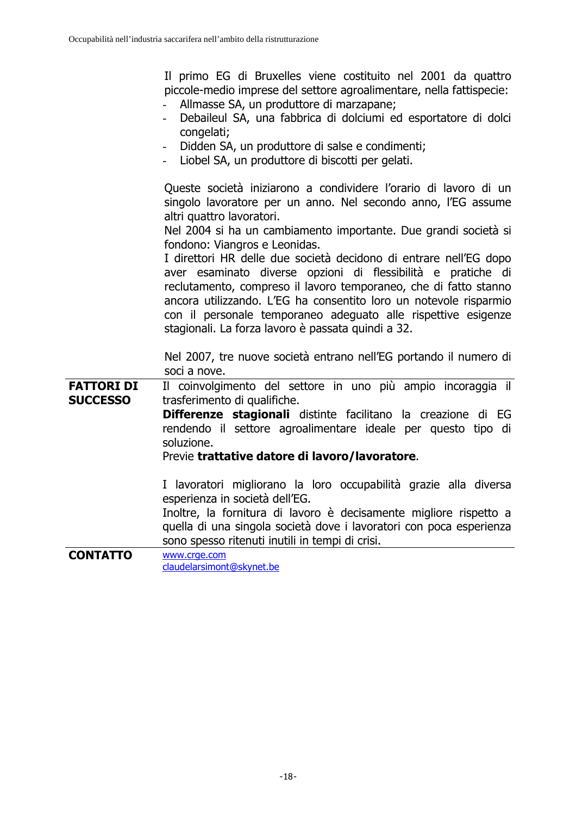Il primo EG di Bruxelles viene costituito nel 2001 da quattro piccole-medio imprese del settore agroalimentare, nella fattispecie:

- Allmasse SA, un produttore di marzapane;
- Debaileul SA, una fabbrica di dolciumi ed esportatore di dolci congelati;
- Didden SA, un produttore di salse e condimenti;
- Liobel SA, un produttore di biscotti per gelati.

Queste società iniziarono a condividere l'orario di lavoro di un singolo lavoratore per un anno. Nel secondo anno, l'EG assume altri quattro lavoratori.

Nel 2004 si ha un cambiamento importante. Due grandi società si fondono: Viangros e Leonidas.

I direttori HR delle due società decidono di entrare nell'EG dopo aver esaminato diverse opzioni di flessibilità e pratiche di reclutamento, compreso il lavoro temporaneo, che di fatto stanno ancora utilizzando. L'EG ha consentito loro un notevole risparmio con il personale temporaneo adeguato alle rispettive esigenze stagionali. La forza lavoro è passata quindi a 32.

Nel 2007, tre nuove società entrano nell'EG portando il numero di soci a nove.

**FATTORI DI SUCCESSO**  Il coinvolgimento del settore in uno più ampio incoraggia il trasferimento di qualifiche.

> **Differenze stagionali** distinte facilitano la creazione di EG rendendo il settore agroalimentare ideale per questo tipo di soluzione.

## Previe **trattative datore di lavoro/lavoratore**.

I lavoratori migliorano la loro occupabilità grazie alla diversa esperienza in società dell'EG.

Inoltre, la fornitura di lavoro è decisamente migliore rispetto a quella di una singola società dove i lavoratori con poca esperienza sono spesso ritenuti inutili in tempi di crisi.

**CONTATTO** www.crge.com claudelarsimont@skynet.be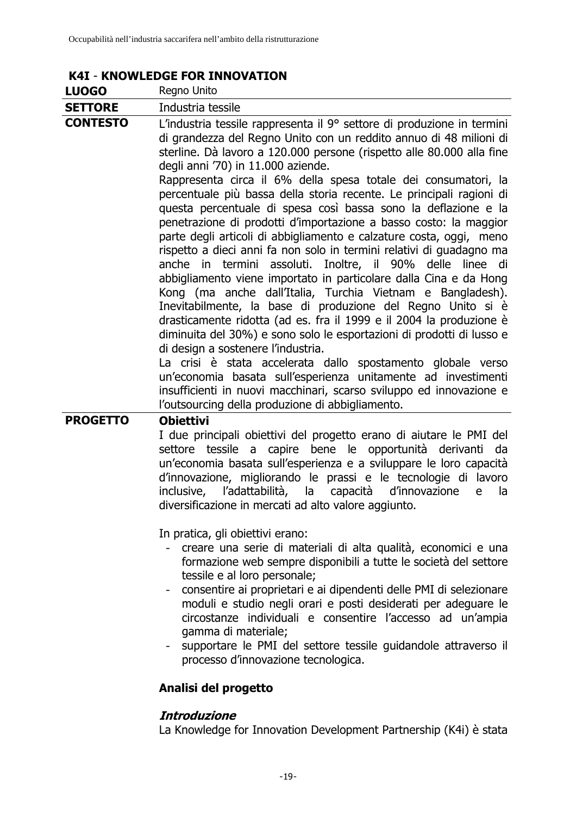## **K4I** - **KNOWLEDGE FOR INNOVATION**

| <b>LUOGO</b>    | Regno Unito                                                                                                                                                                                                                                                                                                                                                                                                                                                                                                                                                                                                                                                                                 |
|-----------------|---------------------------------------------------------------------------------------------------------------------------------------------------------------------------------------------------------------------------------------------------------------------------------------------------------------------------------------------------------------------------------------------------------------------------------------------------------------------------------------------------------------------------------------------------------------------------------------------------------------------------------------------------------------------------------------------|
| <b>SETTORE</b>  | Industria tessile                                                                                                                                                                                                                                                                                                                                                                                                                                                                                                                                                                                                                                                                           |
| <b>CONTESTO</b> | L'industria tessile rappresenta il 9° settore di produzione in termini<br>di grandezza del Regno Unito con un reddito annuo di 48 milioni di<br>sterline. Dà lavoro a 120.000 persone (rispetto alle 80.000 alla fine<br>degli anni '70) in 11.000 aziende.<br>Rappresenta circa il 6% della spesa totale dei consumatori, la<br>percentuale più bassa della storia recente. Le principali ragioni di<br>questa percentuale di spesa così bassa sono la deflazione e la<br>penetrazione di prodotti d'importazione a basso costo: la maggior<br>parte degli articoli di abbigliamento e calzature costa, oggi, meno<br>rispetto a dieci anni fa non solo in termini relativi di guadagno ma |
|                 | anche in termini assoluti. Inoltre, il 90% delle linee di<br>abbigliamento viene importato in particolare dalla Cina e da Hong<br>Kong (ma anche dall'Italia, Turchia Vietnam e Bangladesh).<br>Inevitabilmente, la base di produzione del Regno Unito si è<br>drasticamente ridotta (ad es. fra il 1999 e il 2004 la produzione è<br>diminuita del 30%) e sono solo le esportazioni di prodotti di lusso e<br>di design a sostenere l'industria.                                                                                                                                                                                                                                           |
|                 | La crisi è stata accelerata dallo spostamento globale verso<br>un'economia basata sull'esperienza unitamente ad investimenti<br>insufficienti in nuovi macchinari, scarso sviluppo ed innovazione e<br>l'outsourcing della produzione di abbigliamento.                                                                                                                                                                                                                                                                                                                                                                                                                                     |
| <b>PROGETTO</b> | <b>Obiettivi</b><br>I due principali obiettivi del progetto erano di aiutare le PMI del<br>a capire bene le opportunità derivanti<br>settore<br>tessile<br>da<br>un'economia basata sull'esperienza e a sviluppare le loro capacità<br>d'innovazione, migliorando le prassi e le tecnologie di lavoro<br>inclusive, l'adattabilità, la capacità d'innovazione<br>la<br>e<br>diversificazione in mercati ad alto valore aggiunto.                                                                                                                                                                                                                                                            |
|                 | In pratica, gli obiettivi erano:<br>creare una serie di materiali di alta qualità, economici e una<br>formazione web sempre disponibili a tutte le società del settore<br>tessile e al loro personale;<br>consentire ai proprietari e ai dipendenti delle PMI di selezionare<br>moduli e studio negli orari e posti desiderati per adeguare le<br>circostanze individuali e consentire l'accesso ad un'ampia<br>gamma di materiale;<br>supportare le PMI del settore tessile guidandole attraverso il<br>processo d'innovazione tecnologica.                                                                                                                                                |
|                 | Analisi del progetto                                                                                                                                                                                                                                                                                                                                                                                                                                                                                                                                                                                                                                                                        |
|                 | Introduzione<br>La Knowledge for Innovation Development Partnership (K4i) è stata                                                                                                                                                                                                                                                                                                                                                                                                                                                                                                                                                                                                           |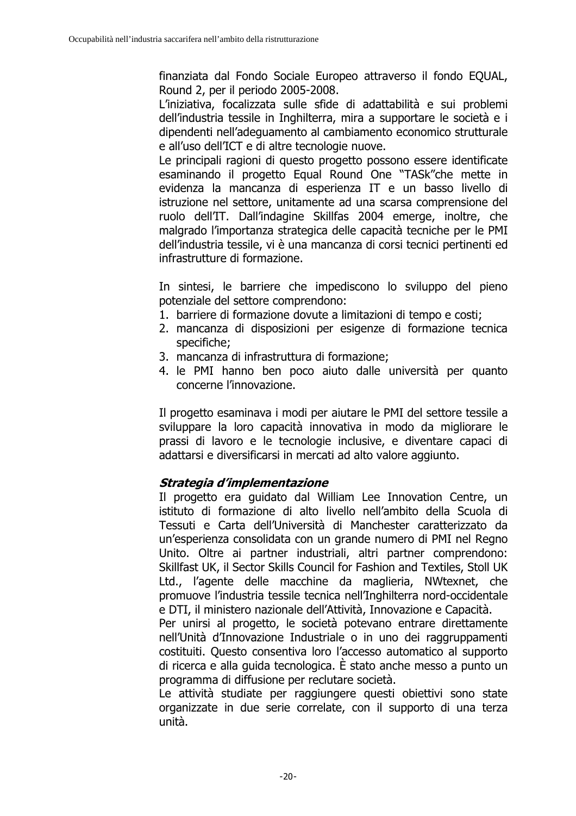finanziata dal Fondo Sociale Europeo attraverso il fondo EQUAL, Round 2, per il periodo 2005-2008.

L'iniziativa, focalizzata sulle sfide di adattabilità e sui problemi dell'industria tessile in Inghilterra, mira a supportare le società e i dipendenti nell'adeguamento al cambiamento economico strutturale e all'uso dell'ICT e di altre tecnologie nuove.

Le principali ragioni di questo progetto possono essere identificate esaminando il progetto Equal Round One "TASk"che mette in evidenza la mancanza di esperienza IT e un basso livello di istruzione nel settore, unitamente ad una scarsa comprensione del ruolo dell'IT. Dall'indagine Skillfas 2004 emerge, inoltre, che malgrado l'importanza strategica delle capacità tecniche per le PMI dell'industria tessile, vi è una mancanza di corsi tecnici pertinenti ed infrastrutture di formazione.

In sintesi, le barriere che impediscono lo sviluppo del pieno potenziale del settore comprendono:

- 1. barriere di formazione dovute a limitazioni di tempo e costi;
- 2. mancanza di disposizioni per esigenze di formazione tecnica specifiche;
- 3. mancanza di infrastruttura di formazione;
- 4. le PMI hanno ben poco aiuto dalle università per quanto concerne l'innovazione.

Il progetto esaminava i modi per aiutare le PMI del settore tessile a sviluppare la loro capacità innovativa in modo da migliorare le prassi di lavoro e le tecnologie inclusive, e diventare capaci di adattarsi e diversificarsi in mercati ad alto valore aggiunto.

## **Strategia d'implementazione**

Il progetto era guidato dal William Lee Innovation Centre, un istituto di formazione di alto livello nell'ambito della Scuola di Tessuti e Carta dell'Università di Manchester caratterizzato da un'esperienza consolidata con un grande numero di PMI nel Regno Unito. Oltre ai partner industriali, altri partner comprendono: Skillfast UK, il Sector Skills Council for Fashion and Textiles, Stoll UK Ltd., l'agente delle macchine da maglieria, NWtexnet, che promuove l'industria tessile tecnica nell'Inghilterra nord-occidentale e DTI, il ministero nazionale dell'Attività, Innovazione e Capacità.

Per unirsi al progetto, le società potevano entrare direttamente nell'Unità d'Innovazione Industriale o in uno dei raggruppamenti costituiti. Questo consentiva loro l'accesso automatico al supporto di ricerca e alla guida tecnologica. È stato anche messo a punto un programma di diffusione per reclutare società.

Le attività studiate per raggiungere questi obiettivi sono state organizzate in due serie correlate, con il supporto di una terza unità.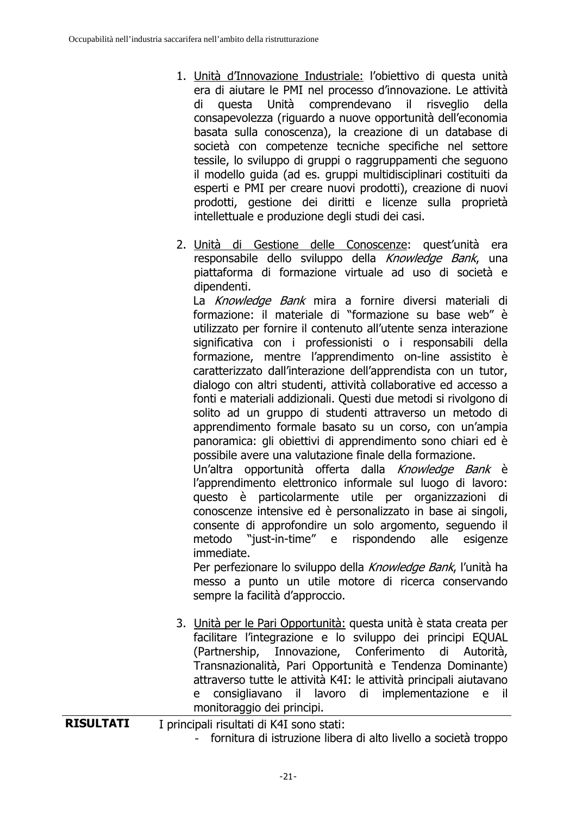- 1. Unità d'Innovazione Industriale: l'obiettivo di questa unità era di aiutare le PMI nel processo d'innovazione. Le attività di questa Unità comprendevano il risveglio della consapevolezza (riguardo a nuove opportunità dell'economia basata sulla conoscenza), la creazione di un database di società con competenze tecniche specifiche nel settore tessile, lo sviluppo di gruppi o raggruppamenti che seguono il modello guida (ad es. gruppi multidisciplinari costituiti da esperti e PMI per creare nuovi prodotti), creazione di nuovi prodotti, gestione dei diritti e licenze sulla proprietà intellettuale e produzione degli studi dei casi.
- 2. Unità di Gestione delle Conoscenze: quest'unità era responsabile dello sviluppo della Knowledge Bank, una piattaforma di formazione virtuale ad uso di società e dipendenti.

La Knowledge Bank mira a fornire diversi materiali di formazione: il materiale di "formazione su base web" è utilizzato per fornire il contenuto all'utente senza interazione significativa con i professionisti o i responsabili della formazione, mentre l'apprendimento on-line assistito è caratterizzato dall'interazione dell'apprendista con un tutor, dialogo con altri studenti, attività collaborative ed accesso a fonti e materiali addizionali. Questi due metodi si rivolgono di solito ad un gruppo di studenti attraverso un metodo di apprendimento formale basato su un corso, con un'ampia panoramica: gli obiettivi di apprendimento sono chiari ed è possibile avere una valutazione finale della formazione.

Un'altra opportunità offerta dalla Knowledge Bank è l'apprendimento elettronico informale sul luogo di lavoro: questo è particolarmente utile per organizzazioni di conoscenze intensive ed è personalizzato in base ai singoli, consente di approfondire un solo argomento, seguendo il metodo "just-in-time" e rispondendo alle esigenze immediate.

Per perfezionare lo sviluppo della Knowledge Bank, l'unità ha messo a punto un utile motore di ricerca conservando sempre la facilità d'approccio.

3. Unità per le Pari Opportunità: questa unità è stata creata per facilitare l'integrazione e lo sviluppo dei principi EQUAL (Partnership, Innovazione, Conferimento di Autorità, Transnazionalità, Pari Opportunità e Tendenza Dominante) attraverso tutte le attività K4I: le attività principali aiutavano e consigliavano il lavoro di implementazione e il monitoraggio dei principi.

**RISULTATI** I principali risultati di K4I sono stati:

<sup>-</sup> fornitura di istruzione libera di alto livello a società troppo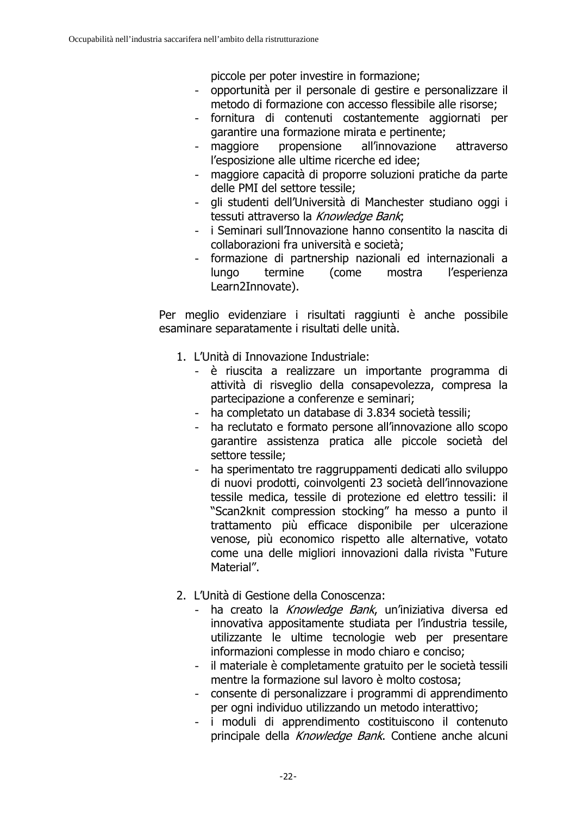piccole per poter investire in formazione;

- opportunità per il personale di gestire e personalizzare il metodo di formazione con accesso flessibile alle risorse;
- fornitura di contenuti costantemente aggiornati per garantire una formazione mirata e pertinente;
- maggiore propensione all'innovazione attraverso l'esposizione alle ultime ricerche ed idee;
- maggiore capacità di proporre soluzioni pratiche da parte delle PMI del settore tessile;
- gli studenti dell'Università di Manchester studiano oggi i tessuti attraverso la Knowledge Bank;
- i Seminari sull'Innovazione hanno consentito la nascita di collaborazioni fra università e società;
- formazione di partnership nazionali ed internazionali a lungo termine (come mostra l'esperienza Learn2Innovate).

Per meglio evidenziare i risultati raggiunti è anche possibile esaminare separatamente i risultati delle unità.

- 1. L'Unità di Innovazione Industriale:
	- è riuscita a realizzare un importante programma di attività di risveglio della consapevolezza, compresa la partecipazione a conferenze e seminari;
	- ha completato un database di 3.834 società tessili;
	- ha reclutato e formato persone all'innovazione allo scopo garantire assistenza pratica alle piccole società del settore tessile;
	- ha sperimentato tre raggruppamenti dedicati allo sviluppo di nuovi prodotti, coinvolgenti 23 società dell'innovazione tessile medica, tessile di protezione ed elettro tessili: il "Scan2knit compression stocking" ha messo a punto il trattamento più efficace disponibile per ulcerazione venose, più economico rispetto alle alternative, votato come una delle migliori innovazioni dalla rivista "Future Material".
- 2. L'Unità di Gestione della Conoscenza:
	- ha creato la Knowledge Bank, un'iniziativa diversa ed innovativa appositamente studiata per l'industria tessile, utilizzante le ultime tecnologie web per presentare informazioni complesse in modo chiaro e conciso;
	- il materiale è completamente gratuito per le società tessili mentre la formazione sul lavoro è molto costosa;
	- consente di personalizzare i programmi di apprendimento per ogni individuo utilizzando un metodo interattivo;
	- i moduli di apprendimento costituiscono il contenuto principale della Knowledge Bank. Contiene anche alcuni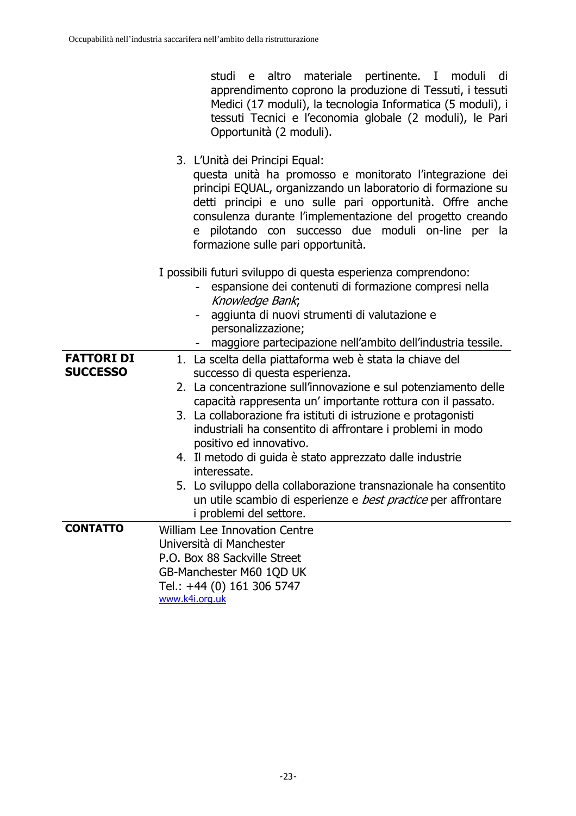|                                                             |  |  | studi e altro materiale pertinente. I moduli di |  |  |  |  |  |
|-------------------------------------------------------------|--|--|-------------------------------------------------|--|--|--|--|--|
| apprendimento coprono la produzione di Tessuti, i tessuti   |  |  |                                                 |  |  |  |  |  |
| Medici (17 moduli), la tecnologia Informatica (5 moduli), i |  |  |                                                 |  |  |  |  |  |
| tessuti Tecnici e l'economia globale (2 moduli), le Pari    |  |  |                                                 |  |  |  |  |  |
| Opportunità (2 moduli).                                     |  |  |                                                 |  |  |  |  |  |

3. L'Unità dei Principi Equal:

questa unità ha promosso e monitorato l'integrazione dei principi EQUAL, organizzando un laboratorio di formazione su detti principi e uno sulle pari opportunità. Offre anche consulenza durante l'implementazione del progetto creando e pilotando con successo due moduli on-line per la formazione sulle pari opportunità.

- I possibili futuri sviluppo di questa esperienza comprendono:
	- espansione dei contenuti di formazione compresi nella Knowledge Bank;
	- aggiunta di nuovi strumenti di valutazione e personalizzazione;
	- maggiore partecipazione nell'ambito dell'industria tessile.

| <b>FATTORI DI</b><br><b>SUCCESSO</b> | 1. La scelta della piattaforma web è stata la chiave del<br>successo di questa esperienza.                                                                          |
|--------------------------------------|---------------------------------------------------------------------------------------------------------------------------------------------------------------------|
|                                      | 2. La concentrazione sull'innovazione e sul potenziamento delle<br>capacità rappresenta un' importante rottura con il passato.                                      |
|                                      | 3. La collaborazione fra istituti di istruzione e protagonisti<br>industriali ha consentito di affrontare i problemi in modo<br>positivo ed innovativo.             |
|                                      | 4. Il metodo di guida è stato apprezzato dalle industrie<br>interessate.                                                                                            |
|                                      | 5. Lo sviluppo della collaborazione transnazionale ha consentito<br>un utile scambio di esperienze e <i>best practice</i> per affrontare<br>i problemi del settore. |
| <b>CONTATTO</b>                      | <b>William Lee Innovation Centre</b>                                                                                                                                |
|                                      | Università di Manchester                                                                                                                                            |
|                                      | P.O. Box 88 Sackville Street                                                                                                                                        |
|                                      | GB-Manchester M60 1QD UK                                                                                                                                            |
|                                      | Tel.: +44 (0) 161 306 5747                                                                                                                                          |
|                                      | www.k4i.org.uk                                                                                                                                                      |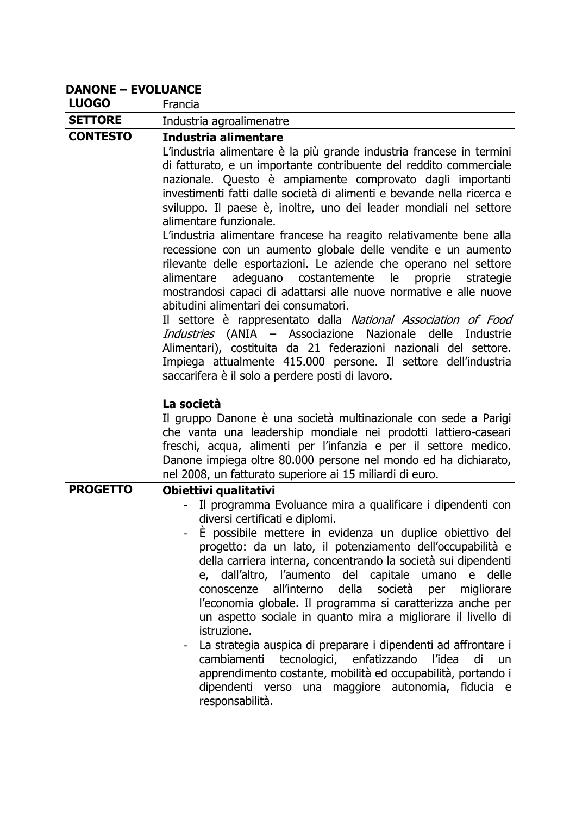## **DANONE – EVOLUANCE**

| <b>LUOGO</b>    | Francia                                                                                                                                                                                                                                                                                                                                                                                                                                                                                                                                                                                                                                                                                                                                                                                                                                                                                                                                                                                                                                                                                                                              |
|-----------------|--------------------------------------------------------------------------------------------------------------------------------------------------------------------------------------------------------------------------------------------------------------------------------------------------------------------------------------------------------------------------------------------------------------------------------------------------------------------------------------------------------------------------------------------------------------------------------------------------------------------------------------------------------------------------------------------------------------------------------------------------------------------------------------------------------------------------------------------------------------------------------------------------------------------------------------------------------------------------------------------------------------------------------------------------------------------------------------------------------------------------------------|
| <b>SETTORE</b>  | Industria agroalimenatre                                                                                                                                                                                                                                                                                                                                                                                                                                                                                                                                                                                                                                                                                                                                                                                                                                                                                                                                                                                                                                                                                                             |
| <b>CONTESTO</b> | Industria alimentare<br>L'industria alimentare è la più grande industria francese in termini<br>di fatturato, e un importante contribuente del reddito commerciale<br>nazionale. Questo è ampiamente comprovato dagli importanti<br>investimenti fatti dalle società di alimenti e bevande nella ricerca e<br>sviluppo. Il paese è, inoltre, uno dei leader mondiali nel settore<br>alimentare funzionale.<br>L'industria alimentare francese ha reagito relativamente bene alla<br>recessione con un aumento globale delle vendite e un aumento<br>rilevante delle esportazioni. Le aziende che operano nel settore<br>adeguano costantemente<br>le proprie strategie<br>alimentare<br>mostrandosi capaci di adattarsi alle nuove normative e alle nuove<br>abitudini alimentari dei consumatori.<br>Il settore è rappresentato dalla National Association of Food<br><i>Industries</i> (ANIA – Associazione Nazionale delle<br>Industrie<br>Alimentari), costituita da 21 federazioni nazionali del settore.<br>Impiega attualmente 415.000 persone. Il settore dell'industria<br>saccarifera è il solo a perdere posti di lavoro. |
|                 | La società<br>Il gruppo Danone è una società multinazionale con sede a Parigi<br>che vanta una leadership mondiale nei prodotti lattiero-caseari<br>freschi, acqua, alimenti per l'infanzia e per il settore medico.<br>Danone impiega oltre 80.000 persone nel mondo ed ha dichiarato,<br>nel 2008, un fatturato superiore ai 15 miliardi di euro.                                                                                                                                                                                                                                                                                                                                                                                                                                                                                                                                                                                                                                                                                                                                                                                  |
| <b>PROGETTO</b> | Obiettivi qualitativi<br>Il programma Evoluance mira a qualificare i dipendenti con<br>diversi certificati e diplomi.<br>È possibile mettere in evidenza un duplice obiettivo del<br>progetto: da un lato, il potenziamento dell'occupabilità e<br>della carriera interna, concentrando la società sui dipendenti<br>e, dall'altro, l'aumento del capitale umano e delle<br>all'interno<br>della<br>società<br>per<br>migliorare<br>conoscenze<br>l'economia globale. Il programma si caratterizza anche per<br>un aspetto sociale in quanto mira a migliorare il livello di<br>istruzione.<br>La strategia auspica di preparare i dipendenti ad affrontare i<br>tecnologici, enfatizzando<br>cambiamenti<br>l'idea<br>di<br>un<br>apprendimento costante, mobilità ed occupabilità, portando i<br>dipendenti verso una maggiore autonomia, fiducia e<br>responsabilità.                                                                                                                                                                                                                                                             |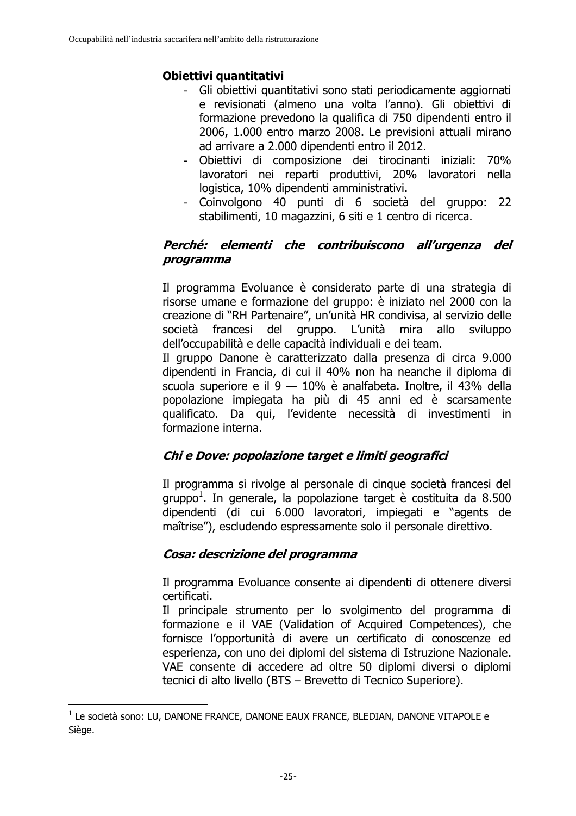## **Obiettivi quantitativi**

- Gli obiettivi quantitativi sono stati periodicamente aggiornati e revisionati (almeno una volta l'anno). Gli obiettivi di formazione prevedono la qualifica di 750 dipendenti entro il 2006, 1.000 entro marzo 2008. Le previsioni attuali mirano ad arrivare a 2.000 dipendenti entro il 2012.
- Obiettivi di composizione dei tirocinanti iniziali: 70% lavoratori nei reparti produttivi, 20% lavoratori nella logistica, 10% dipendenti amministrativi.
- Coinvolgono 40 punti di 6 società del gruppo: 22 stabilimenti, 10 magazzini, 6 siti e 1 centro di ricerca.

## **Perché: elementi che contribuiscono all'urgenza del programma**

Il programma Evoluance è considerato parte di una strategia di risorse umane e formazione del gruppo: è iniziato nel 2000 con la creazione di "RH Partenaire", un'unità HR condivisa, al servizio delle società francesi del gruppo. L'unità mira allo sviluppo dell'occupabilità e delle capacità individuali e dei team.

Il gruppo Danone è caratterizzato dalla presenza di circa 9.000 dipendenti in Francia, di cui il 40% non ha neanche il diploma di scuola superiore e il 9 - 10% è analfabeta. Inoltre, il 43% della popolazione impiegata ha più di 45 anni ed è scarsamente qualificato. Da qui, l'evidente necessità di investimenti in formazione interna.

## **Chi e Dove: popolazione target e limiti geografici**

Il programma si rivolge al personale di cinque società francesi del gruppo<sup>1</sup>. In generale, la popolazione target è costituita da 8.500 dipendenti (di cui 6.000 lavoratori, impiegati e "agents de maîtrise"), escludendo espressamente solo il personale direttivo.

## **Cosa: descrizione del programma**

Il programma Evoluance consente ai dipendenti di ottenere diversi certificati.

Il principale strumento per lo svolgimento del programma di formazione e il VAE (Validation of Acquired Competences), che fornisce l'opportunità di avere un certificato di conoscenze ed esperienza, con uno dei diplomi del sistema di Istruzione Nazionale. VAE consente di accedere ad oltre 50 diplomi diversi o diplomi tecnici di alto livello (BTS – Brevetto di Tecnico Superiore).

 $\overline{a}$ <sup>1</sup> Le società sono: LU, DANONE FRANCE, DANONE EAUX FRANCE, BLEDIAN, DANONE VITAPOLE e Siège.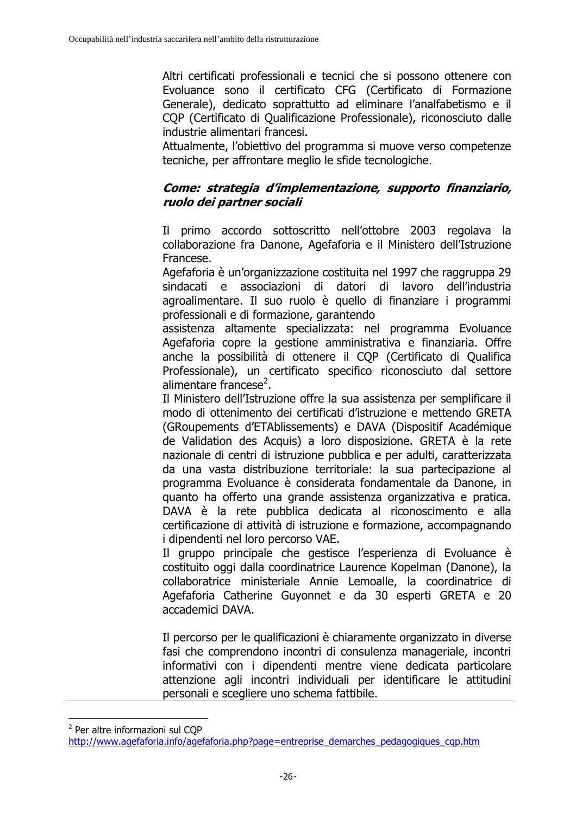Altri certificati professionali e tecnici che si possono ottenere con Evoluance sono il certificato CFG (Certificato di Formazione Generale), dedicato soprattutto ad eliminare l'analfabetismo e il CQP (Certificato di Qualificazione Professionale), riconosciuto dalle industrie alimentari francesi.

Attualmente, l'obiettivo del programma si muove verso competenze tecniche, per affrontare meglio le sfide tecnologiche.

#### **Come: strategia d'implementazione, supporto finanziario, ruolo dei partner sociali**

Il primo accordo sottoscritto nell'ottobre 2003 regolava la collaborazione fra Danone, Agefaforia e il Ministero dell'Istruzione Francese.

Agefaforia è un'organizzazione costituita nel 1997 che raggruppa 29 sindacati e associazioni di datori di lavoro dell'industria agroalimentare. Il suo ruolo è quello di finanziare i programmi professionali e di formazione, garantendo

assistenza altamente specializzata: nel programma Evoluance Agefaforia copre la gestione amministrativa e finanziaria. Offre anche la possibilità di ottenere il CQP (Certificato di Qualifica Professionale), un certificato specifico riconosciuto dal settore alimentare francese<sup>2</sup>.

Il Ministero dell'Istruzione offre la sua assistenza per semplificare il modo di ottenimento dei certificati d'istruzione e mettendo GRETA (GRoupements d'ETAblissements) e DAVA (Dispositif Académique de Validation des Acquis) a loro disposizione. GRETA è la rete nazionale di centri di istruzione pubblica e per adulti, caratterizzata da una vasta distribuzione territoriale: la sua partecipazione al programma Evoluance è considerata fondamentale da Danone, in quanto ha offerto una grande assistenza organizzativa e pratica. DAVA è la rete pubblica dedicata al riconoscimento e alla certificazione di attività di istruzione e formazione, accompagnando i dipendenti nel loro percorso VAE.

Il gruppo principale che gestisce l'esperienza di Evoluance è costituito oggi dalla coordinatrice Laurence Kopelman (Danone), la collaboratrice ministeriale Annie Lemoalle, la coordinatrice di Agefaforia Catherine Guyonnet e da 30 esperti GRETA e 20 accademici DAVA.

Il percorso per le qualificazioni è chiaramente organizzato in diverse fasi che comprendono incontri di consulenza manageriale, incontri informativi con i dipendenti mentre viene dedicata particolare attenzione agli incontri individuali per identificare le attitudini personali e scegliere uno schema fattibile.

 $\overline{a}$ <sup>2</sup> Per altre informazioni sul CQP

http://www.agefaforia.info/agefaforia.php?page=entreprise\_demarches\_pedagogiques\_cqp.htm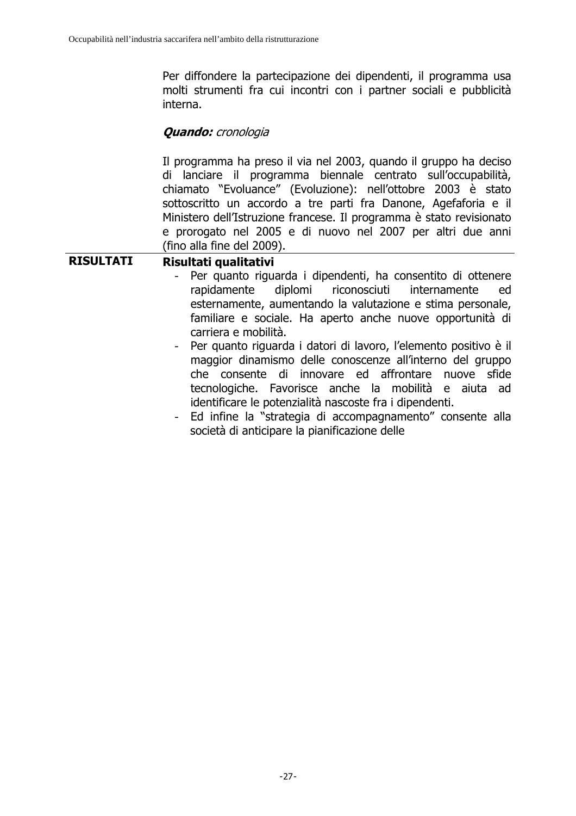Per diffondere la partecipazione dei dipendenti, il programma usa molti strumenti fra cui incontri con i partner sociali e pubblicità interna.

## **Quando:** cronologia

Il programma ha preso il via nel 2003, quando il gruppo ha deciso di lanciare il programma biennale centrato sull'occupabilità, chiamato "Evoluance" (Evoluzione): nell'ottobre 2003 è stato sottoscritto un accordo a tre parti fra Danone, Agefaforia e il Ministero dell'Istruzione francese. Il programma è stato revisionato e prorogato nel 2005 e di nuovo nel 2007 per altri due anni (fino alla fine del 2009).

**RISULTATI Risultati qualitativi**  - Per quanto riguarda i dipendenti, ha consentito di ottenere rapidamente diplomi riconosciuti internamente ed esternamente, aumentando la valutazione e stima personale, familiare e sociale. Ha aperto anche nuove opportunità di carriera e mobilità. Per quanto riguarda i datori di lavoro, l'elemento positivo è il maggior dinamismo delle conoscenze all'interno del gruppo che consente di innovare ed affrontare nuove sfide tecnologiche. Favorisce anche la mobilità e aiuta ad identificare le potenzialità nascoste fra i dipendenti. - Ed infine la "strategia di accompagnamento" consente alla

società di anticipare la pianificazione delle

- - 27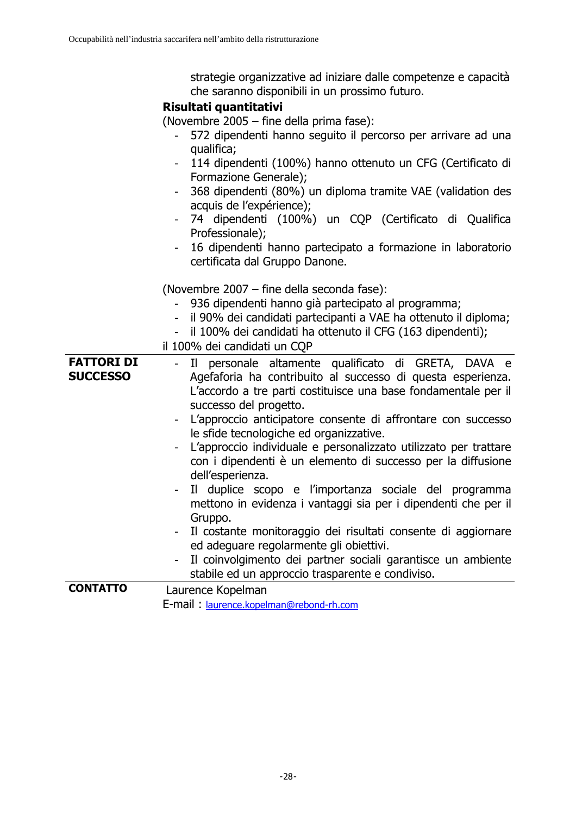strategie organizzative ad iniziare dalle competenze e capacità che saranno disponibili in un prossimo futuro.

## **Risultati quantitativi**

(Novembre 2005 – fine della prima fase):

| - 572 dipendenti hanno seguito il percorso per arrivare ad una |
|----------------------------------------------------------------|
| qualifica;                                                     |

- 114 dipendenti (100%) hanno ottenuto un CFG (Certificato di Formazione Generale);
- 368 dipendenti (80%) un diploma tramite VAE (validation des acquis de l'expérience);
- 74 dipendenti (100%) un CQP (Certificato di Qualifica Professionale);
- 16 dipendenti hanno partecipato a formazione in laboratorio certificata dal Gruppo Danone.

(Novembre 2007 – fine della seconda fase):

- 936 dipendenti hanno già partecipato al programma;
- il 90% dei candidati partecipanti a VAE ha ottenuto il diploma;
- il 100% dei candidati ha ottenuto il CFG (163 dipendenti);
- il 100% dei candidati un CQP

| <b>FATTORI DI</b> | - Il personale altamente qualificato di GRETA, DAVA e          |  |  |  |
|-------------------|----------------------------------------------------------------|--|--|--|
| <b>SUCCESSO</b>   | Agefaforia ha contribuito al successo di questa esperienza.    |  |  |  |
|                   | L'accordo a tre parti costituisce una base fondamentale per il |  |  |  |
|                   | successo del progetto.                                         |  |  |  |
|                   | L'annroccio anticipatore concente di affrontare con successo   |  |  |  |

- L'approccio anticipatore consente di affrontare con successo le sfide tecnologiche ed organizzative.
- L'approccio individuale e personalizzato utilizzato per trattare con i dipendenti è un elemento di successo per la diffusione dell'esperienza.
- Il duplice scopo e l'importanza sociale del programma mettono in evidenza i vantaggi sia per i dipendenti che per il Gruppo.
- Il costante monitoraggio dei risultati consente di aggiornare ed adeguare regolarmente gli obiettivi.
- Il coinvolgimento dei partner sociali garantisce un ambiente stabile ed un approccio trasparente e condiviso.

**CONTATTO** Laurence Kopelman

E-mail : laurence.kopelman@rebond-rh.com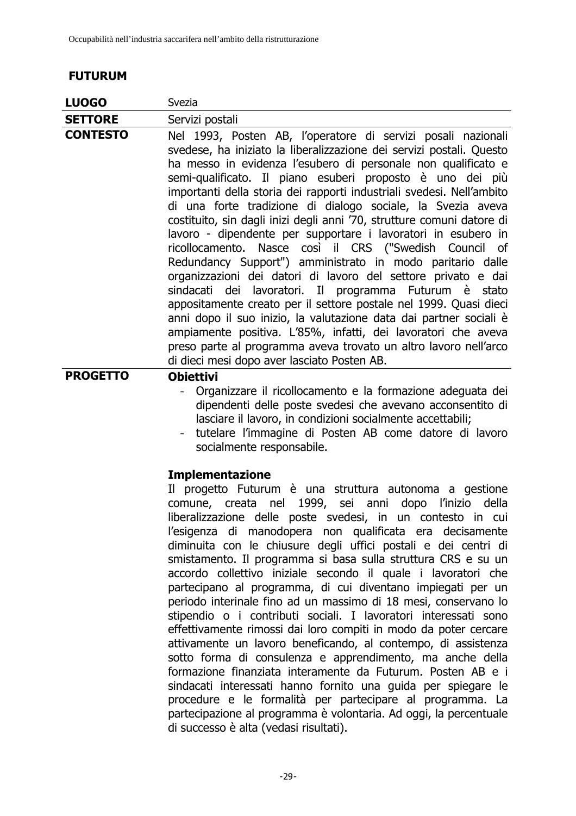## **FUTURUM**

| Nel 1993, Posten AB, l'operatore di servizi posali nazionali                                                                                                                                                                                                                                                                                                                                                                                                                                                                                                                                                                                                                                                                                                                                                                                                                                                                                                                                                                                                                                                                          |
|---------------------------------------------------------------------------------------------------------------------------------------------------------------------------------------------------------------------------------------------------------------------------------------------------------------------------------------------------------------------------------------------------------------------------------------------------------------------------------------------------------------------------------------------------------------------------------------------------------------------------------------------------------------------------------------------------------------------------------------------------------------------------------------------------------------------------------------------------------------------------------------------------------------------------------------------------------------------------------------------------------------------------------------------------------------------------------------------------------------------------------------|
|                                                                                                                                                                                                                                                                                                                                                                                                                                                                                                                                                                                                                                                                                                                                                                                                                                                                                                                                                                                                                                                                                                                                       |
| svedese, ha iniziato la liberalizzazione dei servizi postali. Questo<br>ha messo in evidenza l'esubero di personale non qualificato e<br>semi-qualificato. Il piano esuberi proposto è uno dei più<br>importanti della storia dei rapporti industriali svedesi. Nell'ambito<br>di una forte tradizione di dialogo sociale, la Svezia aveva<br>costituito, sin dagli inizi degli anni '70, strutture comuni datore di<br>lavoro - dipendente per supportare i lavoratori in esubero in<br>così il CRS ("Swedish Council of<br>Redundancy Support") amministrato in modo paritario dalle<br>organizzazioni dei datori di lavoro del settore privato e dai<br>lavoratori. Il programma Futurum è stato<br>appositamente creato per il settore postale nel 1999. Quasi dieci<br>anni dopo il suo inizio, la valutazione data dai partner sociali è<br>ampiamente positiva. L'85%, infatti, dei lavoratori che aveva<br>preso parte al programma aveva trovato un altro lavoro nell'arco                                                                                                                                                   |
| Organizzare il ricollocamento e la formazione adeguata dei<br>dipendenti delle poste svedesi che avevano acconsentito di<br>lasciare il lavoro, in condizioni socialmente accettabili;<br>tutelare l'immagine di Posten AB come datore di lavoro<br>Il progetto Futurum è una struttura autonoma a gestione<br>l'inizio<br>della<br>liberalizzazione delle poste svedesi, in un contesto in cui<br>l'esigenza di manodopera non qualificata era decisamente<br>diminuita con le chiusure degli uffici postali e dei centri di<br>smistamento. Il programma si basa sulla struttura CRS e su un<br>accordo collettivo iniziale secondo il quale i lavoratori che<br>partecipano al programma, di cui diventano impiegati per un<br>periodo interinale fino ad un massimo di 18 mesi, conservano lo<br>stipendio o i contributi sociali. I lavoratori interessati sono<br>effettivamente rimossi dai loro compiti in modo da poter cercare<br>attivamente un lavoro beneficando, al contempo, di assistenza<br>sotto forma di consulenza e apprendimento, ma anche della<br>formazione finanziata interamente da Futurum. Posten AB e i |
| sindacati interessati hanno fornito una guida per spiegare le<br>procedure e le formalità per partecipare al programma. La                                                                                                                                                                                                                                                                                                                                                                                                                                                                                                                                                                                                                                                                                                                                                                                                                                                                                                                                                                                                            |

di successo è alta (vedasi risultati).

partecipazione al programma è volontaria. Ad oggi, la percentuale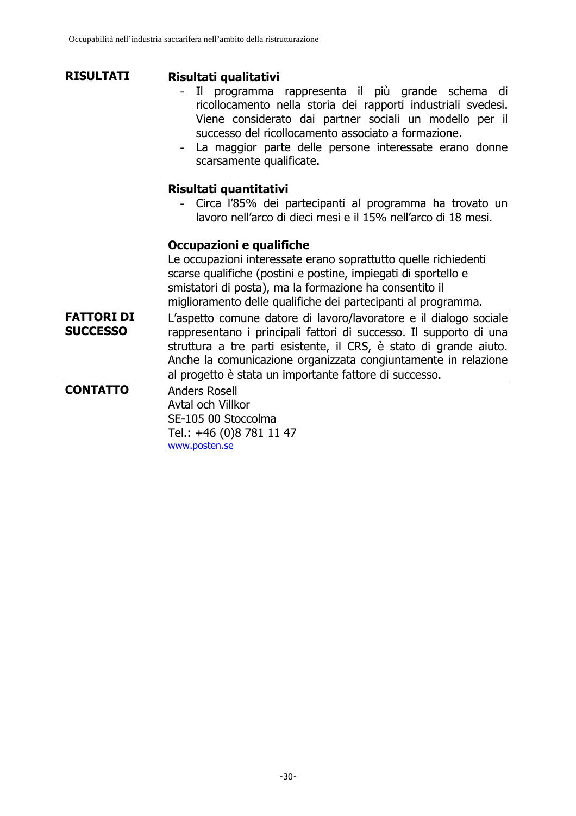| <b>RISULTATI</b>                     | Risultati qualitativi<br>- Il programma rappresenta il più grande schema di<br>ricollocamento nella storia dei rapporti industriali svedesi.<br>Viene considerato dai partner sociali un modello per il<br>successo del ricollocamento associato a formazione.<br>- La maggior parte delle persone interessate erano donne<br>scarsamente qualificate. |
|--------------------------------------|--------------------------------------------------------------------------------------------------------------------------------------------------------------------------------------------------------------------------------------------------------------------------------------------------------------------------------------------------------|
|                                      | Risultati quantitativi<br>Circa l'85% dei partecipanti al programma ha trovato un<br>lavoro nell'arco di dieci mesi e il 15% nell'arco di 18 mesi.                                                                                                                                                                                                     |
|                                      | Occupazioni e qualifiche<br>Le occupazioni interessate erano soprattutto quelle richiedenti<br>scarse qualifiche (postini e postine, impiegati di sportello e<br>smistatori di posta), ma la formazione ha consentito il<br>miglioramento delle qualifiche dei partecipanti al programma.                                                              |
| <b>FATTORI DI</b><br><b>SUCCESSO</b> | L'aspetto comune datore di lavoro/lavoratore e il dialogo sociale<br>rappresentano i principali fattori di successo. Il supporto di una<br>struttura a tre parti esistente, il CRS, è stato di grande aiuto.<br>Anche la comunicazione organizzata congiuntamente in relazione<br>al progetto è stata un importante fattore di successo.               |
| <b>CONTATTO</b>                      | <b>Anders Rosell</b><br>Avtal och Villkor<br>SE-105 00 Stoccolma<br>Tel.: +46 (0)8 781 11 47<br>www.posten.se                                                                                                                                                                                                                                          |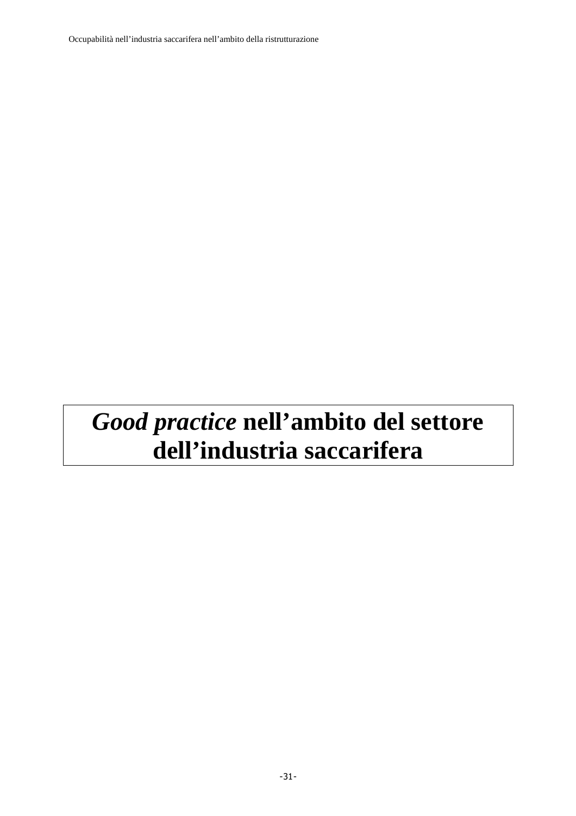## *Good practice* **nell'ambito del settore dell'industria saccarifera**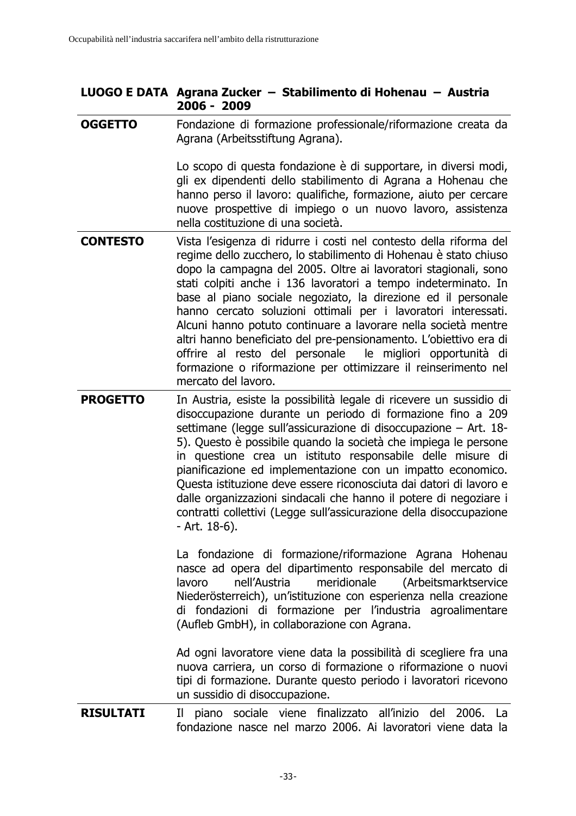## **LUOGO E DATA Agrana Zucker – Stabilimento di Hohenau – Austria 2006 - 2009**

**OGGETTO** Fondazione di formazione professionale/riformazione creata da Agrana (Arbeitsstiftung Agrana). Lo scopo di questa fondazione è di supportare, in diversi modi, gli ex dipendenti dello stabilimento di Agrana a Hohenau che hanno perso il lavoro: qualifiche, formazione, aiuto per cercare nuove prospettive di impiego o un nuovo lavoro, assistenza nella costituzione di una società. **CONTESTO** Vista l'esigenza di ridurre i costi nel contesto della riforma del regime dello zucchero, lo stabilimento di Hohenau è stato chiuso dopo la campagna del 2005. Oltre ai lavoratori stagionali, sono stati colpiti anche i 136 lavoratori a tempo indeterminato. In base al piano sociale negoziato, la direzione ed il personale hanno cercato soluzioni ottimali per i lavoratori interessati. Alcuni hanno potuto continuare a lavorare nella società mentre altri hanno beneficiato del pre-pensionamento. L'obiettivo era di offrire al resto del personale le migliori opportunità di formazione o riformazione per ottimizzare il reinserimento nel mercato del lavoro. **PROGETTO** In Austria, esiste la possibilità legale di ricevere un sussidio di disoccupazione durante un periodo di formazione fino a 209 settimane (legge sull'assicurazione di disoccupazione – Art. 18- 5). Questo è possibile quando la società che impiega le persone in questione crea un istituto responsabile delle misure di pianificazione ed implementazione con un impatto economico. Questa istituzione deve essere riconosciuta dai datori di lavoro e dalle organizzazioni sindacali che hanno il potere di negoziare i contratti collettivi (Legge sull'assicurazione della disoccupazione - Art. 18-6). La fondazione di formazione/riformazione Agrana Hohenau nasce ad opera del dipartimento responsabile del mercato di lavoro nell'Austria meridionale (Arbeitsmarktservice Niederösterreich), un'istituzione con esperienza nella creazione di fondazioni di formazione per l'industria agroalimentare (Aufleb GmbH), in collaborazione con Agrana. Ad ogni lavoratore viene data la possibilità di scegliere fra una nuova carriera, un corso di formazione o riformazione o nuovi tipi di formazione. Durante questo periodo i lavoratori ricevono un sussidio di disoccupazione. **RISULTATI** Il piano sociale viene finalizzato all'inizio del 2006. La fondazione nasce nel marzo 2006. Ai lavoratori viene data la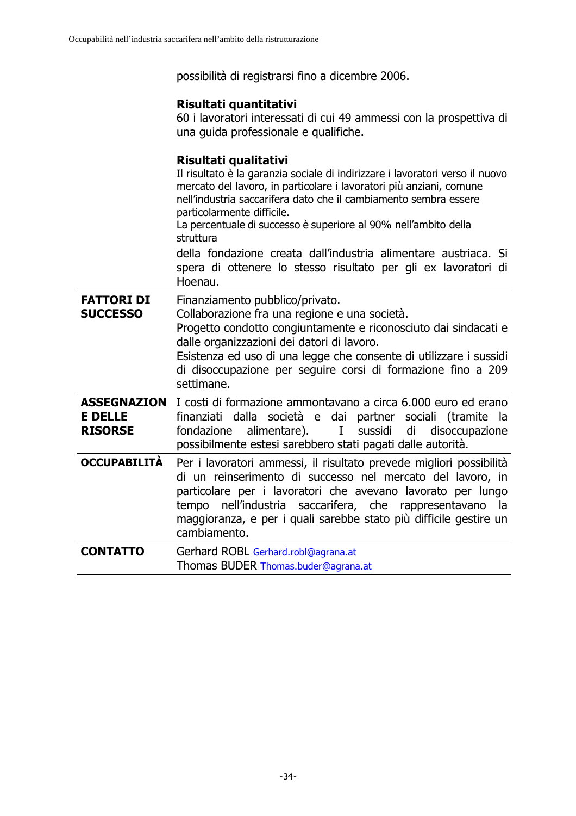possibilità di registrarsi fino a dicembre 2006.

## **Risultati quantitativi**

60 i lavoratori interessati di cui 49 ammessi con la prospettiva di una guida professionale e qualifiche.

## **Risultati qualitativi**

|                                                        | Il risultato è la garanzia sociale di indirizzare i lavoratori verso il nuovo<br>mercato del lavoro, in particolare i lavoratori più anziani, comune<br>nell'industria saccarifera dato che il cambiamento sembra essere<br>particolarmente difficile.<br>La percentuale di successo è superiore al 90% nell'ambito della<br>struttura<br>della fondazione creata dall'industria alimentare austriaca. Si<br>spera di ottenere lo stesso risultato per gli ex lavoratori di<br>Hoenau. |
|--------------------------------------------------------|----------------------------------------------------------------------------------------------------------------------------------------------------------------------------------------------------------------------------------------------------------------------------------------------------------------------------------------------------------------------------------------------------------------------------------------------------------------------------------------|
| <b>FATTORI DI</b><br><b>SUCCESSO</b>                   | Finanziamento pubblico/privato.<br>Collaborazione fra una regione e una società.<br>Progetto condotto congiuntamente e riconosciuto dai sindacati e<br>dalle organizzazioni dei datori di lavoro.<br>Esistenza ed uso di una legge che consente di utilizzare i sussidi<br>di disoccupazione per seguire corsi di formazione fino a 209<br>settimane.                                                                                                                                  |
| <b>ASSEGNAZION</b><br><b>E DELLE</b><br><b>RISORSE</b> | I costi di formazione ammontavano a circa 6.000 euro ed erano<br>finanziati dalla società e dai partner sociali (tramite la<br>fondazione<br>alimentare).<br>$\mathbf{I}$<br>sussidi<br>di<br>disoccupazione<br>possibilmente estesi sarebbero stati pagati dalle autorità.                                                                                                                                                                                                            |
| <b>OCCUPABILITÀ</b>                                    | Per i lavoratori ammessi, il risultato prevede migliori possibilità<br>di un reinserimento di successo nel mercato del lavoro, in<br>particolare per i lavoratori che avevano lavorato per lungo<br>nell'industria saccarifera, che rappresentavano la<br>tempo<br>maggioranza, e per i quali sarebbe stato più difficile gestire un<br>cambiamento.                                                                                                                                   |
| <b>CONTATTO</b>                                        | Gerhard ROBL Gerhard.robl@agrana.at<br>Thomas BUDER Thomas.buder@agrana.at                                                                                                                                                                                                                                                                                                                                                                                                             |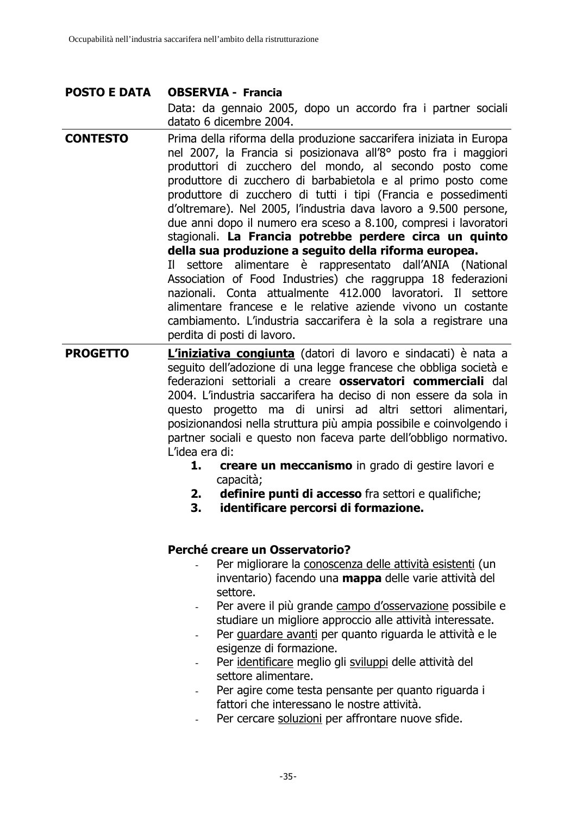#### **POSTO E DATA OBSERVIA - Francia**

Data: da gennaio 2005, dopo un accordo fra i partner sociali datato 6 dicembre 2004.

**CONTESTO** Prima della riforma della produzione saccarifera iniziata in Europa nel 2007, la Francia si posizionava all'8° posto fra i maggiori produttori di zucchero del mondo, al secondo posto come produttore di zucchero di barbabietola e al primo posto come produttore di zucchero di tutti i tipi (Francia e possedimenti d'oltremare). Nel 2005, l'industria dava lavoro a 9.500 persone, due anni dopo il numero era sceso a 8.100, compresi i lavoratori stagionali. **La Francia potrebbe perdere circa un quinto della sua produzione a seguito della riforma europea.** Il settore alimentare è rappresentato dall'ANIA (National Association of Food Industries) che raggruppa 18 federazioni nazionali. Conta attualmente 412.000 lavoratori. Il settore alimentare francese e le relative aziende vivono un costante cambiamento. L'industria saccarifera è la sola a registrare una perdita di posti di lavoro.

- **PROGETTO** L'iniziativa congiunta (datori di lavoro e sindacati) è nata a seguito dell'adozione di una legge francese che obbliga società e federazioni settoriali a creare **osservatori commerciali** dal 2004. L'industria saccarifera ha deciso di non essere da sola in questo progetto ma di unirsi ad altri settori alimentari, posizionandosi nella struttura più ampia possibile e coinvolgendo i partner sociali e questo non faceva parte dell'obbligo normativo. L'idea era di:
	- **1. creare un meccanismo** in grado di gestire lavori e capacità;
	- **2. definire punti di accesso** fra settori e qualifiche;
	- **3. identificare percorsi di formazione.**

#### **Perché creare un Osservatorio?**

- Per migliorare la conoscenza delle attività esistenti (un inventario) facendo una **mappa** delle varie attività del settore.
- Per avere il più grande campo d'osservazione possibile e studiare un migliore approccio alle attività interessate.
- Per guardare avanti per quanto riguarda le attività e le esigenze di formazione.
- Per identificare meglio gli sviluppi delle attività del settore alimentare.
- Per agire come testa pensante per quanto riguarda i fattori che interessano le nostre attività.
- Per cercare soluzioni per affrontare nuove sfide.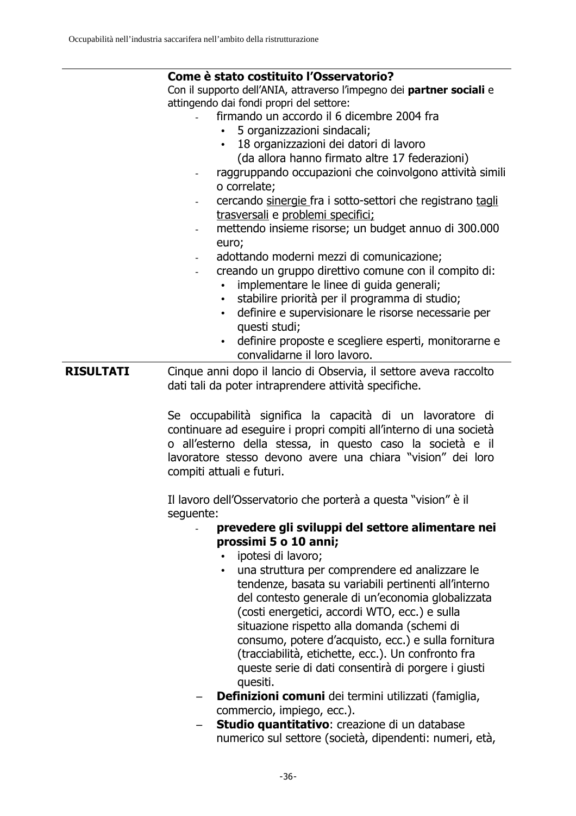|                  | Come è stato costituito l'Osservatorio?                                                                                                                                                                                                                                                   |
|------------------|-------------------------------------------------------------------------------------------------------------------------------------------------------------------------------------------------------------------------------------------------------------------------------------------|
|                  | Con il supporto dell'ANIA, attraverso l'impegno dei partner sociali e                                                                                                                                                                                                                     |
|                  | attingendo dai fondi propri del settore:<br>firmando un accordo il 6 dicembre 2004 fra                                                                                                                                                                                                    |
|                  | 5 organizzazioni sindacali;                                                                                                                                                                                                                                                               |
|                  |                                                                                                                                                                                                                                                                                           |
|                  | 18 organizzazioni dei datori di lavoro                                                                                                                                                                                                                                                    |
|                  | (da allora hanno firmato altre 17 federazioni)                                                                                                                                                                                                                                            |
|                  | raggruppando occupazioni che coinvolgono attività simili                                                                                                                                                                                                                                  |
|                  | o correlate;                                                                                                                                                                                                                                                                              |
|                  | cercando sinergie fra i sotto-settori che registrano tagli                                                                                                                                                                                                                                |
|                  | trasversali e problemi specifici;                                                                                                                                                                                                                                                         |
|                  | mettendo insieme risorse; un budget annuo di 300.000                                                                                                                                                                                                                                      |
|                  | euro;                                                                                                                                                                                                                                                                                     |
|                  | adottando moderni mezzi di comunicazione;                                                                                                                                                                                                                                                 |
|                  | creando un gruppo direttivo comune con il compito di:                                                                                                                                                                                                                                     |
|                  | implementare le linee di guida generali;                                                                                                                                                                                                                                                  |
|                  | stabilire priorità per il programma di studio;                                                                                                                                                                                                                                            |
|                  | definire e supervisionare le risorse necessarie per<br>$\bullet$<br>questi studi;                                                                                                                                                                                                         |
|                  |                                                                                                                                                                                                                                                                                           |
|                  | definire proposte e scegliere esperti, monitorarne e<br>convalidarne il loro lavoro.                                                                                                                                                                                                      |
|                  |                                                                                                                                                                                                                                                                                           |
| <b>RISULTATI</b> | Cinque anni dopo il lancio di Observia, il settore aveva raccolto                                                                                                                                                                                                                         |
|                  | dati tali da poter intraprendere attività specifiche.                                                                                                                                                                                                                                     |
|                  | Se occupabilità significa la capacità di un lavoratore di<br>continuare ad eseguire i propri compiti all'interno di una società<br>o all'esterno della stessa, in questo caso la società e il<br>lavoratore stesso devono avere una chiara "vision" dei loro<br>compiti attuali e futuri. |
|                  | Il lavoro dell'Osservatorio che porterà a questa "vision" è il<br>seguente:                                                                                                                                                                                                               |
|                  | prevedere gli sviluppi del settore alimentare nei                                                                                                                                                                                                                                         |
|                  | prossimi 5 o 10 anni;                                                                                                                                                                                                                                                                     |
|                  | ipotesi di lavoro;                                                                                                                                                                                                                                                                        |
|                  | una struttura per comprendere ed analizzare le                                                                                                                                                                                                                                            |
|                  | tendenze, basata su variabili pertinenti all'interno                                                                                                                                                                                                                                      |
|                  | del contesto generale di un'economia globalizzata                                                                                                                                                                                                                                         |
|                  | (costi energetici, accordi WTO, ecc.) e sulla                                                                                                                                                                                                                                             |
|                  | situazione rispetto alla domanda (schemi di                                                                                                                                                                                                                                               |
|                  | consumo, potere d'acquisto, ecc.) e sulla fornitura                                                                                                                                                                                                                                       |
|                  | (tracciabilità, etichette, ecc.). Un confronto fra                                                                                                                                                                                                                                        |
|                  | queste serie di dati consentirà di porgere i giusti                                                                                                                                                                                                                                       |
|                  | quesiti.                                                                                                                                                                                                                                                                                  |
|                  | Definizioni comuni dei termini utilizzati (famiglia,<br>$\overline{\phantom{0}}$                                                                                                                                                                                                          |
|                  | commercio, impiego, ecc.).                                                                                                                                                                                                                                                                |
|                  | Studio quantitativo: creazione di un database<br>-                                                                                                                                                                                                                                        |
|                  | numerico sul settore (società, dipendenti: numeri, età,                                                                                                                                                                                                                                   |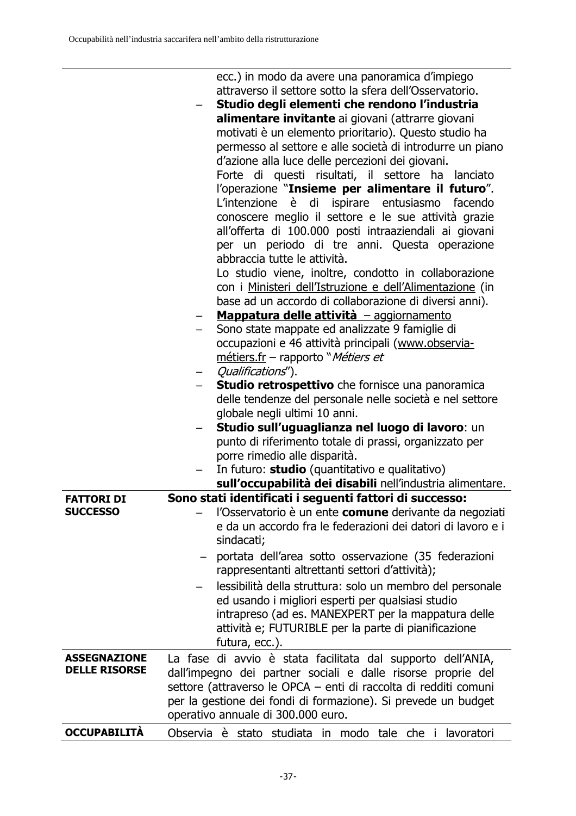|                      | ecc.) in modo da avere una panoramica d'impiego                  |  |  |
|----------------------|------------------------------------------------------------------|--|--|
|                      | attraverso il settore sotto la sfera dell'Osservatorio.          |  |  |
|                      | Studio degli elementi che rendono l'industria                    |  |  |
|                      | alimentare invitante ai giovani (attrarre giovani                |  |  |
|                      | motivati è un elemento prioritario). Questo studio ha            |  |  |
|                      | permesso al settore e alle società di introdurre un piano        |  |  |
|                      | d'azione alla luce delle percezioni dei giovani.                 |  |  |
|                      | Forte di questi risultati, il settore ha lanciato                |  |  |
|                      | l'operazione "Insieme per alimentare il futuro".                 |  |  |
|                      | L'intenzione è di ispirare entusiasmo facendo                    |  |  |
|                      | conoscere meglio il settore e le sue attività grazie             |  |  |
|                      | all'offerta di 100.000 posti intraaziendali ai giovani           |  |  |
|                      | per un periodo di tre anni. Questa operazione                    |  |  |
|                      | abbraccia tutte le attività.                                     |  |  |
|                      | Lo studio viene, inoltre, condotto in collaborazione             |  |  |
|                      | con i Ministeri dell'Istruzione e dell'Alimentazione (in         |  |  |
|                      | base ad un accordo di collaborazione di diversi anni).           |  |  |
|                      | Mappatura delle attività – aggiornamento                         |  |  |
|                      | Sono state mappate ed analizzate 9 famiglie di                   |  |  |
|                      | occupazioni e 46 attività principali (www.observia-              |  |  |
|                      | métiers.fr – rapporto "Métiers et<br>Qualifications").           |  |  |
|                      | Studio retrospettivo che fornisce una panoramica                 |  |  |
|                      | delle tendenze del personale nelle società e nel settore         |  |  |
|                      | globale negli ultimi 10 anni.                                    |  |  |
|                      | Studio sull'uguaglianza nel luogo di lavoro: un                  |  |  |
|                      | punto di riferimento totale di prassi, organizzato per           |  |  |
|                      | porre rimedio alle disparità.                                    |  |  |
|                      | In futuro: studio (quantitativo e qualitativo)                   |  |  |
|                      | sull'occupabilità dei disabili nell'industria alimentare.        |  |  |
| <b>FATTORI DI</b>    | Sono stati identificati i seguenti fattori di successo:          |  |  |
| <b>SUCCESSO</b>      | l'Osservatorio è un ente comune derivante da negoziati           |  |  |
|                      | e da un accordo fra le federazioni dei datori di lavoro e i      |  |  |
|                      | sindacati;                                                       |  |  |
|                      | portata dell'area sotto osservazione (35 federazioni             |  |  |
|                      | rappresentanti altrettanti settori d'attività);                  |  |  |
|                      | lessibilità della struttura: solo un membro del personale        |  |  |
|                      | ed usando i migliori esperti per qualsiasi studio                |  |  |
|                      | intrapreso (ad es. MANEXPERT per la mappatura delle              |  |  |
|                      | attività e; FUTURIBLE per la parte di pianificazione             |  |  |
|                      | futura, ecc.).                                                   |  |  |
| <b>ASSEGNAZIONE</b>  | La fase di avvio è stata facilitata dal supporto dell'ANIA,      |  |  |
| <b>DELLE RISORSE</b> | dall'impegno dei partner sociali e dalle risorse proprie del     |  |  |
|                      | settore (attraverso le OPCA - enti di raccolta di redditi comuni |  |  |
|                      | per la gestione dei fondi di formazione). Si prevede un budget   |  |  |
|                      | operativo annuale di 300.000 euro.                               |  |  |
| <b>OCCUPABILITÀ</b>  | Observia è stato studiata in modo tale che i<br>lavoratori       |  |  |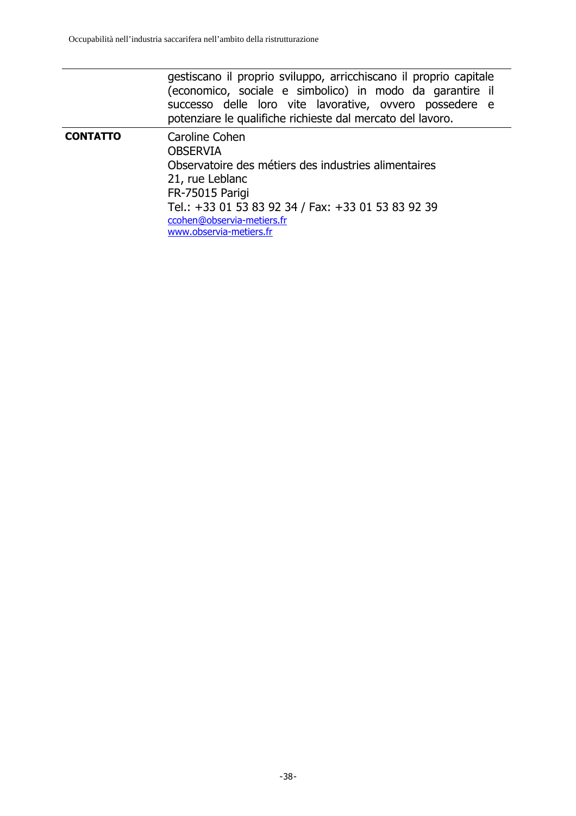|                 | gestiscano il proprio sviluppo, arricchiscano il proprio capitale<br>(economico, sociale e simbolico) in modo da garantire il<br>successo delle loro vite lavorative, ovvero possedere e<br>potenziare le qualifiche richieste dal mercato del lavoro. |
|-----------------|--------------------------------------------------------------------------------------------------------------------------------------------------------------------------------------------------------------------------------------------------------|
| <b>CONTATTO</b> | Caroline Cohen<br><b>OBSERVIA</b><br>Observatoire des métiers des industries alimentaires<br>21, rue Leblanc<br>FR-75015 Parigi<br>Tel.: +33 01 53 83 92 34 / Fax: +33 01 53 83 92 39<br>ccohen@observia-metiers.fr<br>www.observia-metiers.fr         |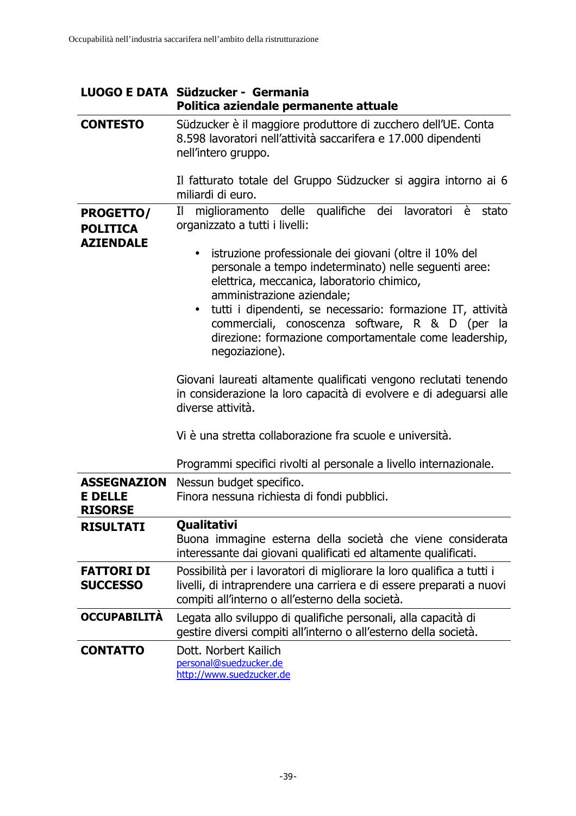|                                                         | LUOGO E DATA Südzucker - Germania<br>Politica aziendale permanente attuale                                                                                                                                                                                                                                                                                                                                                                                                                                                                                                                                                                    |  |  |
|---------------------------------------------------------|-----------------------------------------------------------------------------------------------------------------------------------------------------------------------------------------------------------------------------------------------------------------------------------------------------------------------------------------------------------------------------------------------------------------------------------------------------------------------------------------------------------------------------------------------------------------------------------------------------------------------------------------------|--|--|
| <b>CONTESTO</b>                                         | Südzucker è il maggiore produttore di zucchero dell'UE. Conta<br>8.598 lavoratori nell'attività saccarifera e 17.000 dipendenti<br>nell'intero gruppo.                                                                                                                                                                                                                                                                                                                                                                                                                                                                                        |  |  |
|                                                         | Il fatturato totale del Gruppo Südzucker si aggira intorno ai 6<br>miliardi di euro.                                                                                                                                                                                                                                                                                                                                                                                                                                                                                                                                                          |  |  |
| <b>PROGETTO/</b><br><b>POLITICA</b><br><b>AZIENDALE</b> | miglioramento delle qualifiche dei lavoratori è stato<br>$\mathbf{I}$<br>organizzato a tutti i livelli:<br>istruzione professionale dei giovani (oltre il 10% del<br>personale a tempo indeterminato) nelle seguenti aree:<br>elettrica, meccanica, laboratorio chimico,<br>amministrazione aziendale;<br>tutti i dipendenti, se necessario: formazione IT, attività<br>commerciali, conoscenza software, R & D (per la<br>direzione: formazione comportamentale come leadership,<br>negoziazione).<br>Giovani laureati altamente qualificati vengono reclutati tenendo<br>in considerazione la loro capacità di evolvere e di adeguarsi alle |  |  |
|                                                         | diverse attività.<br>Vi è una stretta collaborazione fra scuole e università.                                                                                                                                                                                                                                                                                                                                                                                                                                                                                                                                                                 |  |  |
|                                                         | Programmi specifici rivolti al personale a livello internazionale.                                                                                                                                                                                                                                                                                                                                                                                                                                                                                                                                                                            |  |  |
| <b>ASSEGNAZION</b><br><b>E DELLE</b><br><b>RISORSE</b>  | Nessun budget specifico.<br>Finora nessuna richiesta di fondi pubblici.                                                                                                                                                                                                                                                                                                                                                                                                                                                                                                                                                                       |  |  |
| <b>RISULTATI</b>                                        | Qualitativi<br>Buona immagine esterna della società che viene considerata<br>interessante dai giovani qualificati ed altamente qualificati.                                                                                                                                                                                                                                                                                                                                                                                                                                                                                                   |  |  |
| <b>FATTORI DI</b><br><b>SUCCESSO</b>                    | Possibilità per i lavoratori di migliorare la loro qualifica a tutti i<br>livelli, di intraprendere una carriera e di essere preparati a nuovi<br>compiti all'interno o all'esterno della società.                                                                                                                                                                                                                                                                                                                                                                                                                                            |  |  |
| <b>OCCUPABILITÀ</b>                                     | Legata allo sviluppo di qualifiche personali, alla capacità di<br>gestire diversi compiti all'interno o all'esterno della società.                                                                                                                                                                                                                                                                                                                                                                                                                                                                                                            |  |  |
| <b>CONTATTO</b>                                         | Dott. Norbert Kailich<br>personal@suedzucker.de<br>http://www.suedzucker.de                                                                                                                                                                                                                                                                                                                                                                                                                                                                                                                                                                   |  |  |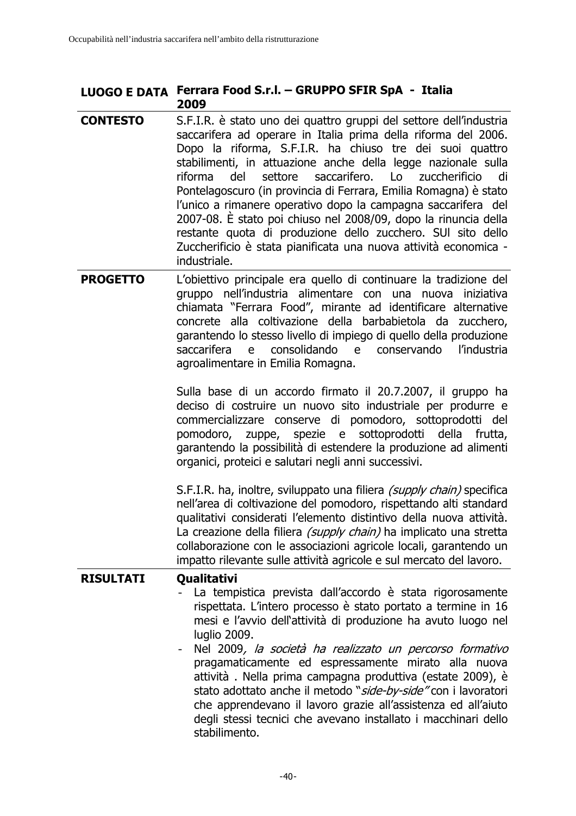### **LUOGO E DATA Ferrara Food S.r.l. – GRUPPO SFIR SpA - Italia 2009**

- **CONTESTO** S.F.I.R. è stato uno dei quattro gruppi del settore dell'industria saccarifera ad operare in Italia prima della riforma del 2006. Dopo la riforma, S.F.I.R. ha chiuso tre dei suoi quattro stabilimenti, in attuazione anche della legge nazionale sulla riforma del settore saccarifero. Lo zuccherificio di Pontelagoscuro (in provincia di Ferrara, Emilia Romagna) è stato l'unico a rimanere operativo dopo la campagna saccarifera del 2007-08. È stato poi chiuso nel 2008/09, dopo la rinuncia della restante quota di produzione dello zucchero. SUl sito dello Zuccherificio è stata pianificata una nuova attività economica industriale.
- **PROGETTO** L'obiettivo principale era quello di continuare la tradizione del gruppo nell'industria alimentare con una nuova iniziativa chiamata "Ferrara Food", mirante ad identificare alternative concrete alla coltivazione della barbabietola da zucchero, garantendo lo stesso livello di impiego di quello della produzione saccarifera e consolidando e conservando l'industria agroalimentare in Emilia Romagna.

Sulla base di un accordo firmato il 20.7.2007, il gruppo ha deciso di costruire un nuovo sito industriale per produrre e commercializzare conserve di pomodoro, sottoprodotti del pomodoro, zuppe, spezie e sottoprodotti della frutta, garantendo la possibilità di estendere la produzione ad alimenti organici, proteici e salutari negli anni successivi.

S.F.I.R. ha, inoltre, sviluppato una filiera (supply chain) specifica nell'area di coltivazione del pomodoro, rispettando alti standard qualitativi considerati l'elemento distintivo della nuova attività. La creazione della filiera *(supply chain)* ha implicato una stretta collaborazione con le associazioni agricole locali, garantendo un impatto rilevante sulle attività agricole e sul mercato del lavoro.

### **RISULTATI Qualitativi**

- La tempistica prevista dall'accordo è stata rigorosamente rispettata. L'intero processo è stato portato a termine in 16 mesi e l'avvio dell'attività di produzione ha avuto luogo nel luglio 2009.
- Nel 2009, la società ha realizzato un percorso formativo pragamaticamente ed espressamente mirato alla nuova attività . Nella prima campagna produttiva (estate 2009), è stato adottato anche il metodo "side-by-side" con i lavoratori che apprendevano il lavoro grazie all'assistenza ed all'aiuto degli stessi tecnici che avevano installato i macchinari dello stabilimento.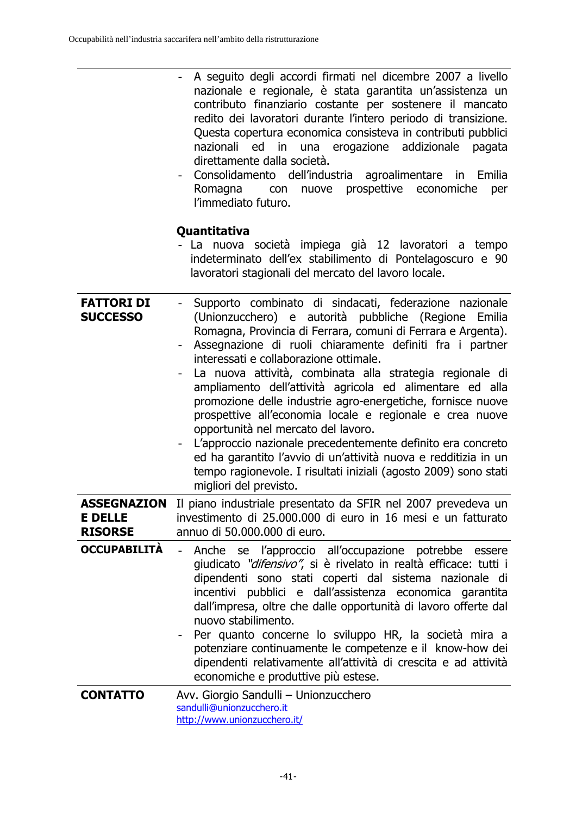|                                      | A seguito degli accordi firmati nel dicembre 2007 a livello<br>nazionale e regionale, è stata garantita un'assistenza un<br>contributo finanziario costante per sostenere il mancato<br>redito dei lavoratori durante l'intero periodo di transizione.<br>Questa copertura economica consisteva in contributi pubblici<br>nazionali ed in una erogazione addizionale<br>pagata<br>direttamente dalla società.<br>Consolidamento dell'industria agroalimentare in Emilia<br>nuove prospettive economiche<br>Romagna<br>con<br>per<br>l'immediato futuro.                                                                                                                                                                                                                                                        |
|--------------------------------------|----------------------------------------------------------------------------------------------------------------------------------------------------------------------------------------------------------------------------------------------------------------------------------------------------------------------------------------------------------------------------------------------------------------------------------------------------------------------------------------------------------------------------------------------------------------------------------------------------------------------------------------------------------------------------------------------------------------------------------------------------------------------------------------------------------------|
|                                      | Quantitativa                                                                                                                                                                                                                                                                                                                                                                                                                                                                                                                                                                                                                                                                                                                                                                                                   |
|                                      | - La nuova società impiega già 12 lavoratori a tempo<br>indeterminato dell'ex stabilimento di Pontelagoscuro e 90<br>lavoratori stagionali del mercato del lavoro locale.                                                                                                                                                                                                                                                                                                                                                                                                                                                                                                                                                                                                                                      |
| <b>FATTORI DI</b><br><b>SUCCESSO</b> | Supporto combinato di sindacati, federazione nazionale<br>(Unionzucchero) e autorità pubbliche (Regione Emilia<br>Romagna, Provincia di Ferrara, comuni di Ferrara e Argenta).<br>Assegnazione di ruoli chiaramente definiti fra i partner<br>interessati e collaborazione ottimale.<br>La nuova attività, combinata alla strategia regionale di<br>ampliamento dell'attività agricola ed alimentare ed alla<br>promozione delle industrie agro-energetiche, fornisce nuove<br>prospettive all'economia locale e regionale e crea nuove<br>opportunità nel mercato del lavoro.<br>L'approccio nazionale precedentemente definito era concreto<br>ed ha garantito l'avvio di un'attività nuova e redditizia in un<br>tempo ragionevole. I risultati iniziali (agosto 2009) sono stati<br>migliori del previsto. |
| <b>E DELLE</b><br><b>RISORSE</b>     | <b>ASSEGNAZION</b> Il piano industriale presentato da SFIR nel 2007 prevedeva un<br>investimento di 25.000.000 di euro in 16 mesi e un fatturato<br>annuo di 50.000.000 di euro.                                                                                                                                                                                                                                                                                                                                                                                                                                                                                                                                                                                                                               |
| <b>OCCUPABILITÀ</b>                  | Anche se l'approccio all'occupazione potrebbe essere<br>giudicato " <i>difensivo"</i> , si è rivelato in realtà efficace: tutti i<br>dipendenti sono stati coperti dal sistema nazionale di<br>incentivi pubblici e dall'assistenza economica garantita<br>dall'impresa, oltre che dalle opportunità di lavoro offerte dal<br>nuovo stabilimento.<br>Per quanto concerne lo sviluppo HR, la società mira a<br>potenziare continuamente le competenze e il know-how dei<br>dipendenti relativamente all'attività di crescita e ad attività<br>economiche e produttive più estese.                                                                                                                                                                                                                               |
| <b>CONTATTO</b>                      | Avv. Giorgio Sandulli - Unionzucchero<br>sandulli@unionzucchero.it<br>http://www.unionzucchero.it/                                                                                                                                                                                                                                                                                                                                                                                                                                                                                                                                                                                                                                                                                                             |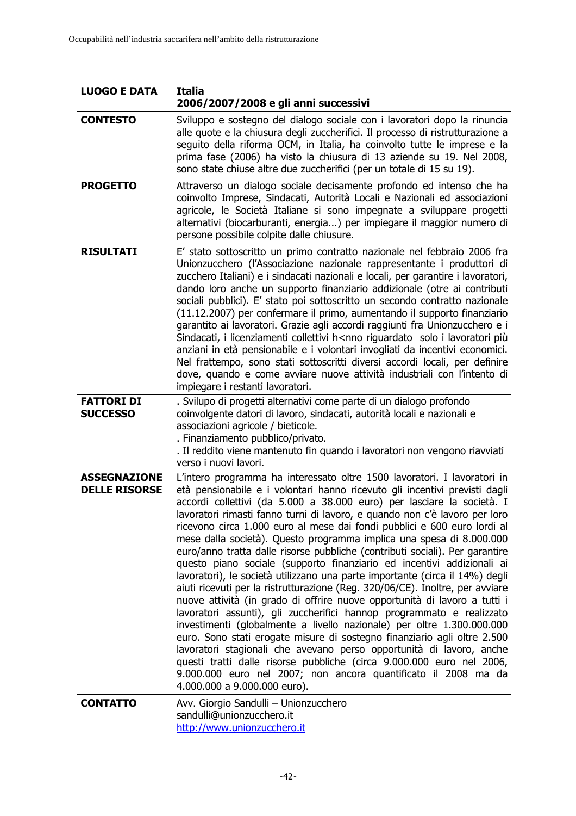| <b>LUOGO E DATA</b> | Italia                               |  |
|---------------------|--------------------------------------|--|
|                     | 2006/2007/2008 e gli anni successivi |  |

- **CONTESTO** Sviluppo e sostegno del dialogo sociale con i lavoratori dopo la rinuncia alle quote e la chiusura degli zuccherifici. Il processo di ristrutturazione a seguito della riforma OCM, in Italia, ha coinvolto tutte le imprese e la prima fase (2006) ha visto la chiusura di 13 aziende su 19. Nel 2008, sono state chiuse altre due zuccherifici (per un totale di 15 su 19).
- **PROGETTO** Attraverso un dialogo sociale decisamente profondo ed intenso che ha coinvolto Imprese, Sindacati, Autorità Locali e Nazionali ed associazioni agricole, le Società Italiane si sono impegnate a sviluppare progetti alternativi (biocarburanti, energia...) per impiegare il maggior numero di persone possibile colpite dalle chiusure.
- **RISULTATI E'** stato sottoscritto un primo contratto nazionale nel febbraio 2006 fra Unionzucchero (l'Associazione nazionale rappresentante i produttori di zucchero Italiani) e i sindacati nazionali e locali, per garantire i lavoratori, dando loro anche un supporto finanziario addizionale (otre ai contributi sociali pubblici). E' stato poi sottoscritto un secondo contratto nazionale (11.12.2007) per confermare il primo, aumentando il supporto finanziario garantito ai lavoratori. Grazie agli accordi raggiunti fra Unionzucchero e i Sindacati, i licenziamenti collettivi h<nno riguardato solo i lavoratori più anziani in età pensionabile e i volontari invogliati da incentivi economici. Nel frattempo, sono stati sottoscritti diversi accordi locali, per definire dove, quando e come avviare nuove attività industriali con l'intento di impiegare i restanti lavoratori.

**FATTORI DI SUCCESSO**  . Svilupo di progetti alternativi come parte di un dialogo profondo coinvolgente datori di lavoro, sindacati, autorità locali e nazionali e associazioni agricole / bieticole.

. Finanziamento pubblico/privato.

. Il reddito viene mantenuto fin quando i lavoratori non vengono riavviati verso i nuovi lavori.

- **ASSEGNAZIONE DELLE RISORSE**  L'intero programma ha interessato oltre 1500 lavoratori. I lavoratori in età pensionabile e i volontari hanno ricevuto gli incentivi previsti dagli accordi collettivi (da 5.000 a 38.000 euro) per lasciare la società. I lavoratori rimasti fanno turni di lavoro, e quando non c'è lavoro per loro ricevono circa 1.000 euro al mese dai fondi pubblici e 600 euro lordi al mese dalla società). Questo programma implica una spesa di 8.000.000 euro/anno tratta dalle risorse pubbliche (contributi sociali). Per garantire questo piano sociale (supporto finanziario ed incentivi addizionali ai lavoratori), le società utilizzano una parte importante (circa il 14%) degli aiuti ricevuti per la ristrutturazione (Reg. 320/06/CE). Inoltre, per avviare nuove attività (in grado di offrire nuove opportunità di lavoro a tutti i lavoratori assunti), gli zuccherifici hannop programmato e realizzato investimenti (globalmente a livello nazionale) per oltre 1.300.000.000 euro. Sono stati erogate misure di sostegno finanziario agli oltre 2.500 lavoratori stagionali che avevano perso opportunità di lavoro, anche questi tratti dalle risorse pubbliche (circa 9.000.000 euro nel 2006, 9.000.000 euro nel 2007; non ancora quantificato il 2008 ma da 4.000.000 a 9.000.000 euro).
- **CONTATTO** Avv. Giorgio Sandulli Unionzucchero sandulli@unionzucchero.it http://www.unionzucchero.it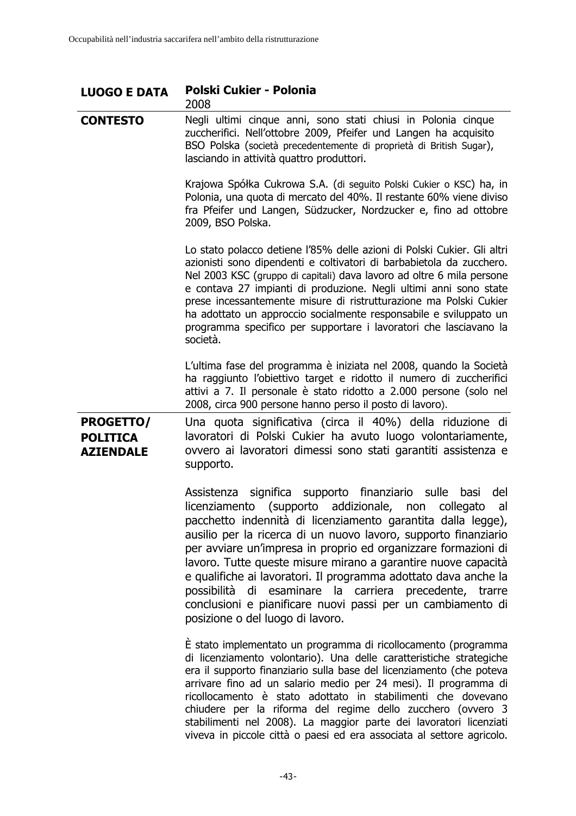#### **LUOGO E DATA Polski Cukier - Polonia** 2008

**CONTESTO** Negli ultimi cinque anni, sono stati chiusi in Polonia cinque zuccherifici. Nell'ottobre 2009, Pfeifer und Langen ha acquisito BSO Polska (società precedentemente di proprietà di British Sugar), lasciando in attività quattro produttori.

> Krajowa Spółka Cukrowa S.A. (di seguito Polski Cukier o KSC) ha, in Polonia, una quota di mercato del 40%. Il restante 60% viene diviso fra Pfeifer und Langen, Südzucker, Nordzucker e, fino ad ottobre 2009, BSO Polska.

> Lo stato polacco detiene l'85% delle azioni di Polski Cukier. Gli altri azionisti sono dipendenti e coltivatori di barbabietola da zucchero. Nel 2003 KSC (gruppo di capitali) dava lavoro ad oltre 6 mila persone e contava 27 impianti di produzione. Negli ultimi anni sono state prese incessantemente misure di ristrutturazione ma Polski Cukier ha adottato un approccio socialmente responsabile e sviluppato un programma specifico per supportare i lavoratori che lasciavano la società.

> L'ultima fase del programma è iniziata nel 2008, quando la Società ha raggiunto l'obiettivo target e ridotto il numero di zuccherifici attivi a 7. Il personale è stato ridotto a 2.000 persone (solo nel 2008, circa 900 persone hanno perso il posto di lavoro).

**PROGETTO/ POLITICA AZIENDALE** 

Una quota significativa (circa il 40%) della riduzione di lavoratori di Polski Cukier ha avuto luogo volontariamente, ovvero ai lavoratori dimessi sono stati garantiti assistenza e supporto.

Assistenza significa supporto finanziario sulle basi del licenziamento (supporto addizionale, non collegato al pacchetto indennità di licenziamento garantita dalla legge), ausilio per la ricerca di un nuovo lavoro, supporto finanziario per avviare un'impresa in proprio ed organizzare formazioni di lavoro. Tutte queste misure mirano a garantire nuove capacità e qualifiche ai lavoratori. Il programma adottato dava anche la possibilità di esaminare la carriera precedente, trarre conclusioni e pianificare nuovi passi per un cambiamento di posizione o del luogo di lavoro.

È stato implementato un programma di ricollocamento (programma di licenziamento volontario). Una delle caratteristiche strategiche era il supporto finanziario sulla base del licenziamento (che poteva arrivare fino ad un salario medio per 24 mesi). Il programma di ricollocamento è stato adottato in stabilimenti che dovevano chiudere per la riforma del regime dello zucchero (ovvero 3 stabilimenti nel 2008). La maggior parte dei lavoratori licenziati viveva in piccole città o paesi ed era associata al settore agricolo.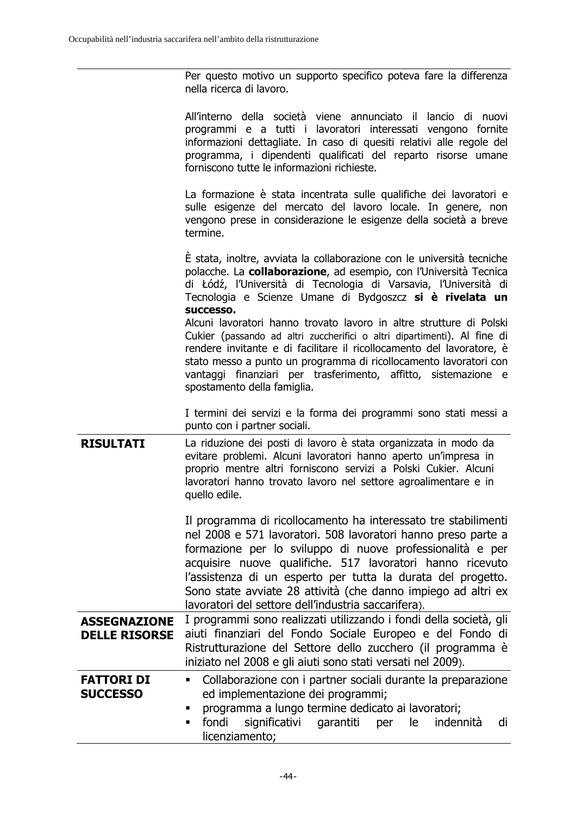Per questo motivo un supporto specifico poteva fare la differenza nella ricerca di lavoro.

All'interno della società viene annunciato il lancio di nuovi programmi e a tutti i lavoratori interessati vengono fornite informazioni dettagliate. In caso di quesiti relativi alle regole del programma, i dipendenti qualificati del reparto risorse umane forniscono tutte le informazioni richieste.

La formazione è stata incentrata sulle qualifiche dei lavoratori e sulle esigenze del mercato del lavoro locale. In genere, non vengono prese in considerazione le esigenze della società a breve termine.

È stata, inoltre, avviata la collaborazione con le università tecniche polacche. La **collaborazione**, ad esempio, con l'Università Tecnica di Łódź, l'Università di Tecnologia di Varsavia, l'Università di Tecnologia e Scienze Umane di Bydgoszcz **si è rivelata un successo.**

Alcuni lavoratori hanno trovato lavoro in altre strutture di Polski Cukier (passando ad altri zuccherifici o altri dipartimenti). Al fine di rendere invitante e di facilitare il ricollocamento del lavoratore, è stato messo a punto un programma di ricollocamento lavoratori con vantaggi finanziari per trasferimento, affitto, sistemazione e spostamento della famiglia.

I termini dei servizi e la forma dei programmi sono stati messi a punto con i partner sociali.

**RISULTATI** La riduzione dei posti di lavoro è stata organizzata in modo da evitare problemi. Alcuni lavoratori hanno aperto un'impresa in proprio mentre altri forniscono servizi a Polski Cukier. Alcuni lavoratori hanno trovato lavoro nel settore agroalimentare e in quello edile.

> Il programma di ricollocamento ha interessato tre stabilimenti nel 2008 e 571 lavoratori. 508 lavoratori hanno preso parte a formazione per lo sviluppo di nuove professionalità e per acquisire nuove qualifiche. 517 lavoratori hanno ricevuto l'assistenza di un esperto per tutta la durata del progetto. Sono state avviate 28 attività (che danno impiego ad altri ex lavoratori del settore dell'industria saccarifera).

**ASSEGNAZIONE DELLE RISORSE**  I programmi sono realizzati utilizzando i fondi della società, gli aiuti finanziari del Fondo Sociale Europeo e del Fondo di Ristrutturazione del Settore dello zucchero (il programma è iniziato nel 2008 e gli aiuti sono stati versati nel 2009).

| <b>FATTORI DI</b> | • Collaborazione con i partner sociali durante la preparazione |
|-------------------|----------------------------------------------------------------|
| <b>SUCCESSO</b>   | ed implementazione dei programmi;                              |

programma a lungo termine dedicato ai lavoratori;

 fondi significativi garantiti per le indennità di licenziamento;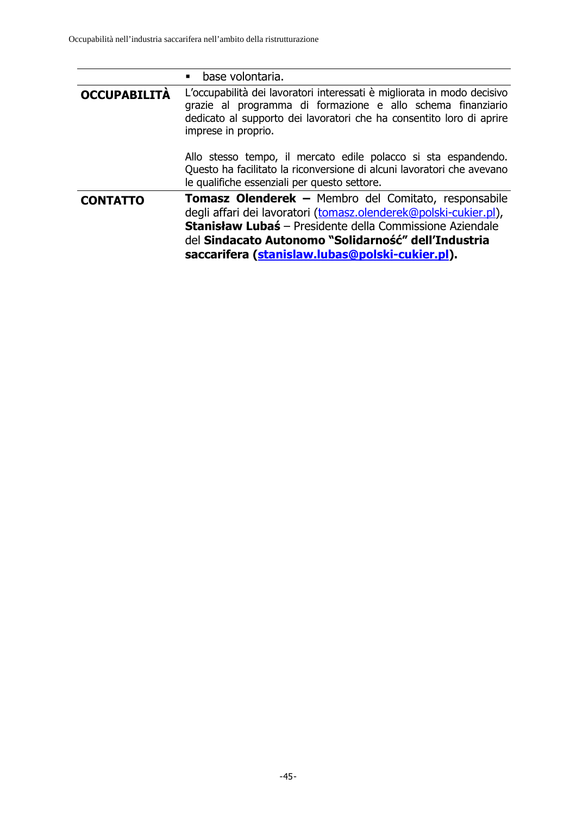|                     | base volontaria.                                                                                                                                                                                                                                                                                             |  |
|---------------------|--------------------------------------------------------------------------------------------------------------------------------------------------------------------------------------------------------------------------------------------------------------------------------------------------------------|--|
| <b>OCCUPABILITÀ</b> | L'occupabilità dei lavoratori interessati è migliorata in modo decisivo<br>grazie al programma di formazione e allo schema finanziario<br>dedicato al supporto dei lavoratori che ha consentito loro di aprire<br>imprese in proprio.                                                                        |  |
|                     | Allo stesso tempo, il mercato edile polacco si sta espandendo.<br>Questo ha facilitato la riconversione di alcuni lavoratori che avevano<br>le qualifiche essenziali per questo settore.                                                                                                                     |  |
| <b>CONTATTO</b>     | <b>Tomasz Olenderek –</b> Membro del Comitato, responsabile<br>degli affari dei lavoratori (tomasz.olenderek@polski-cukier.pl),<br><b>Stanisław Lubaś</b> – Presidente della Commissione Aziendale<br>del Sindacato Autonomo "Solidarność" dell'Industria<br>saccarifera (stanislaw.lubas@polski-cukier.pl). |  |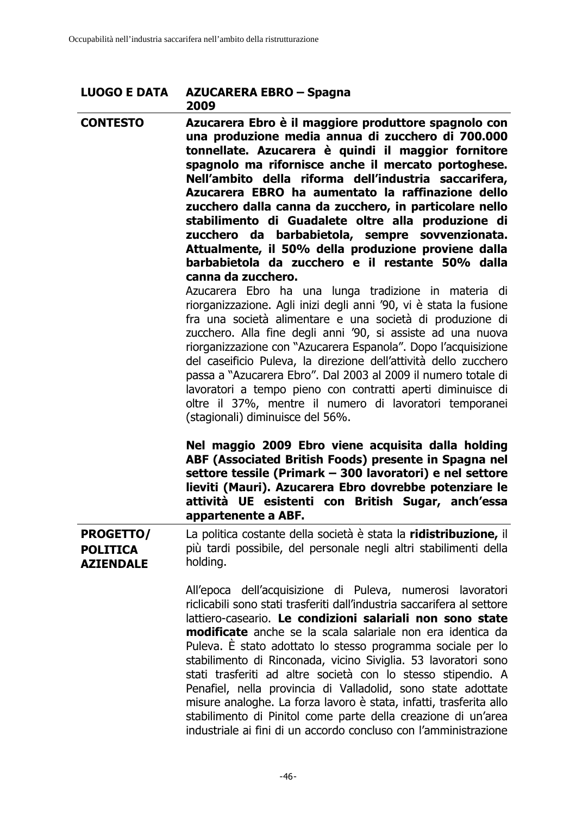#### **LUOGO E DATA AZUCARERA EBRO – Spagna 2009**

**CONTESTO Azucarera Ebro è il maggiore produttore spagnolo con una produzione media annua di zucchero di 700.000 tonnellate. Azucarera è quindi il maggior fornitore spagnolo ma rifornisce anche il mercato portoghese. Nell'ambito della riforma dell'industria saccarifera, Azucarera EBRO ha aumentato la raffinazione dello zucchero dalla canna da zucchero, in particolare nello stabilimento di Guadalete oltre alla produzione di zucchero da barbabietola, sempre sovvenzionata. Attualmente, il 50% della produzione proviene dalla barbabietola da zucchero e il restante 50% dalla canna da zucchero.**  Azucarera Ebro ha una lunga tradizione in materia di riorganizzazione. Agli inizi degli anni '90, vi è stata la fusione fra una società alimentare e una società di produzione di zucchero. Alla fine degli anni '90, si assiste ad una nuova riorganizzazione con "Azucarera Espanola". Dopo l'acquisizione del caseificio Puleva, la direzione dell'attività dello zucchero passa a "Azucarera Ebro". Dal 2003 al 2009 il numero totale di lavoratori a tempo pieno con contratti aperti diminuisce di oltre il 37%, mentre il numero di lavoratori temporanei

> **Nel maggio 2009 Ebro viene acquisita dalla holding ABF (Associated British Foods) presente in Spagna nel settore tessile (Primark – 300 lavoratori) e nel settore lieviti (Mauri). Azucarera Ebro dovrebbe potenziare le attività UE esistenti con British Sugar, anch'essa appartenente a ABF.**

**PROGETTO/ POLITICA AZIENDALE**  La politica costante della società è stata la **ridistribuzione,** il più tardi possibile, del personale negli altri stabilimenti della holding.

(stagionali) diminuisce del 56%.

All'epoca dell'acquisizione di Puleva, numerosi lavoratori riclicabili sono stati trasferiti dall'industria saccarifera al settore lattiero-caseario. **Le condizioni salariali non sono state modificate** anche se la scala salariale non era identica da Puleva. È stato adottato lo stesso programma sociale per lo stabilimento di Rinconada, vicino Siviglia. 53 lavoratori sono stati trasferiti ad altre società con lo stesso stipendio. A Penafiel, nella provincia di Valladolid, sono state adottate misure analoghe. La forza lavoro è stata, infatti, trasferita allo stabilimento di Pinitol come parte della creazione di un'area industriale ai fini di un accordo concluso con l'amministrazione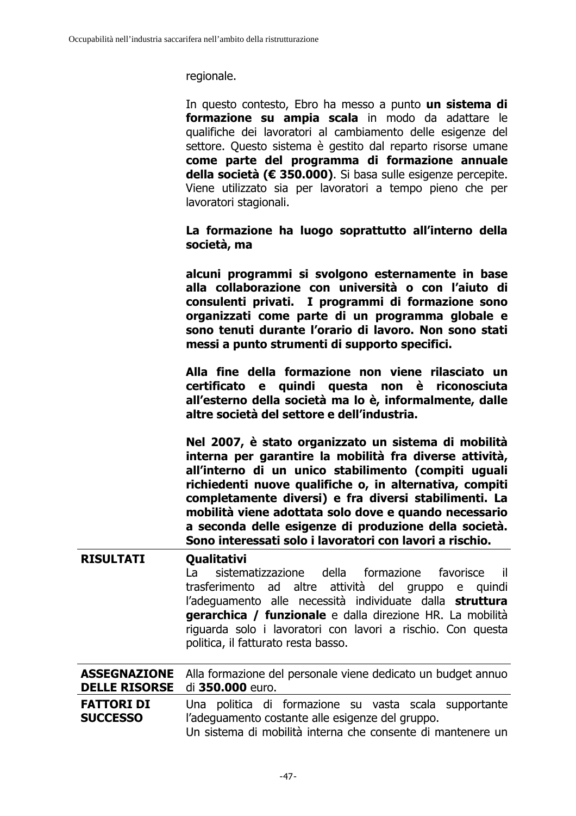regionale.

In questo contesto, Ebro ha messo a punto **un sistema di formazione su ampia scala** in modo da adattare le qualifiche dei lavoratori al cambiamento delle esigenze del settore. Questo sistema è gestito dal reparto risorse umane **come parte del programma di formazione annuale della società (€ 350.000)**. Si basa sulle esigenze percepite. Viene utilizzato sia per lavoratori a tempo pieno che per lavoratori stagionali.

### **La formazione ha luogo soprattutto all'interno della società, ma**

**alcuni programmi si svolgono esternamente in base alla collaborazione con università o con l'aiuto di consulenti privati. I programmi di formazione sono organizzati come parte di un programma globale e sono tenuti durante l'orario di lavoro. Non sono stati messi a punto strumenti di supporto specifici.** 

**Alla fine della formazione non viene rilasciato un certificato e quindi questa non è riconosciuta all'esterno della società ma lo è, informalmente, dalle altre società del settore e dell'industria.** 

**Nel 2007, è stato organizzato un sistema di mobilità interna per garantire la mobilità fra diverse attività, all'interno di un unico stabilimento (compiti uguali richiedenti nuove qualifiche o, in alternativa, compiti completamente diversi) e fra diversi stabilimenti. La mobilità viene adottata solo dove e quando necessario a seconda delle esigenze di produzione della società. Sono interessati solo i lavoratori con lavori a rischio.** 

# **RISULTATI Qualitativi**

La sistematizzazione della formazione favorisce il trasferimento ad altre attività del gruppo e quindi l'adeguamento alle necessità individuate dalla **struttura gerarchica / funzionale** e dalla direzione HR. La mobilità riguarda solo i lavoratori con lavori a rischio. Con questa politica, il fatturato resta basso.

|                                | <b>ASSEGNAZIONE</b> Alla formazione del personale viene dedicato un budget annuo |  |  |
|--------------------------------|----------------------------------------------------------------------------------|--|--|
| DELLE RISORSE di 350.000 euro. |                                                                                  |  |  |
| <b>FATTORI DI</b>              | Una politica di formazione su vasta scala supportante                            |  |  |
| <b>SUCCESSO</b>                | l'adequamento costante alle esigenze del gruppo.                                 |  |  |
|                                | Un sistema di mobilità interna che consente di mantenere un                      |  |  |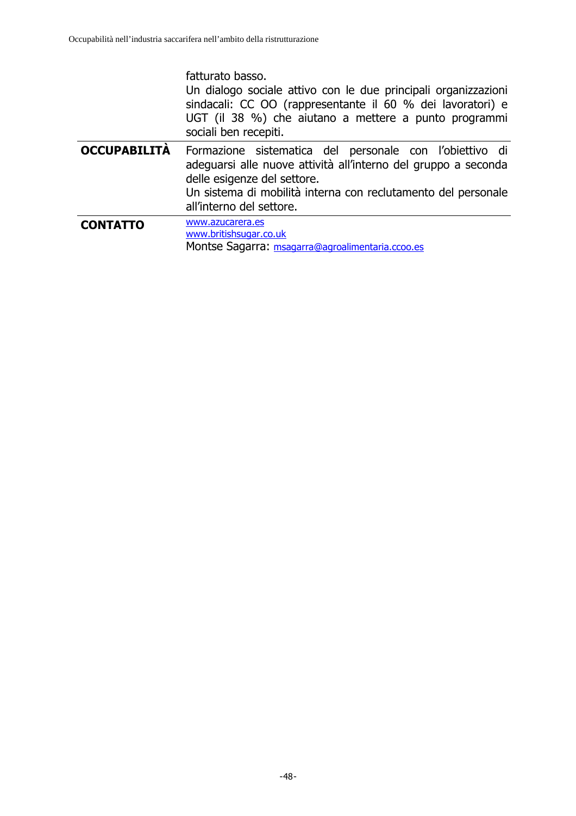#### fatturato basso.

Un dialogo sociale attivo con le due principali organizzazioni sindacali: CC OO (rappresentante il 60 % dei lavoratori) e UGT (il 38 %) che aiutano a mettere a punto programmi sociali ben recepiti.

**OCCUPABILITÀ** Formazione sistematica del personale con l'obiettivo di adeguarsi alle nuove attività all'interno del gruppo a seconda delle esigenze del settore. Un sistema di mobilità interna con reclutamento del personale all'interno del settore. **CONTATTO** www.azucarera.es

www.britishsugar.co.uk Montse Sagarra: msagarra@agroalimentaria.ccoo.es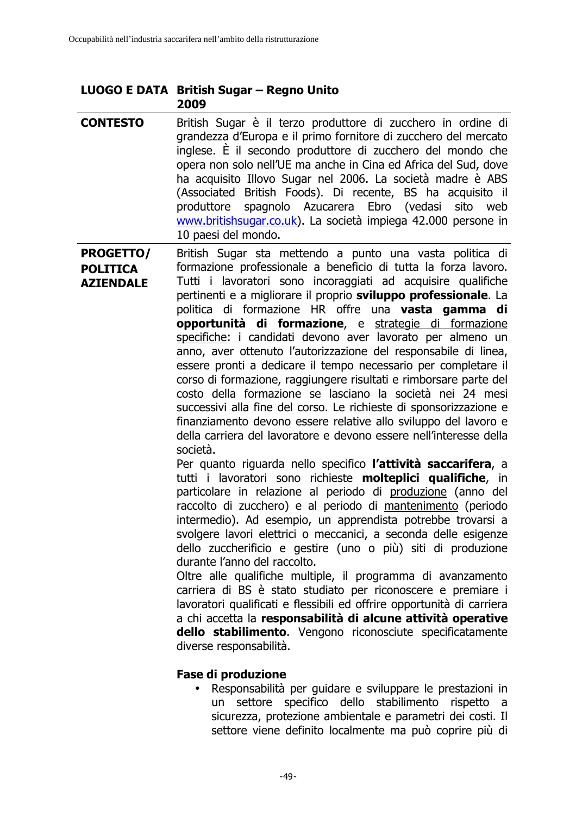### **LUOGO E DATA British Sugar – Regno Unito 2009**

**CONTESTO** British Sugar è il terzo produttore di zucchero in ordine di grandezza d'Europa e il primo fornitore di zucchero del mercato inglese. È il secondo produttore di zucchero del mondo che opera non solo nell'UE ma anche in Cina ed Africa del Sud, dove ha acquisito Illovo Sugar nel 2006. La società madre è ABS (Associated British Foods). Di recente, BS ha acquisito il produttore spagnolo Azucarera Ebro (vedasi sito web www.britishsugar.co.uk). La società impiega 42.000 persone in 10 paesi del mondo.

**PROGETTO/ POLITICA AZIENDALE**  British Sugar sta mettendo a punto una vasta politica di formazione professionale a beneficio di tutta la forza lavoro. Tutti i lavoratori sono incoraggiati ad acquisire qualifiche pertinenti e a migliorare il proprio **sviluppo professionale**. La politica di formazione HR offre una **vasta gamma di opportunità di formazione**, e strategie di formazione specifiche: i candidati devono aver lavorato per almeno un anno, aver ottenuto l'autorizzazione del responsabile di linea, essere pronti a dedicare il tempo necessario per completare il corso di formazione, raggiungere risultati e rimborsare parte del costo della formazione se lasciano la società nei 24 mesi successivi alla fine del corso. Le richieste di sponsorizzazione e finanziamento devono essere relative allo sviluppo del lavoro e della carriera del lavoratore e devono essere nell'interesse della società.

Per quanto riguarda nello specifico **l'attività saccarifera**, a tutti i lavoratori sono richieste **molteplici qualifiche**, in particolare in relazione al periodo di produzione (anno del raccolto di zucchero) e al periodo di mantenimento (periodo intermedio). Ad esempio, un apprendista potrebbe trovarsi a svolgere lavori elettrici o meccanici, a seconda delle esigenze dello zuccherificio e gestire (uno o più) siti di produzione durante l'anno del raccolto.

Oltre alle qualifiche multiple, il programma di avanzamento carriera di BS è stato studiato per riconoscere e premiare i lavoratori qualificati e flessibili ed offrire opportunità di carriera a chi accetta la **responsabilità di alcune attività operative dello stabilimento**. Vengono riconosciute specificatamente diverse responsabilità.

# **Fase di produzione**

• Responsabilità per guidare e sviluppare le prestazioni in un settore specifico dello stabilimento rispetto a sicurezza, protezione ambientale e parametri dei costi. Il settore viene definito localmente ma può coprire più di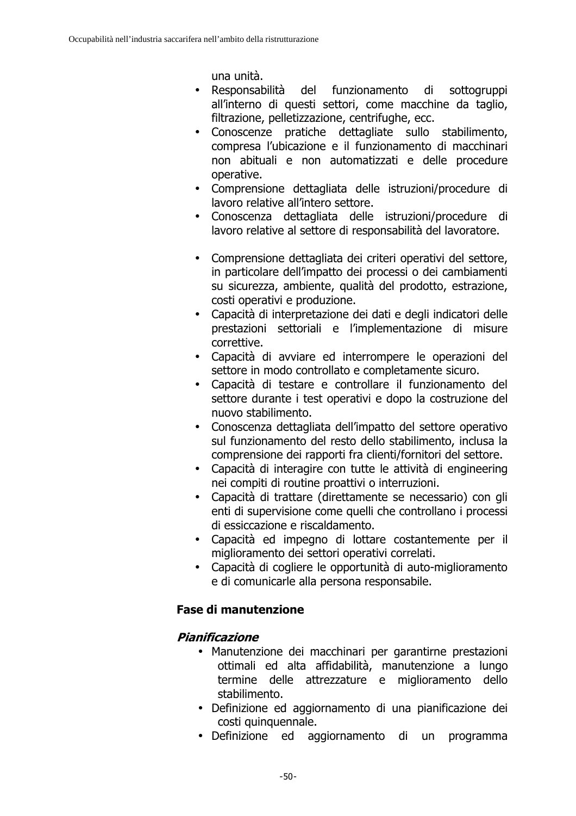una unità.

- Responsabilità del funzionamento di sottogruppi all'interno di questi settori, come macchine da taglio, filtrazione, pelletizzazione, centrifughe, ecc.
- Conoscenze pratiche dettagliate sullo stabilimento, compresa l'ubicazione e il funzionamento di macchinari non abituali e non automatizzati e delle procedure operative.
- Comprensione dettagliata delle istruzioni/procedure di lavoro relative all'intero settore.
- Conoscenza dettagliata delle istruzioni/procedure di lavoro relative al settore di responsabilità del lavoratore.
- Comprensione dettagliata dei criteri operativi del settore, in particolare dell'impatto dei processi o dei cambiamenti su sicurezza, ambiente, qualità del prodotto, estrazione, costi operativi e produzione.
- Capacità di interpretazione dei dati e degli indicatori delle prestazioni settoriali e l'implementazione di misure correttive.
- Capacità di avviare ed interrompere le operazioni del settore in modo controllato e completamente sicuro.
- Capacità di testare e controllare il funzionamento del settore durante i test operativi e dopo la costruzione del nuovo stabilimento.
- Conoscenza dettagliata dell'impatto del settore operativo sul funzionamento del resto dello stabilimento, inclusa la comprensione dei rapporti fra clienti/fornitori del settore.
- Capacità di interagire con tutte le attività di engineering nei compiti di routine proattivi o interruzioni.
- Capacità di trattare (direttamente se necessario) con gli enti di supervisione come quelli che controllano i processi di essiccazione e riscaldamento.
- Capacità ed impegno di lottare costantemente per il miglioramento dei settori operativi correlati.
- Capacità di cogliere le opportunità di auto-miglioramento e di comunicarle alla persona responsabile.

# **Fase di manutenzione**

# **Pianificazione**

- Manutenzione dei macchinari per garantirne prestazioni ottimali ed alta affidabilità, manutenzione a lungo termine delle attrezzature e miglioramento dello stabilimento.
- Definizione ed aggiornamento di una pianificazione dei costi quinquennale.
- Definizione ed aggiornamento di un programma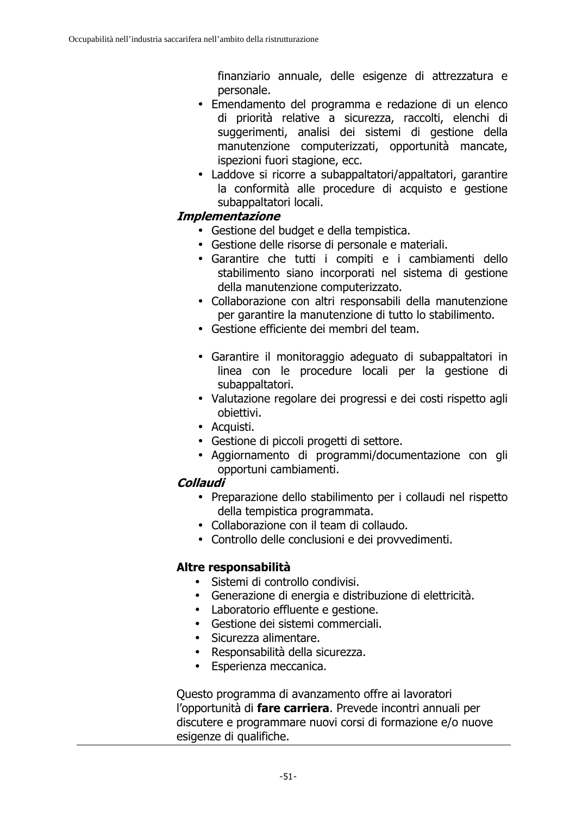finanziario annuale, delle esigenze di attrezzatura e personale.

- Emendamento del programma e redazione di un elenco di priorità relative a sicurezza, raccolti, elenchi di suggerimenti, analisi dei sistemi di gestione della manutenzione computerizzati, opportunità mancate, ispezioni fuori stagione, ecc.
- Laddove si ricorre a subappaltatori/appaltatori, garantire la conformità alle procedure di acquisto e gestione subappaltatori locali.

# **Implementazione**

- Gestione del budget e della tempistica.
- Gestione delle risorse di personale e materiali.
- Garantire che tutti i compiti e i cambiamenti dello stabilimento siano incorporati nel sistema di gestione della manutenzione computerizzato.
- Collaborazione con altri responsabili della manutenzione per garantire la manutenzione di tutto lo stabilimento.
- Gestione efficiente dei membri del team.
- Garantire il monitoraggio adeguato di subappaltatori in linea con le procedure locali per la gestione di subappaltatori.
- Valutazione regolare dei progressi e dei costi rispetto agli obiettivi.
- Acquisti.
- Gestione di piccoli progetti di settore.
- Aggiornamento di programmi/documentazione con gli opportuni cambiamenti.

### **Collaudi**

- Preparazione dello stabilimento per i collaudi nel rispetto della tempistica programmata.
- Collaborazione con il team di collaudo.
- Controllo delle conclusioni e dei provvedimenti.

### **Altre responsabilità**

- Sistemi di controllo condivisi.
- Generazione di energia e distribuzione di elettricità.
- Laboratorio effluente e gestione.
- Gestione dei sistemi commerciali.
- Sicurezza alimentare.
- Responsabilità della sicurezza.
- Esperienza meccanica.

Questo programma di avanzamento offre ai lavoratori l'opportunità di **fare carriera**. Prevede incontri annuali per discutere e programmare nuovi corsi di formazione e/o nuove esigenze di qualifiche.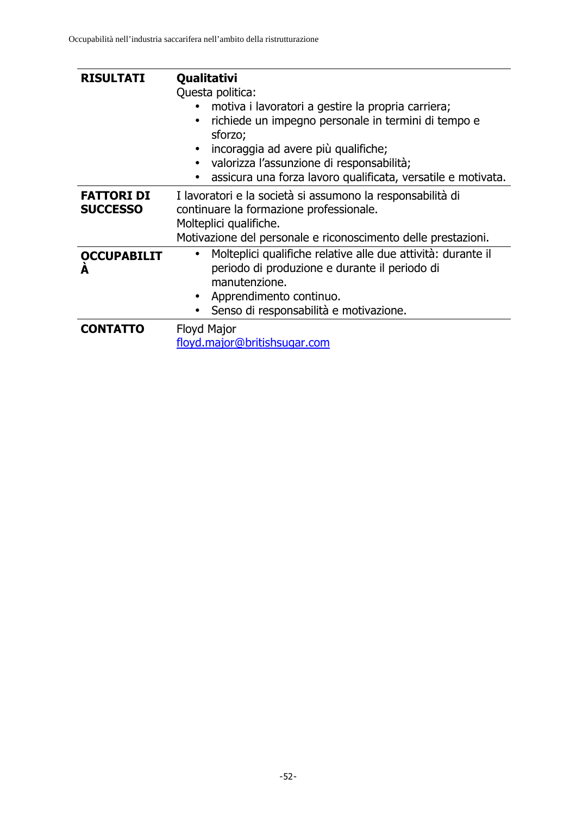| <b>RISULTATI</b>                     | Qualitativi<br>Questa politica:<br>motiva i lavoratori a gestire la propria carriera;<br>richiede un impegno personale in termini di tempo e<br>$\bullet$<br>sforzo;<br>• incoraggia ad avere più qualifiche;<br>valorizza l'assunzione di responsabilità;<br>assicura una forza lavoro qualificata, versatile e motivata.<br>$\bullet$ |  |  |
|--------------------------------------|-----------------------------------------------------------------------------------------------------------------------------------------------------------------------------------------------------------------------------------------------------------------------------------------------------------------------------------------|--|--|
| <b>FATTORI DI</b><br><b>SUCCESSO</b> | I lavoratori e la società si assumono la responsabilità di<br>continuare la formazione professionale.<br>Molteplici qualifiche.<br>Motivazione del personale e riconoscimento delle prestazioni.                                                                                                                                        |  |  |
| <b>OCCUPABILIT</b>                   | Molteplici qualifiche relative alle due attività: durante il<br>periodo di produzione e durante il periodo di<br>manutenzione.<br>Apprendimento continuo.<br>Senso di responsabilità e motivazione.                                                                                                                                     |  |  |
| <b>CONTATTO</b>                      | Floyd Major<br>floyd.major@britishsugar.com                                                                                                                                                                                                                                                                                             |  |  |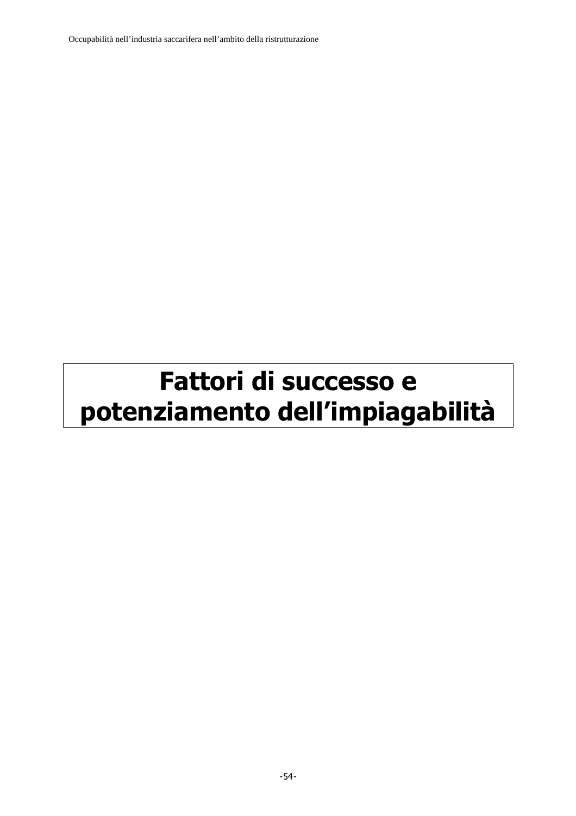# **Fattori di successo e potenziamento dell'impiagabilità**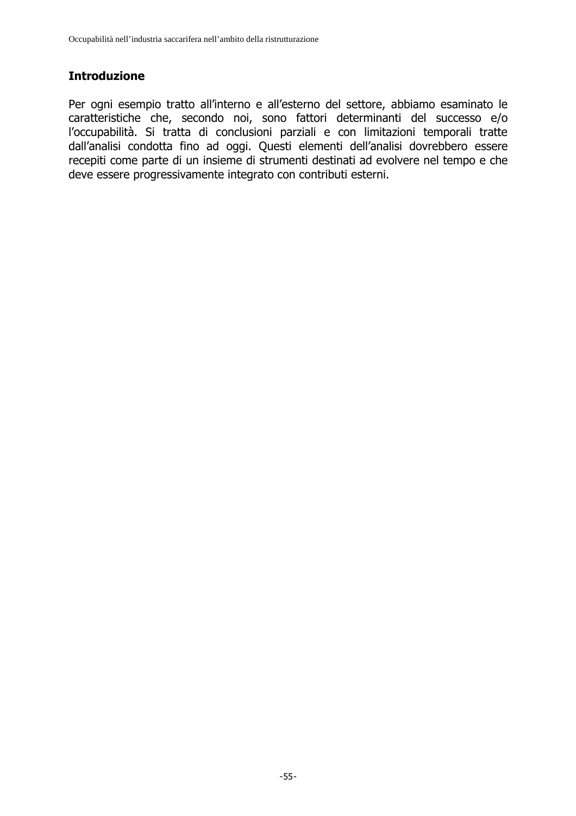# **Introduzione**

Per ogni esempio tratto all'interno e all'esterno del settore, abbiamo esaminato le caratteristiche che, secondo noi, sono fattori determinanti del successo e/o l'occupabilità. Si tratta di conclusioni parziali e con limitazioni temporali tratte dall'analisi condotta fino ad oggi. Questi elementi dell'analisi dovrebbero essere recepiti come parte di un insieme di strumenti destinati ad evolvere nel tempo e che deve essere progressivamente integrato con contributi esterni.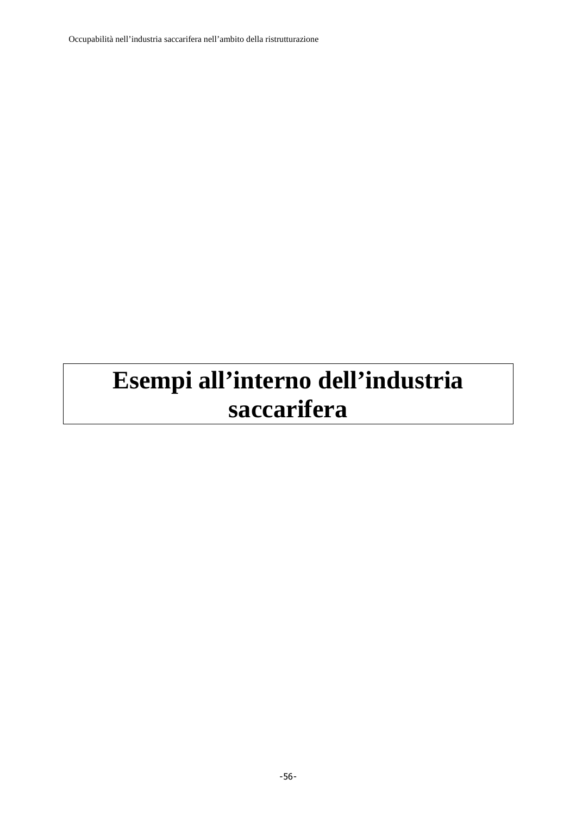# **Esempi all'interno dell'industria saccarifera**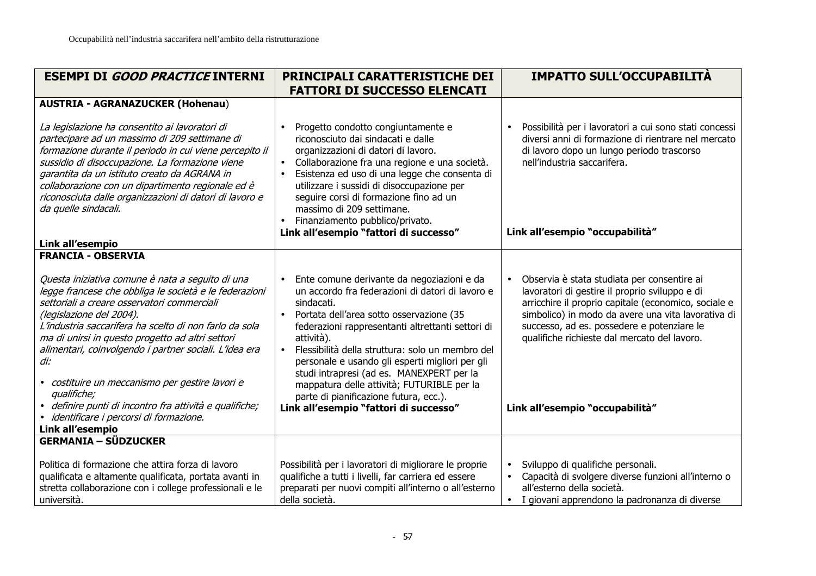| <b>ESEMPI DI GOOD PRACTICE INTERNI</b>                                                                                                                                                                                                                                                                                                                                                                                                                                                                                                                                                                             | PRINCIPALI CARATTERISTICHE DEI                                                                                                                                                                                                                                                                                                                                                                                                                                                                                                                           | <b>IMPATTO SULL'OCCUPABILITÀ</b>                                                                                                                                                                                                                                                                                                                          |
|--------------------------------------------------------------------------------------------------------------------------------------------------------------------------------------------------------------------------------------------------------------------------------------------------------------------------------------------------------------------------------------------------------------------------------------------------------------------------------------------------------------------------------------------------------------------------------------------------------------------|----------------------------------------------------------------------------------------------------------------------------------------------------------------------------------------------------------------------------------------------------------------------------------------------------------------------------------------------------------------------------------------------------------------------------------------------------------------------------------------------------------------------------------------------------------|-----------------------------------------------------------------------------------------------------------------------------------------------------------------------------------------------------------------------------------------------------------------------------------------------------------------------------------------------------------|
|                                                                                                                                                                                                                                                                                                                                                                                                                                                                                                                                                                                                                    | <b>FATTORI DI SUCCESSO ELENCATI</b>                                                                                                                                                                                                                                                                                                                                                                                                                                                                                                                      |                                                                                                                                                                                                                                                                                                                                                           |
| <b>AUSTRIA - AGRANAZUCKER (Hohenau)</b><br>La legislazione ha consentito ai lavoratori di<br>partecipare ad un massimo di 209 settimane di<br>formazione durante il periodo in cui viene percepito il<br>sussidio di disoccupazione. La formazione viene<br>garantita da un istituto creato da AGRANA in<br>collaborazione con un dipartimento regionale ed è<br>riconosciuta dalle organizzazioni di datori di lavoro e<br>da quelle sindacali.                                                                                                                                                                   | Progetto condotto congiuntamente e<br>$\bullet$<br>riconosciuto dai sindacati e dalle<br>organizzazioni di datori di lavoro.<br>Collaborazione fra una regione e una società.<br>$\bullet$<br>Esistenza ed uso di una legge che consenta di<br>$\bullet$<br>utilizzare i sussidi di disoccupazione per<br>seguire corsi di formazione fino ad un<br>massimo di 209 settimane.<br>Finanziamento pubblico/privato.<br>$\bullet$                                                                                                                            | Possibilità per i lavoratori a cui sono stati concessi<br>$\bullet$<br>diversi anni di formazione di rientrare nel mercato<br>di lavoro dopo un lungo periodo trascorso<br>nell'industria saccarifera.                                                                                                                                                    |
|                                                                                                                                                                                                                                                                                                                                                                                                                                                                                                                                                                                                                    | Link all'esempio "fattori di successo"                                                                                                                                                                                                                                                                                                                                                                                                                                                                                                                   | Link all'esempio "occupabilità"                                                                                                                                                                                                                                                                                                                           |
| Link all'esempio<br><b>FRANCIA - OBSERVIA</b><br>Questa iniziativa comune è nata a seguito di una<br>legge francese che obbliga le società e le federazioni<br>settoriali a creare osservatori commerciali<br>(legislazione del 2004).<br>L'industria saccarifera ha scelto di non farlo da sola<br>ma di unirsi in questo progetto ad altri settori<br>alimentari, coinvolgendo i partner sociali. L'idea era<br>di:<br>· costituire un meccanismo per gestire lavori e<br>qualifiche;<br>· definire punti di incontro fra attività e qualifiche;<br>· identificare i percorsi di formazione.<br>Link all'esempio | Ente comune derivante da negoziazioni e da<br>$\bullet$<br>un accordo fra federazioni di datori di lavoro e<br>sindacati.<br>Portata dell'area sotto osservazione (35<br>$\bullet$<br>federazioni rappresentanti altrettanti settori di<br>attività).<br>Flessibilità della struttura: solo un membro del<br>$\bullet$<br>personale e usando gli esperti migliori per gli<br>studi intrapresi (ad es. MANEXPERT per la<br>mappatura delle attività; FUTURIBLE per la<br>parte di pianificazione futura, ecc.).<br>Link all'esempio "fattori di successo" | Observia è stata studiata per consentire ai<br>$\bullet$<br>lavoratori di gestire il proprio sviluppo e di<br>arricchire il proprio capitale (economico, sociale e<br>simbolico) in modo da avere una vita lavorativa di<br>successo, ad es. possedere e potenziare le<br>qualifiche richieste dal mercato del lavoro.<br>Link all'esempio "occupabilità" |
| <b>GERMANIA – SÜDZUCKER</b><br>Politica di formazione che attira forza di lavoro<br>qualificata e altamente qualificata, portata avanti in<br>stretta collaborazione con i college professionali e le<br>università.                                                                                                                                                                                                                                                                                                                                                                                               | Possibilità per i lavoratori di migliorare le proprie<br>qualifiche a tutti i livelli, far carriera ed essere<br>preparati per nuovi compiti all'interno o all'esterno<br>della società.                                                                                                                                                                                                                                                                                                                                                                 | Sviluppo di qualifiche personali.<br>$\bullet$<br>Capacità di svolgere diverse funzioni all'interno o<br>$\bullet$<br>all'esterno della società.<br>· I giovani apprendono la padronanza di diverse                                                                                                                                                       |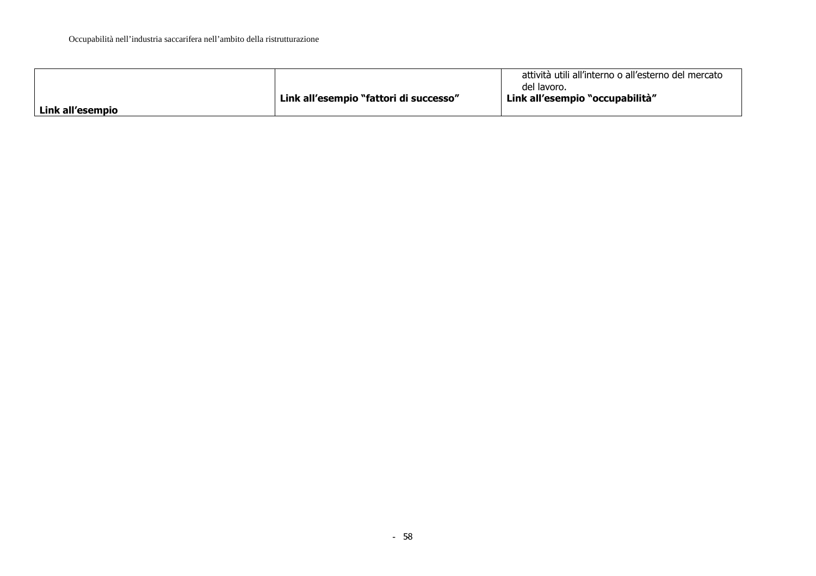|                  |                                        | attività utili all'interno o all'esterno del mercato |
|------------------|----------------------------------------|------------------------------------------------------|
|                  |                                        | del lavoro.                                          |
|                  | Link all'esempio "fattori di successo" | Link all'esempio "occupabilità"                      |
| Link all'esempio |                                        |                                                      |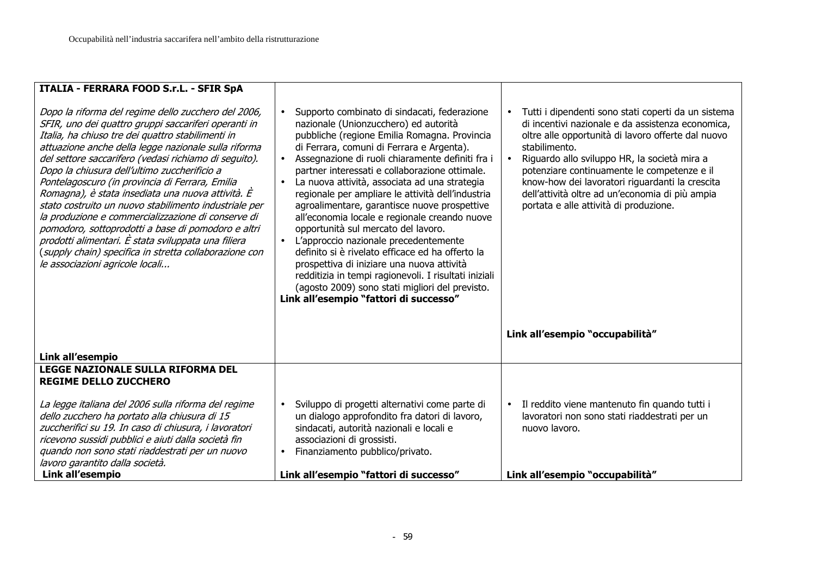| Supporto combinato di sindacati, federazione<br>$\bullet$<br>nazionale (Unionzucchero) ed autorità<br>pubbliche (regione Emilia Romagna. Provincia<br>di Ferrara, comuni di Ferrara e Argenta).<br>Assegnazione di ruoli chiaramente definiti fra i<br>$\bullet$<br>partner interessati e collaborazione ottimale.<br>La nuova attività, associata ad una strategia<br>$\bullet$<br>regionale per ampliare le attività dell'industria<br>agroalimentare, garantisce nuove prospettive<br>all'economia locale e regionale creando nuove<br>opportunità sul mercato del lavoro.<br>L'approccio nazionale precedentemente<br>$\bullet$<br>definito si è rivelato efficace ed ha offerto la<br>prospettiva di iniziare una nuova attività<br>redditizia in tempi ragionevoli. I risultati iniziali<br>(agosto 2009) sono stati migliori del previsto.<br>Link all'esempio "fattori di successo" | Tutti i dipendenti sono stati coperti da un sistema<br>$\bullet$<br>di incentivi nazionale e da assistenza economica,<br>oltre alle opportunità di lavoro offerte dal nuovo<br>stabilimento.<br>Riguardo allo sviluppo HR, la società mira a<br>$\bullet$<br>potenziare continuamente le competenze e il<br>know-how dei lavoratori riguardanti la crescita<br>dell'attività oltre ad un'economia di più ampia<br>portata e alle attività di produzione. |
|---------------------------------------------------------------------------------------------------------------------------------------------------------------------------------------------------------------------------------------------------------------------------------------------------------------------------------------------------------------------------------------------------------------------------------------------------------------------------------------------------------------------------------------------------------------------------------------------------------------------------------------------------------------------------------------------------------------------------------------------------------------------------------------------------------------------------------------------------------------------------------------------|----------------------------------------------------------------------------------------------------------------------------------------------------------------------------------------------------------------------------------------------------------------------------------------------------------------------------------------------------------------------------------------------------------------------------------------------------------|
|                                                                                                                                                                                                                                                                                                                                                                                                                                                                                                                                                                                                                                                                                                                                                                                                                                                                                             | Link all'esempio "occupabilità"                                                                                                                                                                                                                                                                                                                                                                                                                          |
|                                                                                                                                                                                                                                                                                                                                                                                                                                                                                                                                                                                                                                                                                                                                                                                                                                                                                             |                                                                                                                                                                                                                                                                                                                                                                                                                                                          |
|                                                                                                                                                                                                                                                                                                                                                                                                                                                                                                                                                                                                                                                                                                                                                                                                                                                                                             |                                                                                                                                                                                                                                                                                                                                                                                                                                                          |
| Sviluppo di progetti alternativi come parte di<br>$\bullet$<br>un dialogo approfondito fra datori di lavoro,<br>sindacati, autorità nazionali e locali e<br>associazioni di grossisti.<br>Finanziamento pubblico/privato.<br>$\bullet$                                                                                                                                                                                                                                                                                                                                                                                                                                                                                                                                                                                                                                                      | Il reddito viene mantenuto fin quando tutti i<br>$\bullet$<br>lavoratori non sono stati riaddestrati per un<br>nuovo lavoro.<br>Link all'esempio "occupabilità"                                                                                                                                                                                                                                                                                          |
|                                                                                                                                                                                                                                                                                                                                                                                                                                                                                                                                                                                                                                                                                                                                                                                                                                                                                             | Link all'esempio "fattori di successo"                                                                                                                                                                                                                                                                                                                                                                                                                   |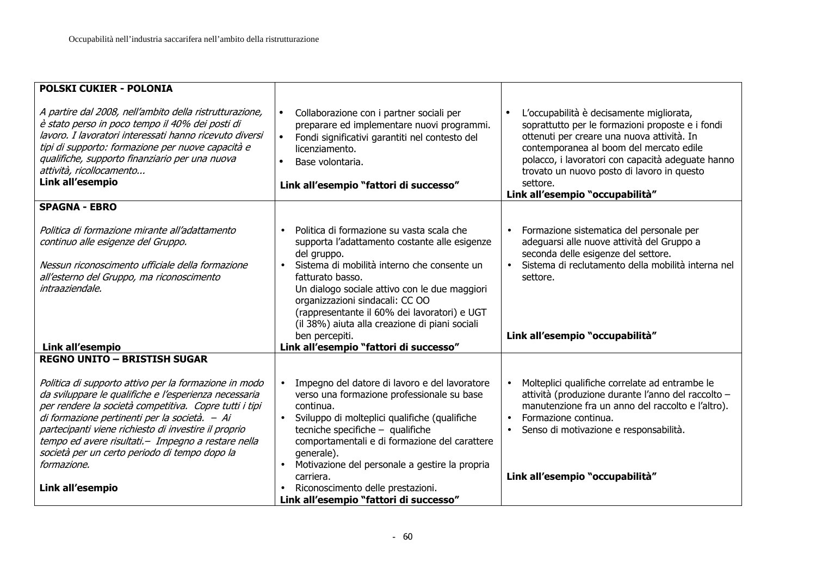| <b>POLSKI CUKIER - POLONIA</b>                                                                                                                                                                                                                                                                                                                                                           |                                                                                                                                                                                                                                                                                                                                                                                                                                                          |                                                                                                                                                                                                                                                                                                                                                      |
|------------------------------------------------------------------------------------------------------------------------------------------------------------------------------------------------------------------------------------------------------------------------------------------------------------------------------------------------------------------------------------------|----------------------------------------------------------------------------------------------------------------------------------------------------------------------------------------------------------------------------------------------------------------------------------------------------------------------------------------------------------------------------------------------------------------------------------------------------------|------------------------------------------------------------------------------------------------------------------------------------------------------------------------------------------------------------------------------------------------------------------------------------------------------------------------------------------------------|
| A partire dal 2008, nell'ambito della ristrutturazione,<br>è stato perso in poco tempo il 40% dei posti di<br>lavoro. I lavoratori interessati hanno ricevuto diversi<br>tipi di supporto: formazione per nuove capacità e<br>qualifiche, supporto finanziario per una nuova<br>attività, ricollocamento<br>Link all'esempio                                                             | Collaborazione con i partner sociali per<br>$\bullet$<br>preparare ed implementare nuovi programmi.<br>$\bullet$<br>Fondi significativi garantiti nel contesto del<br>licenziamento.<br>Base volontaria.<br>$\bullet$<br>Link all'esempio "fattori di successo"                                                                                                                                                                                          | L'occupabilità è decisamente migliorata,<br>$\bullet$<br>soprattutto per le formazioni proposte e i fondi<br>ottenuti per creare una nuova attività. In<br>contemporanea al boom del mercato edile<br>polacco, i lavoratori con capacità adeguate hanno<br>trovato un nuovo posto di lavoro in questo<br>settore.<br>Link all'esempio "occupabilità" |
| <b>SPAGNA - EBRO</b>                                                                                                                                                                                                                                                                                                                                                                     |                                                                                                                                                                                                                                                                                                                                                                                                                                                          |                                                                                                                                                                                                                                                                                                                                                      |
| Politica di formazione mirante all'adattamento<br>continuo alle esigenze del Gruppo.<br>Nessun riconoscimento ufficiale della formazione<br>all'esterno del Gruppo, ma riconoscimento<br>intraaziendale.<br>Link all'esempio                                                                                                                                                             | Politica di formazione su vasta scala che<br>$\bullet$<br>supporta l'adattamento costante alle esigenze<br>del gruppo.<br>Sistema di mobilità interno che consente un<br>$\bullet$<br>fatturato basso.<br>Un dialogo sociale attivo con le due maggiori<br>organizzazioni sindacali: CC OO<br>(rappresentante il 60% dei lavoratori) e UGT<br>(il 38%) aiuta alla creazione di piani sociali<br>ben percepiti.<br>Link all'esempio "fattori di successo" | Formazione sistematica del personale per<br>adeguarsi alle nuove attività del Gruppo a<br>seconda delle esigenze del settore.<br>Sistema di reclutamento della mobilità interna nel<br>$\bullet$<br>settore.<br>Link all'esempio "occupabilità"                                                                                                      |
| <b>REGNO UNITO - BRISTISH SUGAR</b>                                                                                                                                                                                                                                                                                                                                                      |                                                                                                                                                                                                                                                                                                                                                                                                                                                          |                                                                                                                                                                                                                                                                                                                                                      |
| Politica di supporto attivo per la formazione in modo<br>da sviluppare le qualifiche e l'esperienza necessaria<br>per rendere la società competitiva. Copre tutti i tipi<br>di formazione pertinenti per la società. - Ai<br>partecipanti viene richiesto di investire il proprio<br>tempo ed avere risultati.- Impegno a restare nella<br>società per un certo periodo di tempo dopo la | Impegno del datore di lavoro e del lavoratore<br>$\bullet$<br>verso una formazione professionale su base<br>continua.<br>Sviluppo di molteplici qualifiche (qualifiche<br>$\bullet$<br>tecniche specifiche $-$ qualifiche<br>comportamentali e di formazione del carattere<br>generale).                                                                                                                                                                 | Molteplici qualifiche correlate ad entrambe le<br>$\bullet$<br>attività (produzione durante l'anno del raccolto -<br>manutenzione fra un anno del raccolto e l'altro).<br>Formazione continua.<br>Senso di motivazione e responsabilità.                                                                                                             |
| formazione.<br>Link all'esempio                                                                                                                                                                                                                                                                                                                                                          | Motivazione del personale a gestire la propria<br>$\bullet$<br>carriera.<br>Riconoscimento delle prestazioni.<br>Link all'esempio "fattori di successo"                                                                                                                                                                                                                                                                                                  | Link all'esempio "occupabilità"                                                                                                                                                                                                                                                                                                                      |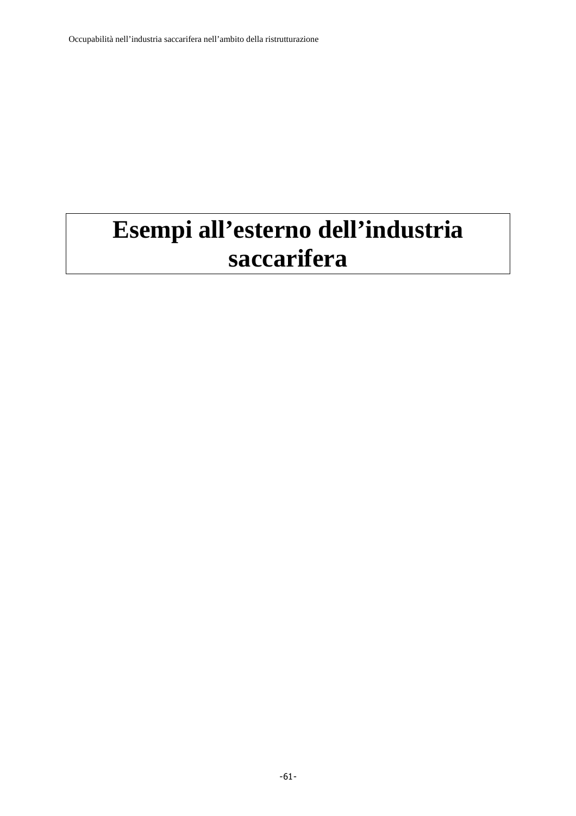# **Esempi all'esterno dell'industria saccarifera**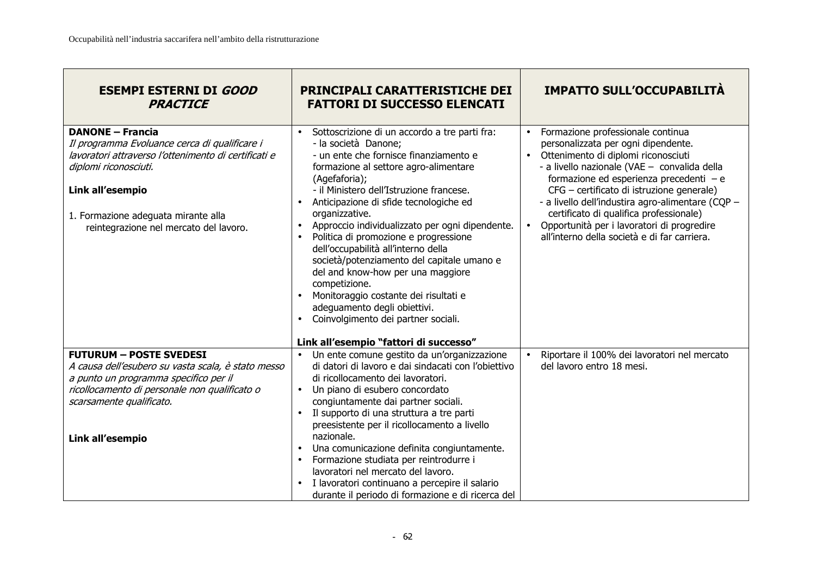$\overline{ }$ 

<u> 1989 - Johann Stoff, deutscher Stoff, der Stoff, der Stoff, der Stoff, der Stoff, der Stoff, der Stoff, der S</u>

 $\overline{\phantom{a}}$ 

| <b>ESEMPI ESTERNI DI GOOD</b><br><b>PRACTICE</b>                                                                                                                                                                                                               | <b>PRINCIPALI CARATTERISTICHE DEI</b><br><b>FATTORI DI SUCCESSO ELENCATI</b>                                                                                                                                                                                                                                                                                                                                                                                                                                                                                                                                                                                                                                 | <b>IMPATTO SULL'OCCUPABILITÀ</b>                                                                                                                                                                                                                                                                                                                                                                                                                                                 |
|----------------------------------------------------------------------------------------------------------------------------------------------------------------------------------------------------------------------------------------------------------------|--------------------------------------------------------------------------------------------------------------------------------------------------------------------------------------------------------------------------------------------------------------------------------------------------------------------------------------------------------------------------------------------------------------------------------------------------------------------------------------------------------------------------------------------------------------------------------------------------------------------------------------------------------------------------------------------------------------|----------------------------------------------------------------------------------------------------------------------------------------------------------------------------------------------------------------------------------------------------------------------------------------------------------------------------------------------------------------------------------------------------------------------------------------------------------------------------------|
| <b>DANONE - Francia</b><br>Il programma Evoluance cerca di qualificare i<br>lavoratori attraverso l'ottenimento di certificati e<br>diplomi riconosciuti.<br>Link all'esempio<br>1. Formazione adeguata mirante alla<br>reintegrazione nel mercato del lavoro. | Sottoscrizione di un accordo a tre parti fra:<br>$\bullet$<br>- la società Danone;<br>- un ente che fornisce finanziamento e<br>formazione al settore agro-alimentare<br>(Agefaforia);<br>- il Ministero dell'Istruzione francese.<br>Anticipazione di sfide tecnologiche ed<br>$\bullet$<br>organizzative.<br>Approccio individualizzato per ogni dipendente.<br>Politica di promozione e progressione<br>dell'occupabilità all'interno della<br>società/potenziamento del capitale umano e<br>del and know-how per una maggiore<br>competizione.<br>Monitoraggio costante dei risultati e<br>adeguamento degli obiettivi.<br>Coinvolgimento dei partner sociali.<br>Link all'esempio "fattori di successo" | Formazione professionale continua<br>$\bullet$<br>personalizzata per ogni dipendente.<br>Ottenimento di diplomi riconosciuti<br>$\bullet$<br>- a livello nazionale (VAE - convalida della<br>formazione ed esperienza precedenti $-e$<br>CFG - certificato di istruzione generale)<br>- a livello dell'industira agro-alimentare (CQP -<br>certificato di qualifica professionale)<br>Opportunità per i lavoratori di progredire<br>all'interno della società e di far carriera. |
| <b>FUTURUM - POSTE SVEDESI</b><br>A causa dell'esubero su vasta scala, è stato messo<br>a punto un programma specifico per il<br>ricollocamento di personale non qualificato o<br>scarsamente qualificato.<br>Link all'esempio                                 | Un ente comune gestito da un'organizzazione<br>di datori di lavoro e dai sindacati con l'obiettivo<br>di ricollocamento dei lavoratori.<br>Un piano di esubero concordato<br>$\bullet$<br>congiuntamente dai partner sociali.<br>Il supporto di una struttura a tre parti<br>preesistente per il ricollocamento a livello<br>nazionale.<br>Una comunicazione definita congiuntamente.<br>$\bullet$<br>Formazione studiata per reintrodurre i<br>$\bullet$<br>lavoratori nel mercato del lavoro.<br>I lavoratori continuano a percepire il salario<br>durante il periodo di formazione e di ricerca del                                                                                                       | Riportare il 100% dei lavoratori nel mercato<br>del lavoro entro 18 mesi.                                                                                                                                                                                                                                                                                                                                                                                                        |

<u> 1989 - Johann Barn, mars ann an t-Amhain Aonaich an t-Aonaich an t-Aonaich ann an t-Aonaich ann an t-Aonaich</u>

 $\overline{\phantom{a}}$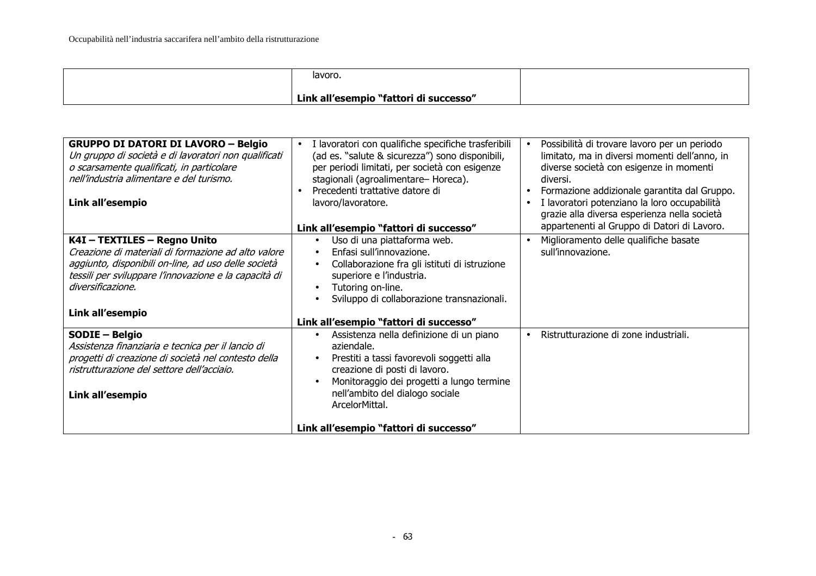| lavoro.                                |  |
|----------------------------------------|--|
| Link all'esempio "fattori di successo" |  |

| <b>GRUPPO DI DATORI DI LAVORO - Belgio</b><br>Un gruppo di società e di lavoratori non qualificati<br>o scarsamente qualificati, in particolare<br>nell'industria alimentare e del turismo.<br>Link all'esempio                              | I lavoratori con qualifiche specifiche trasferibili<br>(ad es. "salute & sicurezza") sono disponibili,<br>per periodi limitati, per società con esigenze<br>stagionali (agroalimentare- Horeca).<br>Precedenti trattative datore di<br>lavoro/lavoratore.<br>Link all'esempio "fattori di successo" | Possibilità di trovare lavoro per un periodo<br>limitato, ma in diversi momenti dell'anno, in<br>diverse società con esigenze in momenti<br>diversi.<br>Formazione addizionale garantita dal Gruppo.<br>I lavoratori potenziano la loro occupabilità<br>grazie alla diversa esperienza nella società<br>appartenenti al Gruppo di Datori di Lavoro. |
|----------------------------------------------------------------------------------------------------------------------------------------------------------------------------------------------------------------------------------------------|-----------------------------------------------------------------------------------------------------------------------------------------------------------------------------------------------------------------------------------------------------------------------------------------------------|-----------------------------------------------------------------------------------------------------------------------------------------------------------------------------------------------------------------------------------------------------------------------------------------------------------------------------------------------------|
| K4I - TEXTILES - Regno Unito<br>Creazione di materiali di formazione ad alto valore<br>aggiunto, disponibili on-line, ad uso delle società<br>tessili per sviluppare l'innovazione e la capacità di<br>diversificazione.<br>Link all'esempio | Uso di una piattaforma web.<br>Enfasi sull'innovazione.<br>$\bullet$<br>Collaborazione fra gli istituti di istruzione<br>superiore e l'industria.<br>Tutoring on-line.<br>Sviluppo di collaborazione transnazionali.                                                                                | Miglioramento delle qualifiche basate<br>sull'innovazione.                                                                                                                                                                                                                                                                                          |
|                                                                                                                                                                                                                                              | Link all'esempio "fattori di successo"                                                                                                                                                                                                                                                              |                                                                                                                                                                                                                                                                                                                                                     |
| <b>SODIE - Belgio</b><br>Assistenza finanziaria e tecnica per il lancio di<br>progetti di creazione di società nel contesto della<br>ristrutturazione del settore dell'acciaio.<br>Link all'esempio                                          | Assistenza nella definizione di un piano<br>aziendale.<br>Prestiti a tassi favorevoli soggetti alla<br>creazione di posti di lavoro.<br>Monitoraggio dei progetti a lungo termine<br>$\bullet$<br>nell'ambito del dialogo sociale<br>ArcelorMittal.                                                 | Ristrutturazione di zone industriali.                                                                                                                                                                                                                                                                                                               |
|                                                                                                                                                                                                                                              | Link all'esempio "fattori di successo"                                                                                                                                                                                                                                                              |                                                                                                                                                                                                                                                                                                                                                     |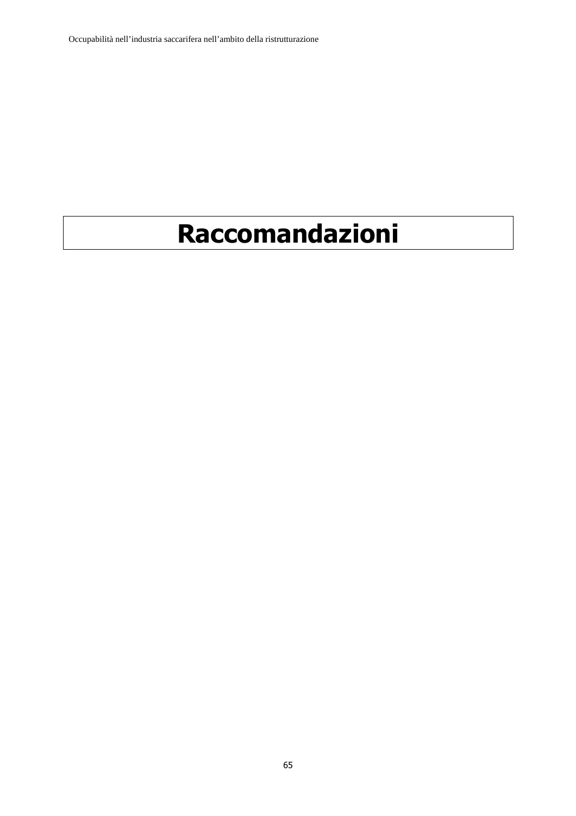# **Raccomandazioni**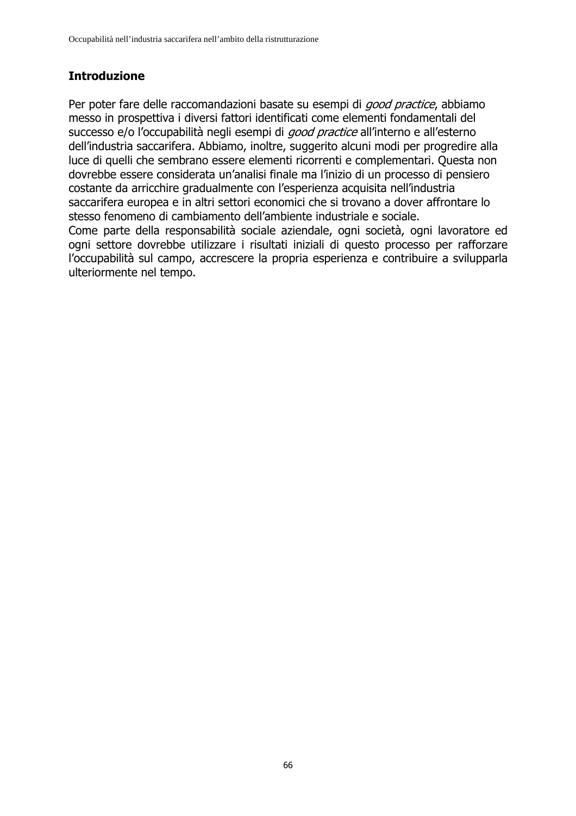# **Introduzione**

Per poter fare delle raccomandazioni basate su esempi di *good practice*, abbiamo messo in prospettiva i diversi fattori identificati come elementi fondamentali del successo e/o l'occupabilità negli esempi di *good practice* all'interno e all'esterno dell'industria saccarifera. Abbiamo, inoltre, suggerito alcuni modi per progredire alla luce di quelli che sembrano essere elementi ricorrenti e complementari. Questa non dovrebbe essere considerata un'analisi finale ma l'inizio di un processo di pensiero costante da arricchire gradualmente con l'esperienza acquisita nell'industria saccarifera europea e in altri settori economici che si trovano a dover affrontare lo stesso fenomeno di cambiamento dell'ambiente industriale e sociale.

Come parte della responsabilità sociale aziendale, ogni società, ogni lavoratore ed ogni settore dovrebbe utilizzare i risultati iniziali di questo processo per rafforzare l'occupabilità sul campo, accrescere la propria esperienza e contribuire a svilupparla ulteriormente nel tempo.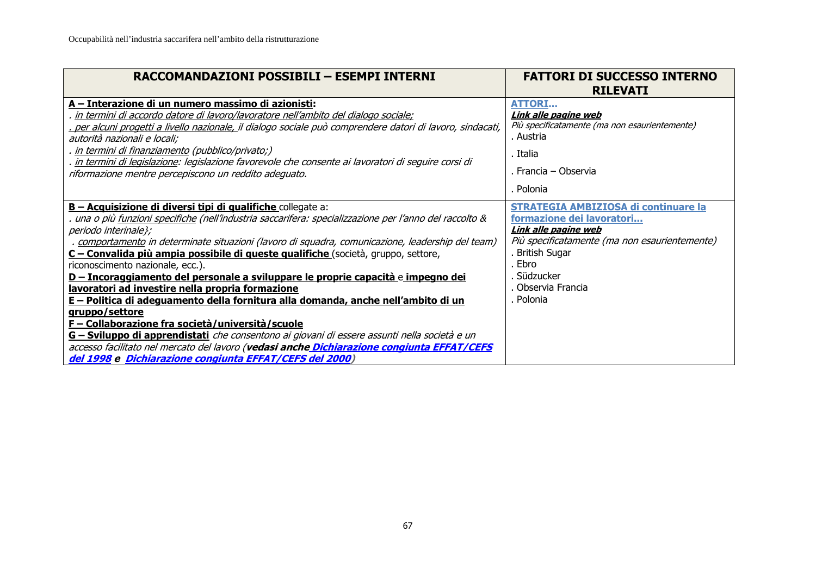| RACCOMANDAZIONI POSSIBILI - ESEMPI INTERNI                                                                                                                                                                                                                                                                                                                                                                                                                                                                                                                                                                                                                                                                                                                                                                                                                                                                                                                                                                            | <b>FATTORI DI SUCCESSO INTERNO</b><br><b>RILEVATI</b>                                                                                                                                                                               |
|-----------------------------------------------------------------------------------------------------------------------------------------------------------------------------------------------------------------------------------------------------------------------------------------------------------------------------------------------------------------------------------------------------------------------------------------------------------------------------------------------------------------------------------------------------------------------------------------------------------------------------------------------------------------------------------------------------------------------------------------------------------------------------------------------------------------------------------------------------------------------------------------------------------------------------------------------------------------------------------------------------------------------|-------------------------------------------------------------------------------------------------------------------------------------------------------------------------------------------------------------------------------------|
| A - Interazione di un numero massimo di azionisti:<br>in termini di accordo datore di lavoro/lavoratore nell'ambito del dialogo sociale;<br>. per alcuni progetti a livello nazionale, il dialogo sociale può comprendere datori di lavoro, sindacati,<br>autorità nazionali e locali;<br>in termini di finanziamento (pubblico/privato;)<br>in termini di legislazione: legislazione favorevole che consente ai lavoratori di seguire corsi di<br>riformazione mentre percepiscono un reddito adeguato.                                                                                                                                                                                                                                                                                                                                                                                                                                                                                                              | <b>ATTORI</b><br>Link alle pagine web<br>Più specificatamente (ma non esaurientemente)<br>. Austria<br>. Italia<br>. Francia – Observia<br>. Polonia                                                                                |
| <b>B - Acquisizione di diversi tipi di qualifiche collegate a:</b><br>. una o più <u>funzioni specifiche</u> (nell'industria saccarifera: specializzazione per l'anno del raccolto &<br>periodo interinale };<br>. <u>comportamento</u> in determinate situazioni (lavoro di squadra, comunicazione, leadership del team)<br>C – Convalida più ampia possibile di queste qualifiche (società, gruppo, settore,<br>riconoscimento nazionale, ecc.).<br><u>D – Incoraggiamento del personale a sviluppare le proprie capacità e impegno dei</u><br>lavoratori ad investire nella propria formazione<br>E – Politica di adeguamento della fornitura alla domanda, anche nell'ambito di un<br>gruppo/settore<br>F - Collaborazione fra società/università/scuole<br>G – Sviluppo di apprendistati che consentono ai giovani di essere assunti nella società e un<br>accesso facilitato nel mercato del lavoro (vedasi anche Dichiarazione congiunta EFFAT/CEFS<br>del 1998 e Dichiarazione congiunta EFFAT/CEFS del 2000) | <b>STRATEGIA AMBIZIOSA di continuare la</b><br>formazione dei lavoratori<br>Link alle pagine web<br>Più specificatamente (ma non esaurientemente)<br><b>British Sugar</b><br>Ebro<br>. Südzucker<br>. Observia Francia<br>. Polonia |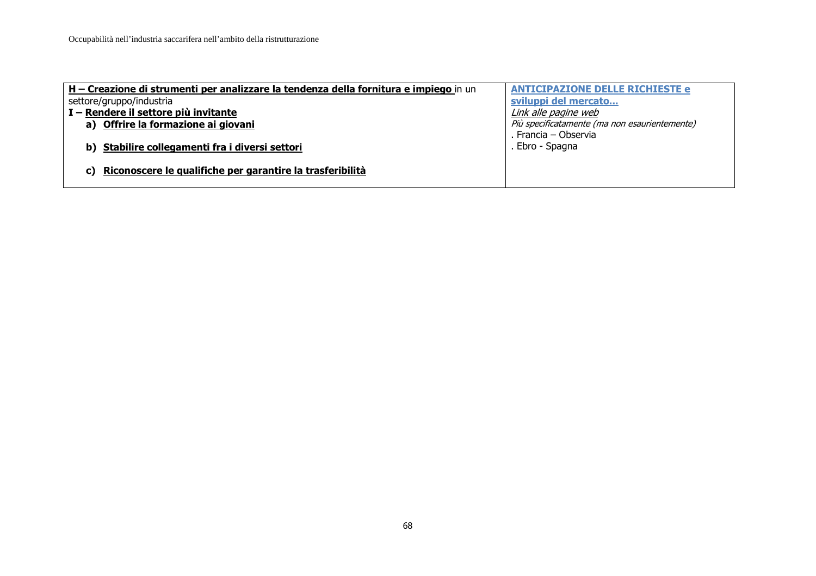| H – Creazione di strumenti per analizzare la tendenza della fornitura e impiego in un | <b>ANTICIPAZIONE DELLE RICHIESTE e</b>        |
|---------------------------------------------------------------------------------------|-----------------------------------------------|
| settore/gruppo/industria                                                              | sviluppi del mercato                          |
| I - Rendere il settore più invitante                                                  | Link alle pagine web                          |
| a) Offrire la formazione ai giovani                                                   | Più specificatamente (ma non esaurientemente) |
|                                                                                       | . Francia – Observia                          |
| b) Stabilire collegamenti fra i diversi settori                                       | . Ebro - Spagna                               |
|                                                                                       |                                               |
| Riconoscere le qualifiche per garantire la trasferibilità                             |                                               |
|                                                                                       |                                               |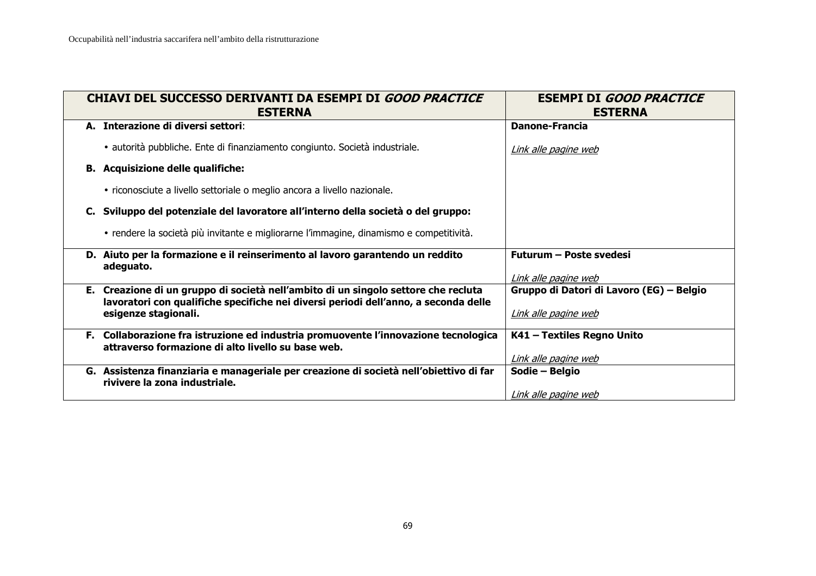| CHIAVI DEL SUCCESSO DERIVANTI DA ESEMPI DI <i>GOOD PRACTICE</i><br><b>ESTERNA</b>                                                                                         | <b>ESEMPI DI GOOD PRACTICE</b><br><b>ESTERNA</b> |
|---------------------------------------------------------------------------------------------------------------------------------------------------------------------------|--------------------------------------------------|
| Interazione di diversi settori:<br>А.                                                                                                                                     | <b>Danone-Francia</b>                            |
| • autorità pubbliche. Ente di finanziamento congiunto. Società industriale.                                                                                               | Link alle pagine web                             |
| <b>B.</b> Acquisizione delle qualifiche:                                                                                                                                  |                                                  |
| • riconosciute a livello settoriale o meglio ancora a livello nazionale.                                                                                                  |                                                  |
| C. Sviluppo del potenziale del lavoratore all'interno della società o del gruppo:                                                                                         |                                                  |
| • rendere la società più invitante e migliorarne l'immagine, dinamismo e competitività.                                                                                   |                                                  |
| D. Aiuto per la formazione e il reinserimento al lavoro garantendo un reddito<br>adeguato.                                                                                | <b>Futurum – Poste svedesi</b>                   |
|                                                                                                                                                                           | Link alle pagine web                             |
| E. Creazione di un gruppo di società nell'ambito di un singolo settore che recluta<br>lavoratori con qualifiche specifiche nei diversi periodi dell'anno, a seconda delle | Gruppo di Datori di Lavoro (EG) – Belgio         |
| esigenze stagionali.                                                                                                                                                      | Link alle pagine web                             |
| F. Collaborazione fra istruzione ed industria promuovente l'innovazione tecnologica<br>attraverso formazione di alto livello su base web.                                 | K41 - Textiles Regno Unito                       |
|                                                                                                                                                                           | Link alle pagine web                             |
| G. Assistenza finanziaria e manageriale per creazione di società nell'obiettivo di far<br>rivivere la zona industriale.                                                   | Sodie – Belgio                                   |
|                                                                                                                                                                           | Link alle pagine web                             |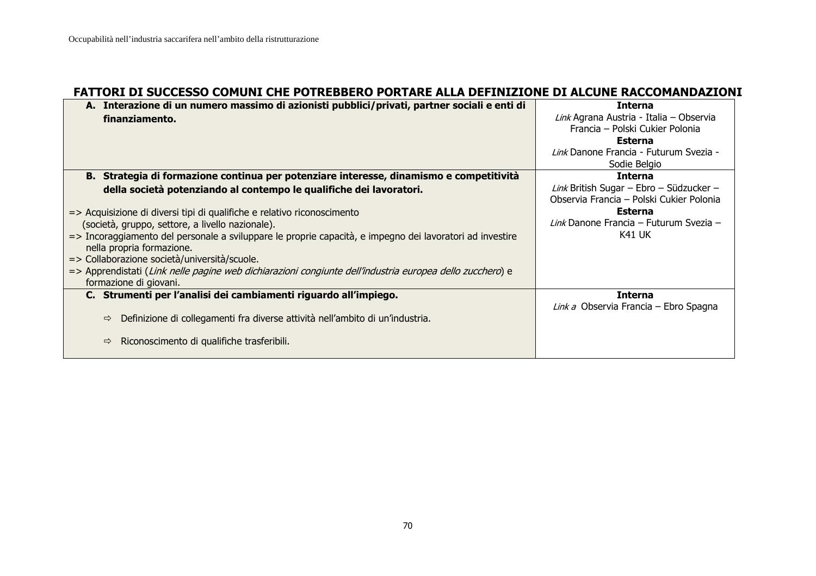### **FATTORI DI SUCCESSO COMUNI CHE POTREBBERO PORTARE ALLA DEFINIZIONE DI ALCUNE RACCOMANDAZIONI**

| A. Interazione di un numero massimo di azionisti pubblici/privati, partner sociali e enti di             | <b>Interna</b>                           |
|----------------------------------------------------------------------------------------------------------|------------------------------------------|
| finanziamento.                                                                                           | Link Agrana Austria - Italia - Observia  |
|                                                                                                          | Francia – Polski Cukier Polonia          |
|                                                                                                          | Esterna                                  |
|                                                                                                          | Link Danone Francia - Futurum Svezia -   |
|                                                                                                          | Sodie Belgio                             |
| B. Strategia di formazione continua per potenziare interesse, dinamismo e competitività                  | <b>Interna</b>                           |
| della società potenziando al contempo le qualifiche dei lavoratori.                                      | Link British Sugar - Ebro - Südzucker -  |
|                                                                                                          | Observia Francia - Polski Cukier Polonia |
| => Acquisizione di diversi tipi di qualifiche e relativo riconoscimento                                  | <b>Esterna</b>                           |
| (società, gruppo, settore, a livello nazionale).                                                         | Link Danone Francia – Futurum Svezia –   |
| => Incoraggiamento del personale a sviluppare le proprie capacità, e impegno dei lavoratori ad investire | K41 UK                                   |
| nella propria formazione.                                                                                |                                          |
| => Collaborazione società/università/scuole.                                                             |                                          |
| => Apprendistati (Link nelle pagine web dichiarazioni congiunte dell'industria europea dello zucchero) e |                                          |
| formazione di giovani.                                                                                   |                                          |
| C. Strumenti per l'analisi dei cambiamenti riguardo all'impiego.                                         | <b>Interna</b>                           |
|                                                                                                          | Link a Observia Francia – Ebro Spagna    |
| Definizione di collegamenti fra diverse attività nell'ambito di un'industria.<br>⇨                       |                                          |
| Riconoscimento di qualifiche trasferibili.<br>⇨                                                          |                                          |
|                                                                                                          |                                          |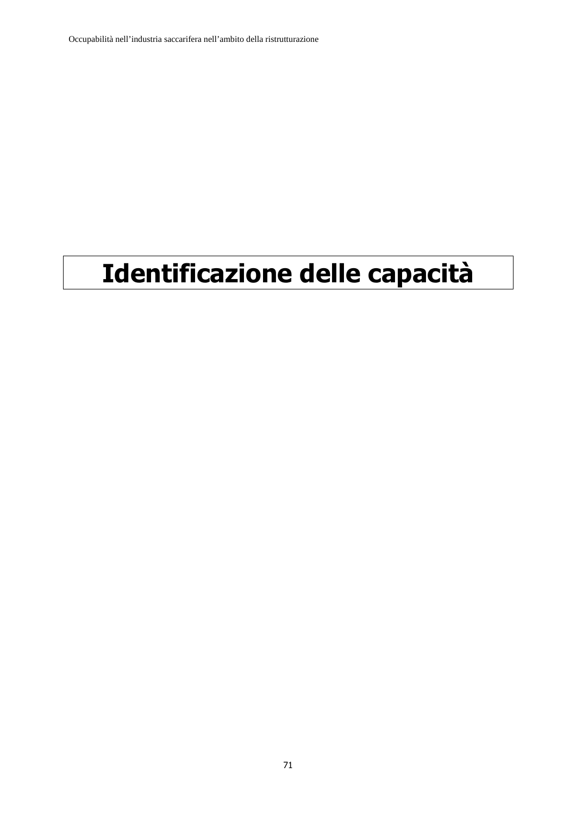# **Identificazione delle capacità**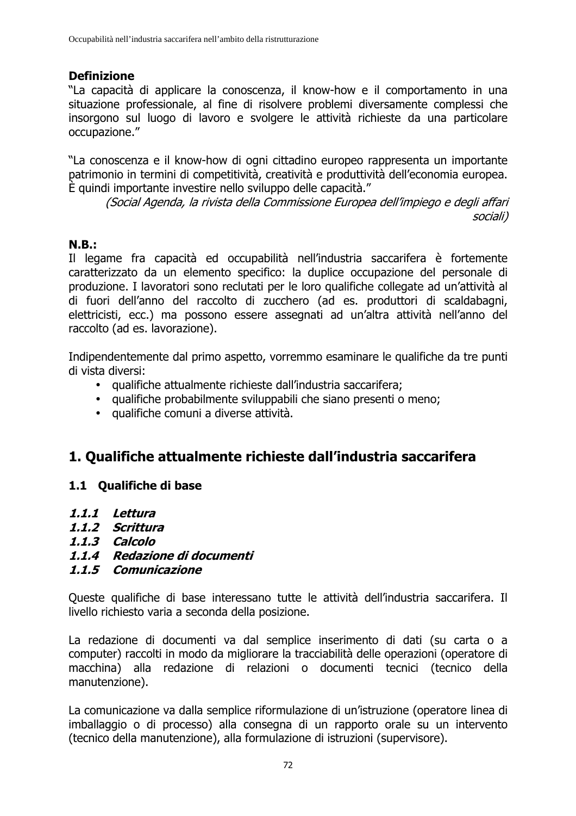### **Definizione**

"La capacità di applicare la conoscenza, il know-how e il comportamento in una situazione professionale, al fine di risolvere problemi diversamente complessi che insorgono sul luogo di lavoro e svolgere le attività richieste da una particolare occupazione."

"La conoscenza e il know-how di ogni cittadino europeo rappresenta un importante patrimonio in termini di competitività, creatività e produttività dell'economia europea. È quindi importante investire nello sviluppo delle capacità."

 (Social Agenda, la rivista della Commissione Europea dell'impiego e degli affari sociali)

### **N.B.:**

Il legame fra capacità ed occupabilità nell'industria saccarifera è fortemente caratterizzato da un elemento specifico: la duplice occupazione del personale di produzione. I lavoratori sono reclutati per le loro qualifiche collegate ad un'attività al di fuori dell'anno del raccolto di zucchero (ad es. produttori di scaldabagni, elettricisti, ecc.) ma possono essere assegnati ad un'altra attività nell'anno del raccolto (ad es. lavorazione).

Indipendentemente dal primo aspetto, vorremmo esaminare le qualifiche da tre punti di vista diversi:

- qualifiche attualmente richieste dall'industria saccarifera;
- qualifiche probabilmente sviluppabili che siano presenti o meno;
- qualifiche comuni a diverse attività.

# **1. Qualifiche attualmente richieste dall'industria saccarifera**

# **1.1 Qualifiche di base**

- **1.1.1 Lettura**
- **1.1.2 Scrittura**
- **1.1.3 Calcolo**
- **1.1.4 Redazione di documenti**
- **1.1.5 Comunicazione**

Queste qualifiche di base interessano tutte le attività dell'industria saccarifera. Il livello richiesto varia a seconda della posizione.

La redazione di documenti va dal semplice inserimento di dati (su carta o a computer) raccolti in modo da migliorare la tracciabilità delle operazioni (operatore di macchina) alla redazione di relazioni o documenti tecnici (tecnico della manutenzione).

La comunicazione va dalla semplice riformulazione di un'istruzione (operatore linea di imballaggio o di processo) alla consegna di un rapporto orale su un intervento (tecnico della manutenzione), alla formulazione di istruzioni (supervisore).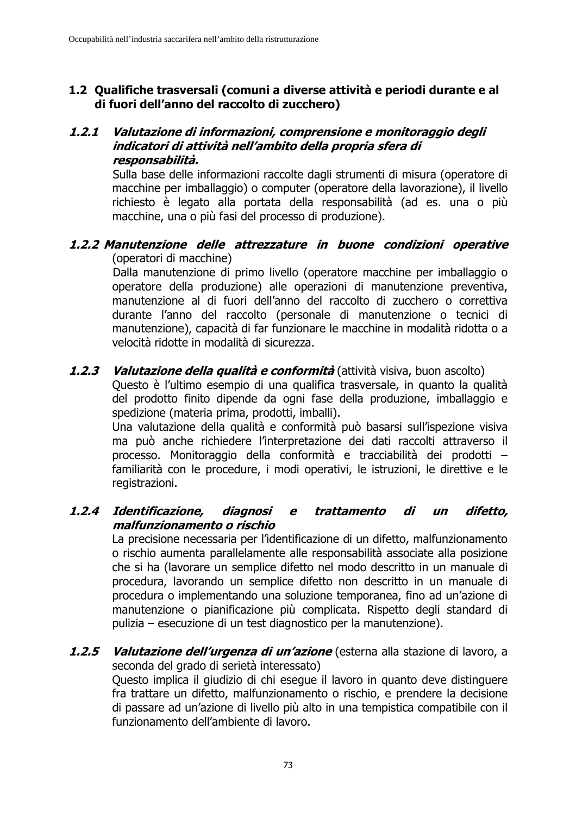### **1.2 Qualifiche trasversali (comuni a diverse attività e periodi durante e al di fuori dell'anno del raccolto di zucchero)**

### **1.2.1 Valutazione di informazioni, comprensione e monitoraggio degli indicatori di attività nell'ambito della propria sfera di responsabilità.**

Sulla base delle informazioni raccolte dagli strumenti di misura (operatore di macchine per imballaggio) o computer (operatore della lavorazione), il livello richiesto è legato alla portata della responsabilità (ad es. una o più macchine, una o più fasi del processo di produzione).

### **1.2.2 Manutenzione delle attrezzature in buone condizioni operative**  (operatori di macchine)

Dalla manutenzione di primo livello (operatore macchine per imballaggio o operatore della produzione) alle operazioni di manutenzione preventiva, manutenzione al di fuori dell'anno del raccolto di zucchero o correttiva durante l'anno del raccolto (personale di manutenzione o tecnici di manutenzione), capacità di far funzionare le macchine in modalità ridotta o a velocità ridotte in modalità di sicurezza.

### **1.2.3 Valutazione della qualità e conformità** (attività visiva, buon ascolto)

Questo è l'ultimo esempio di una qualifica trasversale, in quanto la qualità del prodotto finito dipende da ogni fase della produzione, imballaggio e spedizione (materia prima, prodotti, imballi).

Una valutazione della qualità e conformità può basarsi sull'ispezione visiva ma può anche richiedere l'interpretazione dei dati raccolti attraverso il processo. Monitoraggio della conformità e tracciabilità dei prodotti – familiarità con le procedure, i modi operativi, le istruzioni, le direttive e le registrazioni.

## **1.2.4 Identificazione, diagnosi e trattamento di un difetto, malfunzionamento o rischio**

La precisione necessaria per l'identificazione di un difetto, malfunzionamento o rischio aumenta parallelamente alle responsabilità associate alla posizione che si ha (lavorare un semplice difetto nel modo descritto in un manuale di procedura, lavorando un semplice difetto non descritto in un manuale di procedura o implementando una soluzione temporanea, fino ad un'azione di manutenzione o pianificazione più complicata. Rispetto degli standard di pulizia – esecuzione di un test diagnostico per la manutenzione).

### **1.2.5 Valutazione dell'urgenza di un'azione** (esterna alla stazione di lavoro, a seconda del grado di serietà interessato)

Questo implica il giudizio di chi esegue il lavoro in quanto deve distinguere fra trattare un difetto, malfunzionamento o rischio, e prendere la decisione di passare ad un'azione di livello più alto in una tempistica compatibile con il funzionamento dell'ambiente di lavoro.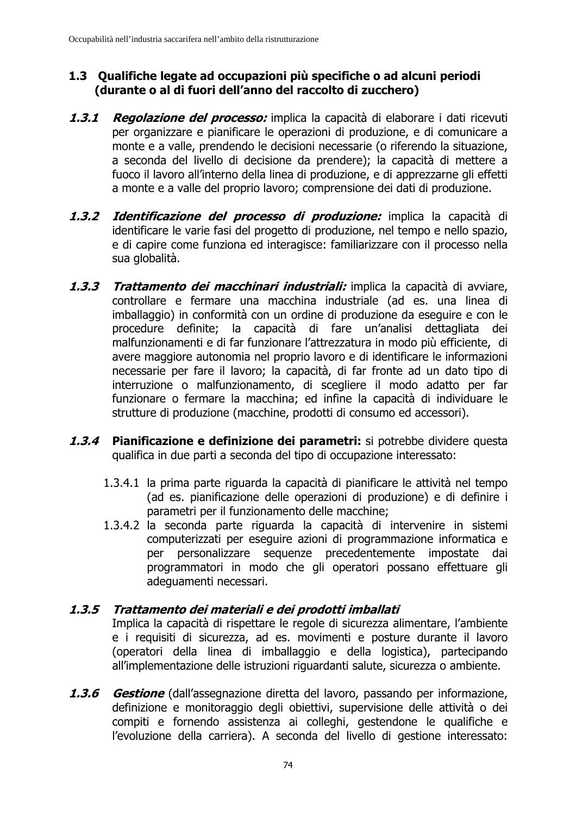# **1.3 Qualifiche legate ad occupazioni più specifiche o ad alcuni periodi (durante o al di fuori dell'anno del raccolto di zucchero)**

- **1.3.1 Regolazione del processo:** implica la capacità di elaborare i dati ricevuti per organizzare e pianificare le operazioni di produzione, e di comunicare a monte e a valle, prendendo le decisioni necessarie (o riferendo la situazione, a seconda del livello di decisione da prendere); la capacità di mettere a fuoco il lavoro all'interno della linea di produzione, e di apprezzarne gli effetti a monte e a valle del proprio lavoro; comprensione dei dati di produzione.
- **1.3.2 Identificazione del processo di produzione:** implica la capacità di identificare le varie fasi del progetto di produzione, nel tempo e nello spazio, e di capire come funziona ed interagisce: familiarizzare con il processo nella sua globalità.
- **1.3.3 Trattamento dei macchinari industriali:** implica la capacità di avviare, controllare e fermare una macchina industriale (ad es. una linea di imballaggio) in conformità con un ordine di produzione da eseguire e con le procedure definite; la capacità di fare un'analisi dettagliata dei malfunzionamenti e di far funzionare l'attrezzatura in modo più efficiente, di avere maggiore autonomia nel proprio lavoro e di identificare le informazioni necessarie per fare il lavoro; la capacità, di far fronte ad un dato tipo di interruzione o malfunzionamento, di scegliere il modo adatto per far funzionare o fermare la macchina; ed infine la capacità di individuare le strutture di produzione (macchine, prodotti di consumo ed accessori).
- **1.3.4 Pianificazione e definizione dei parametri:** si potrebbe dividere questa qualifica in due parti a seconda del tipo di occupazione interessato:
	- 1.3.4.1 la prima parte riguarda la capacità di pianificare le attività nel tempo (ad es. pianificazione delle operazioni di produzione) e di definire i parametri per il funzionamento delle macchine;
	- 1.3.4.2 la seconda parte riguarda la capacità di intervenire in sistemi computerizzati per eseguire azioni di programmazione informatica e per personalizzare sequenze precedentemente impostate dai programmatori in modo che gli operatori possano effettuare gli adeguamenti necessari.

# **1.3.5 Trattamento dei materiali e dei prodotti imballati**

Implica la capacità di rispettare le regole di sicurezza alimentare, l'ambiente e i requisiti di sicurezza, ad es. movimenti e posture durante il lavoro (operatori della linea di imballaggio e della logistica), partecipando all'implementazione delle istruzioni riguardanti salute, sicurezza o ambiente.

**1.3.6 Gestione** (dall'assegnazione diretta del lavoro, passando per informazione, definizione e monitoraggio degli obiettivi, supervisione delle attività o dei compiti e fornendo assistenza ai colleghi, gestendone le qualifiche e l'evoluzione della carriera). A seconda del livello di gestione interessato: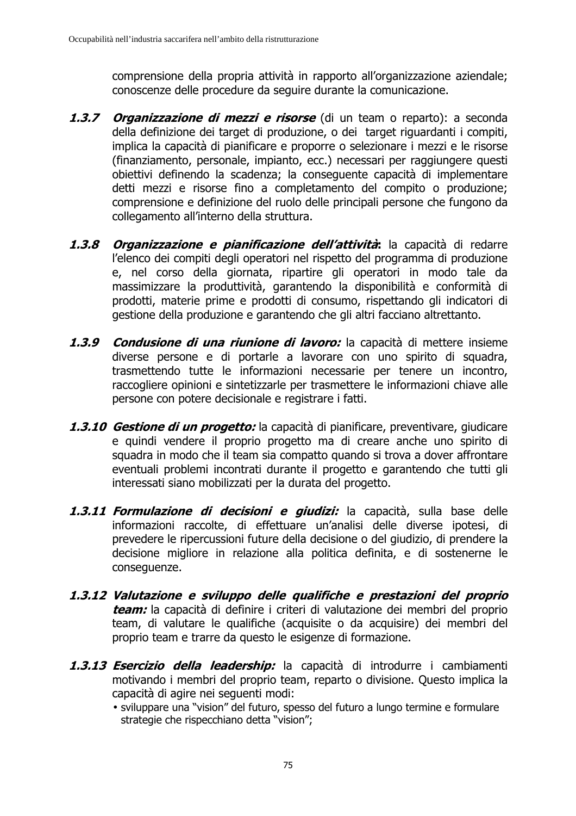comprensione della propria attività in rapporto all'organizzazione aziendale; conoscenze delle procedure da seguire durante la comunicazione.

- **1.3.7 Organizzazione di mezzi e risorse** (di un team o reparto): a seconda della definizione dei target di produzione, o dei target riguardanti i compiti, implica la capacità di pianificare e proporre o selezionare i mezzi e le risorse (finanziamento, personale, impianto, ecc.) necessari per raggiungere questi obiettivi definendo la scadenza; la conseguente capacità di implementare detti mezzi e risorse fino a completamento del compito o produzione; comprensione e definizione del ruolo delle principali persone che fungono da collegamento all'interno della struttura.
- **1.3.8 Organizzazione e pianificazione dell'attività:** la capacità di redarre l'elenco dei compiti degli operatori nel rispetto del programma di produzione e, nel corso della giornata, ripartire gli operatori in modo tale da massimizzare la produttività, garantendo la disponibilità e conformità di prodotti, materie prime e prodotti di consumo, rispettando gli indicatori di gestione della produzione e garantendo che gli altri facciano altrettanto.
- **1.3.9 Condusione di una riunione di lavoro:** la capacità di mettere insieme diverse persone e di portarle a lavorare con uno spirito di squadra, trasmettendo tutte le informazioni necessarie per tenere un incontro, raccogliere opinioni e sintetizzarle per trasmettere le informazioni chiave alle persone con potere decisionale e registrare i fatti.
- **1.3.10 Gestione di un progetto:** la capacità di pianificare, preventivare, giudicare e quindi vendere il proprio progetto ma di creare anche uno spirito di squadra in modo che il team sia compatto quando si trova a dover affrontare eventuali problemi incontrati durante il progetto e garantendo che tutti gli interessati siano mobilizzati per la durata del progetto.
- **1.3.11 Formulazione di decisioni e giudizi:** la capacità, sulla base delle informazioni raccolte, di effettuare un'analisi delle diverse ipotesi, di prevedere le ripercussioni future della decisione o del giudizio, di prendere la decisione migliore in relazione alla politica definita, e di sostenerne le conseguenze.
- **1.3.12 Valutazione e sviluppo delle qualifiche e prestazioni del proprio team:** la capacità di definire i criteri di valutazione dei membri del proprio team, di valutare le qualifiche (acquisite o da acquisire) dei membri del proprio team e trarre da questo le esigenze di formazione.
- **1.3.13 Esercizio della leadership:** la capacità di introdurre i cambiamenti motivando i membri del proprio team, reparto o divisione. Questo implica la capacità di agire nei seguenti modi:
	- sviluppare una "vision" del futuro, spesso del futuro a lungo termine e formulare strategie che rispecchiano detta "vision";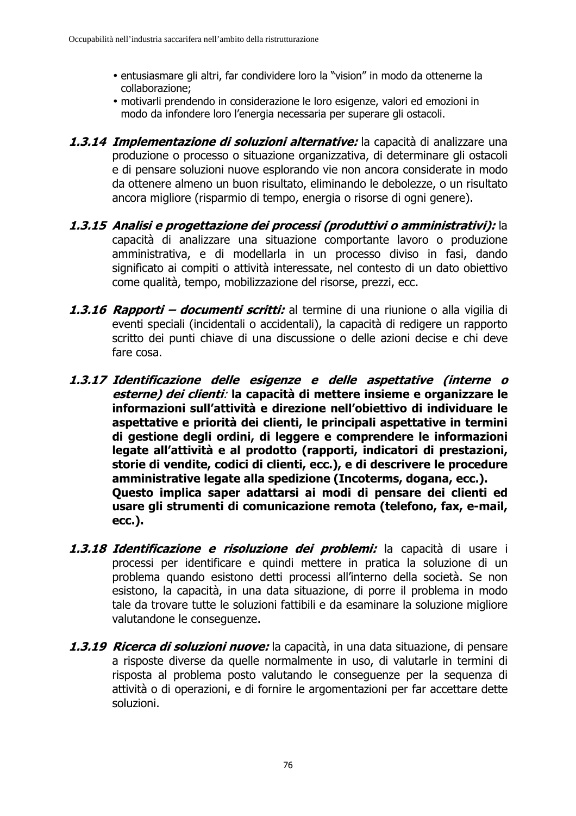- entusiasmare gli altri, far condividere loro la "vision" in modo da ottenerne la collaborazione;
- motivarli prendendo in considerazione le loro esigenze, valori ed emozioni in modo da infondere loro l'energia necessaria per superare gli ostacoli.
- **1.3.14 Implementazione di soluzioni alternative:** la capacità di analizzare una produzione o processo o situazione organizzativa, di determinare gli ostacoli e di pensare soluzioni nuove esplorando vie non ancora considerate in modo da ottenere almeno un buon risultato, eliminando le debolezze, o un risultato ancora migliore (risparmio di tempo, energia o risorse di ogni genere).
- **1.3.15 Analisi e progettazione dei processi (produttivi o amministrativi):** la capacità di analizzare una situazione comportante lavoro o produzione amministrativa, e di modellarla in un processo diviso in fasi, dando significato ai compiti o attività interessate, nel contesto di un dato obiettivo come qualità, tempo, mobilizzazione del risorse, prezzi, ecc.
- **1.3.16 Rapporti documenti scritti:** al termine di una riunione o alla vigilia di eventi speciali (incidentali o accidentali), la capacità di redigere un rapporto scritto dei punti chiave di una discussione o delle azioni decise e chi deve fare cosa.
- **1.3.17 Identificazione delle esigenze e delle aspettative (interne o esterne) dei clienti**: **la capacità di mettere insieme e organizzare le informazioni sull'attività e direzione nell'obiettivo di individuare le aspettative e priorità dei clienti, le principali aspettative in termini di gestione degli ordini, di leggere e comprendere le informazioni legate all'attività e al prodotto (rapporti, indicatori di prestazioni, storie di vendite, codici di clienti, ecc.), e di descrivere le procedure amministrative legate alla spedizione (Incoterms, dogana, ecc.). Questo implica saper adattarsi ai modi di pensare dei clienti ed usare gli strumenti di comunicazione remota (telefono, fax, e-mail, ecc.).**
- **1.3.18 Identificazione e risoluzione dei problemi:** la capacità di usare i processi per identificare e quindi mettere in pratica la soluzione di un problema quando esistono detti processi all'interno della società. Se non esistono, la capacità, in una data situazione, di porre il problema in modo tale da trovare tutte le soluzioni fattibili e da esaminare la soluzione migliore valutandone le conseguenze.
- **1.3.19 Ricerca di soluzioni nuove:** la capacità, in una data situazione, di pensare a risposte diverse da quelle normalmente in uso, di valutarle in termini di risposta al problema posto valutando le conseguenze per la sequenza di attività o di operazioni, e di fornire le argomentazioni per far accettare dette soluzioni.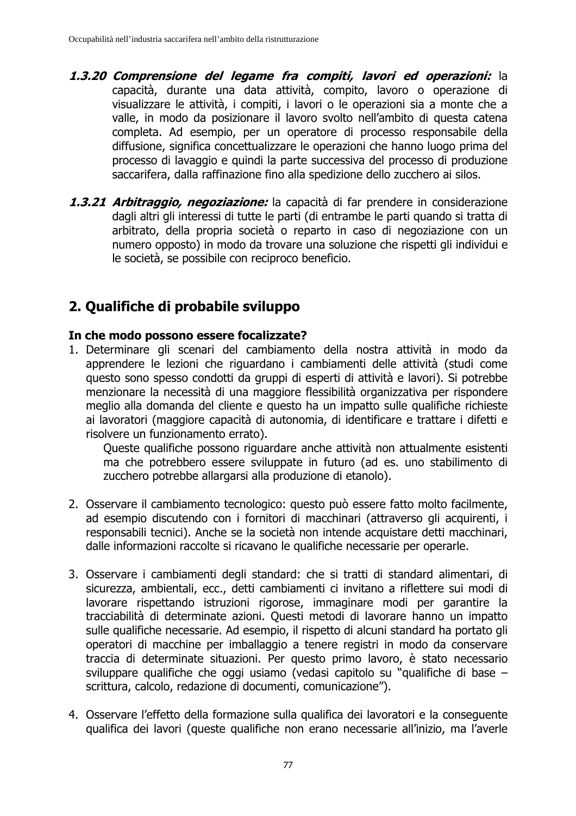- **1.3.20 Comprensione del legame fra compiti, lavori ed operazioni:** la capacità, durante una data attività, compito, lavoro o operazione di visualizzare le attività, i compiti, i lavori o le operazioni sia a monte che a valle, in modo da posizionare il lavoro svolto nell'ambito di questa catena completa. Ad esempio, per un operatore di processo responsabile della diffusione, significa concettualizzare le operazioni che hanno luogo prima del processo di lavaggio e quindi la parte successiva del processo di produzione saccarifera, dalla raffinazione fino alla spedizione dello zucchero ai silos.
- **1.3.21 Arbitraggio, negoziazione:** la capacità di far prendere in considerazione dagli altri gli interessi di tutte le parti (di entrambe le parti quando si tratta di arbitrato, della propria società o reparto in caso di negoziazione con un numero opposto) in modo da trovare una soluzione che rispetti gli individui e le società, se possibile con reciproco beneficio.

# **2. Qualifiche di probabile sviluppo**

# **In che modo possono essere focalizzate?**

1. Determinare gli scenari del cambiamento della nostra attività in modo da apprendere le lezioni che riguardano i cambiamenti delle attività (studi come questo sono spesso condotti da gruppi di esperti di attività e lavori). Si potrebbe menzionare la necessità di una maggiore flessibilità organizzativa per rispondere meglio alla domanda del cliente e questo ha un impatto sulle qualifiche richieste ai lavoratori (maggiore capacità di autonomia, di identificare e trattare i difetti e risolvere un funzionamento errato).

Queste qualifiche possono riguardare anche attività non attualmente esistenti ma che potrebbero essere sviluppate in futuro (ad es. uno stabilimento di zucchero potrebbe allargarsi alla produzione di etanolo).

- 2. Osservare il cambiamento tecnologico: questo può essere fatto molto facilmente, ad esempio discutendo con i fornitori di macchinari (attraverso gli acquirenti, i responsabili tecnici). Anche se la società non intende acquistare detti macchinari, dalle informazioni raccolte si ricavano le qualifiche necessarie per operarle.
- 3. Osservare i cambiamenti degli standard: che si tratti di standard alimentari, di sicurezza, ambientali, ecc., detti cambiamenti ci invitano a riflettere sui modi di lavorare rispettando istruzioni rigorose, immaginare modi per garantire la tracciabilità di determinate azioni. Questi metodi di lavorare hanno un impatto sulle qualifiche necessarie. Ad esempio, il rispetto di alcuni standard ha portato gli operatori di macchine per imballaggio a tenere registri in modo da conservare traccia di determinate situazioni. Per questo primo lavoro, è stato necessario sviluppare qualifiche che oggi usiamo (vedasi capitolo su "qualifiche di base – scrittura, calcolo, redazione di documenti, comunicazione").
- 4. Osservare l'effetto della formazione sulla qualifica dei lavoratori e la conseguente qualifica dei lavori (queste qualifiche non erano necessarie all'inizio, ma l'averle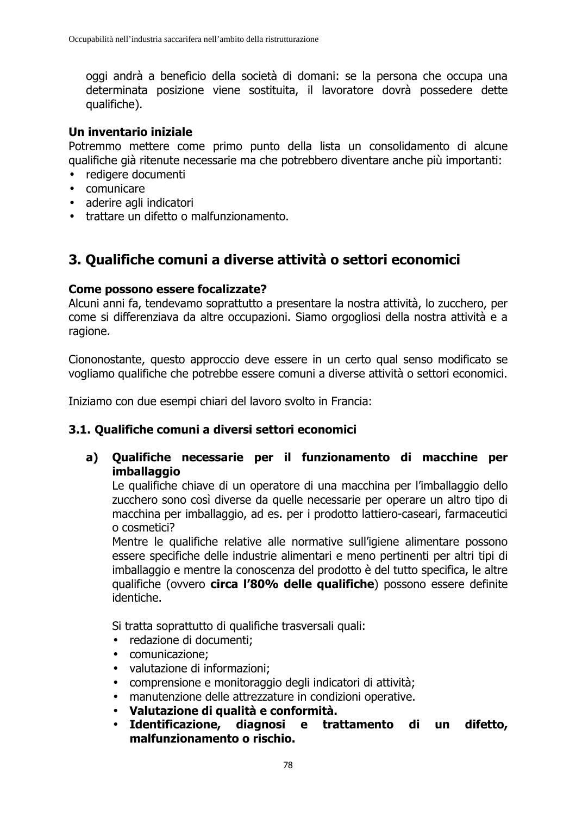oggi andrà a beneficio della società di domani: se la persona che occupa una determinata posizione viene sostituita, il lavoratore dovrà possedere dette qualifiche).

### **Un inventario iniziale**

Potremmo mettere come primo punto della lista un consolidamento di alcune qualifiche già ritenute necessarie ma che potrebbero diventare anche più importanti:

- redigere documenti
- comunicare
- aderire agli indicatori
- trattare un difetto o malfunzionamento.

# **3. Qualifiche comuni a diverse attività o settori economici**

### **Come possono essere focalizzate?**

Alcuni anni fa, tendevamo soprattutto a presentare la nostra attività, lo zucchero, per come si differenziava da altre occupazioni. Siamo orgogliosi della nostra attività e a ragione.

Ciononostante, questo approccio deve essere in un certo qual senso modificato se vogliamo qualifiche che potrebbe essere comuni a diverse attività o settori economici.

Iniziamo con due esempi chiari del lavoro svolto in Francia:

# **3.1. Qualifiche comuni a diversi settori economici**

**a) Qualifiche necessarie per il funzionamento di macchine per imballaggio** 

Le qualifiche chiave di un operatore di una macchina per l'imballaggio dello zucchero sono così diverse da quelle necessarie per operare un altro tipo di macchina per imballaggio, ad es. per i prodotto lattiero-caseari, farmaceutici o cosmetici?

Mentre le qualifiche relative alle normative sull'igiene alimentare possono essere specifiche delle industrie alimentari e meno pertinenti per altri tipi di imballaggio e mentre la conoscenza del prodotto è del tutto specifica, le altre qualifiche (ovvero **circa l'80% delle qualifiche**) possono essere definite identiche.

Si tratta soprattutto di qualifiche trasversali quali:

- redazione di documenti;
- comunicazione;
- valutazione di informazioni;
- comprensione e monitoraggio degli indicatori di attività;
- manutenzione delle attrezzature in condizioni operative.
- **Valutazione di qualità e conformità.**
- **Identificazione, diagnosi e trattamento di un difetto, malfunzionamento o rischio.**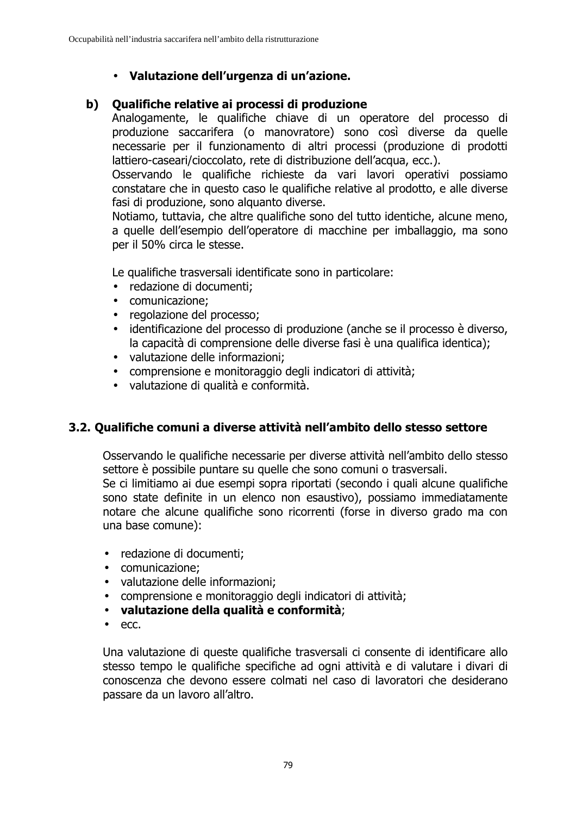# • **Valutazione dell'urgenza di un'azione.**

# **b) Qualifiche relative ai processi di produzione**

Analogamente, le qualifiche chiave di un operatore del processo di produzione saccarifera (o manovratore) sono così diverse da quelle necessarie per il funzionamento di altri processi (produzione di prodotti lattiero-caseari/cioccolato, rete di distribuzione dell'acqua, ecc.).

Osservando le qualifiche richieste da vari lavori operativi possiamo constatare che in questo caso le qualifiche relative al prodotto, e alle diverse fasi di produzione, sono alquanto diverse.

Notiamo, tuttavia, che altre qualifiche sono del tutto identiche, alcune meno, a quelle dell'esempio dell'operatore di macchine per imballaggio, ma sono per il 50% circa le stesse.

Le qualifiche trasversali identificate sono in particolare:

- redazione di documenti;
- comunicazione;
- regolazione del processo;
- identificazione del processo di produzione (anche se il processo è diverso, la capacità di comprensione delle diverse fasi è una qualifica identica);
- valutazione delle informazioni;
- comprensione e monitoraggio degli indicatori di attività;
- valutazione di qualità e conformità.

# **3.2. Qualifiche comuni a diverse attività nell'ambito dello stesso settore**

Osservando le qualifiche necessarie per diverse attività nell'ambito dello stesso settore è possibile puntare su quelle che sono comuni o trasversali.

Se ci limitiamo ai due esempi sopra riportati (secondo i quali alcune qualifiche sono state definite in un elenco non esaustivo), possiamo immediatamente notare che alcune qualifiche sono ricorrenti (forse in diverso grado ma con una base comune):

- redazione di documenti;
- comunicazione;
- valutazione delle informazioni;
- comprensione e monitoraggio degli indicatori di attività;
- **valutazione della qualità e conformità**;
- ecc.

Una valutazione di queste qualifiche trasversali ci consente di identificare allo stesso tempo le qualifiche specifiche ad ogni attività e di valutare i divari di conoscenza che devono essere colmati nel caso di lavoratori che desiderano passare da un lavoro all'altro.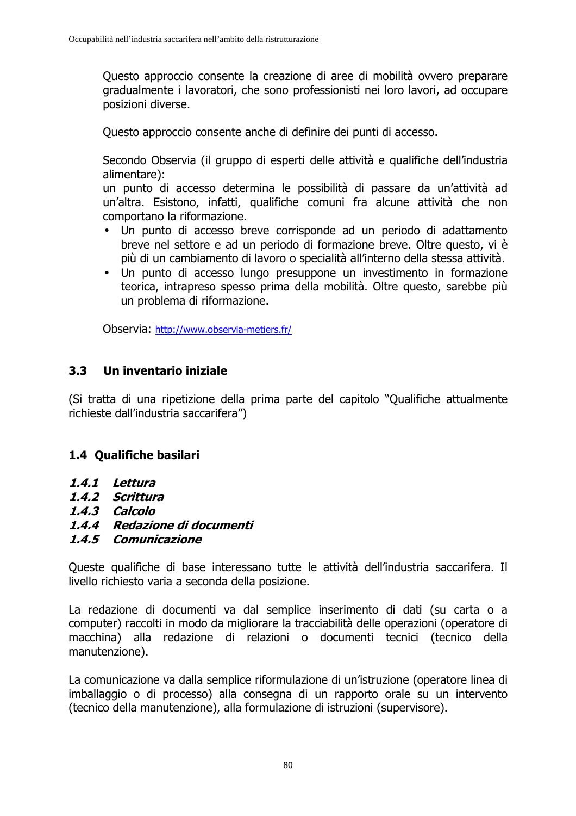Questo approccio consente la creazione di aree di mobilità ovvero preparare gradualmente i lavoratori, che sono professionisti nei loro lavori, ad occupare posizioni diverse.

Questo approccio consente anche di definire dei punti di accesso.

Secondo Observia (il gruppo di esperti delle attività e qualifiche dell'industria alimentare):

un punto di accesso determina le possibilità di passare da un'attività ad un'altra. Esistono, infatti, qualifiche comuni fra alcune attività che non comportano la riformazione.

- Un punto di accesso breve corrisponde ad un periodo di adattamento breve nel settore e ad un periodo di formazione breve. Oltre questo, vi è più di un cambiamento di lavoro o specialità all'interno della stessa attività.
- Un punto di accesso lungo presuppone un investimento in formazione teorica, intrapreso spesso prima della mobilità. Oltre questo, sarebbe più un problema di riformazione.

Observia: http://www.observia-metiers.fr/

## **3.3 Un inventario iniziale**

(Si tratta di una ripetizione della prima parte del capitolo "Qualifiche attualmente richieste dall'industria saccarifera")

### **1.4 Qualifiche basilari**

- **1.4.1 Lettura**
- **1.4.2 Scrittura**
- **1.4.3 Calcolo**
- **1.4.4 Redazione di documenti**
- **1.4.5 Comunicazione**

Queste qualifiche di base interessano tutte le attività dell'industria saccarifera. Il livello richiesto varia a seconda della posizione.

La redazione di documenti va dal semplice inserimento di dati (su carta o a computer) raccolti in modo da migliorare la tracciabilità delle operazioni (operatore di macchina) alla redazione di relazioni o documenti tecnici (tecnico della manutenzione).

La comunicazione va dalla semplice riformulazione di un'istruzione (operatore linea di imballaggio o di processo) alla consegna di un rapporto orale su un intervento (tecnico della manutenzione), alla formulazione di istruzioni (supervisore).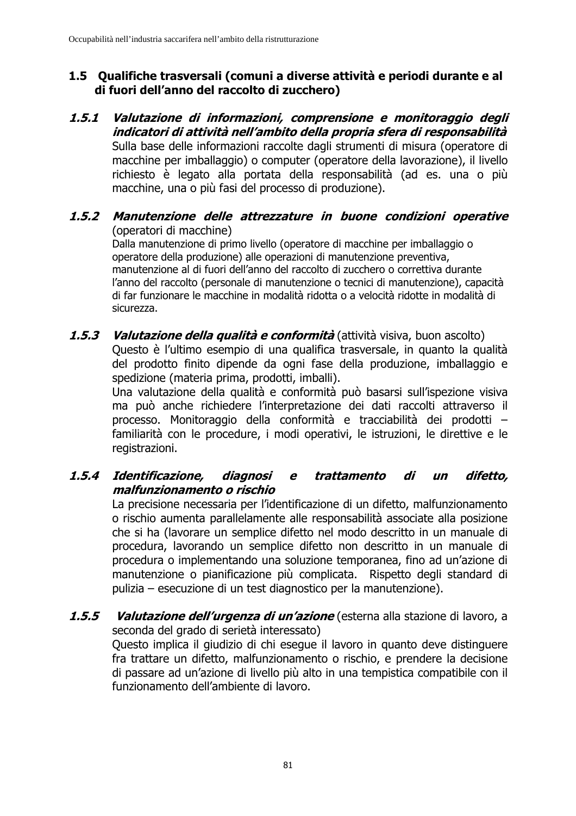# **1.5 Qualifiche trasversali (comuni a diverse attività e periodi durante e al di fuori dell'anno del raccolto di zucchero)**

- **1.5.1 Valutazione di informazioni, comprensione e monitoraggio degli indicatori di attività nell'ambito della propria sfera di responsabilità**  Sulla base delle informazioni raccolte dagli strumenti di misura (operatore di macchine per imballaggio) o computer (operatore della lavorazione), il livello richiesto è legato alla portata della responsabilità (ad es. una o più macchine, una o più fasi del processo di produzione).
- **1.5.2 Manutenzione delle attrezzature in buone condizioni operative** (operatori di macchine)

Dalla manutenzione di primo livello (operatore di macchine per imballaggio o operatore della produzione) alle operazioni di manutenzione preventiva, manutenzione al di fuori dell'anno del raccolto di zucchero o correttiva durante l'anno del raccolto (personale di manutenzione o tecnici di manutenzione), capacità di far funzionare le macchine in modalità ridotta o a velocità ridotte in modalità di sicurezza.

**1.5.3 Valutazione della qualità e conformità** (attività visiva, buon ascolto) Questo è l'ultimo esempio di una qualifica trasversale, in quanto la qualità del prodotto finito dipende da ogni fase della produzione, imballaggio e spedizione (materia prima, prodotti, imballi).

Una valutazione della qualità e conformità può basarsi sull'ispezione visiva ma può anche richiedere l'interpretazione dei dati raccolti attraverso il processo. Monitoraggio della conformità e tracciabilità dei prodotti – familiarità con le procedure, i modi operativi, le istruzioni, le direttive e le registrazioni.

## **1.5.4 Identificazione, diagnosi e trattamento di un difetto, malfunzionamento o rischio**

La precisione necessaria per l'identificazione di un difetto, malfunzionamento o rischio aumenta parallelamente alle responsabilità associate alla posizione che si ha (lavorare un semplice difetto nel modo descritto in un manuale di procedura, lavorando un semplice difetto non descritto in un manuale di procedura o implementando una soluzione temporanea, fino ad un'azione di manutenzione o pianificazione più complicata. Rispetto degli standard di pulizia – esecuzione di un test diagnostico per la manutenzione).

**1.5.5 Valutazione dell'urgenza di un'azione** (esterna alla stazione di lavoro, a seconda del grado di serietà interessato)

Questo implica il giudizio di chi esegue il lavoro in quanto deve distinguere fra trattare un difetto, malfunzionamento o rischio, e prendere la decisione di passare ad un'azione di livello più alto in una tempistica compatibile con il funzionamento dell'ambiente di lavoro.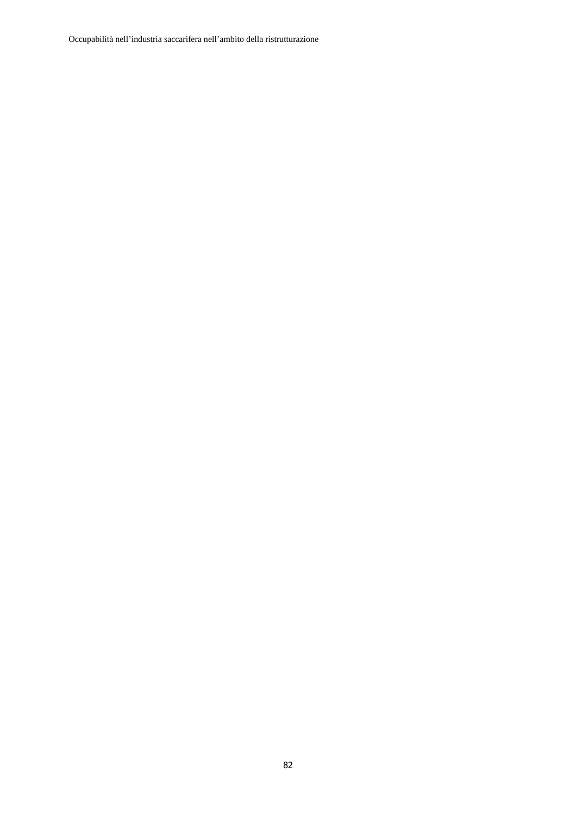Occupabilità nell'industria saccarifera nell'ambito della ristrutturazione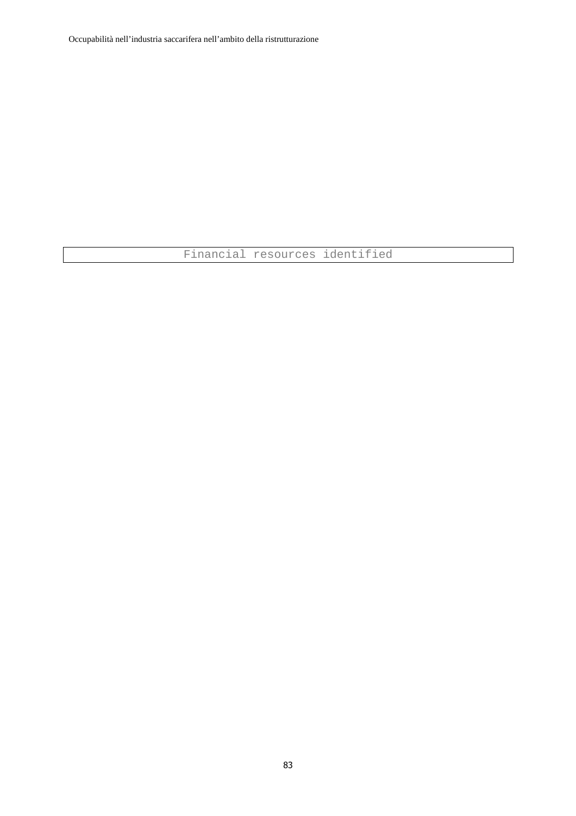Occupabilità nell'industria saccarifera nell'ambito della ristrutturazione

### Financial resources identified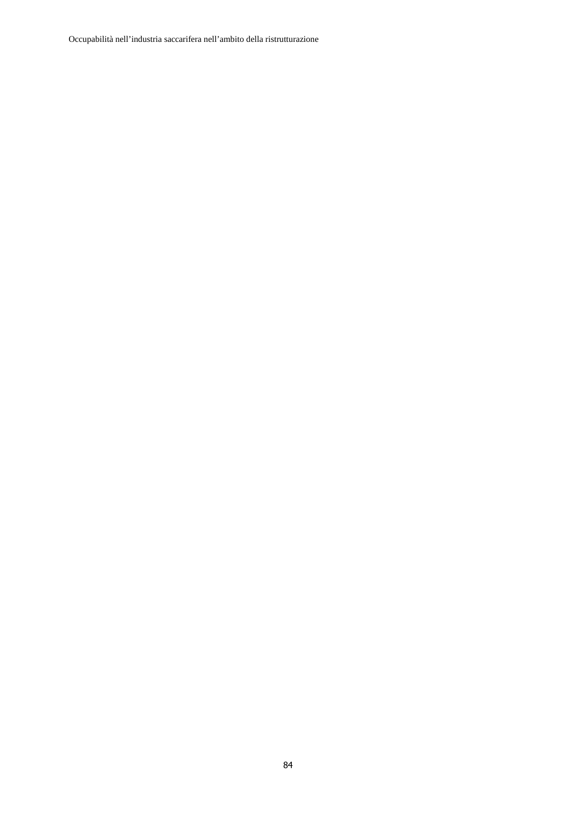Occupabilità nell'industria saccarifera nell'ambito della ristrutturazione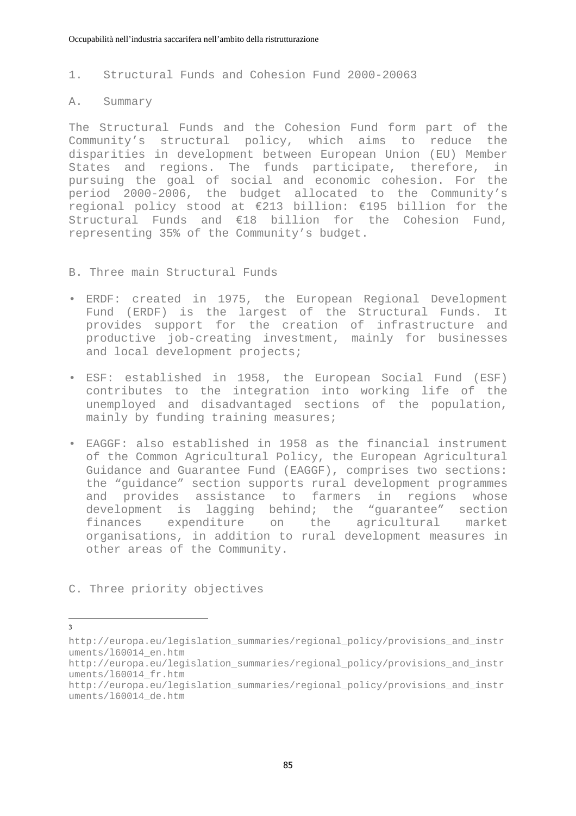1. Structural Funds and Cohesion Fund 2000-20063

#### A. Summary

The Structural Funds and the Cohesion Fund form part of the Community's structural policy, which aims to reduce the disparities in development between European Union (EU) Member States and regions. The funds participate, therefore, in pursuing the goal of social and economic cohesion. For the period 2000-2006, the budget allocated to the Community's regional policy stood at €213 billion: €195 billion for the Structural Funds and €18 billion for the Cohesion Fund, representing 35% of the Community's budget.

B. Three main Structural Funds

- ERDF: created in 1975, the European Regional Development Fund (ERDF) is the largest of the Structural Funds. It provides support for the creation of infrastructure and productive job-creating investment, mainly for businesses and local development projects;
- ESF: established in 1958, the European Social Fund (ESF) contributes to the integration into working life of the unemployed and disadvantaged sections of the population, mainly by funding training measures;
- EAGGF: also established in 1958 as the financial instrument of the Common Agricultural Policy, the European Agricultural Guidance and Guarantee Fund (EAGGF), comprises two sections: the "guidance" section supports rural development programmes and provides assistance to farmers in regions whose development is lagging behind; the "guarantee" section finances expenditure on the agricultural market organisations, in addition to rural development measures in other areas of the Community.

C. Three priority objectives

 $\overline{a}$ 3

http://europa.eu/legislation\_summaries/regional\_policy/provisions\_and\_instr uments/l60014\_en.htm

http://europa.eu/legislation\_summaries/regional\_policy/provisions\_and\_instr uments/l60014\_fr.htm

http://europa.eu/legislation\_summaries/regional\_policy/provisions\_and\_instr uments/l60014\_de.htm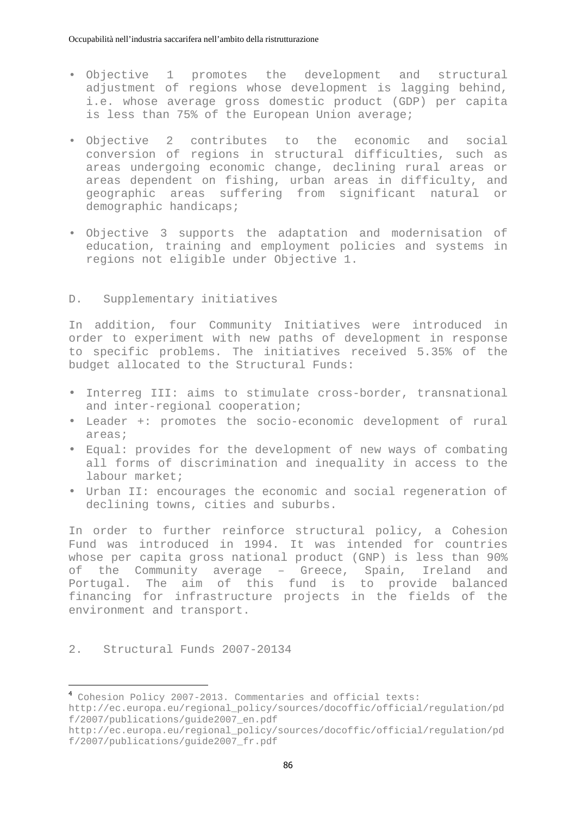- Objective 1 promotes the development and structural adjustment of regions whose development is lagging behind, i.e. whose average gross domestic product (GDP) per capita is less than 75% of the European Union average;
- Objective 2 contributes to the economic and social conversion of regions in structural difficulties, such as areas undergoing economic change, declining rural areas or areas dependent on fishing, urban areas in difficulty, and geographic areas suffering from significant natural or demographic handicaps;
- Objective 3 supports the adaptation and modernisation of education, training and employment policies and systems in regions not eligible under Objective 1.

### D. Supplementary initiatives

In addition, four Community Initiatives were introduced in order to experiment with new paths of development in response to specific problems. The initiatives received 5.35% of the budget allocated to the Structural Funds:

- Interreg III: aims to stimulate cross-border, transnational and inter-regional cooperation;
- Leader +: promotes the socio-economic development of rural areas;
- Equal: provides for the development of new ways of combating all forms of discrimination and inequality in access to the labour market;
- Urban II: encourages the economic and social regeneration of declining towns, cities and suburbs.

In order to further reinforce structural policy, a Cohesion Fund was introduced in 1994. It was intended for countries whose per capita gross national product (GNP) is less than 90% of the Community average – Greece, Spain, Ireland and Portugal. The aim of this fund is to provide balanced financing for infrastructure projects in the fields of the environment and transport.

### 2. Structural Funds 2007-20134

 $\overline{a}$ 

<sup>4</sup> Cohesion Policy 2007-2013. Commentaries and official texts:

http://ec.europa.eu/regional\_policy/sources/docoffic/official/regulation/pd f/2007/publications/guide2007\_en.pdf

http://ec.europa.eu/regional\_policy/sources/docoffic/official/regulation/pd f/2007/publications/guide2007\_fr.pdf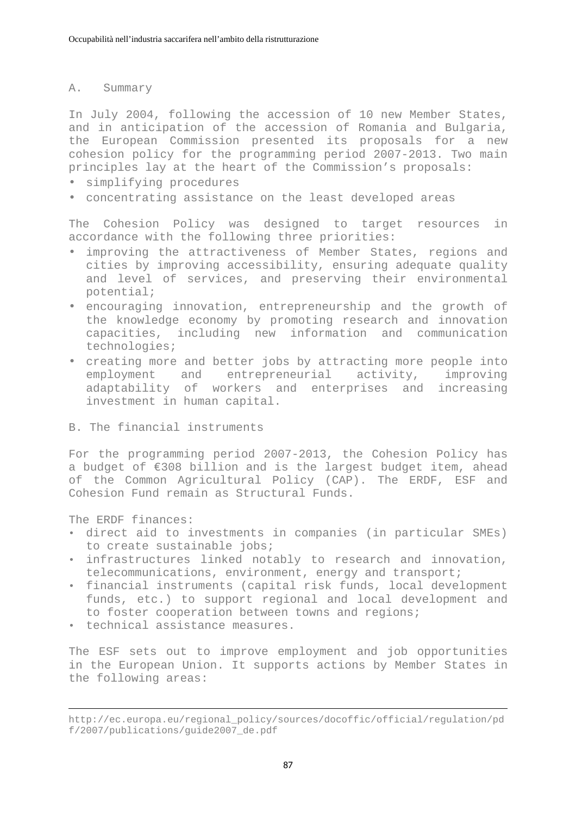### A. Summary

In July 2004, following the accession of 10 new Member States, and in anticipation of the accession of Romania and Bulgaria, the European Commission presented its proposals for a new cohesion policy for the programming period 2007-2013. Two main principles lay at the heart of the Commission's proposals:

- simplifying procedures
- concentrating assistance on the least developed areas

The Cohesion Policy was designed to target resources in accordance with the following three priorities:

- improving the attractiveness of Member States, regions and cities by improving accessibility, ensuring adequate quality and level of services, and preserving their environmental potential;
- encouraging innovation, entrepreneurship and the growth of the knowledge economy by promoting research and innovation capacities, including new information and communication technologies;
- creating more and better jobs by attracting more people into employment and entrepreneurial activity, improving adaptability of workers and enterprises and increasing investment in human capital.
- B. The financial instruments

For the programming period 2007-2013, the Cohesion Policy has a budget of €308 billion and is the largest budget item, ahead of the Common Agricultural Policy (CAP). The ERDF, ESF and Cohesion Fund remain as Structural Funds.

The ERDF finances:

 $\overline{a}$ 

- direct aid to investments in companies (in particular SMEs) to create sustainable jobs;
- infrastructures linked notably to research and innovation, telecommunications, environment, energy and transport;
- financial instruments (capital risk funds, local development funds, etc.) to support regional and local development and to foster cooperation between towns and regions;
- technical assistance measures.

The ESF sets out to improve employment and job opportunities in the European Union. It supports actions by Member States in the following areas:

http://ec.europa.eu/regional\_policy/sources/docoffic/official/regulation/pd f/2007/publications/guide2007\_de.pdf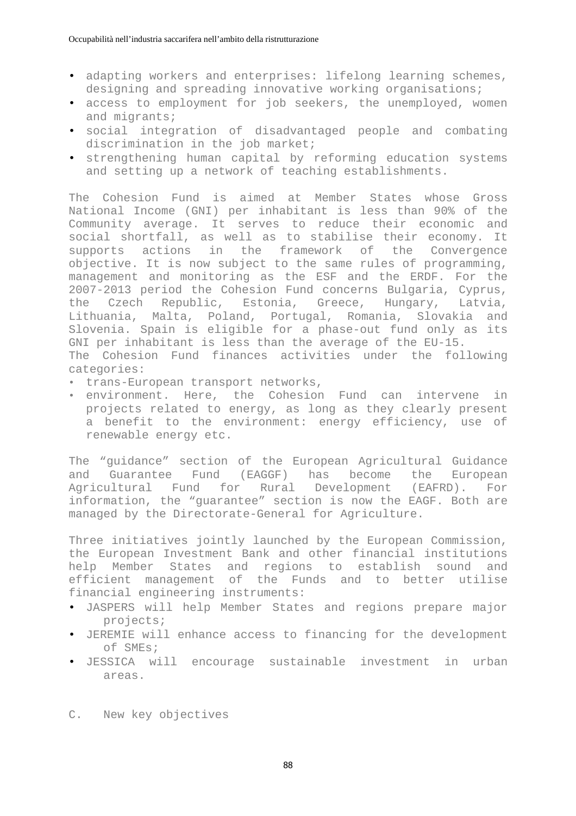- adapting workers and enterprises: lifelong learning schemes, designing and spreading innovative working organisations;
- access to employment for job seekers, the unemployed, women and migrants;
- social integration of disadvantaged people and combating discrimination in the job market;
- strengthening human capital by reforming education systems and setting up a network of teaching establishments.

The Cohesion Fund is aimed at Member States whose Gross National Income (GNI) per inhabitant is less than 90% of the Community average. It serves to reduce their economic and social shortfall, as well as to stabilise their economy. It supports actions in the framework of the Convergence objective. It is now subject to the same rules of programming, management and monitoring as the ESF and the ERDF. For the 2007-2013 period the Cohesion Fund concerns Bulgaria, Cyprus, the Czech Republic, Estonia, Greece, Hungary, Latvia, Lithuania, Malta, Poland, Portugal, Romania, Slovakia and Slovenia. Spain is eligible for a phase-out fund only as its GNI per inhabitant is less than the average of the EU-15. The Cohesion Fund finances activities under the following categories:

- trans-European transport networks,
- environment. Here, the Cohesion Fund can intervene in projects related to energy, as long as they clearly present a benefit to the environment: energy efficiency, use of renewable energy etc.

The "guidance" section of the European Agricultural Guidance and Guarantee Fund (EAGGF) has become the European Agricultural Fund for Rural Development (EAFRD). For information, the "guarantee" section is now the EAGF. Both are managed by the Directorate-General for Agriculture.

Three initiatives jointly launched by the European Commission, the European Investment Bank and other financial institutions help Member States and regions to establish sound and efficient management of the Funds and to better utilise financial engineering instruments:

- JASPERS will help Member States and regions prepare major projects;
- JEREMIE will enhance access to financing for the development of SMEs;
- JESSICA will encourage sustainable investment in urban areas.

C. New key objectives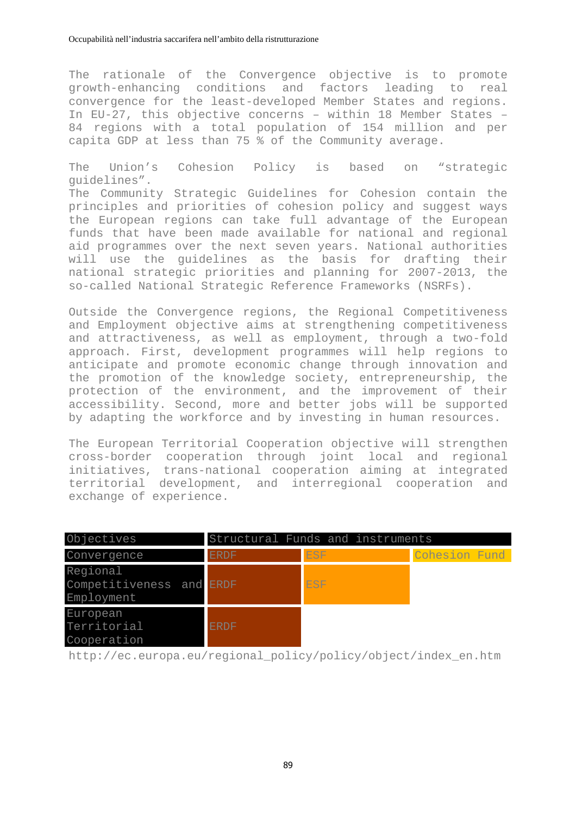The rationale of the Convergence objective is to promote growth-enhancing conditions and factors leading to real convergence for the least-developed Member States and regions. In EU-27, this objective concerns – within 18 Member States – 84 regions with a total population of 154 million and per capita GDP at less than 75 % of the Community average.

The Union's Cohesion Policy is based on "strategic guidelines".

The Community Strategic Guidelines for Cohesion contain the principles and priorities of cohesion policy and suggest ways the European regions can take full advantage of the European funds that have been made available for national and regional aid programmes over the next seven years. National authorities will use the guidelines as the basis for drafting their national strategic priorities and planning for 2007-2013, the so-called National Strategic Reference Frameworks (NSRFs).

Outside the Convergence regions, the Regional Competitiveness and Employment objective aims at strengthening competitiveness and attractiveness, as well as employment, through a two-fold approach. First, development programmes will help regions to anticipate and promote economic change through innovation and the promotion of the knowledge society, entrepreneurship, the protection of the environment, and the improvement of their accessibility. Second, more and better jobs will be supported by adapting the workforce and by investing in human resources.

The European Territorial Cooperation objective will strengthen cross-border cooperation through joint local and regional initiatives, trans-national cooperation aiming at integrated territorial development, and interregional cooperation and exchange of experience.

| Objectives                                         | Structural Funds and instruments |            |               |
|----------------------------------------------------|----------------------------------|------------|---------------|
| Convergence                                        | <b>ERDF</b>                      | <b>ESF</b> | Cohesion Fund |
| Regional<br>Competitiveness and ERDF<br>Employment |                                  | <b>ESF</b> |               |
| European<br>Territorial<br>Cooperation             | ERDF                             |            |               |

http://ec.europa.eu/regional\_policy/policy/object/index\_en.htm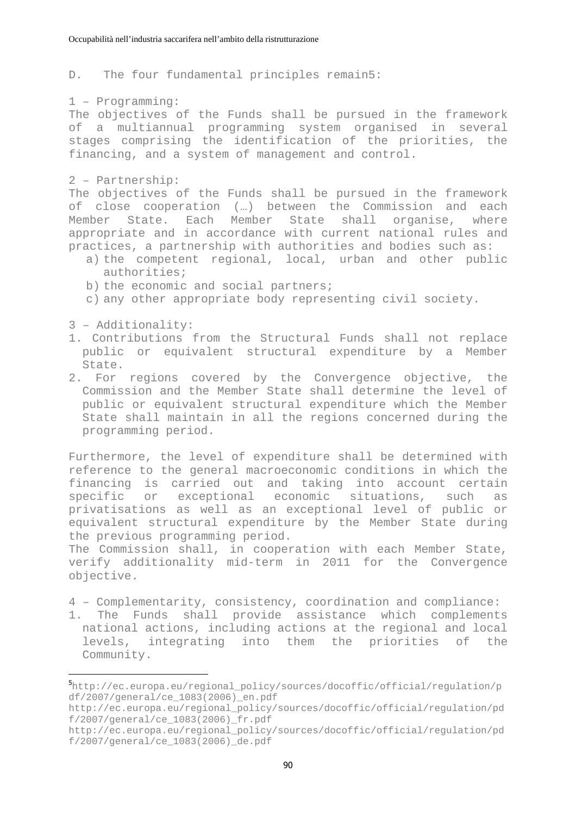D. The four fundamental principles remain5:

#### 1 – Programming:

The objectives of the Funds shall be pursued in the framework of a multiannual programming system organised in several stages comprising the identification of the priorities, the financing, and a system of management and control.

### 2 – Partnership:

The objectives of the Funds shall be pursued in the framework of close cooperation (…) between the Commission and each Member State. Each Member State shall organise, where appropriate and in accordance with current national rules and practices, a partnership with authorities and bodies such as:

- a) the competent regional, local, urban and other public authorities;
- b) the economic and social partners;
- c) any other appropriate body representing civil society.
- 3 Additionality:

 $\overline{a}$ 

- 1. Contributions from the Structural Funds shall not replace public or equivalent structural expenditure by a Member State.
- 2. For regions covered by the Convergence objective, the Commission and the Member State shall determine the level of public or equivalent structural expenditure which the Member State shall maintain in all the regions concerned during the programming period.

Furthermore, the level of expenditure shall be determined with reference to the general macroeconomic conditions in which the financing is carried out and taking into account certain specific or exceptional economic situations, such as privatisations as well as an exceptional level of public or equivalent structural expenditure by the Member State during the previous programming period.

The Commission shall, in cooperation with each Member State, verify additionality mid-term in 2011 for the Convergence objective.

- 4 Complementarity, consistency, coordination and compliance:
- 1. The Funds shall provide assistance which complements national actions, including actions at the regional and local levels, integrating into them the priorities of the Community.

<sup>5</sup> http://ec.europa.eu/regional\_policy/sources/docoffic/official/regulation/p df/2007/general/ce\_1083(2006)\_en.pdf

http://ec.europa.eu/regional\_policy/sources/docoffic/official/regulation/pd f/2007/general/ce\_1083(2006)\_fr.pdf

http://ec.europa.eu/regional\_policy/sources/docoffic/official/regulation/pd f/2007/general/ce\_1083(2006)\_de.pdf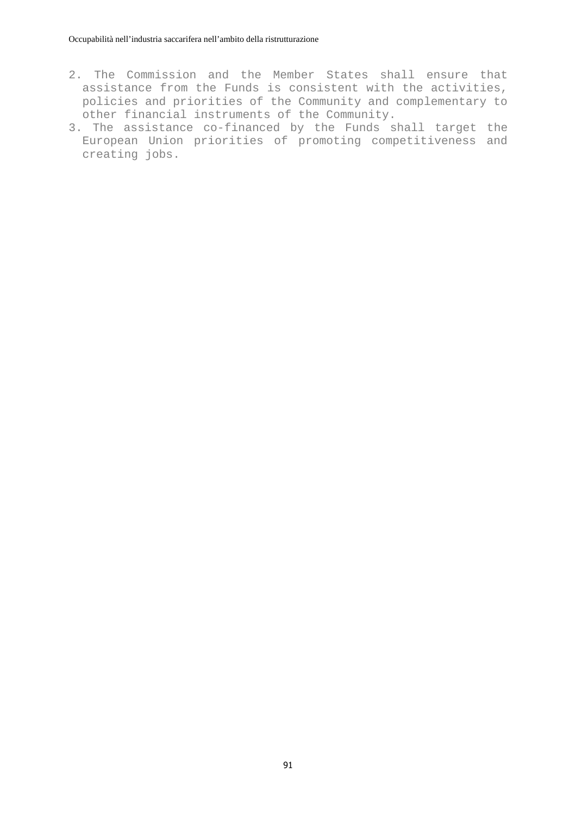- 2. The Commission and the Member States shall ensure that assistance from the Funds is consistent with the activities, policies and priorities of the Community and complementary to other financial instruments of the Community.
- 3. The assistance co-financed by the Funds shall target the European Union priorities of promoting competitiveness and creating jobs.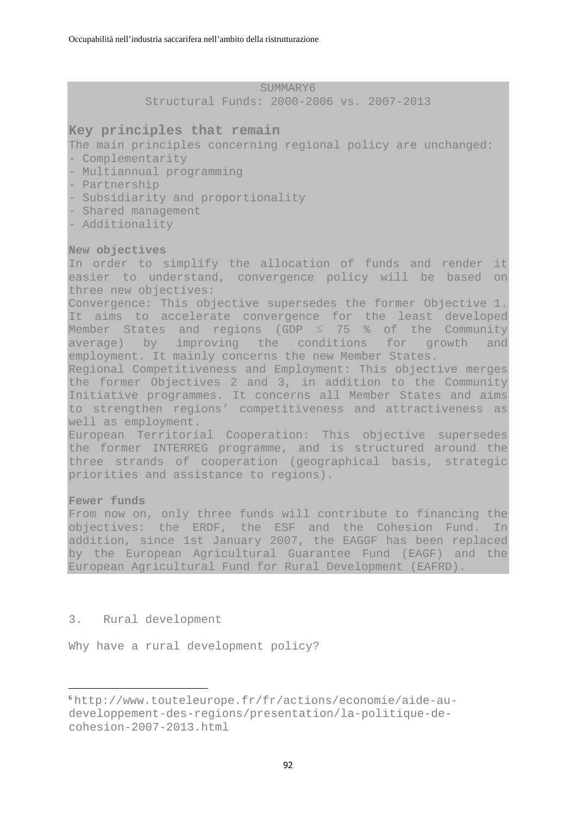# SUMMARY6

Structural Funds: 2000-2006 vs. 2007-2013

### **Key principles that remain**

The main principles concerning regional policy are unchanged:

- Complementarity
- Multiannual programming
- Partnership
- Subsidiarity and proportionality
- Shared management
- Additionality

### **New objectives**

In order to simplify the allocation of funds and render it easier to understand, convergence policy will be based on three new objectives:

Convergence: This objective supersedes the former Objective 1. It aims to accelerate convergence for the least developed Member States and regions (GDP  $\leq$  75 % of the Community average) by improving the conditions for growth and employment. It mainly concerns the new Member States.

Regional Competitiveness and Employment: This objective merges the former Objectives 2 and 3, in addition to the Community Initiative programmes. It concerns all Member States and aims to strengthen regions' competitiveness and attractiveness as well as employment.

European Territorial Cooperation: This objective supersedes the former INTERREG programme, and is structured around the three strands of cooperation (geographical basis, strategic priorities and assistance to regions).

### **Fewer funds**

 $\overline{a}$ 

From now on, only three funds will contribute to financing the objectives: the ERDF, the ESF and the Cohesion Fund. In addition, since 1st January 2007, the EAGGF has been replaced by the European Agricultural Guarantee Fund (EAGF) and the European Agricultural Fund for Rural Development (EAFRD).

### 3. Rural development

Why have a rural development policy?

<sup>6</sup> http://www.touteleurope.fr/fr/actions/economie/aide-audeveloppement-des-regions/presentation/la-politique-decohesion-2007-2013.html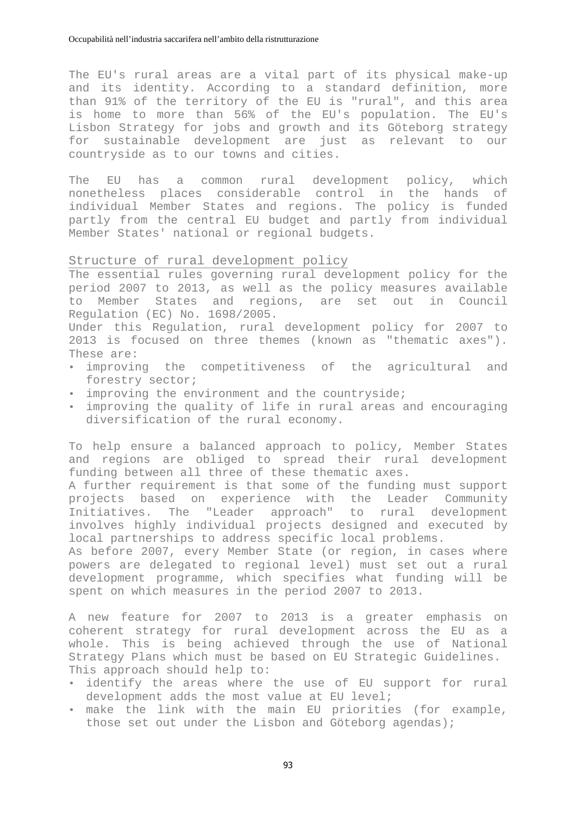The EU's rural areas are a vital part of its physical make-up and its identity. According to a standard definition, more than 91% of the territory of the EU is "rural", and this area is home to more than 56% of the EU's population. The EU's Lisbon Strategy for jobs and growth and its Göteborg strategy for sustainable development are just as relevant to our countryside as to our towns and cities.

The EU has a common rural development policy, which nonetheless places considerable control in the hands of individual Member States and regions. The policy is funded partly from the central EU budget and partly from individual Member States' national or regional budgets.

### Structure of rural development policy

The essential rules governing rural development policy for the period 2007 to 2013, as well as the policy measures available to Member States and regions, are set out in Council Regulation (EC) No. 1698/2005.

Under this Regulation, rural development policy for 2007 to 2013 is focused on three themes (known as "thematic axes"). These are:

- improving the competitiveness of the agricultural and forestry sector;
- improving the environment and the countryside;
- improving the quality of life in rural areas and encouraging diversification of the rural economy.

To help ensure a balanced approach to policy, Member States and regions are obliged to spread their rural development funding between all three of these thematic axes.

A further requirement is that some of the funding must support projects based on experience with the Leader Community Initiatives. The "Leader approach" to rural development involves highly individual projects designed and executed by local partnerships to address specific local problems.

As before 2007, every Member State (or region, in cases where powers are delegated to regional level) must set out a rural development programme, which specifies what funding will be spent on which measures in the period 2007 to 2013.

A new feature for 2007 to 2013 is a greater emphasis on coherent strategy for rural development across the EU as a whole. This is being achieved through the use of National Strategy Plans which must be based on EU Strategic Guidelines. This approach should help to:

- identify the areas where the use of EU support for rural development adds the most value at EU level;
- make the link with the main EU priorities (for example, those set out under the Lisbon and Göteborg agendas);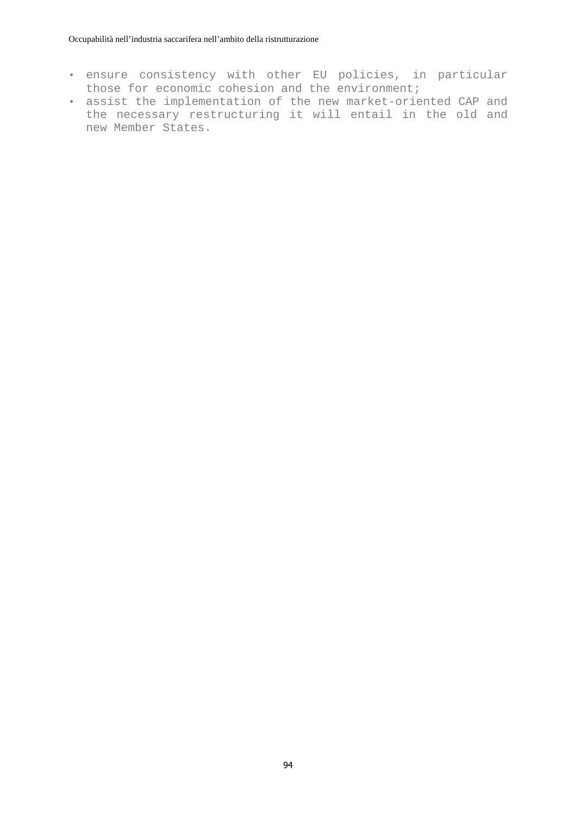- ensure consistency with other EU policies, in particular those for economic cohesion and the environment;
- assist the implementation of the new market-oriented CAP and the necessary restructuring it will entail in the old and new Member States.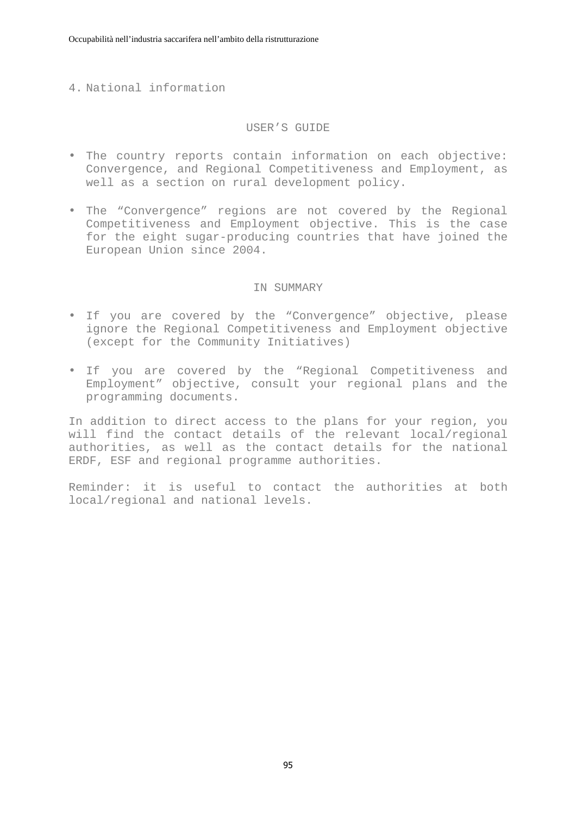4. National information

#### USER'S GUIDE

- The country reports contain information on each objective: Convergence, and Regional Competitiveness and Employment, as well as a section on rural development policy.
- The "Convergence" regions are not covered by the Regional Competitiveness and Employment objective. This is the case for the eight sugar-producing countries that have joined the European Union since 2004.

#### IN SUMMARY

- If you are covered by the "Convergence" objective, please ignore the Regional Competitiveness and Employment objective (except for the Community Initiatives)
- If you are covered by the "Regional Competitiveness and Employment" objective, consult your regional plans and the programming documents.

In addition to direct access to the plans for your region, you will find the contact details of the relevant local/regional authorities, as well as the contact details for the national ERDF, ESF and regional programme authorities.

Reminder: it is useful to contact the authorities at both local/regional and national levels.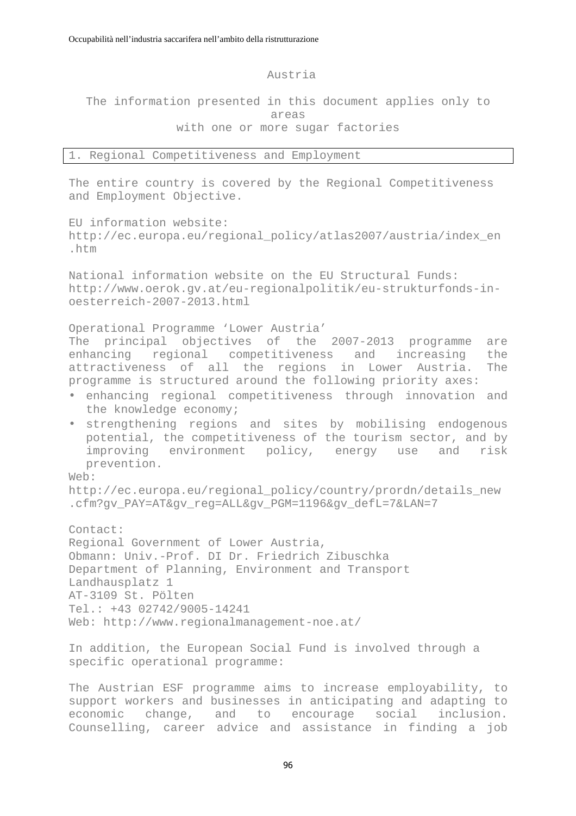#### Austria

The information presented in this document applies only to areas with one or more sugar factories

#### 1. Regional Competitiveness and Employment

The entire country is covered by the Regional Competitiveness and Employment Objective.

EU information website: http://ec.europa.eu/regional\_policy/atlas2007/austria/index\_en .htm

National information website on the EU Structural Funds: http://www.oerok.gv.at/eu-regionalpolitik/eu-strukturfonds-inoesterreich-2007-2013.html

Operational Programme 'Lower Austria' The principal objectives of the 2007-2013 programme are enhancing regional competitiveness and increasing the attractiveness of all the regions in Lower Austria. The programme is structured around the following priority axes:

- enhancing regional competitiveness through innovation and the knowledge economy;
- strengthening regions and sites by mobilising endogenous potential, the competitiveness of the tourism sector, and by improving environment policy, energy use and risk prevention.

Web:

http://ec.europa.eu/regional\_policy/country/prordn/details\_new .cfm?gv\_PAY=AT&gv\_reg=ALL&gv\_PGM=1196&gv\_defL=7&LAN=7

Contact: Regional Government of Lower Austria, Obmann: Univ.-Prof. DI Dr. Friedrich Zibuschka Department of Planning, Environment and Transport Landhausplatz 1 AT-3109 St. Pölten Tel.: +43 02742/9005-14241 Web: http://www.regionalmanagement-noe.at/

In addition, the European Social Fund is involved through a specific operational programme:

The Austrian ESF programme aims to increase employability, to support workers and businesses in anticipating and adapting to economic change, and to encourage social inclusion. Counselling, career advice and assistance in finding a job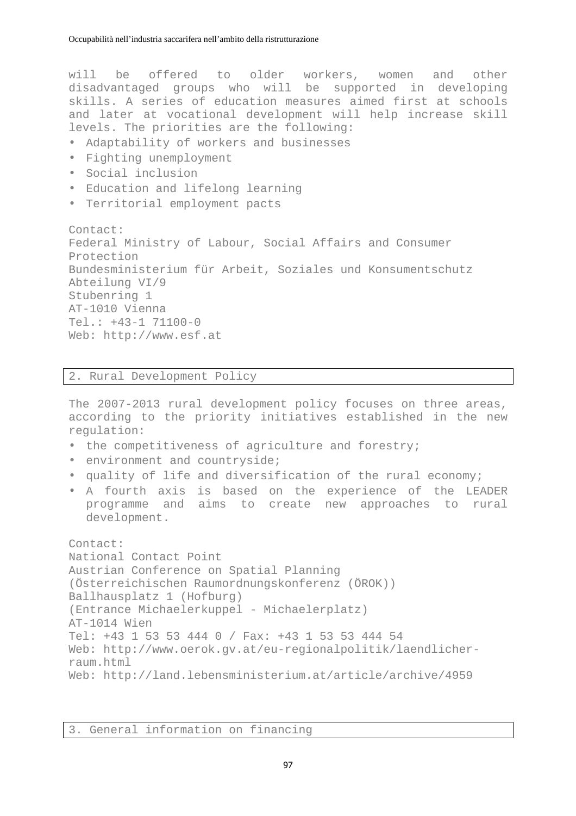will be offered to older workers, women and other disadvantaged groups who will be supported in developing skills. A series of education measures aimed first at schools and later at vocational development will help increase skill levels. The priorities are the following:

- Adaptability of workers and businesses
- Fighting unemployment
- Social inclusion
- Education and lifelong learning
- Territorial employment pacts

Contact: Federal Ministry of Labour, Social Affairs and Consumer Protection Bundesministerium für Arbeit, Soziales und Konsumentschutz Abteilung VI/9 Stubenring 1 AT-1010 Vienna Tel.: +43-1 71100-0 Web: http://www.esf.at

### 2. Rural Development Policy

The 2007-2013 rural development policy focuses on three areas, according to the priority initiatives established in the new regulation:

- the competitiveness of agriculture and forestry;
- environment and countryside;
- quality of life and diversification of the rural economy;
- A fourth axis is based on the experience of the LEADER programme and aims to create new approaches to rural development.

Contact: National Contact Point Austrian Conference on Spatial Planning (Österreichischen Raumordnungskonferenz (ÖROK)) Ballhausplatz 1 (Hofburg) (Entrance Michaelerkuppel - Michaelerplatz) AT-1014 Wien Tel: +43 1 53 53 444 0 / Fax: +43 1 53 53 444 54 Web: http://www.oerok.gv.at/eu-regionalpolitik/laendlicherraum.html Web: http://land.lebensministerium.at/article/archive/4959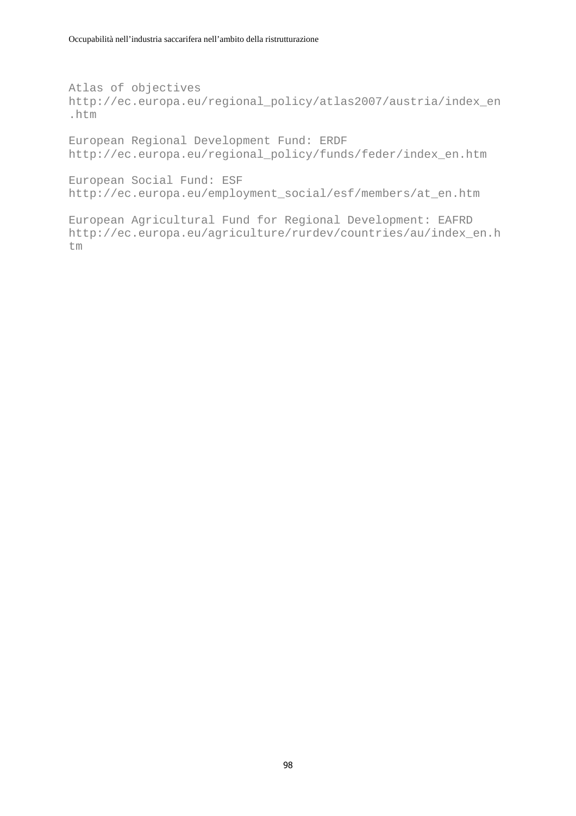Atlas of objectives http://ec.europa.eu/regional\_policy/atlas2007/austria/index\_en .htm

European Regional Development Fund: ERDF http://ec.europa.eu/regional\_policy/funds/feder/index\_en.htm

European Social Fund: ESF http://ec.europa.eu/employment\_social/esf/members/at\_en.htm

European Agricultural Fund for Regional Development: EAFRD http://ec.europa.eu/agriculture/rurdev/countries/au/index\_en.h tm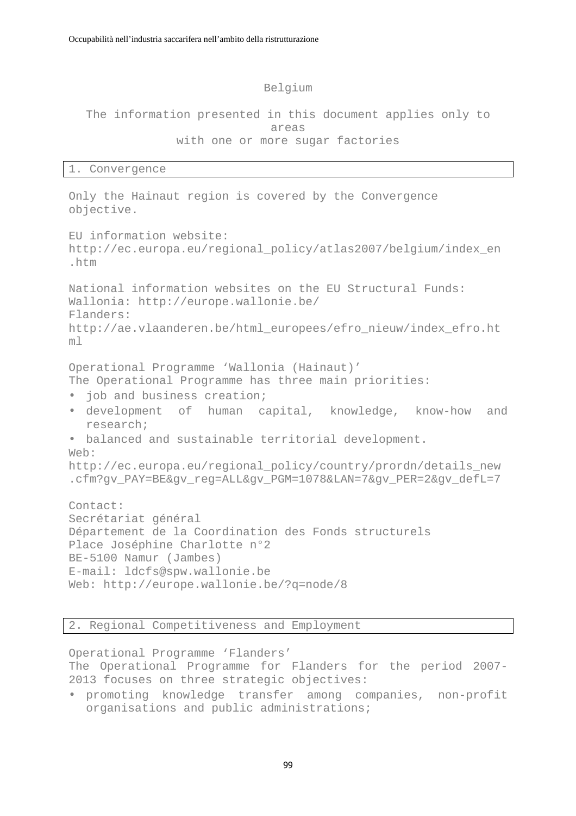Belgium

The information presented in this document applies only to areas with one or more sugar factories

#### 1. Convergence

Only the Hainaut region is covered by the Convergence objective. EU information website: http://ec.europa.eu/regional\_policy/atlas2007/belgium/index\_en .htm National information websites on the EU Structural Funds: Wallonia: http://europe.wallonie.be/ Flanders: http://ae.vlaanderen.be/html\_europees/efro\_nieuw/index\_efro.ht ml Operational Programme 'Wallonia (Hainaut)' The Operational Programme has three main priorities: • job and business creation; • development of human capital, knowledge, know-how and research; • balanced and sustainable territorial development. Web: http://ec.europa.eu/regional\_policy/country/prordn/details\_new .cfm?gv\_PAY=BE&gv\_reg=ALL&gv\_PGM=1078&LAN=7&gv\_PER=2&gv\_defL=7 Contact: Secrétariat général Département de la Coordination des Fonds structurels Place Joséphine Charlotte n°2 BE-5100 Namur (Jambes) E-mail: ldcfs@spw.wallonie.be Web: http://europe.wallonie.be/?q=node/8

### 2. Regional Competitiveness and Employment

Operational Programme 'Flanders' The Operational Programme for Flanders for the period 2007- 2013 focuses on three strategic objectives:

• promoting knowledge transfer among companies, non-profit organisations and public administrations;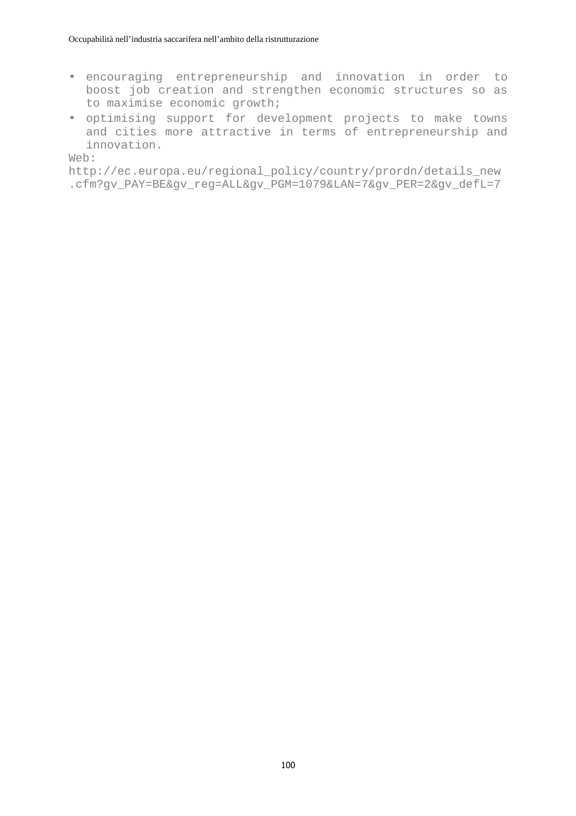- encouraging entrepreneurship and innovation in order to boost job creation and strengthen economic structures so as to maximise economic growth;
- optimising support for development projects to make towns and cities more attractive in terms of entrepreneurship and innovation.

Web:

http://ec.europa.eu/regional\_policy/country/prordn/details\_new .cfm?gv\_PAY=BE&gv\_reg=ALL&gv\_PGM=1079&LAN=7&gv\_PER=2&gv\_defL=7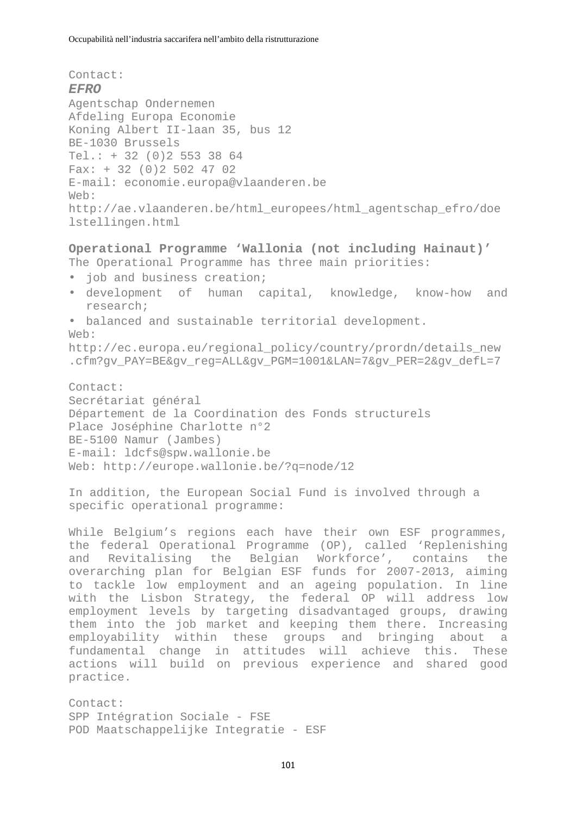```
Contact: 
EFRO 
Agentschap Ondernemen 
Afdeling Europa Economie 
Koning Albert II-laan 35, bus 12 
BE-1030 Brussels 
Tel.: + 32 (0)2 553 38 64 
Fax: + 32 (0)2 502 47 02E-mail: economie.europa@vlaanderen.be 
Web: 
http://ae.vlaanderen.be/html_europees/html_agentschap_efro/doe
lstellingen.html
```
### **Operational Programme 'Wallonia (not including Hainaut)'**

- The Operational Programme has three main priorities:
- job and business creation;
- development of human capital, knowledge, know-how and research;

• balanced and sustainable territorial development.

Web:

http://ec.europa.eu/regional\_policy/country/prordn/details\_new .cfm?gv\_PAY=BE&gv\_reg=ALL&gv\_PGM=1001&LAN=7&gv\_PER=2&gv\_defL=7

Contact: Secrétariat général Département de la Coordination des Fonds structurels Place Joséphine Charlotte n°2 BE-5100 Namur (Jambes) E-mail: ldcfs@spw.wallonie.be Web: http://europe.wallonie.be/?q=node/12

In addition, the European Social Fund is involved through a specific operational programme:

While Belgium's regions each have their own ESF programmes, the federal Operational Programme (OP), called 'Replenishing and Revitalising the Belgian Workforce', contains the overarching plan for Belgian ESF funds for 2007-2013, aiming to tackle low employment and an ageing population. In line with the Lisbon Strategy, the federal OP will address low employment levels by targeting disadvantaged groups, drawing them into the job market and keeping them there. Increasing employability within these groups and bringing about a fundamental change in attitudes will achieve this. These actions will build on previous experience and shared good practice.

Contact: SPP Intégration Sociale - FSE POD Maatschappelijke Integratie - ESF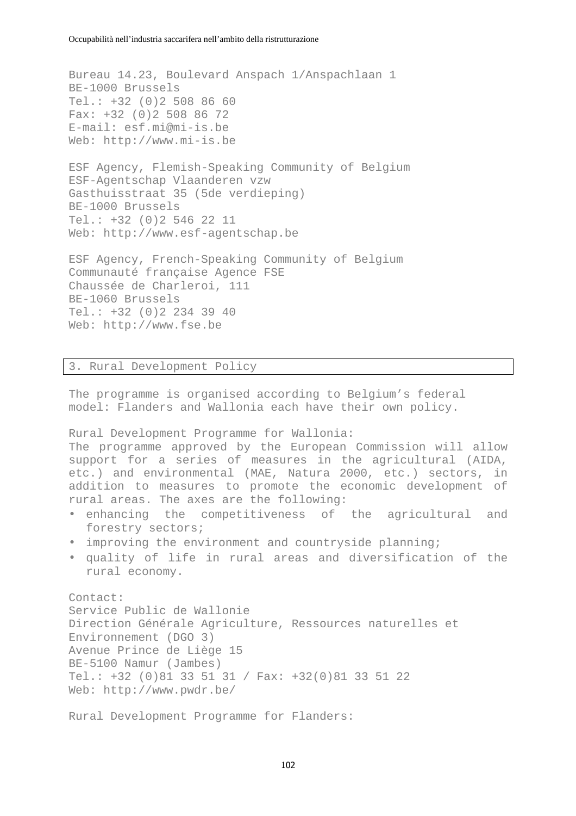Bureau 14.23, Boulevard Anspach 1/Anspachlaan 1 BE-1000 Brussels Tel.: +32 (0)2 508 86 60 Fax: +32 (0)2 508 86 72 E-mail: esf.mi@mi-is.be Web: http://www.mi-is.be

ESF Agency, Flemish-Speaking Community of Belgium ESF-Agentschap Vlaanderen vzw Gasthuisstraat 35 (5de verdieping) BE-1000 Brussels Tel.: +32 (0)2 546 22 11 Web: http://www.esf-agentschap.be

ESF Agency, French-Speaking Community of Belgium Communauté française Agence FSE Chaussée de Charleroi, 111 BE-1060 Brussels Tel.: +32 (0)2 234 39 40 Web: http://www.fse.be

3. Rural Development Policy

The programme is organised according to Belgium's federal model: Flanders and Wallonia each have their own policy.

Rural Development Programme for Wallonia:

The programme approved by the European Commission will allow support for a series of measures in the agricultural (AIDA, etc.) and environmental (MAE, Natura 2000, etc.) sectors, in addition to measures to promote the economic development of rural areas. The axes are the following:

- enhancing the competitiveness of the agricultural and forestry sectors;
- improving the environment and countryside planning;
- quality of life in rural areas and diversification of the rural economy.

Contact: Service Public de Wallonie Direction Générale Agriculture, Ressources naturelles et Environnement (DGO 3) Avenue Prince de Liège 15 BE-5100 Namur (Jambes) Tel.: +32 (0)81 33 51 31 / Fax: +32(0)81 33 51 22 Web: http://www.pwdr.be/

Rural Development Programme for Flanders: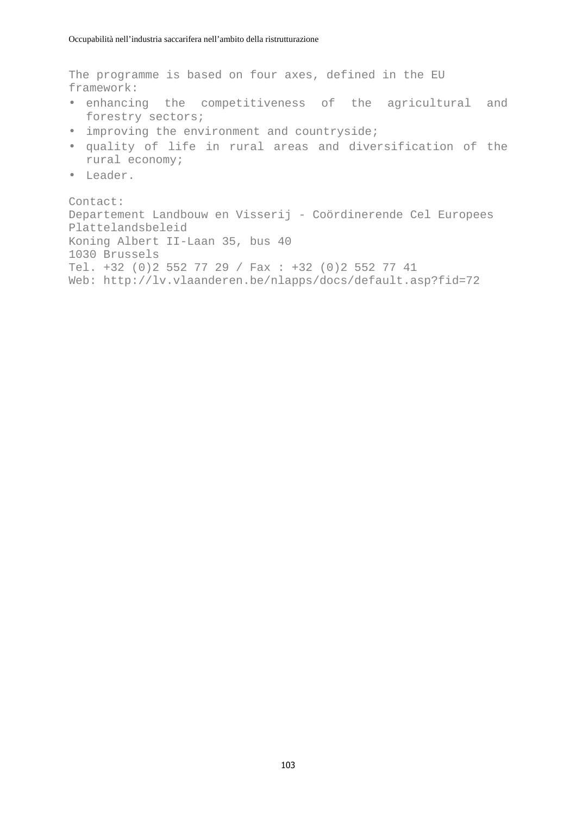The programme is based on four axes, defined in the EU framework:

- enhancing the competitiveness of the agricultural and forestry sectors;
- improving the environment and countryside;
- quality of life in rural areas and diversification of the rural economy;
- Leader.

Contact: Departement Landbouw en Visserij - Coördinerende Cel Europees Plattelandsbeleid Koning Albert II-Laan 35, bus 40 1030 Brussels Tel. +32 (0)2 552 77 29 / Fax : +32 (0)2 552 77 41 Web: http://lv.vlaanderen.be/nlapps/docs/default.asp?fid=72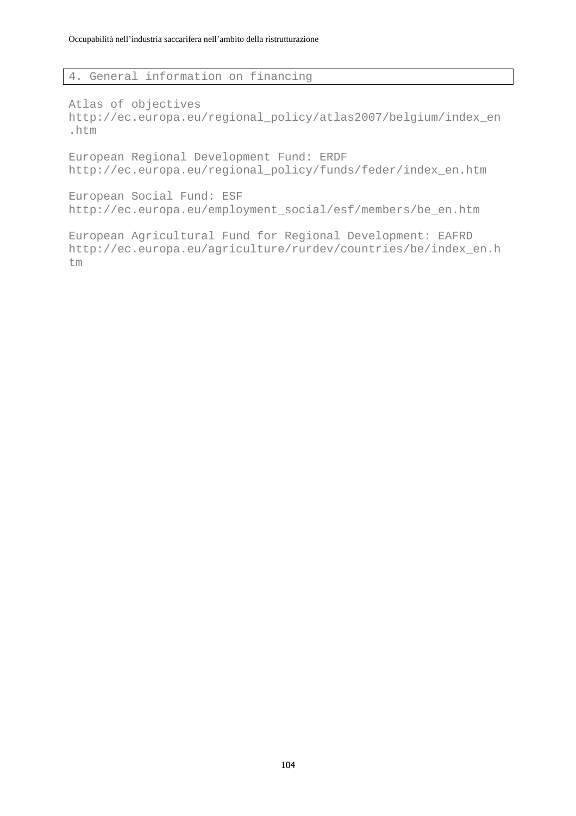4. General information on financing

Atlas of objectives http://ec.europa.eu/regional\_policy/atlas2007/belgium/index\_en .htm

European Regional Development Fund: ERDF http://ec.europa.eu/regional\_policy/funds/feder/index\_en.htm

European Social Fund: ESF http://ec.europa.eu/employment\_social/esf/members/be\_en.htm

European Agricultural Fund for Regional Development: EAFRD http://ec.europa.eu/agriculture/rurdev/countries/be/index\_en.h tm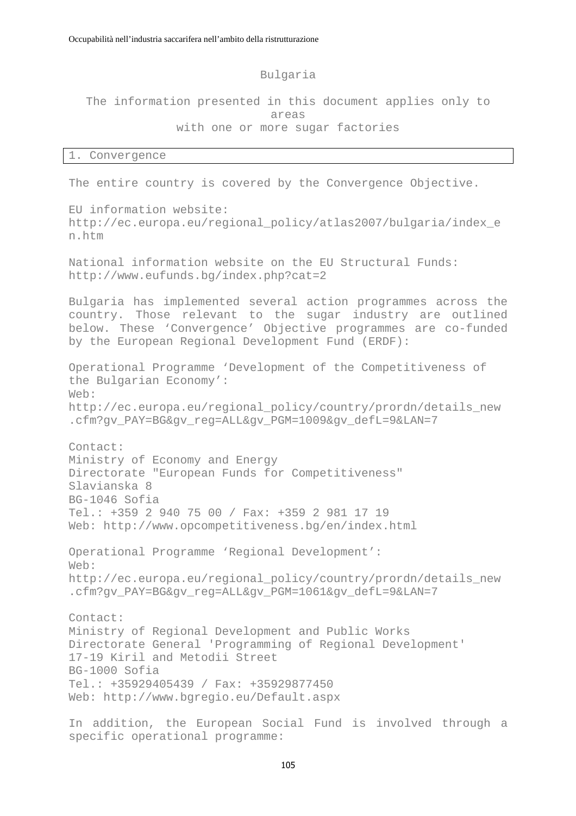### Bulgaria

The information presented in this document applies only to areas with one or more sugar factories

#### 1. Convergence

The entire country is covered by the Convergence Objective.

EU information website: http://ec.europa.eu/regional\_policy/atlas2007/bulgaria/index\_e n.htm National information website on the EU Structural Funds: http://www.eufunds.bg/index.php?cat=2 Bulgaria has implemented several action programmes across the country. Those relevant to the sugar industry are outlined below. These 'Convergence' Objective programmes are co-funded by the European Regional Development Fund (ERDF): Operational Programme 'Development of the Competitiveness of the Bulgarian Economy': Web: http://ec.europa.eu/regional\_policy/country/prordn/details\_new .cfm?gv\_PAY=BG&gv\_reg=ALL&gv\_PGM=1009&gv\_defL=9&LAN=7 Contact: Ministry of Economy and Energy Directorate "European Funds for Competitiveness" Slavianska 8 BG-1046 Sofia Tel.: +359 2 940 75 00 / Fax: +359 2 981 17 19 Web: http://www.opcompetitiveness.bg/en/index.html Operational Programme 'Regional Development': Web: http://ec.europa.eu/regional\_policy/country/prordn/details\_new .cfm?gv\_PAY=BG&gv\_reg=ALL&gv\_PGM=1061&gv\_defL=9&LAN=7 Contact: Ministry of Regional Development and Public Works Directorate General 'Programming of Regional Development' 17-19 Kiril and Metodii Street BG-1000 Sofia Tel.: +35929405439 / Fax: +35929877450 Web: http://www.bgregio.eu/Default.aspx In addition, the European Social Fund is involved through a

specific operational programme: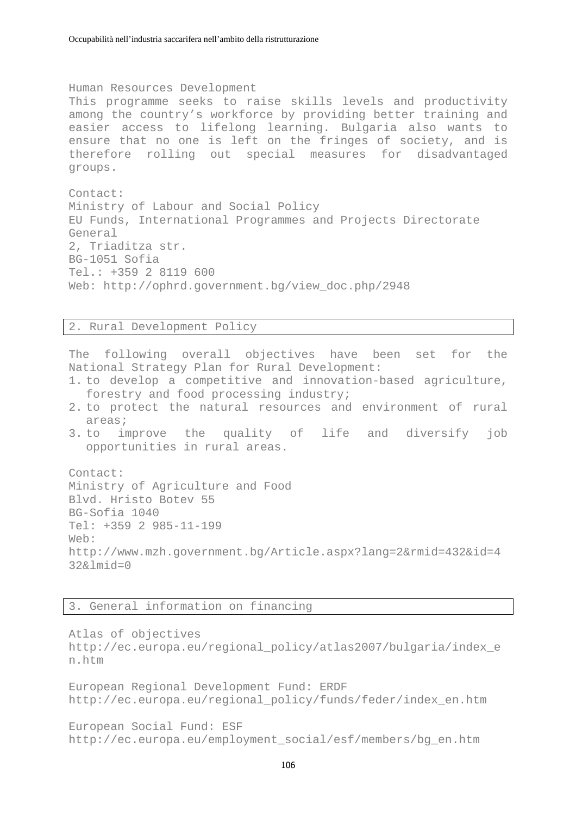Human Resources Development This programme seeks to raise skills levels and productivity among the country's workforce by providing better training and easier access to lifelong learning. Bulgaria also wants to ensure that no one is left on the fringes of society, and is therefore rolling out special measures for disadvantaged groups.

Contact: Ministry of Labour and Social Policy EU Funds, International Programmes and Projects Directorate General 2, Triaditza str. BG-1051 Sofia Tel.: +359 2 8119 600 Web: http://ophrd.government.bg/view\_doc.php/2948

#### 2. Rural Development Policy

The following overall objectives have been set for the National Strategy Plan for Rural Development:

- 1. to develop a competitive and innovation-based agriculture, forestry and food processing industry;
- 2. to protect the natural resources and environment of rural areas;
- 3. to improve the quality of life and diversify job opportunities in rural areas.

Contact: Ministry of Agriculture and Food Blvd. Hristo Botev 55 BG-Sofia 1040 Tel: +359 2 985-11-199 Web: http://www.mzh.government.bg/Article.aspx?lang=2&rmid=432&id=4 32&lmid=0

#### 3. General information on financing

Atlas of objectives http://ec.europa.eu/regional\_policy/atlas2007/bulgaria/index\_e n.htm

European Regional Development Fund: ERDF http://ec.europa.eu/regional\_policy/funds/feder/index\_en.htm

European Social Fund: ESF http://ec.europa.eu/employment\_social/esf/members/bg\_en.htm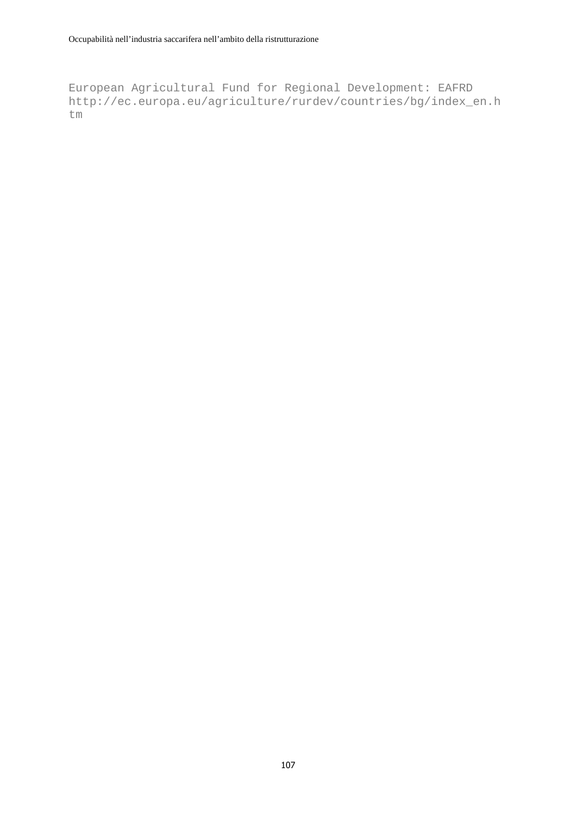European Agricultural Fund for Regional Development: EAFRD http://ec.europa.eu/agriculture/rurdev/countries/bg/index\_en.h tm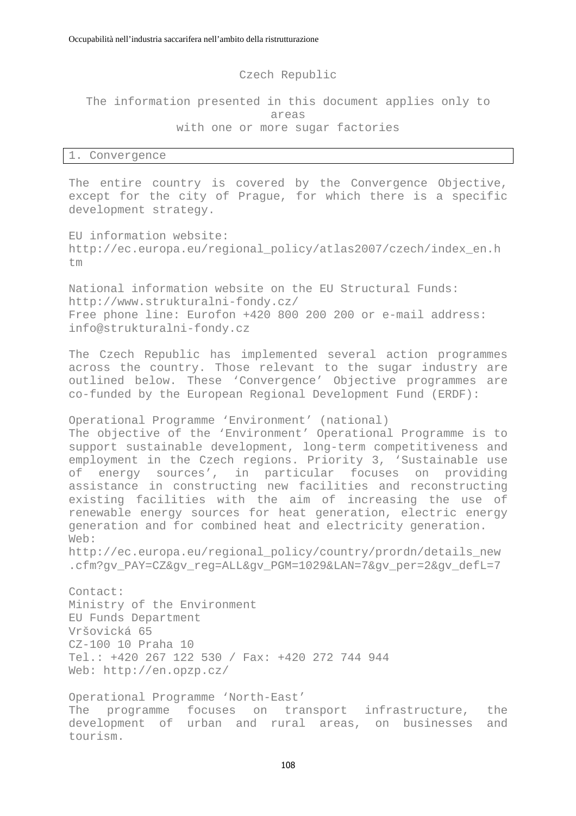Czech Republic

The information presented in this document applies only to areas with one or more sugar factories

#### 1. Convergence

The entire country is covered by the Convergence Objective, except for the city of Prague, for which there is a specific development strategy.

EU information website: http://ec.europa.eu/regional\_policy/atlas2007/czech/index\_en.h tm

National information website on the EU Structural Funds: http://www.strukturalni-fondy.cz/ Free phone line: Eurofon +420 800 200 200 or e-mail address: info@strukturalni-fondy.cz

The Czech Republic has implemented several action programmes across the country. Those relevant to the sugar industry are outlined below. These 'Convergence' Objective programmes are co-funded by the European Regional Development Fund (ERDF):

Operational Programme 'Environment' (national)

The objective of the 'Environment' Operational Programme is to support sustainable development, long-term competitiveness and employment in the Czech regions. Priority 3, 'Sustainable use of energy sources', in particular focuses on providing assistance in constructing new facilities and reconstructing existing facilities with the aim of increasing the use of renewable energy sources for heat generation, electric energy generation and for combined heat and electricity generation. Web:

http://ec.europa.eu/regional\_policy/country/prordn/details\_new .cfm?gv\_PAY=CZ&gv\_reg=ALL&gv\_PGM=1029&LAN=7&gv\_per=2&gv\_defL=7

Contact: Ministry of the Environment EU Funds Department Vršovická 65 CZ-100 10 Praha 10 Tel.: +420 267 122 530 / Fax: +420 272 744 944 Web: http://en.opzp.cz/

Operational Programme 'North-East' The programme focuses on transport infrastructure, the development of urban and rural areas, on businesses and tourism.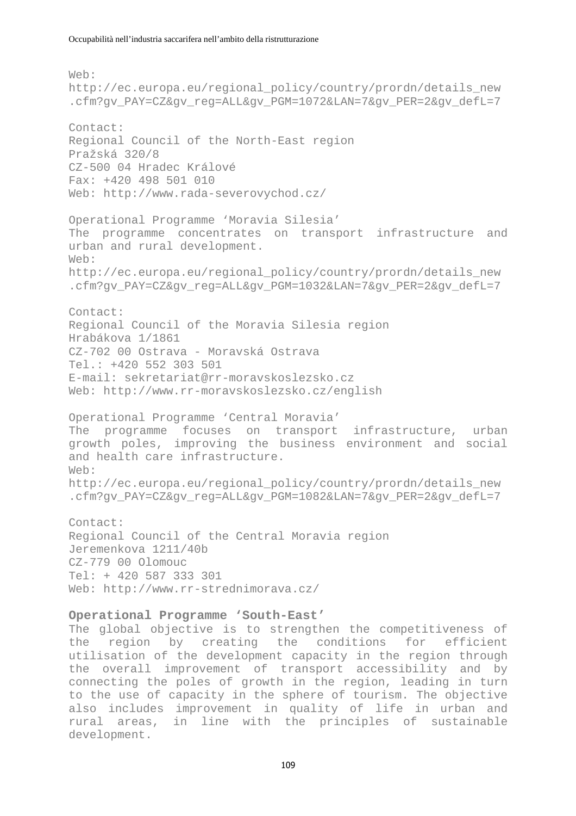Web: http://ec.europa.eu/regional\_policy/country/prordn/details\_new .cfm?gv\_PAY=CZ&gv\_reg=ALL&gv\_PGM=1072&LAN=7&gv\_PER=2&gv\_defL=7 Contact: Regional Council of the North-East region Pražská 320/8 CZ-500 04 Hradec Králové Fax: +420 498 501 010 Web: http://www.rada-severovychod.cz/ Operational Programme 'Moravia Silesia' The programme concentrates on transport infrastructure and urban and rural development. Web: http://ec.europa.eu/regional\_policy/country/prordn/details\_new .cfm?gv\_PAY=CZ&gv\_reg=ALL&gv\_PGM=1032&LAN=7&gv\_PER=2&gv\_defL=7 Contact: Regional Council of the Moravia Silesia region Hrabákova 1/1861 CZ-702 00 Ostrava - Moravská Ostrava Tel.: +420 552 303 501 E-mail: sekretariat@rr-moravskoslezsko.cz Web: http://www.rr-moravskoslezsko.cz/english Operational Programme 'Central Moravia' The programme focuses on transport infrastructure, urban growth poles, improving the business environment and social and health care infrastructure. Web: http://ec.europa.eu/regional\_policy/country/prordn/details\_new .cfm?gv\_PAY=CZ&gv\_reg=ALL&gv\_PGM=1082&LAN=7&gv\_PER=2&gv\_defL=7 Contact: Regional Council of the Central Moravia region Jeremenkova 1211/40b CZ-779 00 Olomouc Tel: + 420 587 333 301 Web: http://www.rr-strednimorava.cz/ **Operational Programme 'South-East'** The global objective is to strengthen the competitiveness of the region by creating the conditions for efficient utilisation of the development capacity in the region through the overall improvement of transport accessibility and by connecting the poles of growth in the region, leading in turn to the use of capacity in the sphere of tourism. The objective also includes improvement in quality of life in urban and rural areas, in line with the principles of sustainable development.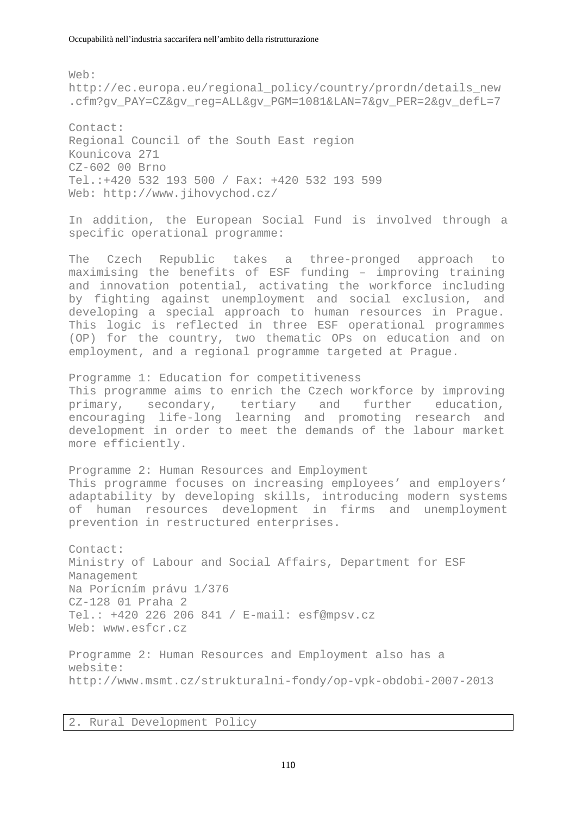Web: http://ec.europa.eu/regional\_policy/country/prordn/details\_new .cfm?gv\_PAY=CZ&gv\_reg=ALL&gv\_PGM=1081&LAN=7&gv\_PER=2&gv\_defL=7

Contact: Regional Council of the South East region Kounicova 271 CZ-602 00 Brno Tel.:+420 532 193 500 / Fax: +420 532 193 599 Web: http://www.jihovychod.cz/

In addition, the European Social Fund is involved through a specific operational programme:

The Czech Republic takes a three-pronged approach to maximising the benefits of ESF funding – improving training and innovation potential, activating the workforce including by fighting against unemployment and social exclusion, and developing a special approach to human resources in Prague. This logic is reflected in three ESF operational programmes (OP) for the country, two thematic OPs on education and on employment, and a regional programme targeted at Prague.

Programme 1: Education for competitiveness This programme aims to enrich the Czech workforce by improving primary, secondary, tertiary and further education, encouraging life-long learning and promoting research and development in order to meet the demands of the labour market more efficiently.

Programme 2: Human Resources and Employment This programme focuses on increasing employees' and employers' adaptability by developing skills, introducing modern systems of human resources development in firms and unemployment prevention in restructured enterprises.

Contact: Ministry of Labour and Social Affairs, Department for ESF Management Na Porícním právu 1/376 CZ-128 01 Praha 2 Tel.: +420 226 206 841 / E-mail: esf@mpsv.cz Web: www.esfcr.cz

Programme 2: Human Resources and Employment also has a website: http://www.msmt.cz/strukturalni-fondy/op-vpk-obdobi-2007-2013

2. Rural Development Policy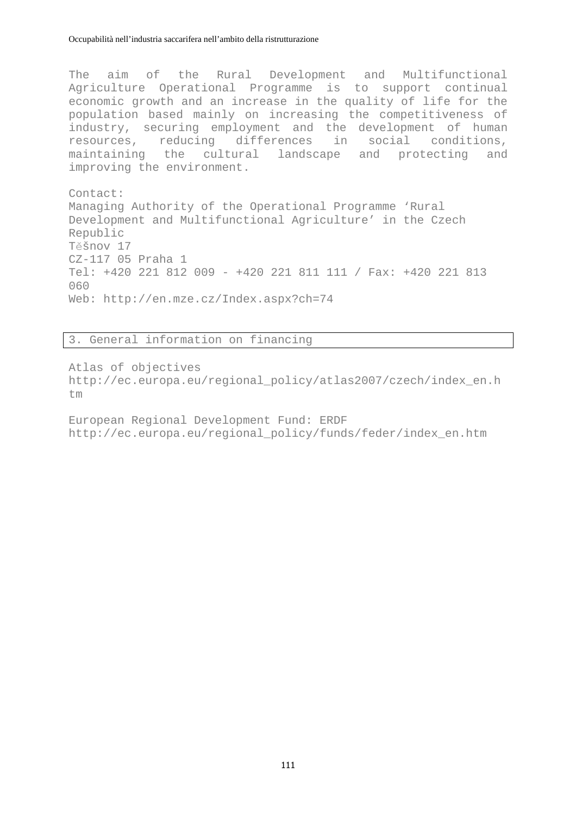The aim of the Rural Development and Multifunctional Agriculture Operational Programme is to support continual economic growth and an increase in the quality of life for the population based mainly on increasing the competitiveness of industry, securing employment and the development of human resources, reducing differences in social conditions, maintaining the cultural landscape and protecting and improving the environment.

Contact: Managing Authority of the Operational Programme 'Rural Development and Multifunctional Agriculture' in the Czech Republic Těšnov 17 CZ-117 05 Praha 1 Tel: +420 221 812 009 - +420 221 811 111 / Fax: +420 221 813 060 Web: http://en.mze.cz/Index.aspx?ch=74

3. General information on financing

Atlas of objectives http://ec.europa.eu/regional\_policy/atlas2007/czech/index\_en.h tm

European Regional Development Fund: ERDF http://ec.europa.eu/regional\_policy/funds/feder/index\_en.htm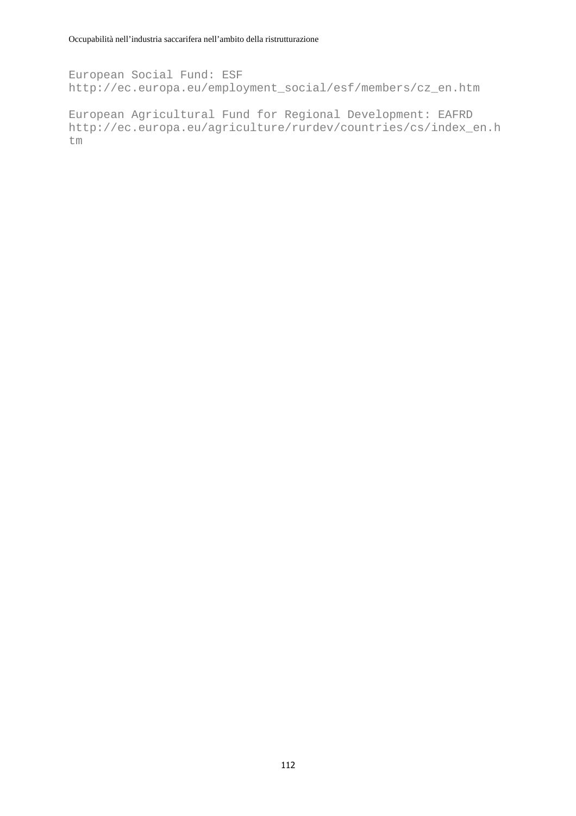European Social Fund: ESF http://ec.europa.eu/employment\_social/esf/members/cz\_en.htm

European Agricultural Fund for Regional Development: EAFRD http://ec.europa.eu/agriculture/rurdev/countries/cs/index\_en.h tm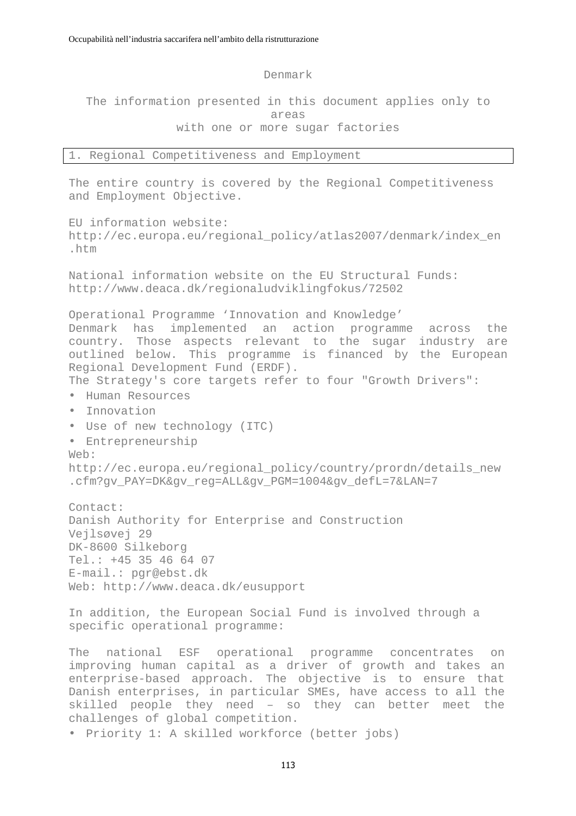#### Denmark

The information presented in this document applies only to areas with one or more sugar factories

#### 1. Regional Competitiveness and Employment

The entire country is covered by the Regional Competitiveness and Employment Objective.

EU information website: http://ec.europa.eu/regional\_policy/atlas2007/denmark/index\_en .htm

National information website on the EU Structural Funds: http://www.deaca.dk/regionaludviklingfokus/72502

Operational Programme 'Innovation and Knowledge' Denmark has implemented an action programme across the country. Those aspects relevant to the sugar industry are outlined below. This programme is financed by the European Regional Development Fund (ERDF).

The Strategy's core targets refer to four "Growth Drivers":

- Human Resources
- Innovation
- Use of new technology (ITC)
- Entrepreneurship
- Web:

http://ec.europa.eu/regional\_policy/country/prordn/details\_new .cfm?gv\_PAY=DK&gv\_reg=ALL&gv\_PGM=1004&gv\_defL=7&LAN=7

Contact: Danish Authority for Enterprise and Construction Vejlsøvej 29 DK-8600 Silkeborg Tel.: +45 35 46 64 07 E-mail.: pgr@ebst.dk Web: http://www.deaca.dk/eusupport

In addition, the European Social Fund is involved through a specific operational programme:

The national ESF operational programme concentrates on improving human capital as a driver of growth and takes an enterprise-based approach. The objective is to ensure that Danish enterprises, in particular SMEs, have access to all the skilled people they need – so they can better meet the challenges of global competition.

• Priority 1: A skilled workforce (better jobs)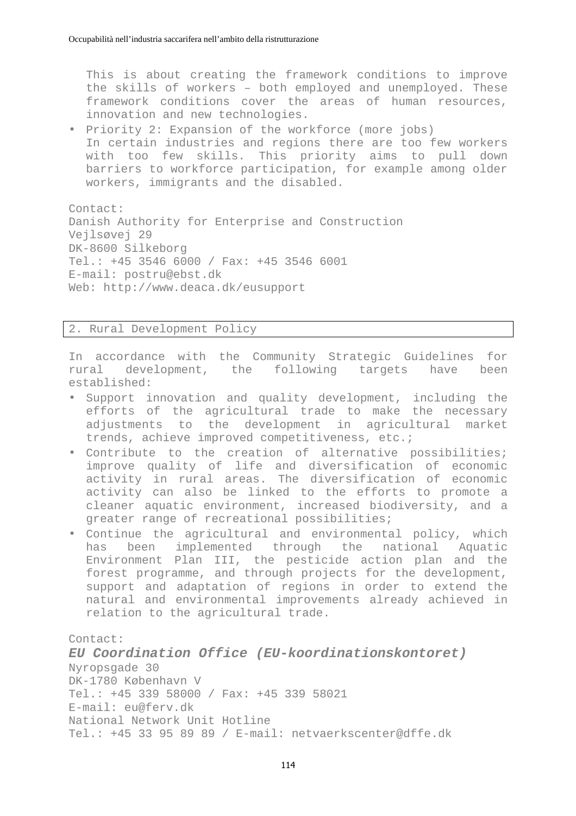This is about creating the framework conditions to improve the skills of workers – both employed and unemployed. These framework conditions cover the areas of human resources, innovation and new technologies.

• Priority 2: Expansion of the workforce (more jobs) In certain industries and regions there are too few workers with too few skills. This priority aims to pull down barriers to workforce participation, for example among older workers, immigrants and the disabled.

Contact: Danish Authority for Enterprise and Construction Vejlsøvej 29 DK-8600 Silkeborg Tel.: +45 3546 6000 / Fax: +45 3546 6001 E-mail: postru@ebst.dk Web: http://www.deaca.dk/eusupport

2. Rural Development Policy

In accordance with the Community Strategic Guidelines for rural development, the following targets have been established:

- Support innovation and quality development, including the efforts of the agricultural trade to make the necessary adjustments to the development in agricultural market trends, achieve improved competitiveness, etc.;
- Contribute to the creation of alternative possibilities; improve quality of life and diversification of economic activity in rural areas. The diversification of economic activity can also be linked to the efforts to promote a cleaner aquatic environment, increased biodiversity, and a greater range of recreational possibilities;
- Continue the agricultural and environmental policy, which has been implemented through the national Aquatic Environment Plan III, the pesticide action plan and the forest programme, and through projects for the development, support and adaptation of regions in order to extend the natural and environmental improvements already achieved in relation to the agricultural trade.

Contact:

**EU Coordination Office (EU-koordinationskontoret)**  Nyropsgade 30 DK-1780 København V Tel.: +45 339 58000 / Fax: +45 339 58021 E-mail: eu@ferv.dk National Network Unit Hotline Tel.: +45 33 95 89 89 / E-mail: netvaerkscenter@dffe.dk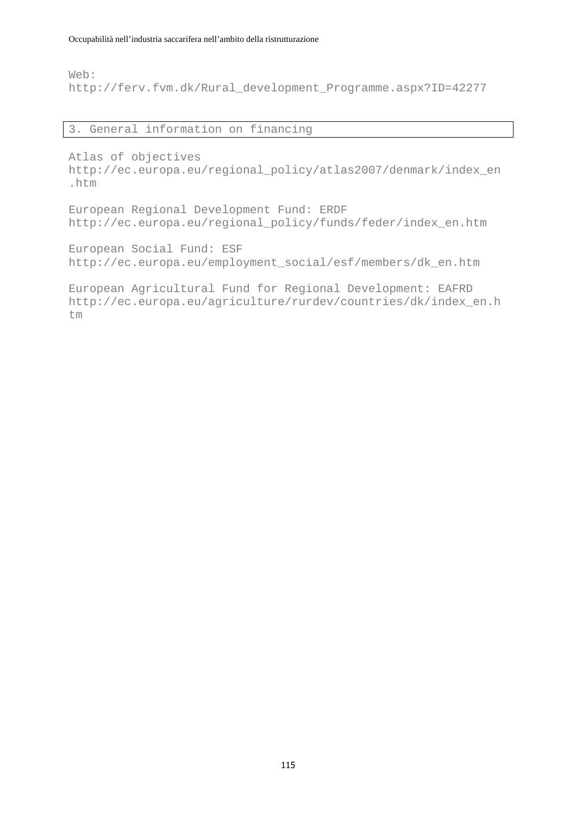Web: http://ferv.fvm.dk/Rural\_development\_Programme.aspx?ID=42277

3. General information on financing

Atlas of objectives http://ec.europa.eu/regional\_policy/atlas2007/denmark/index\_en .htm

European Regional Development Fund: ERDF http://ec.europa.eu/regional\_policy/funds/feder/index\_en.htm

European Social Fund: ESF http://ec.europa.eu/employment\_social/esf/members/dk\_en.htm

European Agricultural Fund for Regional Development: EAFRD http://ec.europa.eu/agriculture/rurdev/countries/dk/index\_en.h tm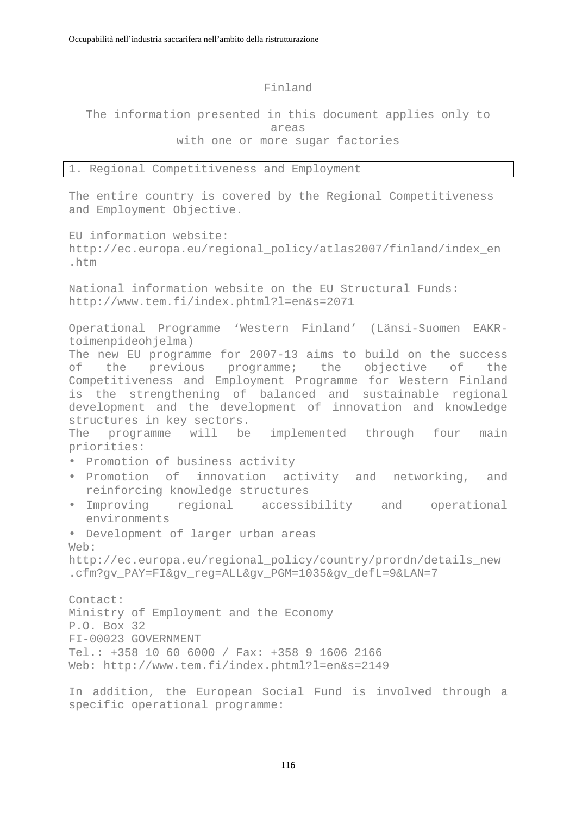#### Finland

The information presented in this document applies only to areas with one or more sugar factories

## 1. Regional Competitiveness and Employment

The entire country is covered by the Regional Competitiveness and Employment Objective.

EU information website: http://ec.europa.eu/regional\_policy/atlas2007/finland/index\_en .htm National information website on the EU Structural Funds: http://www.tem.fi/index.phtml?l=en&s=2071 Operational Programme 'Western Finland' (Länsi-Suomen EAKRtoimenpideohjelma) The new EU programme for 2007-13 aims to build on the success

of the previous programme; the objective of the Competitiveness and Employment Programme for Western Finland is the strengthening of balanced and sustainable regional development and the development of innovation and knowledge structures in key sectors.

The programme will be implemented through four main priorities:

- Promotion of business activity
- Promotion of innovation activity and networking, and reinforcing knowledge structures
- Improving regional accessibility and operational environments

• Development of larger urban areas Web: http://ec.europa.eu/regional\_policy/country/prordn/details\_new .cfm?gv\_PAY=FI&gv\_reg=ALL&gv\_PGM=1035&gv\_defL=9&LAN=7

Contact: Ministry of Employment and the Economy P.O. Box 32 FI-00023 GOVERNMENT Tel.: +358 10 60 6000 / Fax: +358 9 1606 2166 Web: http://www.tem.fi/index.phtml?l=en&s=2149

In addition, the European Social Fund is involved through a specific operational programme: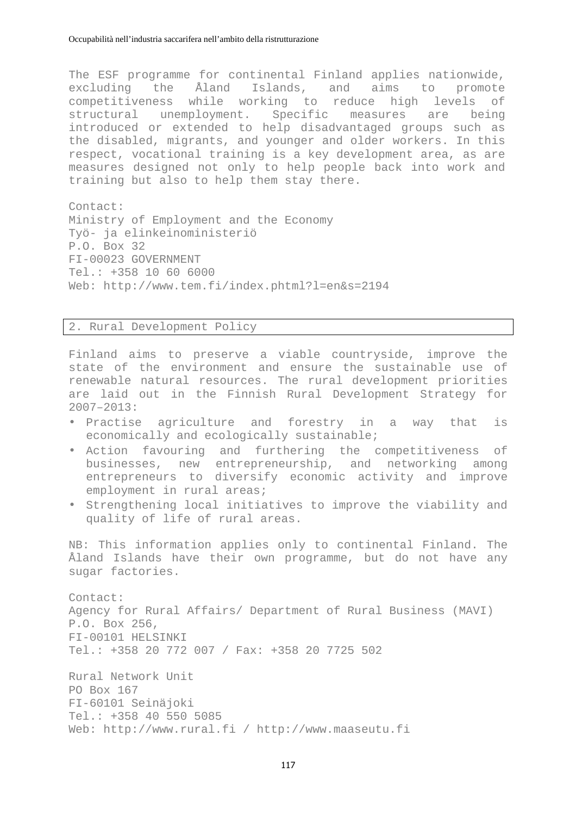The ESF programme for continental Finland applies nationwide, excluding the Åland Islands, and aims to promote competitiveness while working to reduce high levels of structural unemployment. Specific measures are being introduced or extended to help disadvantaged groups such as the disabled, migrants, and younger and older workers. In this respect, vocational training is a key development area, as are measures designed not only to help people back into work and training but also to help them stay there.

Contact: Ministry of Employment and the Economy Työ- ja elinkeinoministeriö P.O. Box 32 FI-00023 GOVERNMENT Tel.: +358 10 60 6000 Web: http://www.tem.fi/index.phtml?l=en&s=2194

## 2. Rural Development Policy

Finland aims to preserve a viable countryside, improve the state of the environment and ensure the sustainable use of renewable natural resources. The rural development priorities are laid out in the Finnish Rural Development Strategy for 2007–2013:

- Practise agriculture and forestry in a way that is economically and ecologically sustainable;
- Action favouring and furthering the competitiveness of businesses, new entrepreneurship, and networking among entrepreneurs to diversify economic activity and improve employment in rural areas;
- Strengthening local initiatives to improve the viability and quality of life of rural areas.

NB: This information applies only to continental Finland. The Åland Islands have their own programme, but do not have any sugar factories.

Contact: Agency for Rural Affairs/ Department of Rural Business (MAVI) P.O. Box 256, FI-00101 HELSINKI Tel.: +358 20 772 007 / Fax: +358 20 7725 502 Rural Network Unit

PO Box 167 FI-60101 Seinäjoki Tel.: +358 40 550 5085 Web: http://www.rural.fi / http://www.maaseutu.fi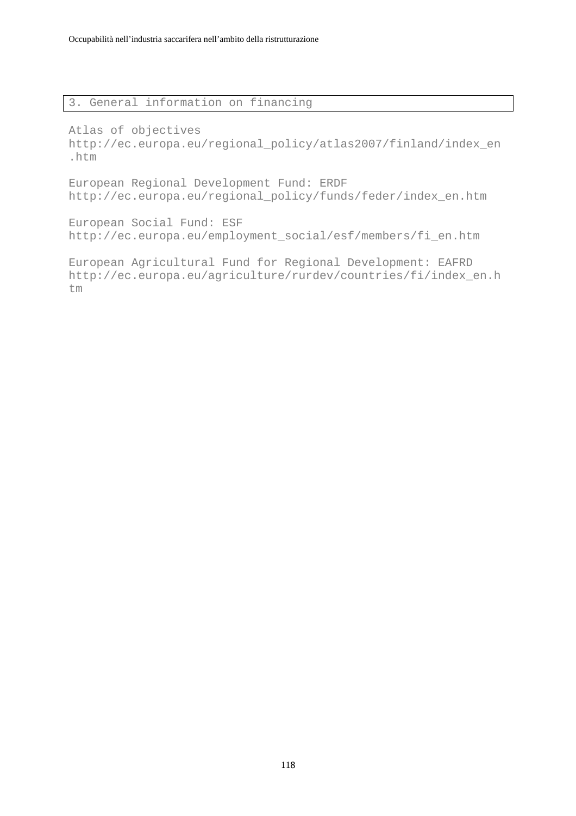# 3. General information on financing

```
Atlas of objectives 
http://ec.europa.eu/regional_policy/atlas2007/finland/index_en
.htm
```
European Regional Development Fund: ERDF http://ec.europa.eu/regional\_policy/funds/feder/index\_en.htm

```
European Social Fund: ESF 
http://ec.europa.eu/employment_social/esf/members/fi_en.htm
```
European Agricultural Fund for Regional Development: EAFRD http://ec.europa.eu/agriculture/rurdev/countries/fi/index\_en.h tm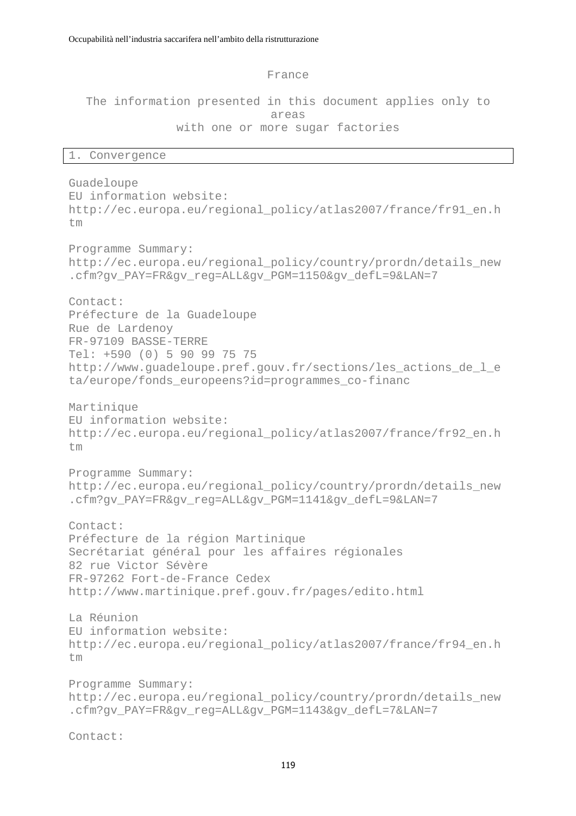France

The information presented in this document applies only to areas with one or more sugar factories

## 1. Convergence

Guadeloupe EU information website: http://ec.europa.eu/regional\_policy/atlas2007/france/fr91\_en.h tm Programme Summary: http://ec.europa.eu/regional\_policy/country/prordn/details\_new .cfm?gv\_PAY=FR&gv\_reg=ALL&gv\_PGM=1150&gv\_defL=9&LAN=7 Contact: Préfecture de la Guadeloupe Rue de Lardenoy FR-97109 BASSE-TERRE Tel: +590 (0) 5 90 99 75 75 http://www.guadeloupe.pref.gouv.fr/sections/les\_actions\_de\_l\_e ta/europe/fonds\_europeens?id=programmes\_co-financ Martinique EU information website: http://ec.europa.eu/regional\_policy/atlas2007/france/fr92\_en.h tm Programme Summary: http://ec.europa.eu/regional\_policy/country/prordn/details\_new .cfm?gv\_PAY=FR&gv\_reg=ALL&gv\_PGM=1141&gv\_defL=9&LAN=7 Contact: Préfecture de la région Martinique Secrétariat général pour les affaires régionales 82 rue Victor Sévère FR-97262 Fort-de-France Cedex http://www.martinique.pref.gouv.fr/pages/edito.html La Réunion EU information website: http://ec.europa.eu/regional\_policy/atlas2007/france/fr94\_en.h tm Programme Summary: http://ec.europa.eu/regional\_policy/country/prordn/details\_new .cfm?gv\_PAY=FR&gv\_reg=ALL&gv\_PGM=1143&gv\_defL=7&LAN=7 Contact: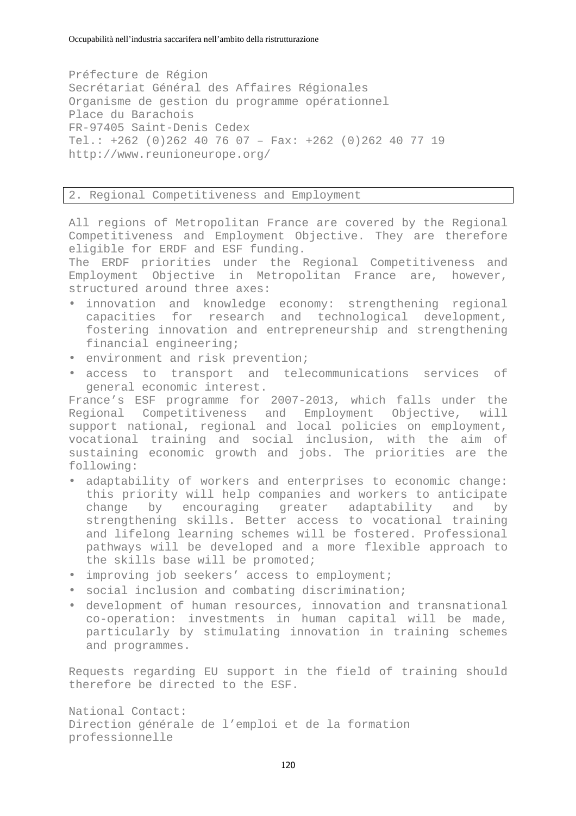Occupabilità nell'industria saccarifera nell'ambito della ristrutturazione

Préfecture de Région Secrétariat Général des Affaires Régionales Organisme de gestion du programme opérationnel Place du Barachois FR-97405 Saint-Denis Cedex Tel.: +262 (0)262 40 76 07 – Fax: +262 (0)262 40 77 19 http://www.reunioneurope.org/

2. Regional Competitiveness and Employment

All regions of Metropolitan France are covered by the Regional Competitiveness and Employment Objective. They are therefore eligible for ERDF and ESF funding.

The ERDF priorities under the Regional Competitiveness and Employment Objective in Metropolitan France are, however, structured around three axes:

- innovation and knowledge economy: strengthening regional capacities for research and technological development, fostering innovation and entrepreneurship and strengthening financial engineering;
- environment and risk prevention;
- access to transport and telecommunications services of general economic interest.

France's ESF programme for 2007-2013, which falls under the Regional Competitiveness and Employment Objective, will support national, regional and local policies on employment, vocational training and social inclusion, with the aim of sustaining economic growth and jobs. The priorities are the following:

- adaptability of workers and enterprises to economic change: this priority will help companies and workers to anticipate change by encouraging greater adaptability and by strengthening skills. Better access to vocational training and lifelong learning schemes will be fostered. Professional pathways will be developed and a more flexible approach to the skills base will be promoted;
- improving job seekers' access to employment;
- social inclusion and combating discrimination;
- development of human resources, innovation and transnational co-operation: investments in human capital will be made, particularly by stimulating innovation in training schemes and programmes.

Requests regarding EU support in the field of training should therefore be directed to the ESF.

National Contact: Direction générale de l'emploi et de la formation professionnelle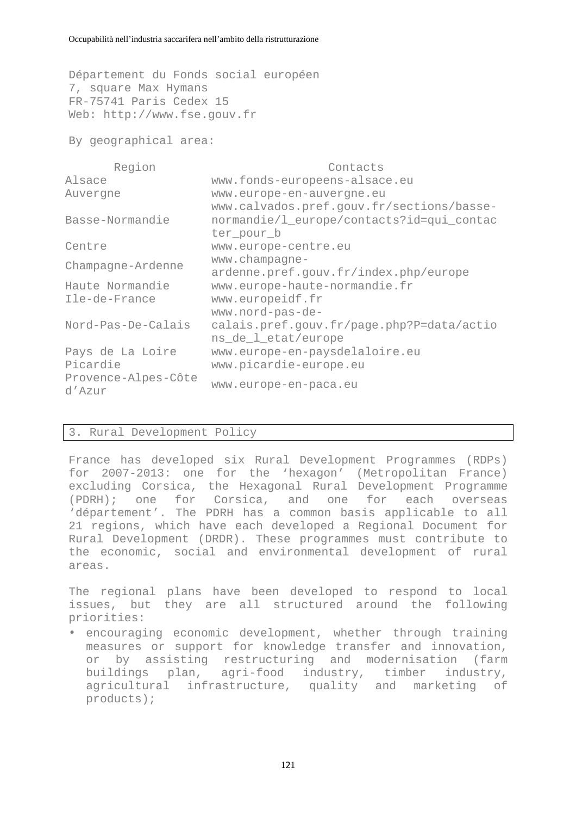Département du Fonds social européen 7, square Max Hymans FR-75741 Paris Cedex 15 Web: http://www.fse.gouv.fr

By geographical area:

| Region                        | Contacts                                                                                             |
|-------------------------------|------------------------------------------------------------------------------------------------------|
| Alsace                        | www.fonds-europeens-alsace.eu                                                                        |
| Auvergne                      | www.europe-en-auvergne.eu                                                                            |
| Basse-Normandie               | www.calvados.pref.gouv.fr/sections/basse-<br>normandie/l_europe/contacts?id=qui_contac<br>ter_pour_b |
| Centre                        | www.europe-centre.eu                                                                                 |
| Champagne-Ardenne             | www.champagne-<br>ardenne.pref.gouv.fr/index.php/europe                                              |
| Haute Normandie               | www.europe-haute-normandie.fr                                                                        |
| Ile-de-France                 | www.europeidf.fr                                                                                     |
|                               | www.nord-pas-de-                                                                                     |
| Nord-Pas-De-Calais            | calais.pref.gouv.fr/page.php?P=data/actio                                                            |
|                               | ns_de_l_etat/europe                                                                                  |
| Pays de La Loire              | www.europe-en-paysdelaloire.eu                                                                       |
| Picardie                      | www.picardie-europe.eu                                                                               |
| Provence-Alpes-Côte<br>d'Azur | www.europe-en-paca.eu                                                                                |

# 3. Rural Development Policy

France has developed six Rural Development Programmes (RDPs) for 2007-2013: one for the 'hexagon' (Metropolitan France) excluding Corsica, the Hexagonal Rural Development Programme (PDRH); one for Corsica, and one for each overseas 'département'. The PDRH has a common basis applicable to all 21 regions, which have each developed a Regional Document for Rural Development (DRDR). These programmes must contribute to the economic, social and environmental development of rural areas.

The regional plans have been developed to respond to local issues, but they are all structured around the following priorities:

• encouraging economic development, whether through training measures or support for knowledge transfer and innovation, or by assisting restructuring and modernisation (farm buildings plan, agri-food industry, timber industry, agricultural infrastructure, quality and marketing of products);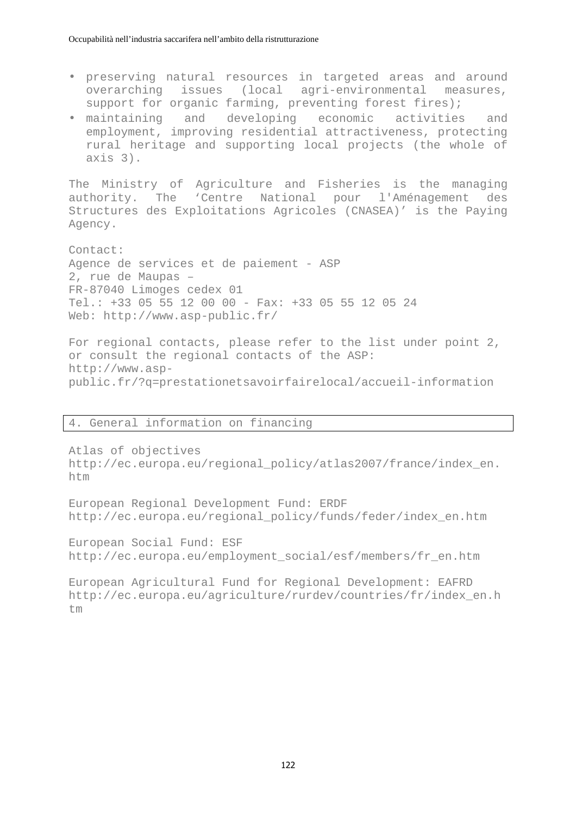- preserving natural resources in targeted areas and around overarching issues (local agri-environmental measures, support for organic farming, preventing forest fires);
- maintaining and developing economic activities and employment, improving residential attractiveness, protecting rural heritage and supporting local projects (the whole of axis 3).

The Ministry of Agriculture and Fisheries is the managing authority. The 'Centre National pour l'Aménagement des Structures des Exploitations Agricoles (CNASEA)' is the Paying Agency.

Contact: Agence de services et de paiement - ASP 2, rue de Maupas – FR-87040 Limoges cedex 01 Tel.: +33 05 55 12 00 00 - Fax: +33 05 55 12 05 24 Web: http://www.asp-public.fr/

For regional contacts, please refer to the list under point 2, or consult the regional contacts of the ASP: http://www.asppublic.fr/?q=prestationetsavoirfairelocal/accueil-information

# 4. General information on financing

Atlas of objectives http://ec.europa.eu/regional\_policy/atlas2007/france/index\_en. htm

European Regional Development Fund: ERDF http://ec.europa.eu/regional\_policy/funds/feder/index\_en.htm

European Social Fund: ESF http://ec.europa.eu/employment\_social/esf/members/fr\_en.htm

European Agricultural Fund for Regional Development: EAFRD http://ec.europa.eu/agriculture/rurdev/countries/fr/index\_en.h tm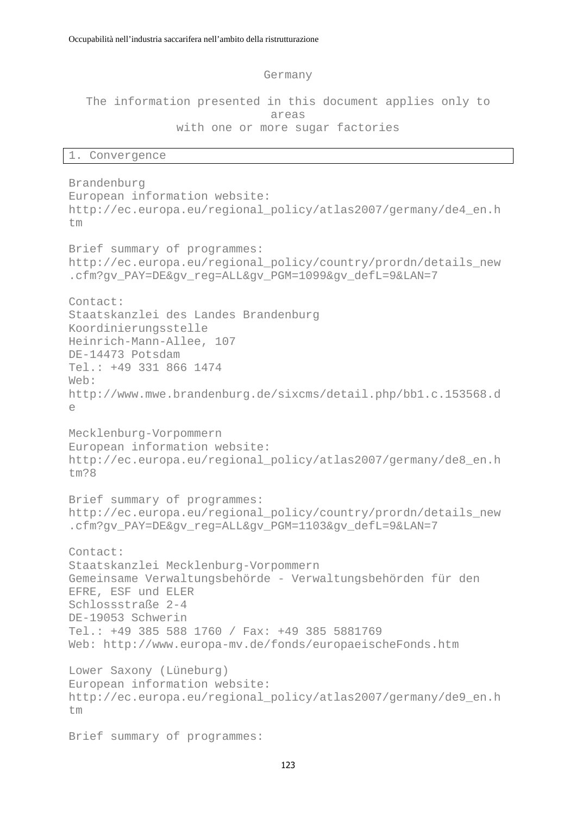#### Germany

The information presented in this document applies only to areas with one or more sugar factories

## 1. Convergence

Brandenburg European information website: http://ec.europa.eu/regional\_policy/atlas2007/germany/de4\_en.h tm Brief summary of programmes: http://ec.europa.eu/regional\_policy/country/prordn/details\_new .cfm?gv\_PAY=DE&gv\_reg=ALL&gv\_PGM=1099&gv\_defL=9&LAN=7 Contact: Staatskanzlei des Landes Brandenburg Koordinierungsstelle Heinrich-Mann-Allee, 107 DE-14473 Potsdam Tel.: +49 331 866 1474 Web: http://www.mwe.brandenburg.de/sixcms/detail.php/bb1.c.153568.d e Mecklenburg-Vorpommern European information website: http://ec.europa.eu/regional\_policy/atlas2007/germany/de8\_en.h tm?8 Brief summary of programmes: http://ec.europa.eu/regional\_policy/country/prordn/details\_new .cfm?gv\_PAY=DE&gv\_reg=ALL&gv\_PGM=1103&gv\_defL=9&LAN=7 Contact: Staatskanzlei Mecklenburg-Vorpommern Gemeinsame Verwaltungsbehörde - Verwaltungsbehörden für den EFRE, ESF und ELER Schlossstraße 2-4 DE-19053 Schwerin Tel.: +49 385 588 1760 / Fax: +49 385 5881769 Web: http://www.europa-mv.de/fonds/europaeischeFonds.htm Lower Saxony (Lüneburg) European information website: http://ec.europa.eu/regional\_policy/atlas2007/germany/de9\_en.h tm Brief summary of programmes: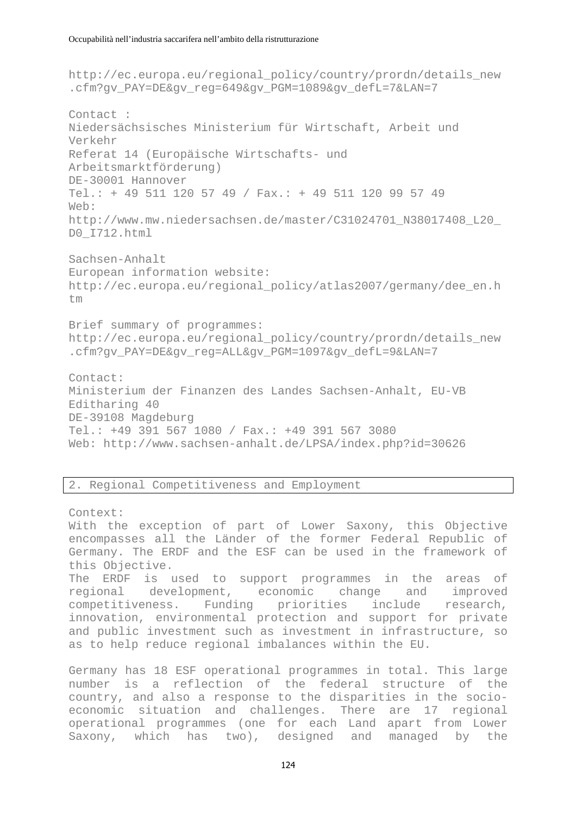```
http://ec.europa.eu/regional_policy/country/prordn/details_new
.cfm?gv_PAY=DE&gv_reg=649&gv_PGM=1089&gv_defL=7&LAN=7 
Contact : 
Niedersächsisches Ministerium für Wirtschaft, Arbeit und 
Verkehr 
Referat 14 (Europäische Wirtschafts- und 
Arbeitsmarktförderung) 
DE-30001 Hannover 
Tel.: + 49 511 120 57 49 / Fax.: + 49 511 120 99 57 49 
Web: 
http://www.mw.niedersachsen.de/master/C31024701_N38017408_L20_
D0_I712.html 
Sachsen-Anhalt 
European information website: 
http://ec.europa.eu/regional_policy/atlas2007/germany/dee_en.h
tm 
Brief summary of programmes: 
http://ec.europa.eu/regional_policy/country/prordn/details_new
.cfm?gv_PAY=DE&gv_reg=ALL&gv_PGM=1097&gv_defL=9&LAN=7 
Contact: 
Ministerium der Finanzen des Landes Sachsen-Anhalt, EU-VB 
Editharing 40 
DE-39108 Magdeburg 
Tel.: +49 391 567 1080 / Fax.: +49 391 567 3080 
Web: http://www.sachsen-anhalt.de/LPSA/index.php?id=30626
```
# 2. Regional Competitiveness and Employment

Context:

With the exception of part of Lower Saxony, this Objective encompasses all the Länder of the former Federal Republic of Germany. The ERDF and the ESF can be used in the framework of this Objective.

The ERDF is used to support programmes in the areas of regional development, economic change and improved competitiveness. Funding priorities include research, innovation, environmental protection and support for private and public investment such as investment in infrastructure, so as to help reduce regional imbalances within the EU.

Germany has 18 ESF operational programmes in total. This large number is a reflection of the federal structure of the country, and also a response to the disparities in the socioeconomic situation and challenges. There are 17 regional operational programmes (one for each Land apart from Lower Saxony, which has two), designed and managed by the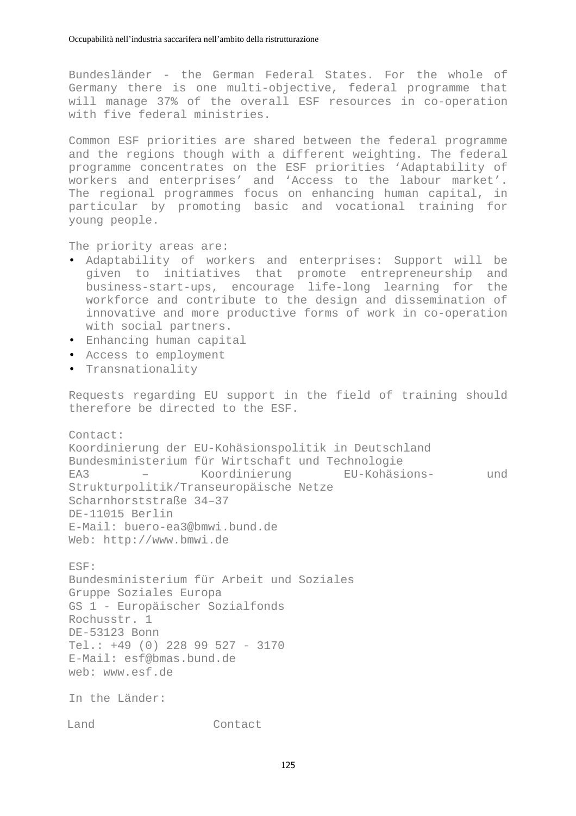Bundesländer - the German Federal States. For the whole of Germany there is one multi-objective, federal programme that will manage 37% of the overall ESF resources in co-operation with five federal ministries.

Common ESF priorities are shared between the federal programme and the regions though with a different weighting. The federal programme concentrates on the ESF priorities 'Adaptability of workers and enterprises' and 'Access to the labour market'. The regional programmes focus on enhancing human capital, in particular by promoting basic and vocational training for young people.

The priority areas are:

- Adaptability of workers and enterprises: Support will be given to initiatives that promote entrepreneurship and business-start-ups, encourage life-long learning for the workforce and contribute to the design and dissemination of innovative and more productive forms of work in co-operation with social partners.
- Enhancing human capital
- Access to employment
- Transnationality

Requests regarding EU support in the field of training should therefore be directed to the ESF.

Contact: Koordinierung der EU-Kohäsionspolitik in Deutschland Bundesministerium für Wirtschaft und Technologie EA3 – Koordinierung EU-Kohäsions- und Strukturpolitik/Transeuropäische Netze Scharnhorststraße 34–37 DE-11015 Berlin E-Mail: buero-ea3@bmwi.bund.de Web: http://www.bmwi.de

ESF: Bundesministerium für Arbeit und Soziales Gruppe Soziales Europa GS 1 - Europäischer Sozialfonds Rochusstr. 1 DE-53123 Bonn Tel.: +49 (0) 228 99 527 - 3170 E-Mail: esf@bmas.bund.de web: www.esf.de

In the Länder:

Land Contact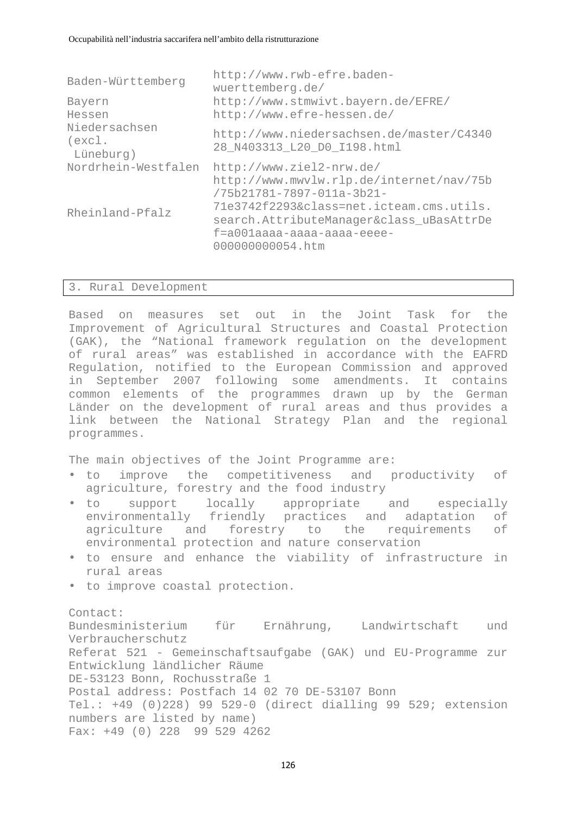| Baden-Württemberg       | http://www.rwb-efre.baden-<br>wuerttemberg.de/                                                                                         |
|-------------------------|----------------------------------------------------------------------------------------------------------------------------------------|
| Bayern                  | http://www.stmwivt.bayern.de/EFRE/                                                                                                     |
| Hessen<br>Niedersachsen | http://www.efre-hessen.de/                                                                                                             |
| (excl.<br>Lüneburg)     | http://www.niedersachsen.de/master/C4340<br>28 N403313 L20 D0 I198.html                                                                |
| Nordrhein-Westfalen     | http://www.ziel2-nrw.de/<br>http://www.mwvlw.rlp.de/internet/nav/75b<br>/75b21781-7897-011a-3b21-                                      |
| Rheinland-Pfalz         | 71e3742f2293&class=net.icteam.cms.utils.<br>search.AttributeManager&class uBasAttrDe<br>f=a001aaaa-aaaa-aaaa-eeee-<br>000000000054.htm |

# 3. Rural Development

Based on measures set out in the Joint Task for the Improvement of Agricultural Structures and Coastal Protection (GAK), the "National framework regulation on the development of rural areas" was established in accordance with the EAFRD Regulation, notified to the European Commission and approved in September 2007 following some amendments. It contains common elements of the programmes drawn up by the German Länder on the development of rural areas and thus provides a link between the National Strategy Plan and the regional programmes.

The main objectives of the Joint Programme are:

- to improve the competitiveness and productivity of agriculture, forestry and the food industry
- to support locally appropriate and especially environmentally friendly practices and adaptation of agriculture and forestry to the requirements of environmental protection and nature conservation
- to ensure and enhance the viability of infrastructure in rural areas
- to improve coastal protection.

Contact: Bundesministerium für Ernährung, Landwirtschaft und Verbraucherschutz Referat 521 - Gemeinschaftsaufgabe (GAK) und EU-Programme zur Entwicklung ländlicher Räume DE-53123 Bonn, Rochusstraße 1 Postal address: Postfach 14 02 70 DE-53107 Bonn Tel.: +49 (0)228) 99 529-0 (direct dialling 99 529; extension numbers are listed by name) Fax: +49 (0) 228 99 529 4262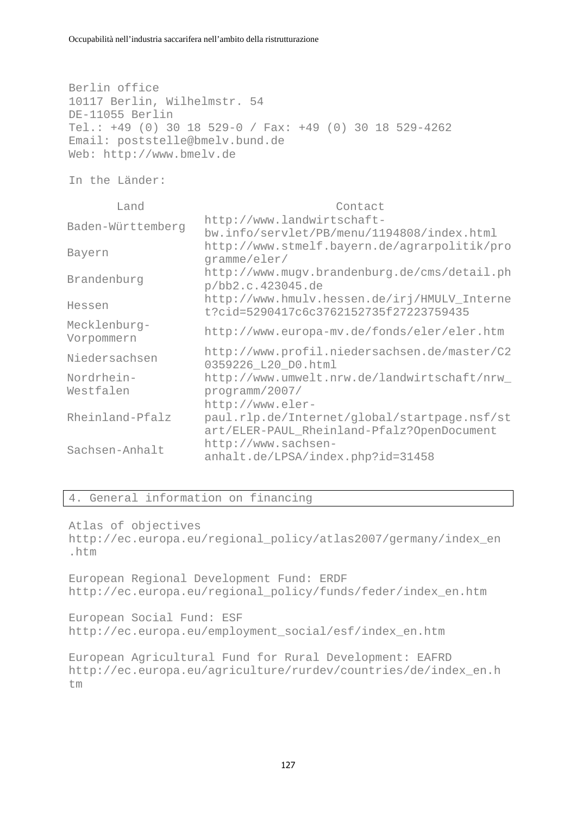Occupabilità nell'industria saccarifera nell'ambito della ristrutturazione

```
Berlin office 
10117 Berlin, Wilhelmstr. 54 
DE-11055 Berlin 
Tel.: +49 (0) 30 18 529-0 / Fax: +49 (0) 30 18 529-4262 
Email: poststelle@bmelv.bund.de 
Web: http://www.bmelv.de 
In the Länder: 
      Land Contact 
Baden-Württemberg http://www.landwirtschaft-
                   bw.info/servlet/PB/menu/1194808/index.html 
Bayern 
                   http://www.stmelf.bayern.de/agrarpolitik/pro
                   gramme/eler/ 
Brandenburg http://www.mugv.brandenburg.de/cms/detail.ph
                   p/bb2.c.423045.de 
Hessen http://www.hmulv.hessen.de/irj/HMULV_Interne
                   t?cid=5290417c6c3762152735f27223759435 
Mecklenburg-
Vorpommern http://www.europa-mv.de/fonds/eler/eler.htm 
Niedersachsen http://www.profil.niedersachsen.de/master/C2
                   0359226_L20_D0.html 
Nordrhein-
Westfalen 
                   http://www.umwelt.nrw.de/landwirtschaft/nrw_
                   programm/2007/ 
Rheinland-Pfalz 
                   http://www.eler-
                   paul.rlp.de/Internet/global/startpage.nsf/st
                   art/ELER-PAUL_Rheinland-Pfalz?OpenDocument 
Sachsen-Anhalt http://www.sachsen-
                   anhalt.de/LPSA/index.php?id=31458
```
# 4. General information on financing

Atlas of objectives http://ec.europa.eu/regional\_policy/atlas2007/germany/index\_en .htm

European Regional Development Fund: ERDF http://ec.europa.eu/regional\_policy/funds/feder/index\_en.htm

European Social Fund: ESF http://ec.europa.eu/employment\_social/esf/index\_en.htm

```
European Agricultural Fund for Rural Development: EAFRD 
http://ec.europa.eu/agriculture/rurdev/countries/de/index_en.h
tm
```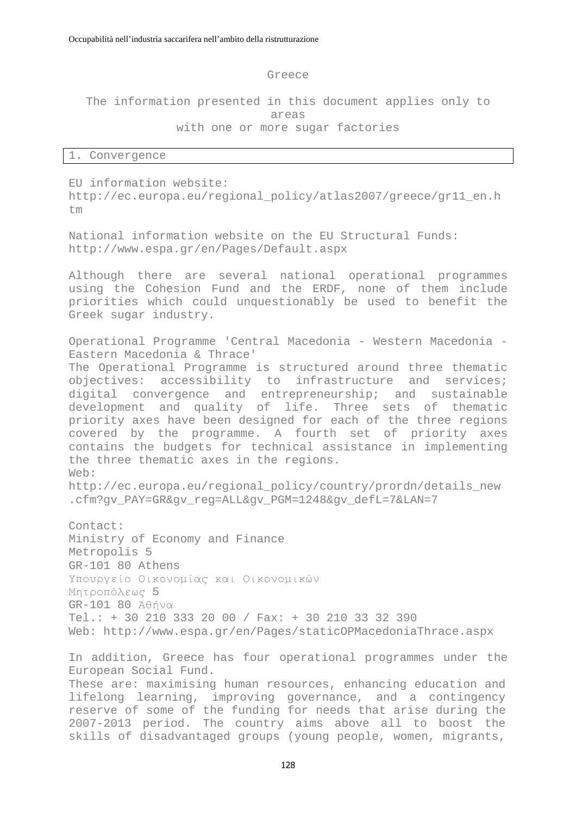Greece

The information presented in this document applies only to areas with one or more sugar factories

## 1. Convergence

EU information website: http://ec.europa.eu/regional\_policy/atlas2007/greece/gr11\_en.h tm

National information website on the EU Structural Funds: http://www.espa.gr/en/Pages/Default.aspx

Although there are several national operational programmes using the Cohesion Fund and the ERDF, none of them include priorities which could unquestionably be used to benefit the Greek sugar industry.

Operational Programme 'Central Macedonia - Western Macedonia - Eastern Macedonia & Thrace'

The Operational Programme is structured around three thematic objectives: accessibility to infrastructure and services; digital convergence and entrepreneurship; and sustainable development and quality of life. Three sets of thematic priority axes have been designed for each of the three regions covered by the programme. A fourth set of priority axes contains the budgets for technical assistance in implementing the three thematic axes in the regions. Web:

http://ec.europa.eu/regional\_policy/country/prordn/details\_new .cfm?gv\_PAY=GR&gv\_reg=ALL&gv\_PGM=1248&gv\_defL=7&LAN=7

Contact: Ministry of Economy and Finance Metropolis 5 GR-101 80 Athens Υπουργείο Οικονοµίας και Οικονοµικών Μητροπόλεως 5 GR-101 80 Αθήνα Tel.: + 30 210 333 20 00 / Fax: + 30 210 33 32 390 Web: http://www.espa.gr/en/Pages/staticOPMacedoniaThrace.aspx

In addition, Greece has four operational programmes under the European Social Fund. These are: maximising human resources, enhancing education and lifelong learning, improving governance, and a contingency reserve of some of the funding for needs that arise during the 2007-2013 period. The country aims above all to boost the skills of disadvantaged groups (young people, women, migrants,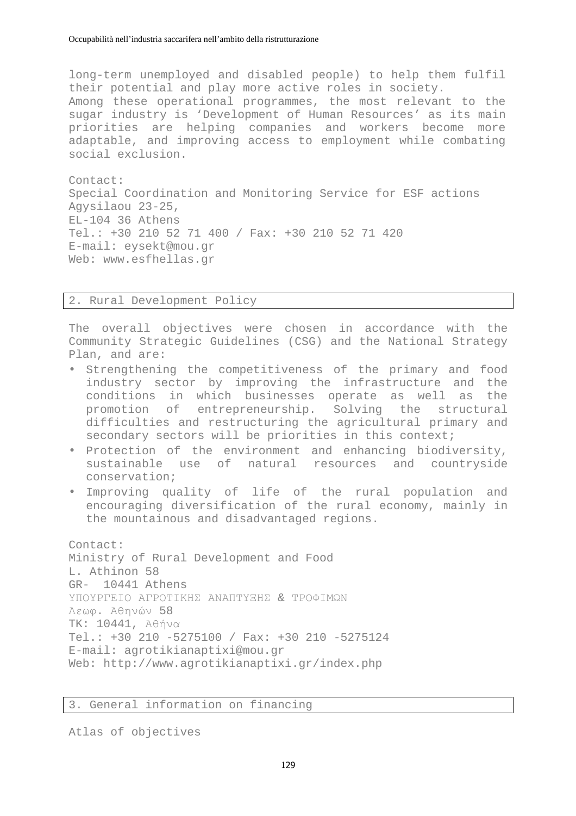long-term unemployed and disabled people) to help them fulfil their potential and play more active roles in society. Among these operational programmes, the most relevant to the sugar industry is 'Development of Human Resources' as its main priorities are helping companies and workers become more adaptable, and improving access to employment while combating social exclusion.

Contact: Special Coordination and Monitoring Service for ESF actions Agysilaou 23-25, EL-104 36 Athens Tel.: +30 210 52 71 400 / Fax: +30 210 52 71 420 E-mail: eysekt@mou.gr Web: www.esfhellas.gr

2. Rural Development Policy

The overall objectives were chosen in accordance with the Community Strategic Guidelines (CSG) and the National Strategy Plan, and are:

- Strengthening the competitiveness of the primary and food industry sector by improving the infrastructure and the conditions in which businesses operate as well as the promotion of entrepreneurship. Solving the structural difficulties and restructuring the agricultural primary and secondary sectors will be priorities in this context;
- Protection of the environment and enhancing biodiversity, sustainable use of natural resources and countryside conservation;
- Improving quality of life of the rural population and encouraging diversification of the rural economy, mainly in the mountainous and disadvantaged regions.

Contact: Ministry of Rural Development and Food L. Athinon 58 GR- 10441 Athens ΥΠΟΥΡΓΕΙΟ ΑΓΡΟΤΙΚΗΣ ΑΝΑΠΤΥΞΗΣ & ΤΡΟΦΙΜΩΝ Λεωφ. Αθηνών 58 TK: 10441, Αθήνα Tel.: +30 210 -5275100 / Fax: +30 210 -5275124 E-mail: agrotikianaptixi@mou.gr Web: http://www.agrotikianaptixi.gr/index.php

## 3. General information on financing

Atlas of objectives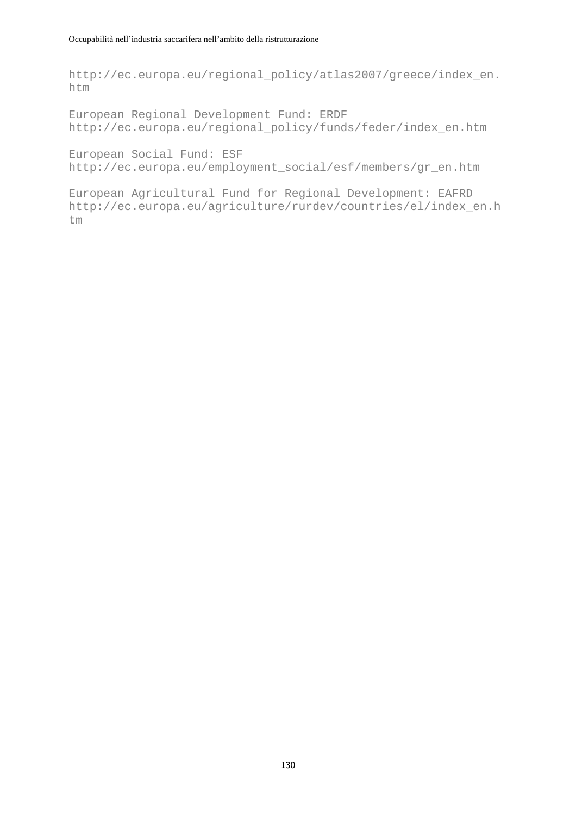#### Occupabilità nell'industria saccarifera nell'ambito della ristrutturazione

http://ec.europa.eu/regional\_policy/atlas2007/greece/index\_en. htm

European Regional Development Fund: ERDF http://ec.europa.eu/regional\_policy/funds/feder/index\_en.htm

European Social Fund: ESF http://ec.europa.eu/employment\_social/esf/members/gr\_en.htm

European Agricultural Fund for Regional Development: EAFRD http://ec.europa.eu/agriculture/rurdev/countries/el/index\_en.h tm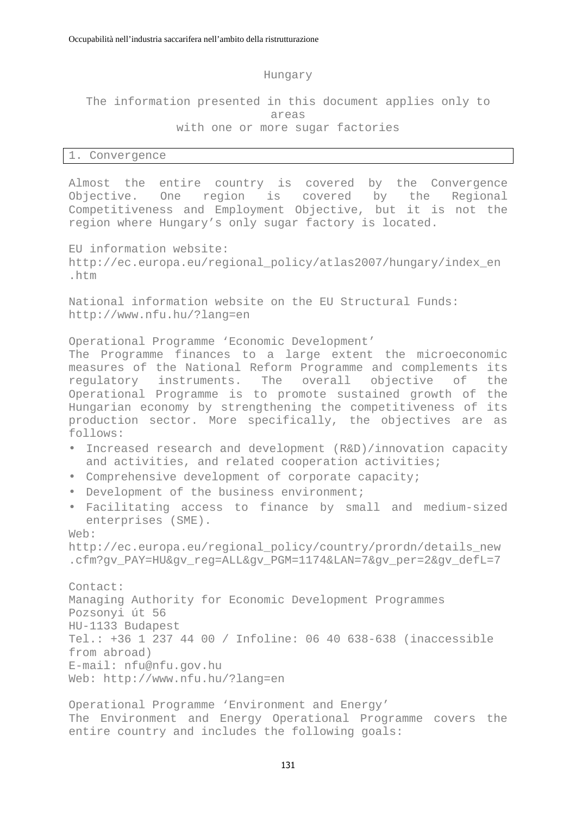#### Hungary

The information presented in this document applies only to areas with one or more sugar factories

## 1. Convergence

Almost the entire country is covered by the Convergence Objective. One region is covered by the Regional Competitiveness and Employment Objective, but it is not the region where Hungary's only sugar factory is located.

EU information website: http://ec.europa.eu/regional\_policy/atlas2007/hungary/index\_en .htm

National information website on the EU Structural Funds: http://www.nfu.hu/?lang=en

Operational Programme 'Economic Development'

The Programme finances to a large extent the microeconomic measures of the National Reform Programme and complements its regulatory instruments. The overall objective of the Operational Programme is to promote sustained growth of the Hungarian economy by strengthening the competitiveness of its production sector. More specifically, the objectives are as follows:

- Increased research and development (R&D)/innovation capacity and activities, and related cooperation activities;
- Comprehensive development of corporate capacity;
- Development of the business environment;
- Facilitating access to finance by small and medium-sized enterprises (SME).

#### Web:

http://ec.europa.eu/regional\_policy/country/prordn/details\_new .cfm?gv\_PAY=HU&gv\_reg=ALL&gv\_PGM=1174&LAN=7&gv\_per=2&gv\_defL=7

Contact: Managing Authority for Economic Development Programmes Pozsonyi út 56 HU-1133 Budapest Tel.: +36 1 237 44 00 / Infoline: 06 40 638-638 (inaccessible from abroad) E-mail: nfu@nfu.gov.hu Web: http://www.nfu.hu/?lang=en

Operational Programme 'Environment and Energy' The Environment and Energy Operational Programme covers the entire country and includes the following goals: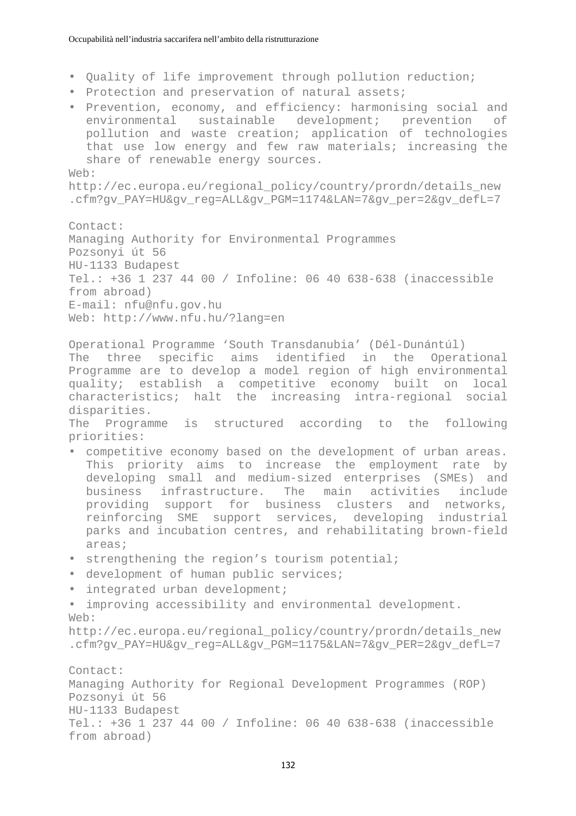- Quality of life improvement through pollution reduction;
- Protection and preservation of natural assets;
- Prevention, economy, and efficiency: harmonising social and environmental sustainable development; prevention of pollution and waste creation; application of technologies that use low energy and few raw materials; increasing the share of renewable energy sources. Web:

http://ec.europa.eu/regional\_policy/country/prordn/details\_new .cfm?gv\_PAY=HU&gv\_reg=ALL&gv\_PGM=1174&LAN=7&gv\_per=2&gv\_defL=7

```
Contact: 
Managing Authority for Environmental Programmes 
Pozsonyi út 56 
HU-1133 Budapest 
Tel.: +36 1 237 44 00 / Infoline: 06 40 638-638 (inaccessible 
from abroad) 
E-mail: nfu@nfu.gov.hu 
Web: http://www.nfu.hu/?lang=en
```
Operational Programme 'South Transdanubia' (Dél-Dunántúl) The three specific aims identified in the Operational Programme are to develop a model region of high environmental quality; establish a competitive economy built on local characteristics; halt the increasing intra-regional social disparities.

The Programme is structured according to the following priorities:

- competitive economy based on the development of urban areas. This priority aims to increase the employment rate by developing small and medium-sized enterprises (SMEs) and business infrastructure. The main activities include providing support for business clusters and networks, reinforcing SME support services, developing industrial parks and incubation centres, and rehabilitating brown-field areas;
- strengthening the region's tourism potential;
- development of human public services;
- integrated urban development;
- improving accessibility and environmental development.

#### Web:

http://ec.europa.eu/regional\_policy/country/prordn/details\_new .cfm?gv\_PAY=HU&gv\_reg=ALL&gv\_PGM=1175&LAN=7&gv\_PER=2&gv\_defL=7

```
Contact: 
Managing Authority for Regional Development Programmes (ROP) 
Pozsonyi út 56 
HU-1133 Budapest 
Tel.: +36 1 237 44 00 / Infoline: 06 40 638-638 (inaccessible 
from abroad)
```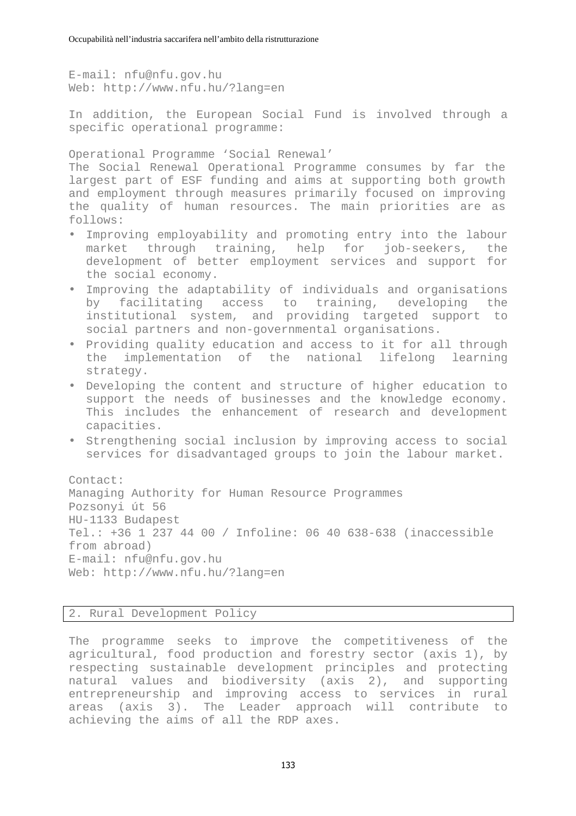E-mail: nfu@nfu.gov.hu Web: http://www.nfu.hu/?lang=en

In addition, the European Social Fund is involved through a specific operational programme:

Operational Programme 'Social Renewal'

The Social Renewal Operational Programme consumes by far the largest part of ESF funding and aims at supporting both growth and employment through measures primarily focused on improving the quality of human resources. The main priorities are as follows:

- Improving employability and promoting entry into the labour market through training, help for job-seekers, the development of better employment services and support for the social economy.
- Improving the adaptability of individuals and organisations by facilitating access to training, developing the institutional system, and providing targeted support to social partners and non-governmental organisations.
- Providing quality education and access to it for all through the implementation of the national lifelong learning strategy.
- Developing the content and structure of higher education to support the needs of businesses and the knowledge economy. This includes the enhancement of research and development capacities.
- Strengthening social inclusion by improving access to social services for disadvantaged groups to join the labour market.

Contact: Managing Authority for Human Resource Programmes Pozsonyi út 56 HU-1133 Budapest Tel.: +36 1 237 44 00 / Infoline: 06 40 638-638 (inaccessible from abroad) E-mail: nfu@nfu.gov.hu Web: http://www.nfu.hu/?lang=en

# 2. Rural Development Policy

The programme seeks to improve the competitiveness of the agricultural, food production and forestry sector (axis 1), by respecting sustainable development principles and protecting natural values and biodiversity (axis 2), and supporting entrepreneurship and improving access to services in rural areas (axis 3). The Leader approach will contribute to achieving the aims of all the RDP axes.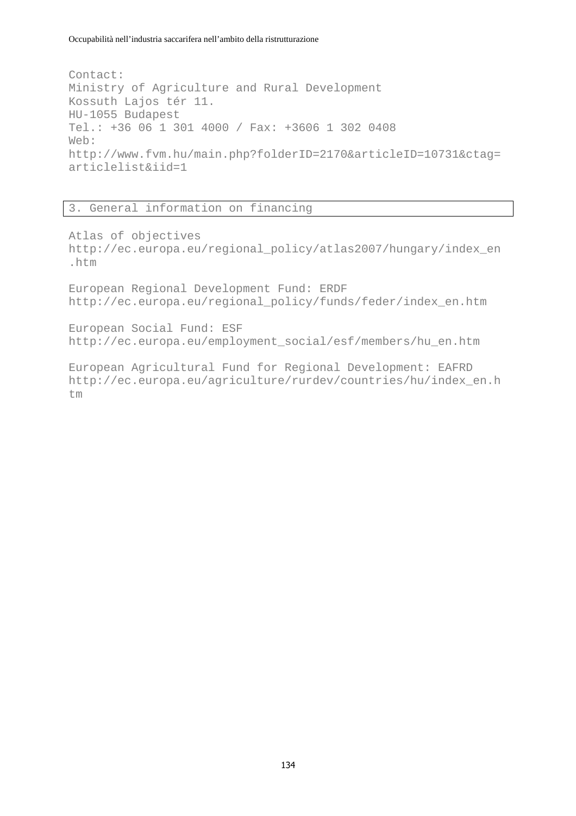Occupabilità nell'industria saccarifera nell'ambito della ristrutturazione

Contact: Ministry of Agriculture and Rural Development Kossuth Lajos tér 11. HU-1055 Budapest Tel.: +36 06 1 301 4000 / Fax: +3606 1 302 0408 Web: http://www.fvm.hu/main.php?folderID=2170&articleID=10731&ctag= articlelist&iid=1

3. General information on financing

Atlas of objectives http://ec.europa.eu/regional\_policy/atlas2007/hungary/index\_en .htm European Regional Development Fund: ERDF http://ec.europa.eu/regional\_policy/funds/feder/index\_en.htm European Social Fund: ESF http://ec.europa.eu/employment\_social/esf/members/hu\_en.htm European Agricultural Fund for Regional Development: EAFRD http://ec.europa.eu/agriculture/rurdev/countries/hu/index\_en.h

tm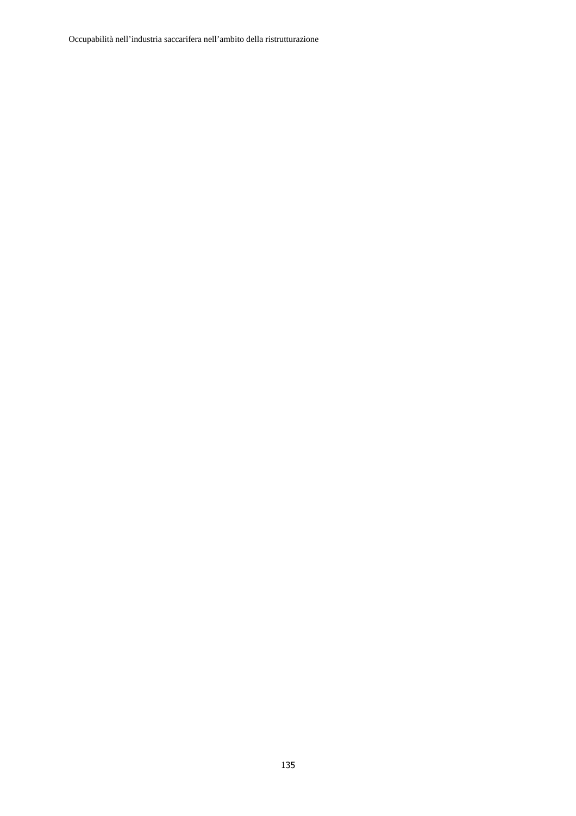Occupabilità nell'industria saccarifera nell'ambito della ristrutturazione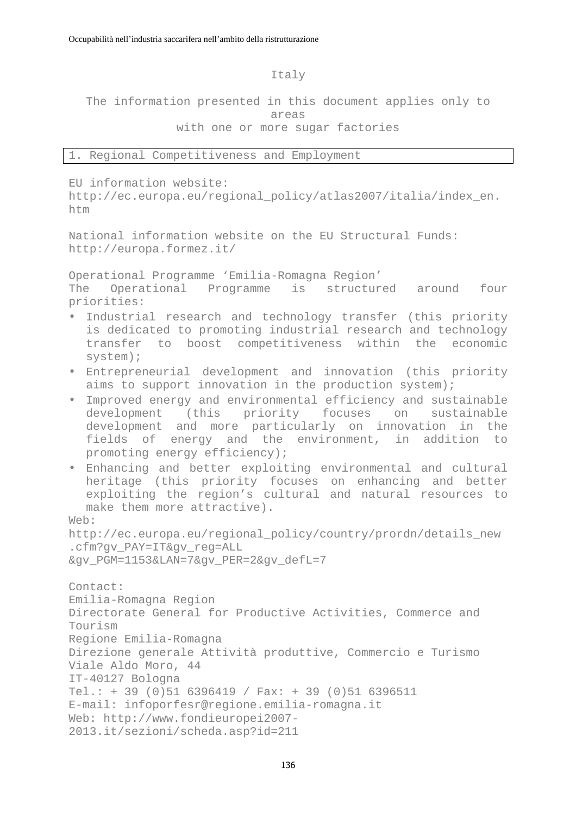Italy

The information presented in this document applies only to areas with one or more sugar factories

#### 1. Regional Competitiveness and Employment

EU information website: http://ec.europa.eu/regional\_policy/atlas2007/italia/index\_en. htm

National information website on the EU Structural Funds: http://europa.formez.it/

Operational Programme 'Emilia-Romagna Region' The Operational Programme is structured around four priorities:

- Industrial research and technology transfer (this priority is dedicated to promoting industrial research and technology transfer to boost competitiveness within the economic system);
- Entrepreneurial development and innovation (this priority aims to support innovation in the production system);
- Improved energy and environmental efficiency and sustainable development (this priority focuses on sustainable development and more particularly on innovation in the fields of energy and the environment, in addition to promoting energy efficiency);
- Enhancing and better exploiting environmental and cultural heritage (this priority focuses on enhancing and better exploiting the region's cultural and natural resources to make them more attractive).

Web:

http://ec.europa.eu/regional\_policy/country/prordn/details\_new .cfm?gv\_PAY=IT&gv\_reg=ALL

&gv\_PGM=1153&LAN=7&gv\_PER=2&gv\_defL=7

Contact: Emilia-Romagna Region Directorate General for Productive Activities, Commerce and Tourism Regione Emilia-Romagna Direzione generale Attività produttive, Commercio e Turismo Viale Aldo Moro, 44 IT-40127 Bologna Tel.: + 39 (0)51 6396419 / Fax: + 39 (0)51 6396511 E-mail: infoporfesr@regione.emilia-romagna.it Web: http://www.fondieuropei2007- 2013.it/sezioni/scheda.asp?id=211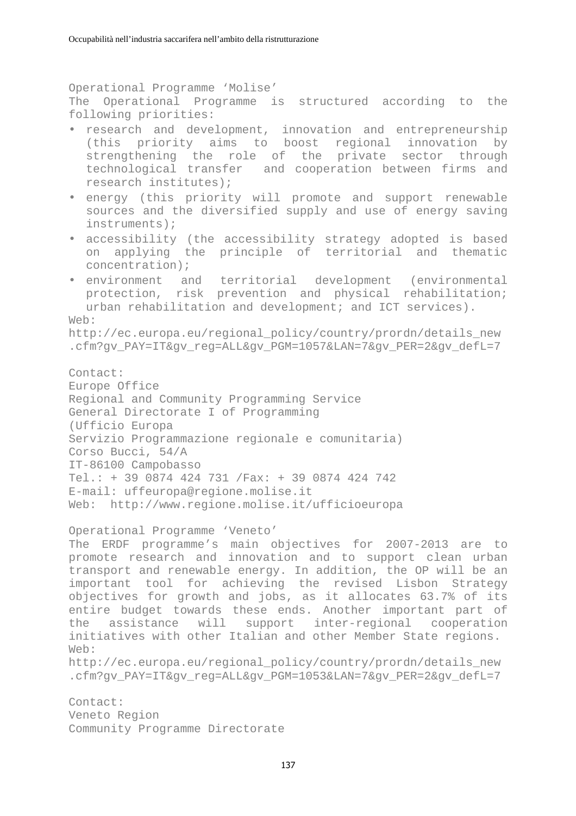Operational Programme 'Molise' The Operational Programme is structured according to the following priorities:

- research and development, innovation and entrepreneurship (this priority aims to boost regional innovation by strengthening the role of the private sector through technological transfer and cooperation between firms and research institutes);
- energy (this priority will promote and support renewable sources and the diversified supply and use of energy saving instruments);
- accessibility (the accessibility strategy adopted is based on applying the principle of territorial and thematic concentration);
- environment and territorial development (environmental protection, risk prevention and physical rehabilitation; urban rehabilitation and development; and ICT services). Web:

```
http://ec.europa.eu/regional_policy/country/prordn/details_new
.cfm?gv_PAY=IT&gv_reg=ALL&gv_PGM=1057&LAN=7&gv_PER=2&gv_defL=7
```
Contact: Europe Office Regional and Community Programming Service General Directorate I of Programming (Ufficio Europa Servizio Programmazione regionale e comunitaria) Corso Bucci, 54/A IT-86100 Campobasso Tel.: + 39 0874 424 731 /Fax: + 39 0874 424 742 E-mail: uffeuropa@regione.molise.it Web: http://www.regione.molise.it/ufficioeuropa

Operational Programme 'Veneto' The ERDF programme's main objectives for 2007-2013 are to promote research and innovation and to support clean urban transport and renewable energy. In addition, the OP will be an important tool for achieving the revised Lisbon Strategy objectives for growth and jobs, as it allocates 63.7% of its entire budget towards these ends. Another important part of the assistance will support inter-regional cooperation initiatives with other Italian and other Member State regions. Web: http://ec.europa.eu/regional\_policy/country/prordn/details\_new

.cfm?gv\_PAY=IT&gv\_reg=ALL&gv\_PGM=1053&LAN=7&gv\_PER=2&gv\_defL=7

Contact: Veneto Region Community Programme Directorate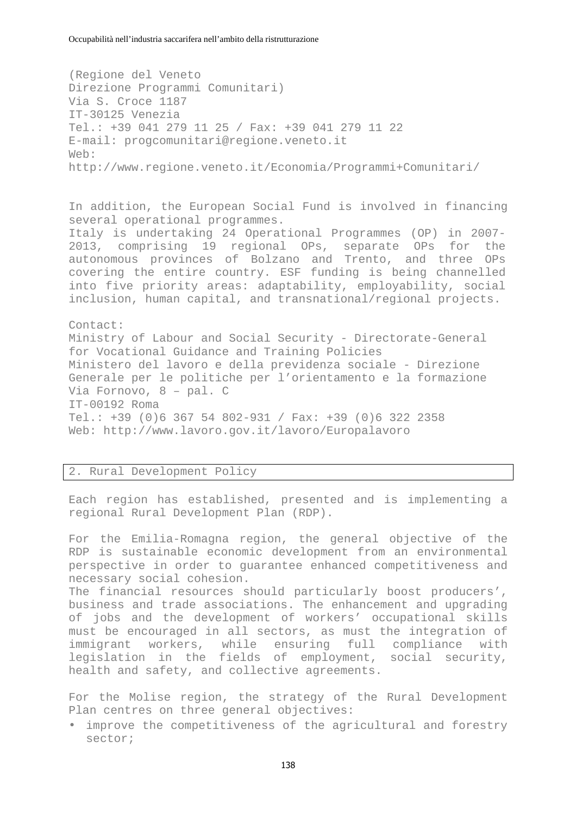Occupabilità nell'industria saccarifera nell'ambito della ristrutturazione

(Regione del Veneto Direzione Programmi Comunitari) Via S. Croce 1187 IT-30125 Venezia Tel.: +39 041 279 11 25 / Fax: +39 041 279 11 22 E-mail: progcomunitari@regione.veneto.it Web: http://www.regione.veneto.it/Economia/Programmi+Comunitari/ In addition, the European Social Fund is involved in financing several operational programmes. Italy is undertaking 24 Operational Programmes (OP) in 2007- 2013, comprising 19 regional OPs, separate OPs for the autonomous provinces of Bolzano and Trento, and three OPs covering the entire country. ESF funding is being channelled into five priority areas: adaptability, employability, social inclusion, human capital, and transnational/regional projects. Contact: Ministry of Labour and Social Security - Directorate-General for Vocational Guidance and Training Policies Ministero del lavoro e della previdenza sociale - Direzione Generale per le politiche per l'orientamento e la formazione Via Fornovo, 8 – pal. C IT-00192 Roma Tel.: +39 (0)6 367 54 802-931 / Fax: +39 (0)6 322 2358 Web: http://www.lavoro.gov.it/lavoro/Europalavoro

# 2. Rural Development Policy

Each region has established, presented and is implementing a regional Rural Development Plan (RDP).

For the Emilia-Romagna region, the general objective of the RDP is sustainable economic development from an environmental perspective in order to guarantee enhanced competitiveness and necessary social cohesion.

The financial resources should particularly boost producers', business and trade associations. The enhancement and upgrading of jobs and the development of workers' occupational skills must be encouraged in all sectors, as must the integration of immigrant workers, while ensuring full compliance with legislation in the fields of employment, social security, health and safety, and collective agreements.

For the Molise region, the strategy of the Rural Development Plan centres on three general objectives:

• improve the competitiveness of the agricultural and forestry sector;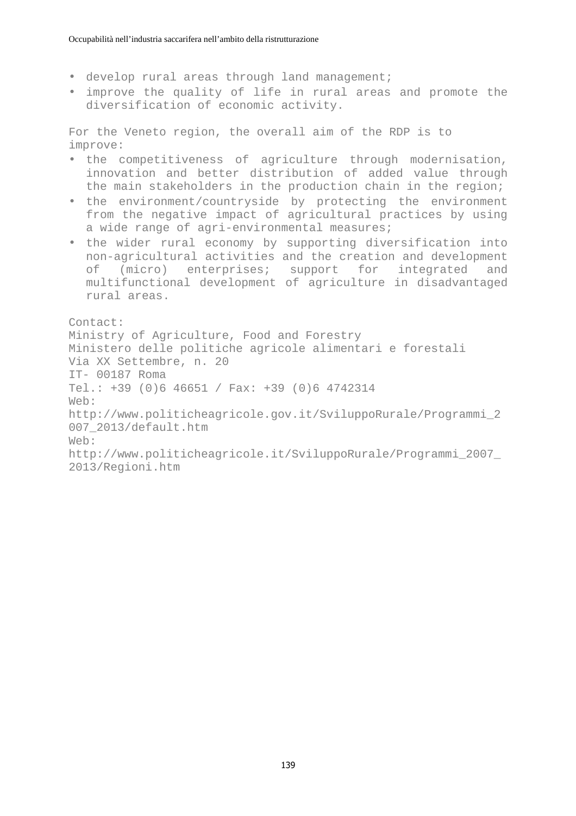- develop rural areas through land management;
- improve the quality of life in rural areas and promote the diversification of economic activity.

For the Veneto region, the overall aim of the RDP is to improve:

- the competitiveness of agriculture through modernisation, innovation and better distribution of added value through the main stakeholders in the production chain in the region;
- the environment/countryside by protecting the environment from the negative impact of agricultural practices by using a wide range of agri-environmental measures;
- the wider rural economy by supporting diversification into non-agricultural activities and the creation and development of (micro) enterprises; support for integrated and multifunctional development of agriculture in disadvantaged rural areas.

Contact: Ministry of Agriculture, Food and Forestry Ministero delle politiche agricole alimentari e forestali Via XX Settembre, n. 20 IT- 00187 Roma Tel.: +39 (0)6 46651 / Fax: +39 (0)6 4742314 Web: http://www.politicheagricole.gov.it/SviluppoRurale/Programmi\_2 007\_2013/default.htm Web: http://www.politicheagricole.it/SviluppoRurale/Programmi\_2007\_ 2013/Regioni.htm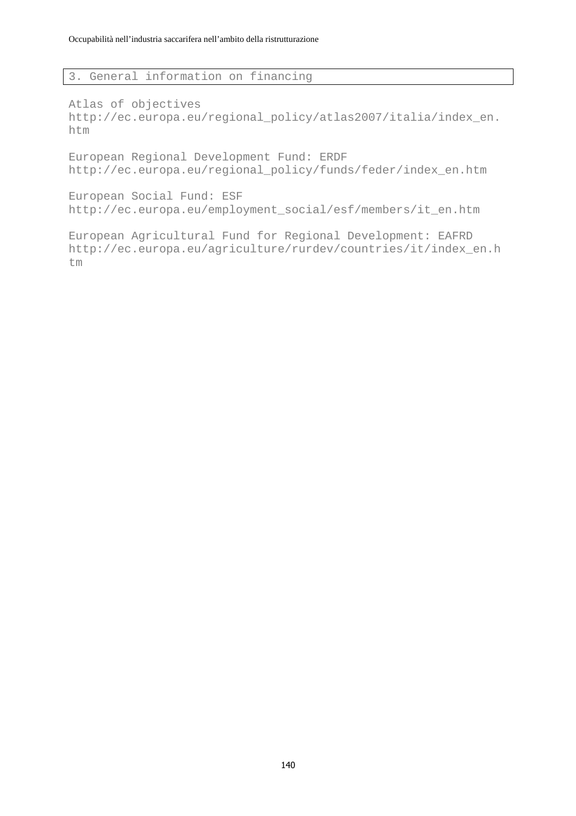3. General information on financing

Atlas of objectives http://ec.europa.eu/regional\_policy/atlas2007/italia/index\_en. htm

European Regional Development Fund: ERDF http://ec.europa.eu/regional\_policy/funds/feder/index\_en.htm

European Social Fund: ESF http://ec.europa.eu/employment\_social/esf/members/it\_en.htm

European Agricultural Fund for Regional Development: EAFRD http://ec.europa.eu/agriculture/rurdev/countries/it/index\_en.h tm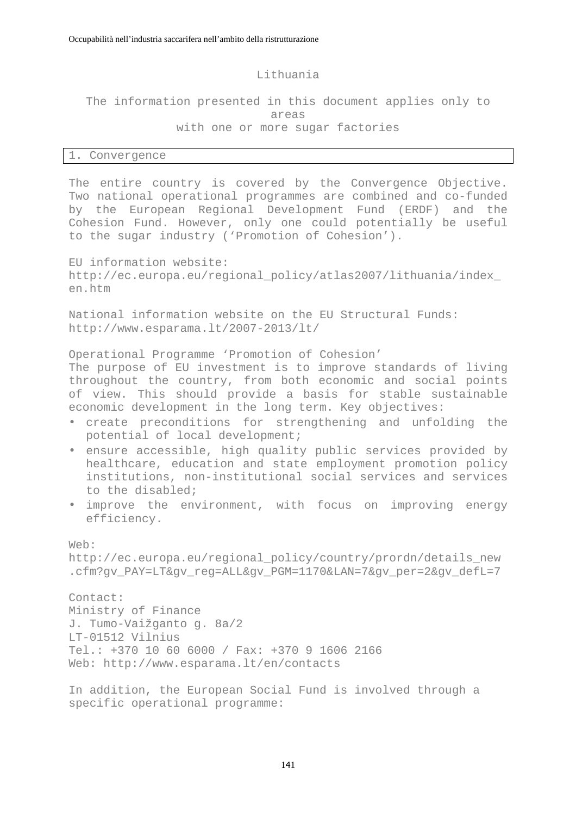#### Lithuania

The information presented in this document applies only to areas with one or more sugar factories

## 1. Convergence

The entire country is covered by the Convergence Objective. Two national operational programmes are combined and co-funded by the European Regional Development Fund (ERDF) and the Cohesion Fund. However, only one could potentially be useful to the sugar industry ('Promotion of Cohesion').

EU information website: http://ec.europa.eu/regional\_policy/atlas2007/lithuania/index\_ en.htm

National information website on the EU Structural Funds: http://www.esparama.lt/2007-2013/lt/

Operational Programme 'Promotion of Cohesion' The purpose of EU investment is to improve standards of living throughout the country, from both economic and social points of view. This should provide a basis for stable sustainable economic development in the long term. Key objectives:

- create preconditions for strengthening and unfolding the potential of local development;
- ensure accessible, high quality public services provided by healthcare, education and state employment promotion policy institutions, non-institutional social services and services to the disabled;
- improve the environment, with focus on improving energy efficiency.

Web:

http://ec.europa.eu/regional\_policy/country/prordn/details\_new .cfm?gv\_PAY=LT&gv\_reg=ALL&gv\_PGM=1170&LAN=7&gv\_per=2&gv\_defL=7

Contact: Ministry of Finance J. Tumo-Vaižganto g. 8a/2 LT-01512 Vilnius Tel.: +370 10 60 6000 / Fax: +370 9 1606 2166 Web: http://www.esparama.lt/en/contacts

In addition, the European Social Fund is involved through a specific operational programme: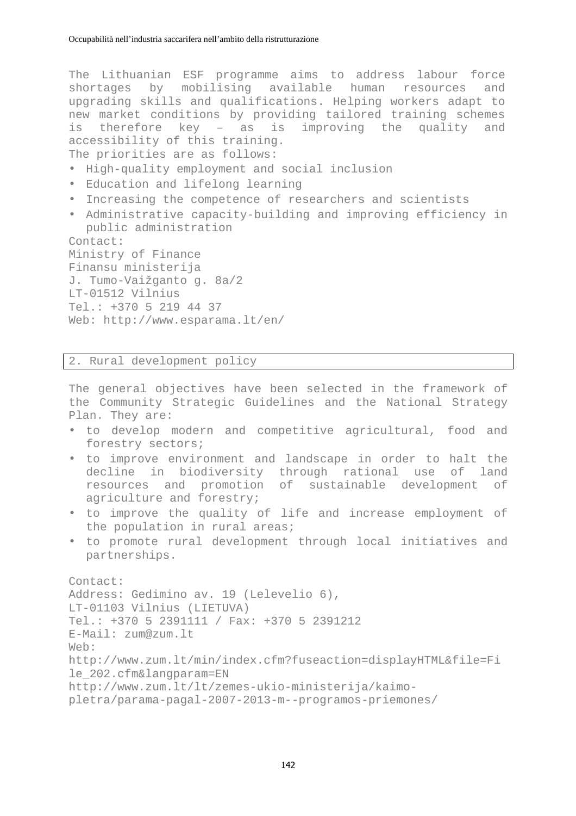The Lithuanian ESF programme aims to address labour force shortages by mobilising available human resources and upgrading skills and qualifications. Helping workers adapt to new market conditions by providing tailored training schemes is therefore key – as is improving the quality and accessibility of this training.

The priorities are as follows:

- High-quality employment and social inclusion
- Education and lifelong learning
- Increasing the competence of researchers and scientists
- Administrative capacity-building and improving efficiency in public administration

Contact: Ministry of Finance Finansu ministerija J. Tumo-Vaižganto g. 8a/2 LT-01512 Vilnius Tel.: +370 5 219 44 37 Web: http://www.esparama.lt/en/

2. Rural development policy

The general objectives have been selected in the framework of the Community Strategic Guidelines and the National Strategy Plan. They are:

- to develop modern and competitive agricultural, food and forestry sectors;
- to improve environment and landscape in order to halt the decline in biodiversity through rational use of land resources and promotion of sustainable development of agriculture and forestry;
- to improve the quality of life and increase employment of the population in rural areas;
- to promote rural development through local initiatives and partnerships.

```
Contact: 
Address: Gedimino av. 19 (Lelevelio 6), 
LT-01103 Vilnius (LIETUVA) 
Tel.: +370 5 2391111 / Fax: +370 5 2391212 
E-Mail: zum@zum.lt 
Web: 
http://www.zum.lt/min/index.cfm?fuseaction=displayHTML&file=Fi
le_202.cfm&langparam=EN 
http://www.zum.lt/lt/zemes-ukio-ministerija/kaimo-
pletra/parama-pagal-2007-2013-m--programos-priemones/
```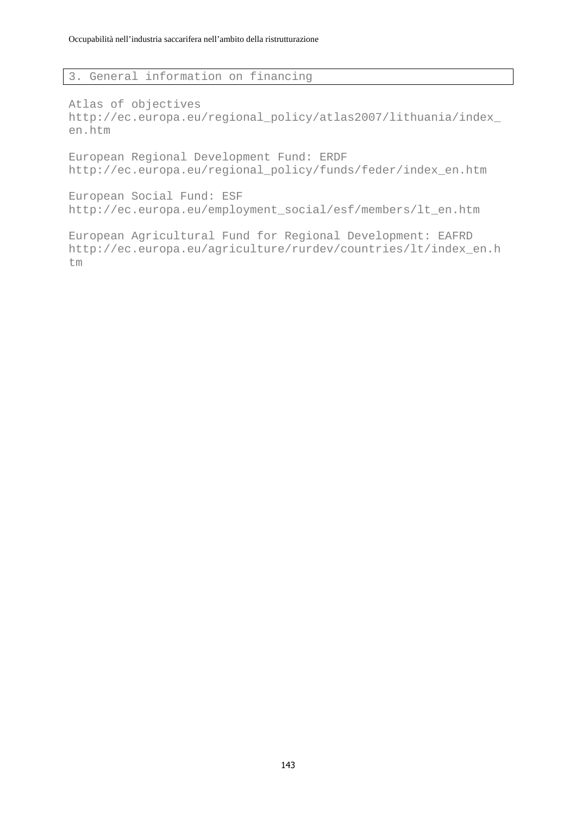3. General information on financing

Atlas of objectives http://ec.europa.eu/regional\_policy/atlas2007/lithuania/index\_ en.htm

European Regional Development Fund: ERDF http://ec.europa.eu/regional\_policy/funds/feder/index\_en.htm

European Social Fund: ESF http://ec.europa.eu/employment\_social/esf/members/lt\_en.htm

European Agricultural Fund for Regional Development: EAFRD http://ec.europa.eu/agriculture/rurdev/countries/lt/index\_en.h tm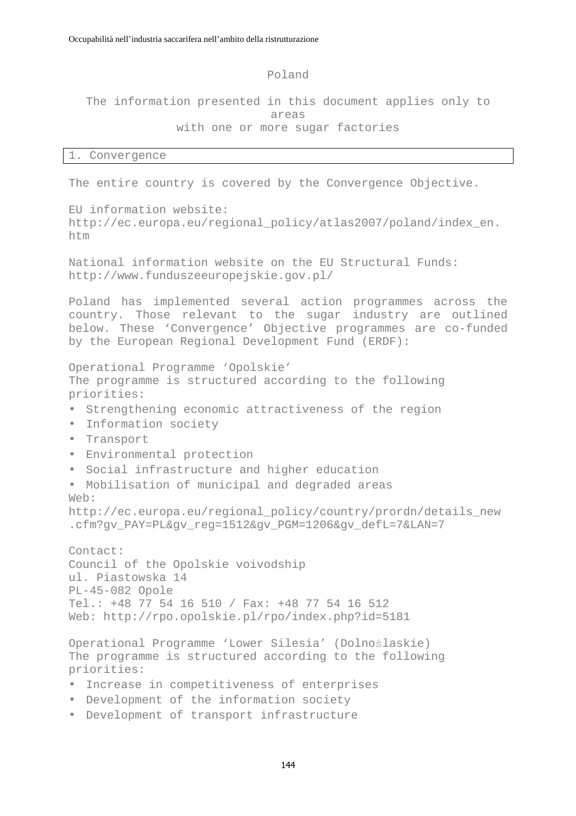## Poland

The information presented in this document applies only to areas with one or more sugar factories

## 1. Convergence

The entire country is covered by the Convergence Objective.

EU information website: http://ec.europa.eu/regional\_policy/atlas2007/poland/index\_en. htm National information website on the EU Structural Funds: http://www.funduszeeuropejskie.gov.pl/ Poland has implemented several action programmes across the country. Those relevant to the sugar industry are outlined below. These 'Convergence' Objective programmes are co-funded by the European Regional Development Fund (ERDF): Operational Programme 'Opolskie' The programme is structured according to the following priorities: • Strengthening economic attractiveness of the region • Information society • Transport • Environmental protection • Social infrastructure and higher education • Mobilisation of municipal and degraded areas Web: http://ec.europa.eu/regional\_policy/country/prordn/details\_new .cfm?gv\_PAY=PL&gv\_reg=1512&gv\_PGM=1206&gv\_defL=7&LAN=7 Contact: Council of the Opolskie voivodship ul. Piastowska 14 PL-45-082 Opole Tel.: +48 77 54 16 510 / Fax: +48 77 54 16 512 Web: http://rpo.opolskie.pl/rpo/index.php?id=5181 Operational Programme 'Lower Silesia' (Dolnoślaskie) The programme is structured according to the following priorities: • Increase in competitiveness of enterprises • Development of the information society

• Development of transport infrastructure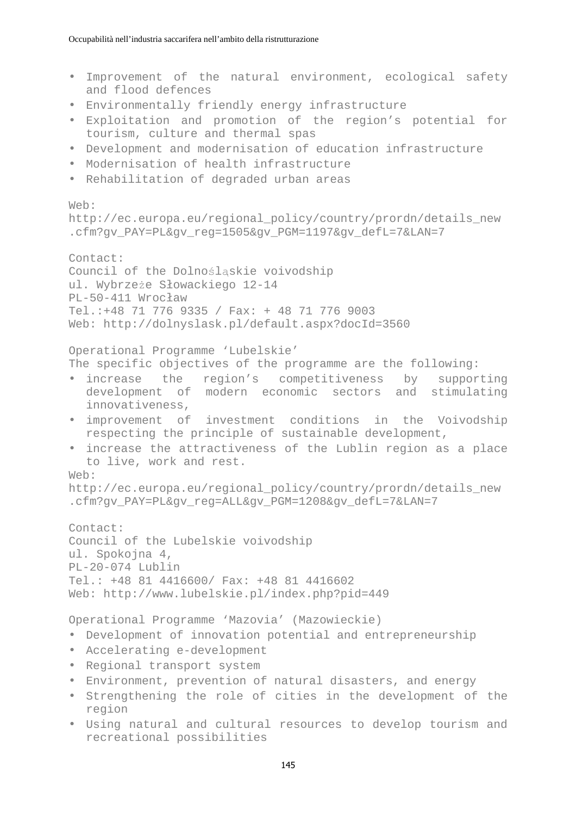• Improvement of the natural environment, ecological safety and flood defences • Environmentally friendly energy infrastructure • Exploitation and promotion of the region's potential for tourism, culture and thermal spas • Development and modernisation of education infrastructure • Modernisation of health infrastructure • Rehabilitation of degraded urban areas Web: http://ec.europa.eu/regional\_policy/country/prordn/details\_new .cfm?gv\_PAY=PL&gv\_reg=1505&gv\_PGM=1197&gv\_defL=7&LAN=7 Contact: Council of the Dolnośląskie voivodship ul. Wybrzeże Słowackiego 12-14 PL-50-411 Wrocław Tel.:+48 71 776 9335 / Fax: + 48 71 776 9003 Web: http://dolnyslask.pl/default.aspx?docId=3560 Operational Programme 'Lubelskie' The specific objectives of the programme are the following: • increase the region's competitiveness by supporting development of modern economic sectors and stimulating innovativeness, • improvement of investment conditions in the Voivodship respecting the principle of sustainable development, • increase the attractiveness of the Lublin region as a place to live, work and rest. Web: http://ec.europa.eu/regional\_policy/country/prordn/details\_new .cfm?gv\_PAY=PL&gv\_reg=ALL&gv\_PGM=1208&gv\_defL=7&LAN=7 Contact: Council of the Lubelskie voivodship ul. Spokojna 4, PL-20-074 Lublin Tel.: +48 81 4416600/ Fax: +48 81 4416602 Web: http://www.lubelskie.pl/index.php?pid=449 Operational Programme 'Mazovia' (Mazowieckie) • Development of innovation potential and entrepreneurship • Accelerating e-development • Regional transport system • Environment, prevention of natural disasters, and energy • Strengthening the role of cities in the development of the region • Using natural and cultural resources to develop tourism and recreational possibilities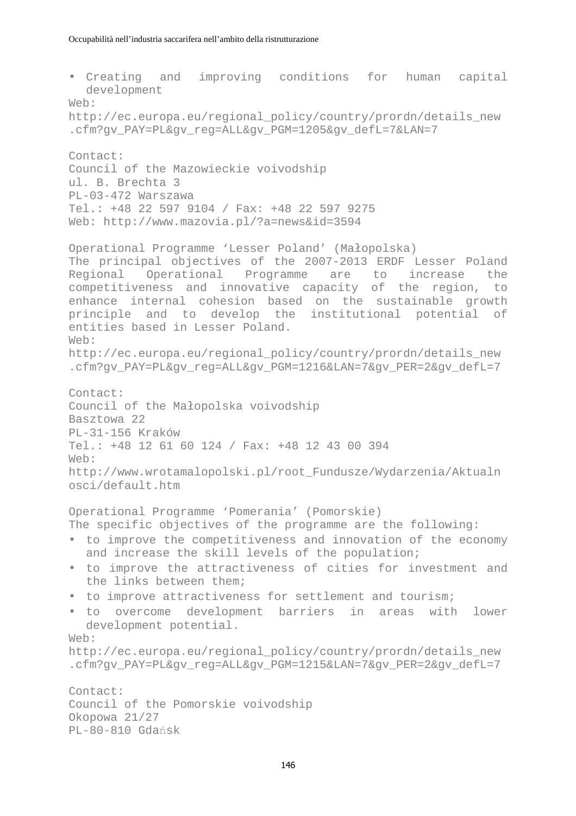• Creating and improving conditions for human capital development  $W \cap h$ : http://ec.europa.eu/regional\_policy/country/prordn/details\_new .cfm?gv\_PAY=PL&gv\_reg=ALL&gv\_PGM=1205&gv\_defL=7&LAN=7 Contact: Council of the Mazowieckie voivodship ul. B. Brechta 3 PL-03-472 Warszawa Tel.: +48 22 597 9104 / Fax: +48 22 597 9275 Web: http://www.mazovia.pl/?a=news&id=3594 Operational Programme 'Lesser Poland' (Małopolska) The principal objectives of the 2007-2013 ERDF Lesser Poland Regional Operational Programme are to increase the competitiveness and innovative capacity of the region, to enhance internal cohesion based on the sustainable growth principle and to develop the institutional potential of entities based in Lesser Poland. Web: http://ec.europa.eu/regional\_policy/country/prordn/details\_new .cfm?gv\_PAY=PL&gv\_reg=ALL&gv\_PGM=1216&LAN=7&gv\_PER=2&gv\_defL=7 Contact: Council of the Małopolska voivodship Basztowa 22 PL-31-156 Kraków Tel.: +48 12 61 60 124 / Fax: +48 12 43 00 394 Web: http://www.wrotamalopolski.pl/root\_Fundusze/Wydarzenia/Aktualn osci/default.htm Operational Programme 'Pomerania' (Pomorskie) The specific objectives of the programme are the following: • to improve the competitiveness and innovation of the economy and increase the skill levels of the population; • to improve the attractiveness of cities for investment and the links between them; • to improve attractiveness for settlement and tourism; • to overcome development barriers in areas with lower development potential. Web: http://ec.europa.eu/regional\_policy/country/prordn/details\_new .cfm?gv\_PAY=PL&gv\_reg=ALL&gv\_PGM=1215&LAN=7&gv\_PER=2&gv\_defL=7 Contact: Council of the Pomorskie voivodship Okopowa 21/27 PL-80-810 Gdańsk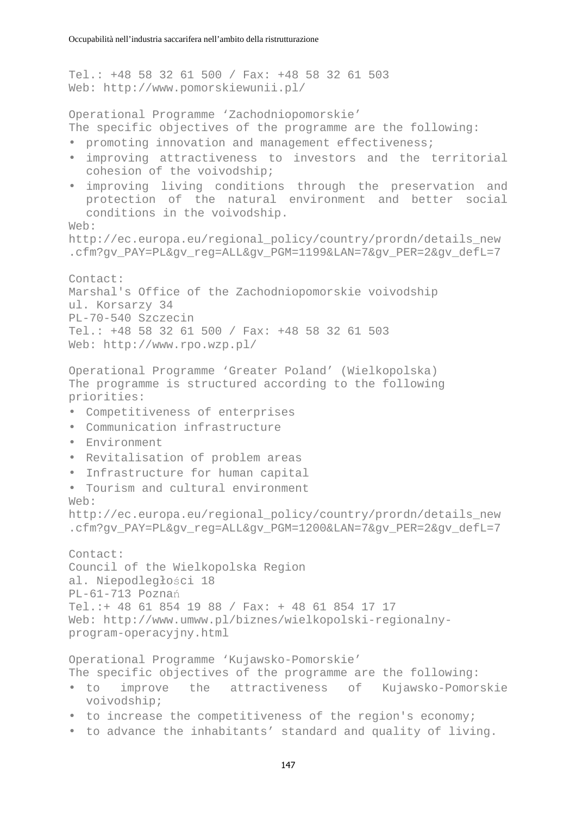Tel.: +48 58 32 61 500 / Fax: +48 58 32 61 503 Web: http://www.pomorskiewunii.pl/ Operational Programme 'Zachodniopomorskie' The specific objectives of the programme are the following: • promoting innovation and management effectiveness; • improving attractiveness to investors and the territorial cohesion of the voivodship; • improving living conditions through the preservation and protection of the natural environment and better social conditions in the voivodship. Web: http://ec.europa.eu/regional\_policy/country/prordn/details\_new .cfm?gv\_PAY=PL&gv\_reg=ALL&gv\_PGM=1199&LAN=7&gv\_PER=2&gv\_defL=7 Contact: Marshal's Office of the Zachodniopomorskie voivodship ul. Korsarzy 34 PL-70-540 Szczecin Tel.: +48 58 32 61 500 / Fax: +48 58 32 61 503 Web: http://www.rpo.wzp.pl/ Operational Programme 'Greater Poland' (Wielkopolska) The programme is structured according to the following priorities: • Competitiveness of enterprises • Communication infrastructure • Environment • Revitalisation of problem areas • Infrastructure for human capital • Tourism and cultural environment Web: http://ec.europa.eu/regional\_policy/country/prordn/details\_new .cfm?gv\_PAY=PL&gv\_reg=ALL&gv\_PGM=1200&LAN=7&gv\_PER=2&gv\_defL=7 Contact: Council of the Wielkopolska Region al. Niepodległości 18 PL-61-713 Poznań Tel.:+ 48 61 854 19 88 / Fax: + 48 61 854 17 17 Web: http://www.umww.pl/biznes/wielkopolski-regionalnyprogram-operacyjny.html Operational Programme 'Kujawsko-Pomorskie' The specific objectives of the programme are the following: • to improve the attractiveness of Kujawsko-Pomorskie voivodship; • to increase the competitiveness of the region's economy; • to advance the inhabitants' standard and quality of living.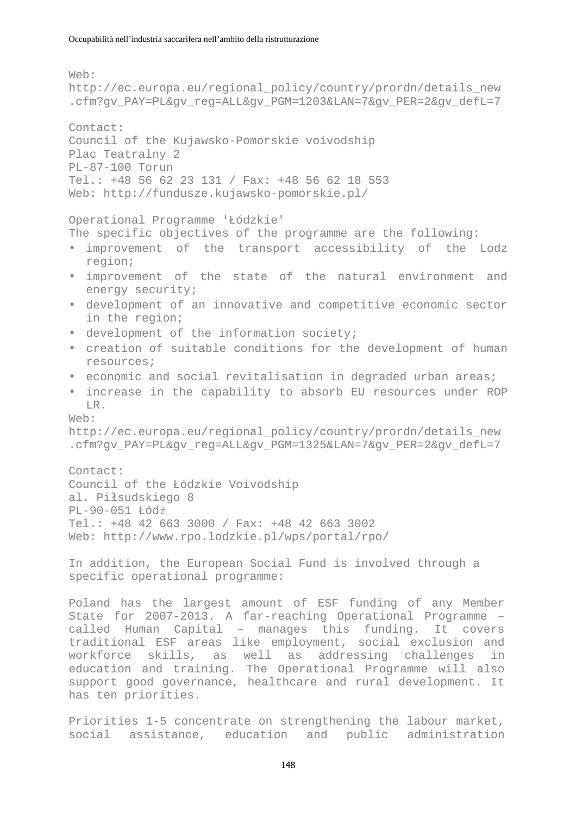Web: http://ec.europa.eu/regional\_policy/country/prordn/details\_new .cfm?gv\_PAY=PL&gv\_reg=ALL&gv\_PGM=1203&LAN=7&gv\_PER=2&gv\_defL=7 Contact: Council of the Kujawsko-Pomorskie voivodship Plac Teatralny 2 PL-87-100 Torun Tel.: +48 56 62 23 131 / Fax: +48 56 62 18 553 Web: http://fundusze.kujawsko-pomorskie.pl/ Operational Programme 'Łódzkie' The specific objectives of the programme are the following: • improvement of the transport accessibility of the Lodz region; • improvement of the state of the natural environment and energy security; • development of an innovative and competitive economic sector in the region; • development of the information society; • creation of suitable conditions for the development of human resources; • economic and social revitalisation in degraded urban areas; • increase in the capability to absorb EU resources under ROP LR. Web: http://ec.europa.eu/regional\_policy/country/prordn/details\_new .cfm?gv\_PAY=PL&gv\_reg=ALL&gv\_PGM=1325&LAN=7&gv\_PER=2&gv\_defL=7 Contact: Council of the Łódzkie Voivodship al. Piłsudskiego 8 PL-90-051 Łódź Tel.: +48 42 663 3000 / Fax: +48 42 663 3002 Web: http://www.rpo.lodzkie.pl/wps/portal/rpo/ In addition, the European Social Fund is involved through a specific operational programme: Poland has the largest amount of ESF funding of any Member State for 2007-2013. A far-reaching Operational Programme – called Human Capital – manages this funding. It covers traditional ESF areas like employment, social exclusion and workforce skills, as well as addressing challenges in education and training. The Operational Programme will also support good governance, healthcare and rural development. It has ten priorities. Priorities 1-5 concentrate on strengthening the labour market,

social assistance, education and public administration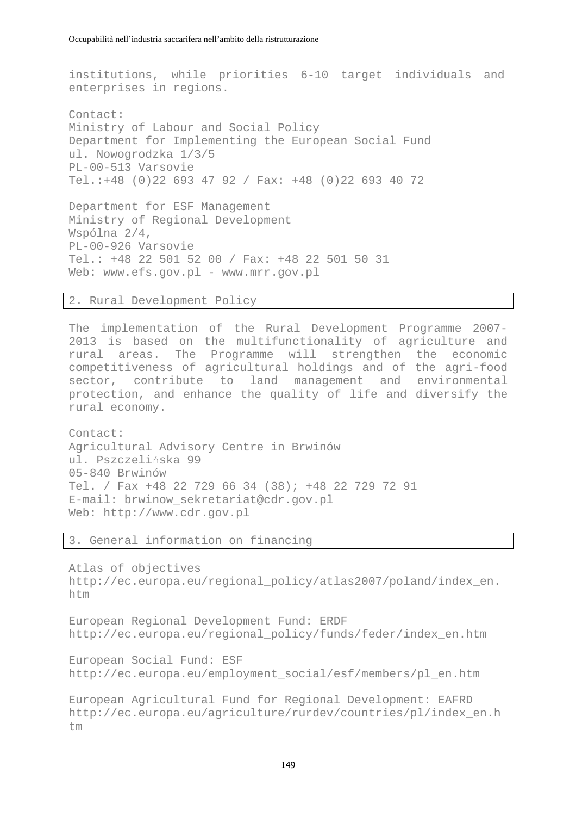institutions, while priorities 6-10 target individuals and enterprises in regions.

Contact: Ministry of Labour and Social Policy Department for Implementing the European Social Fund ul. Nowogrodzka 1/3/5 PL-00-513 Varsovie Tel.:+48 (0)22 693 47 92 / Fax: +48 (0)22 693 40 72

Department for ESF Management Ministry of Regional Development Wspólna 2/4, PL-00-926 Varsovie Tel.: +48 22 501 52 00 / Fax: +48 22 501 50 31 Web: www.efs.gov.pl - www.mrr.gov.pl

### 2. Rural Development Policy

The implementation of the Rural Development Programme 2007- 2013 is based on the multifunctionality of agriculture and rural areas. The Programme will strengthen the economic competitiveness of agricultural holdings and of the agri-food sector, contribute to land management and environmental protection, and enhance the quality of life and diversify the rural economy.

Contact: Agricultural Advisory Centre in Brwinów ul. Pszczelińska 99 05-840 Brwinów Tel. / Fax +48 22 729 66 34 (38); +48 22 729 72 91 E-mail: brwinow\_sekretariat@cdr.gov.pl Web: http://www.cdr.gov.pl

#### 3. General information on financing

Atlas of objectives http://ec.europa.eu/regional\_policy/atlas2007/poland/index\_en. htm

European Regional Development Fund: ERDF http://ec.europa.eu/regional\_policy/funds/feder/index\_en.htm

European Social Fund: ESF http://ec.europa.eu/employment\_social/esf/members/pl\_en.htm

European Agricultural Fund for Regional Development: EAFRD http://ec.europa.eu/agriculture/rurdev/countries/pl/index\_en.h tm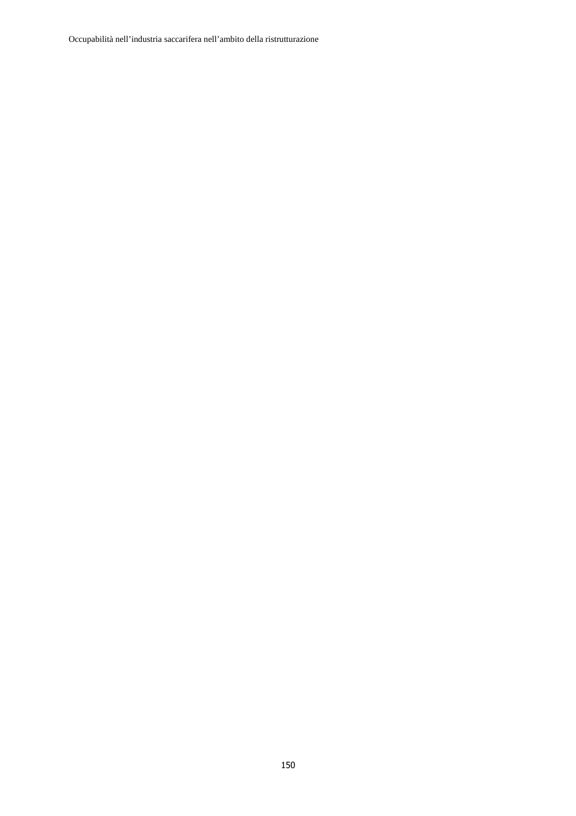Occupabilità nell'industria saccarifera nell'ambito della ristrutturazione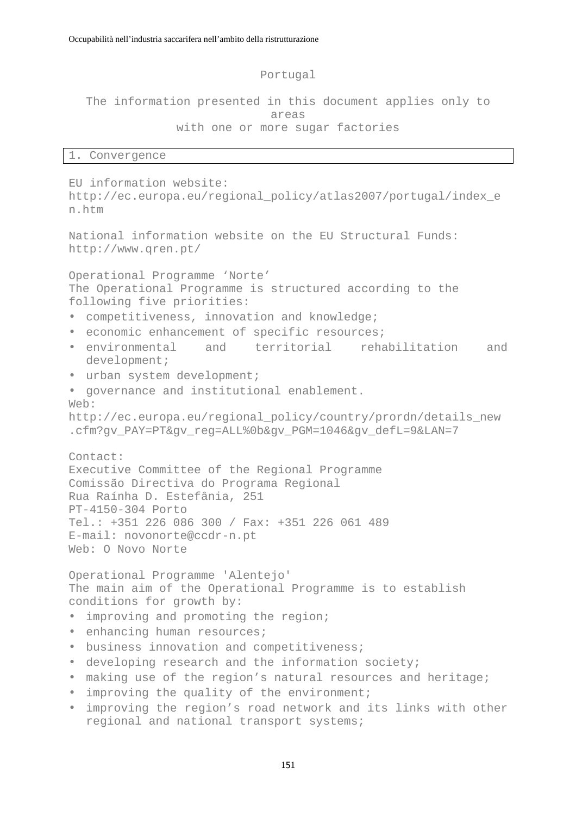Portugal

The information presented in this document applies only to areas with one or more sugar factories

### 1. Convergence

```
EU information website: 
http://ec.europa.eu/regional_policy/atlas2007/portugal/index_e
n.htm 
National information website on the EU Structural Funds: 
http://www.qren.pt/ 
Operational Programme 'Norte' 
The Operational Programme is structured according to the 
following five priorities: 
• competitiveness, innovation and knowledge; 
• economic enhancement of specific resources; 
• environmental and territorial rehabilitation and 
  development;
• urban system development; 
• governance and institutional enablement. 
Web: 
http://ec.europa.eu/regional_policy/country/prordn/details_new
.cfm?gv_PAY=PT&gv_reg=ALL%0b&gv_PGM=1046&gv_defL=9&LAN=7 
Contact: 
Executive Committee of the Regional Programme 
Comissão Directiva do Programa Regional 
Rua Raínha D. Estefânia, 251 
PT-4150-304 Porto 
Tel.: +351 226 086 300 / Fax: +351 226 061 489 
E-mail: novonorte@ccdr-n.pt 
Web: O Novo Norte 
Operational Programme 'Alentejo' 
The main aim of the Operational Programme is to establish 
conditions for growth by: 
• improving and promoting the region; 
• enhancing human resources; 
• business innovation and competitiveness; 
• developing research and the information society; 
• making use of the region's natural resources and heritage; 
• improving the quality of the environment; 
• improving the region's road network and its links with other 
  regional and national transport systems;
```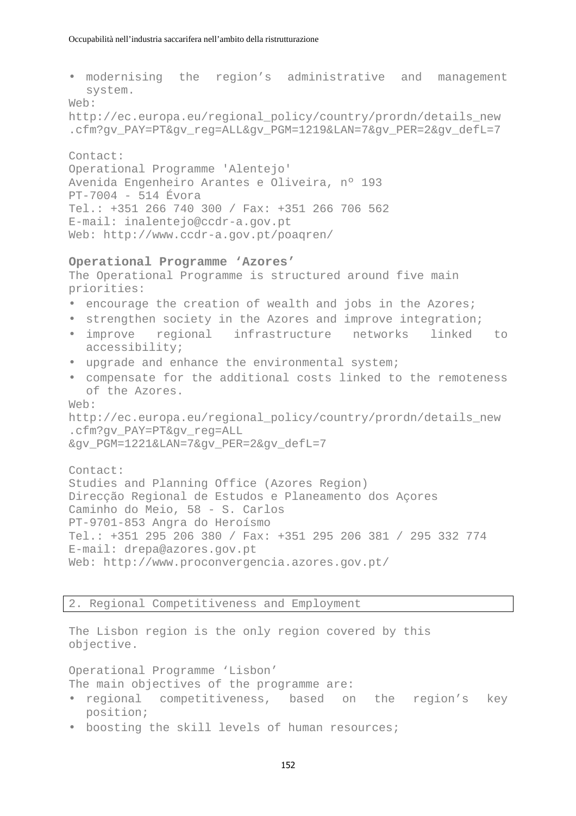• modernising the region's administrative and management system.  $W \cap h$ : http://ec.europa.eu/regional\_policy/country/prordn/details\_new .cfm?gv\_PAY=PT&gv\_reg=ALL&gv\_PGM=1219&LAN=7&gv\_PER=2&gv\_defL=7 Contact: Operational Programme 'Alentejo' Avenida Engenheiro Arantes e Oliveira, nº 193 PT-7004 - 514 Évora Tel.: +351 266 740 300 / Fax: +351 266 706 562 E-mail: inalentejo@ccdr-a.gov.pt Web: http://www.ccdr-a.gov.pt/poaqren/ **Operational Programme 'Azores'** The Operational Programme is structured around five main priorities: • encourage the creation of wealth and jobs in the Azores; • strengthen society in the Azores and improve integration; • improve regional infrastructure networks linked to accessibility; • upgrade and enhance the environmental system; • compensate for the additional costs linked to the remoteness of the Azores. Web: http://ec.europa.eu/regional\_policy/country/prordn/details\_new .cfm?gv\_PAY=PT&gv\_reg=ALL &gv\_PGM=1221&LAN=7&gv\_PER=2&gv\_defL=7 Contact: Studies and Planning Office (Azores Region) Direcção Regional de Estudos e Planeamento dos Açores Caminho do Meio, 58 - S. Carlos PT-9701-853 Angra do Heroísmo Tel.: +351 295 206 380 / Fax: +351 295 206 381 / 295 332 774 E-mail: drepa@azores.gov.pt Web: http://www.proconvergencia.azores.gov.pt/

## 2. Regional Competitiveness and Employment

The Lisbon region is the only region covered by this objective.

Operational Programme 'Lisbon' The main objectives of the programme are:

- regional competitiveness, based on the region's key position;
- boosting the skill levels of human resources;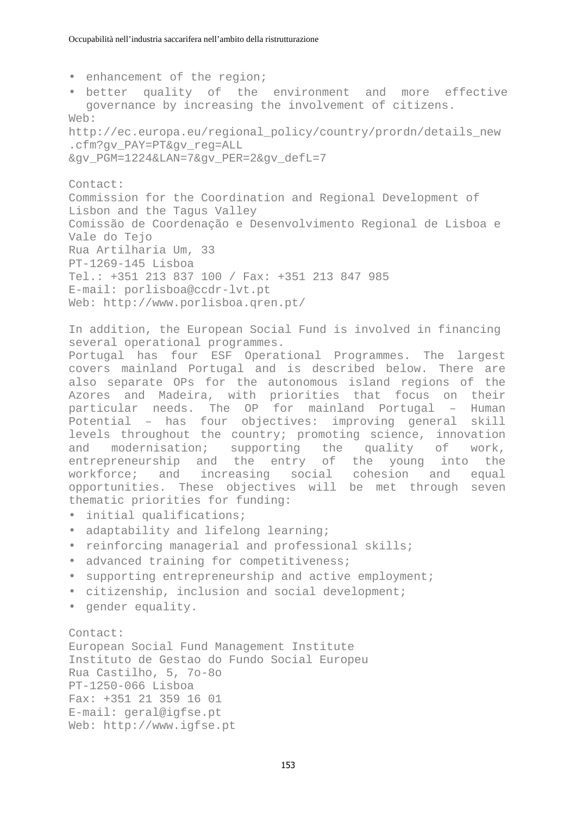• enhancement of the region;

• better quality of the environment and more effective governance by increasing the involvement of citizens. Web: http://ec.europa.eu/regional\_policy/country/prordn/details\_new .cfm?gv\_PAY=PT&gv\_reg=ALL

&gv\_PGM=1224&LAN=7&gv\_PER=2&gv\_defL=7

Contact: Commission for the Coordination and Regional Development of Lisbon and the Tagus Valley Comissão de Coordenação e Desenvolvimento Regional de Lisboa e Vale do Tejo Rua Artilharia Um, 33 PT-1269-145 Lisboa Tel.: +351 213 837 100 / Fax: +351 213 847 985 E-mail: porlisboa@ccdr-lvt.pt Web: http://www.porlisboa.qren.pt/

In addition, the European Social Fund is involved in financing several operational programmes.

Portugal has four ESF Operational Programmes. The largest covers mainland Portugal and is described below. There are also separate OPs for the autonomous island regions of the Azores and Madeira, with priorities that focus on their particular needs. The OP for mainland Portugal – Human Potential – has four objectives: improving general skill levels throughout the country; promoting science, innovation and modernisation; supporting the quality of work, entrepreneurship and the entry of the young into the workforce; and increasing social cohesion and equal opportunities. These objectives will be met through seven thematic priorities for funding:

- initial qualifications;
- adaptability and lifelong learning;
- reinforcing managerial and professional skills;
- advanced training for competitiveness;
- supporting entrepreneurship and active employment;
- citizenship, inclusion and social development;
- gender equality.

Contact: European Social Fund Management Institute Instituto de Gestao do Fundo Social Europeu Rua Castilho, 5, 7o-8o PT-1250-066 Lisboa Fax: +351 21 359 16 01 E-mail: geral@igfse.pt Web: http://www.igfse.pt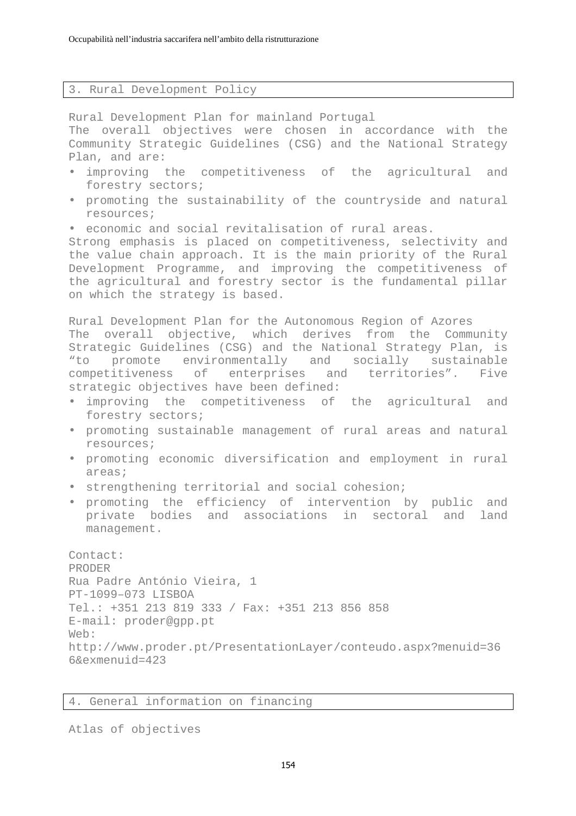|  |  | 3. Rural Development Policy |  |
|--|--|-----------------------------|--|
|--|--|-----------------------------|--|

Rural Development Plan for mainland Portugal

The overall objectives were chosen in accordance with the Community Strategic Guidelines (CSG) and the National Strategy Plan, and are:

- improving the competitiveness of the agricultural and forestry sectors;
- promoting the sustainability of the countryside and natural resources;
- economic and social revitalisation of rural areas.

Strong emphasis is placed on competitiveness, selectivity and the value chain approach. It is the main priority of the Rural Development Programme, and improving the competitiveness of the agricultural and forestry sector is the fundamental pillar on which the strategy is based.

Rural Development Plan for the Autonomous Region of Azores The overall objective, which derives from the Community Strategic Guidelines (CSG) and the National Strategy Plan, is "to promote environmentally and socially sustainable competitiveness of enterprises and territories". Five strategic objectives have been defined:

- improving the competitiveness of the agricultural and forestry sectors;
- promoting sustainable management of rural areas and natural resources;
- promoting economic diversification and employment in rural areas;
- strengthening territorial and social cohesion;
- promoting the efficiency of intervention by public and private bodies and associations in sectoral and land management.

```
Contact: 
PRODER 
Rua Padre António Vieira, 1 
PT-1099–073 LISBOA 
Tel.: +351 213 819 333 / Fax: +351 213 856 858 
E-mail: proder@gpp.pt 
Web: 
http://www.proder.pt/PresentationLayer/conteudo.aspx?menuid=36
6&exmenuid=423
```
#### 4. General information on financing

Atlas of objectives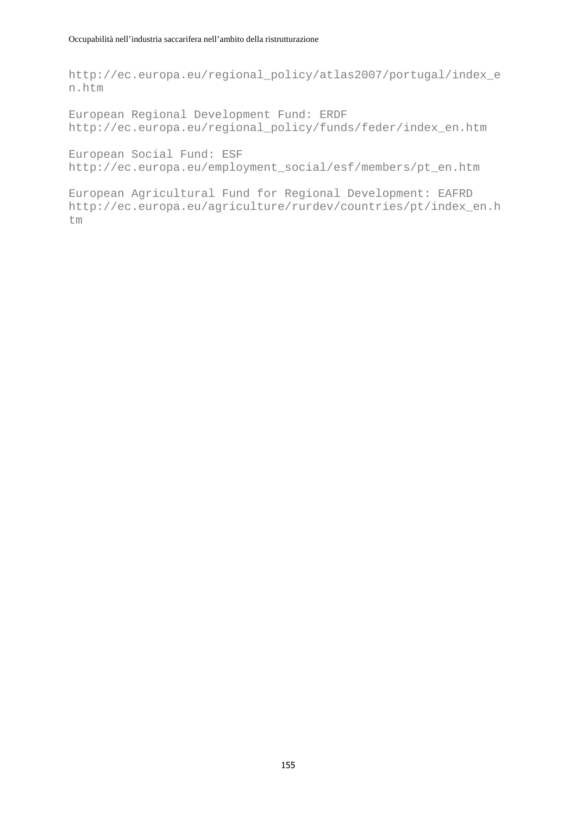### Occupabilità nell'industria saccarifera nell'ambito della ristrutturazione

http://ec.europa.eu/regional\_policy/atlas2007/portugal/index\_e n.htm

European Regional Development Fund: ERDF http://ec.europa.eu/regional\_policy/funds/feder/index\_en.htm

European Social Fund: ESF http://ec.europa.eu/employment\_social/esf/members/pt\_en.htm

European Agricultural Fund for Regional Development: EAFRD http://ec.europa.eu/agriculture/rurdev/countries/pt/index\_en.h tm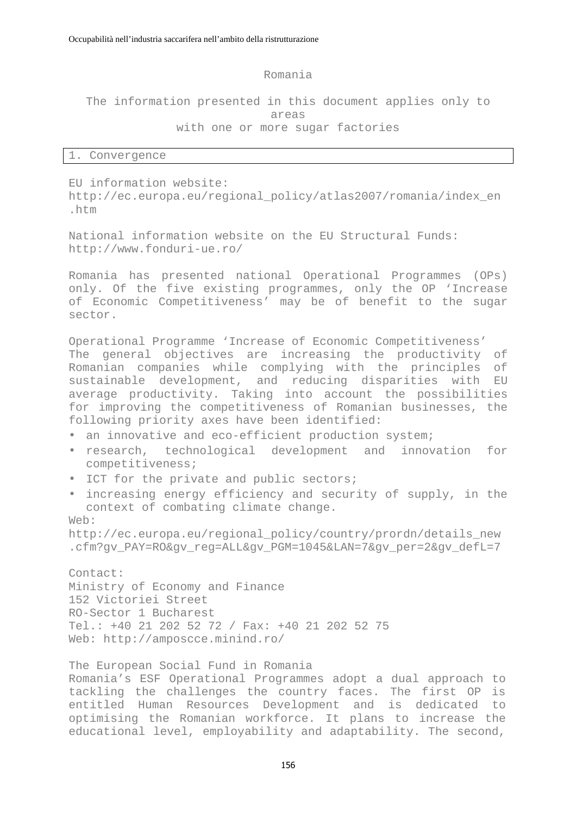Romania

The information presented in this document applies only to areas with one or more sugar factories

### 1. Convergence

EU information website: http://ec.europa.eu/regional\_policy/atlas2007/romania/index\_en .htm

National information website on the EU Structural Funds: http://www.fonduri-ue.ro/

Romania has presented national Operational Programmes (OPs) only. Of the five existing programmes, only the OP 'Increase of Economic Competitiveness' may be of benefit to the sugar sector.

Operational Programme 'Increase of Economic Competitiveness'

The general objectives are increasing the productivity of Romanian companies while complying with the principles of sustainable development, and reducing disparities with EU average productivity. Taking into account the possibilities for improving the competitiveness of Romanian businesses, the following priority axes have been identified:

- an innovative and eco-efficient production system;
- research, technological development and innovation for competitiveness;
- ICT for the private and public sectors;
- increasing energy efficiency and security of supply, in the context of combating climate change.

Web:

http://ec.europa.eu/regional\_policy/country/prordn/details\_new .cfm?gv\_PAY=RO&gv\_reg=ALL&gv\_PGM=1045&LAN=7&gv\_per=2&gv\_defL=7

Contact: Ministry of Economy and Finance 152 Victoriei Street RO-Sector 1 Bucharest Tel.: +40 21 202 52 72 / Fax: +40 21 202 52 75 Web: http://amposcce.minind.ro/

The European Social Fund in Romania

Romania's ESF Operational Programmes adopt a dual approach to tackling the challenges the country faces. The first OP is entitled Human Resources Development and is dedicated to optimising the Romanian workforce. It plans to increase the educational level, employability and adaptability. The second,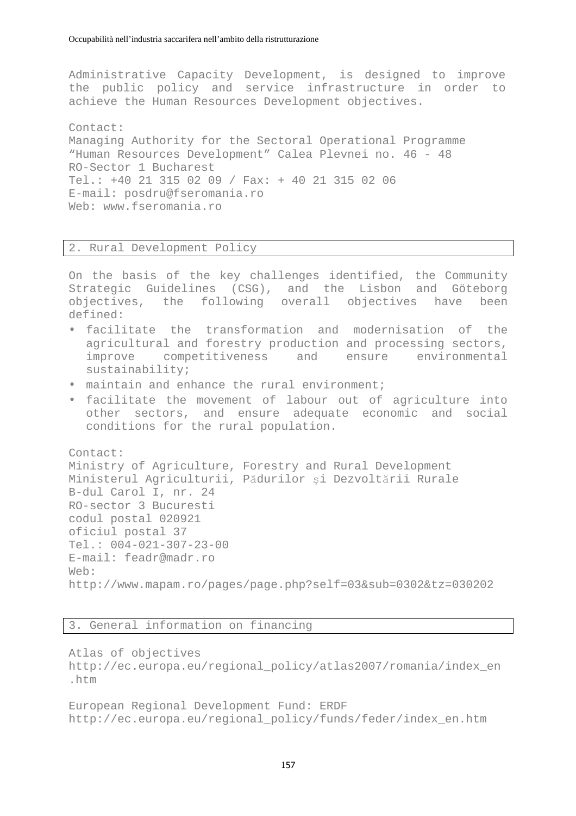Administrative Capacity Development, is designed to improve the public policy and service infrastructure in order to achieve the Human Resources Development objectives.

Contact: Managing Authority for the Sectoral Operational Programme "Human Resources Development" Calea Plevnei no. 46 - 48 RO-Sector 1 Bucharest Tel.: +40 21 315 02 09 / Fax: + 40 21 315 02 06 E-mail: posdru@fseromania.ro Web: www.fseromania.ro

### 2. Rural Development Policy

On the basis of the key challenges identified, the Community Strategic Guidelines (CSG), and the Lisbon and Göteborg objectives, the following overall objectives have been defined:

- facilitate the transformation and modernisation of the agricultural and forestry production and processing sectors, improve competitiveness and ensure environmental sustainability;
- maintain and enhance the rural environment;
- facilitate the movement of labour out of agriculture into other sectors, and ensure adequate economic and social conditions for the rural population.

Contact: Ministry of Agriculture, Forestry and Rural Development Ministerul Agriculturii, Pădurilor şi Dezvoltării Rurale B-dul Carol I, nr. 24 RO-sector 3 Bucuresti codul postal 020921 oficiul postal 37 Tel.: 004-021-307-23-00 E-mail: feadr@madr.ro Web: http://www.mapam.ro/pages/page.php?self=03&sub=0302&tz=030202

## 3. General information on financing

Atlas of objectives http://ec.europa.eu/regional\_policy/atlas2007/romania/index\_en .htm

European Regional Development Fund: ERDF http://ec.europa.eu/regional\_policy/funds/feder/index\_en.htm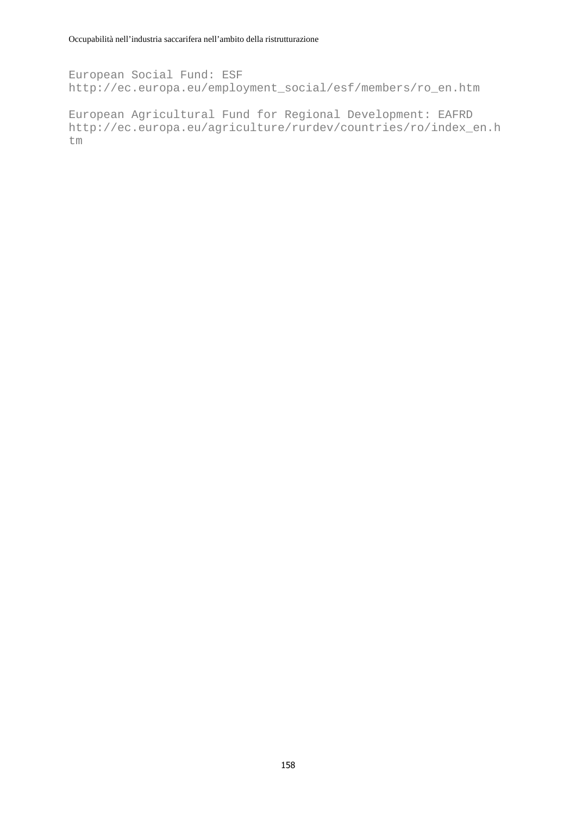European Social Fund: ESF http://ec.europa.eu/employment\_social/esf/members/ro\_en.htm

European Agricultural Fund for Regional Development: EAFRD http://ec.europa.eu/agriculture/rurdev/countries/ro/index\_en.h tm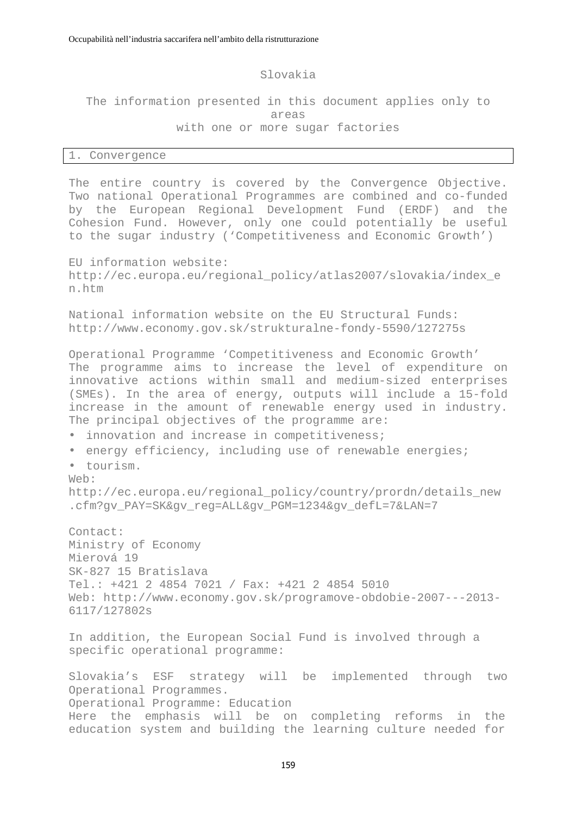### Slovakia

The information presented in this document applies only to areas with one or more sugar factories

### 1. Convergence

The entire country is covered by the Convergence Objective. Two national Operational Programmes are combined and co-funded by the European Regional Development Fund (ERDF) and the Cohesion Fund. However, only one could potentially be useful to the sugar industry ('Competitiveness and Economic Growth')

EU information website: http://ec.europa.eu/regional\_policy/atlas2007/slovakia/index\_e n.htm

National information website on the EU Structural Funds: http://www.economy.gov.sk/strukturalne-fondy-5590/127275s

Operational Programme 'Competitiveness and Economic Growth' The programme aims to increase the level of expenditure on innovative actions within small and medium-sized enterprises (SMEs). In the area of energy, outputs will include a 15-fold increase in the amount of renewable energy used in industry. The principal objectives of the programme are:

• innovation and increase in competitiveness;

- energy efficiency, including use of renewable energies;
- tourism.

Web:

http://ec.europa.eu/regional\_policy/country/prordn/details\_new .cfm?gv\_PAY=SK&gv\_reg=ALL&gv\_PGM=1234&gv\_defL=7&LAN=7

Contact: Ministry of Economy Mierová 19 SK-827 15 Bratislava Tel.: +421 2 4854 7021 / Fax: +421 2 4854 5010 Web: http://www.economy.gov.sk/programove-obdobie-2007---2013- 6117/127802s

In addition, the European Social Fund is involved through a specific operational programme:

Slovakia's ESF strategy will be implemented through two Operational Programmes. Operational Programme: Education Here the emphasis will be on completing reforms in the education system and building the learning culture needed for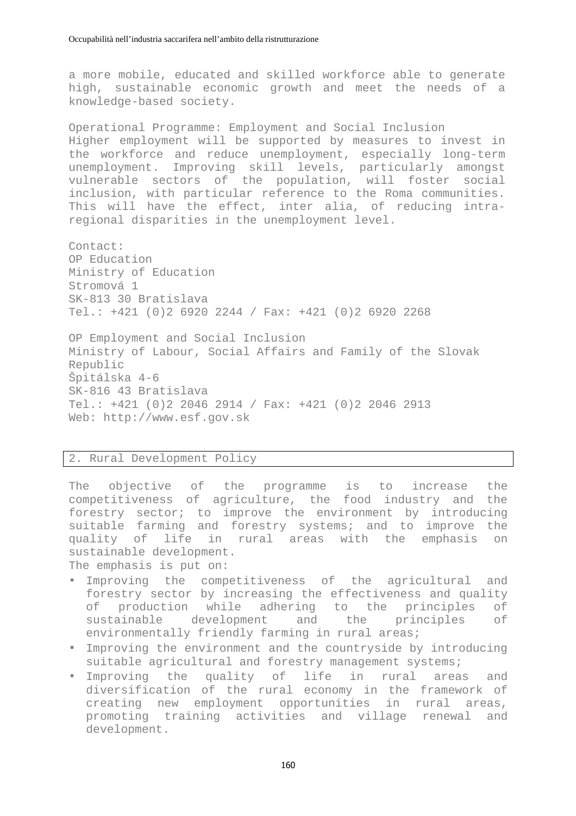a more mobile, educated and skilled workforce able to generate high, sustainable economic growth and meet the needs of a knowledge-based society.

Operational Programme: Employment and Social Inclusion Higher employment will be supported by measures to invest in the workforce and reduce unemployment, especially long-term unemployment. Improving skill levels, particularly amongst vulnerable sectors of the population, will foster social inclusion, with particular reference to the Roma communities. This will have the effect, inter alia, of reducing intraregional disparities in the unemployment level.

Contact: OP Education Ministry of Education Stromová 1 SK-813 30 Bratislava Tel.: +421 (0)2 6920 2244 / Fax: +421 (0)2 6920 2268

OP Employment and Social Inclusion Ministry of Labour, Social Affairs and Family of the Slovak Republic Špitálska 4-6 SK-816 43 Bratislava Tel.: +421 (0)2 2046 2914 / Fax: +421 (0)2 2046 2913 Web: http://www.esf.gov.sk

### 2. Rural Development Policy

The objective of the programme is to increase the competitiveness of agriculture, the food industry and the forestry sector; to improve the environment by introducing suitable farming and forestry systems; and to improve the quality of life in rural areas with the emphasis on sustainable development.

The emphasis is put on:

- Improving the competitiveness of the agricultural and forestry sector by increasing the effectiveness and quality of production while adhering to the principles of<br>sustainable development and the principles of sustainable development and the principles of environmentally friendly farming in rural areas;
- Improving the environment and the countryside by introducing suitable agricultural and forestry management systems;
- Improving the quality of life in rural areas and diversification of the rural economy in the framework of creating new employment opportunities in rural areas, promoting training activities and village renewal and development.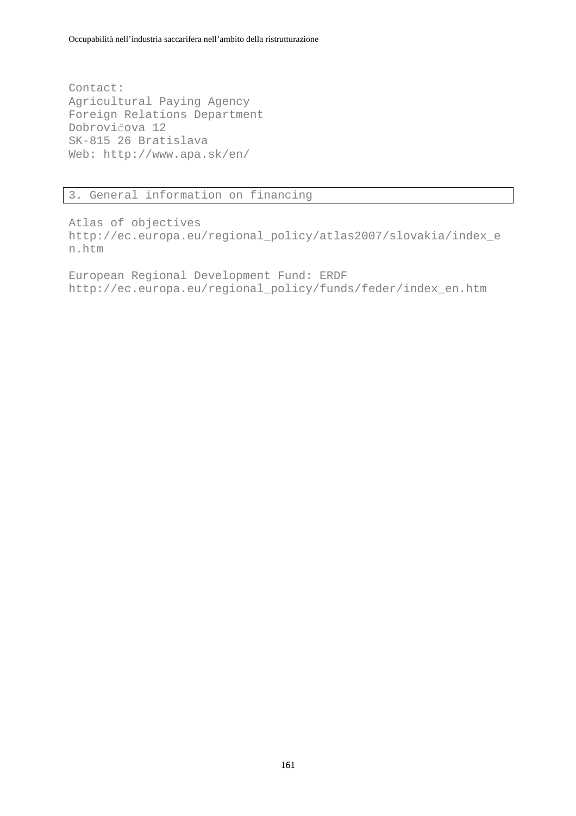Contact: Agricultural Paying Agency Foreign Relations Department Dobrovičova 12 SK-815 26 Bratislava Web: http://www.apa.sk/en/

# 3. General information on financing

Atlas of objectives http://ec.europa.eu/regional\_policy/atlas2007/slovakia/index\_e n.htm

European Regional Development Fund: ERDF http://ec.europa.eu/regional\_policy/funds/feder/index\_en.htm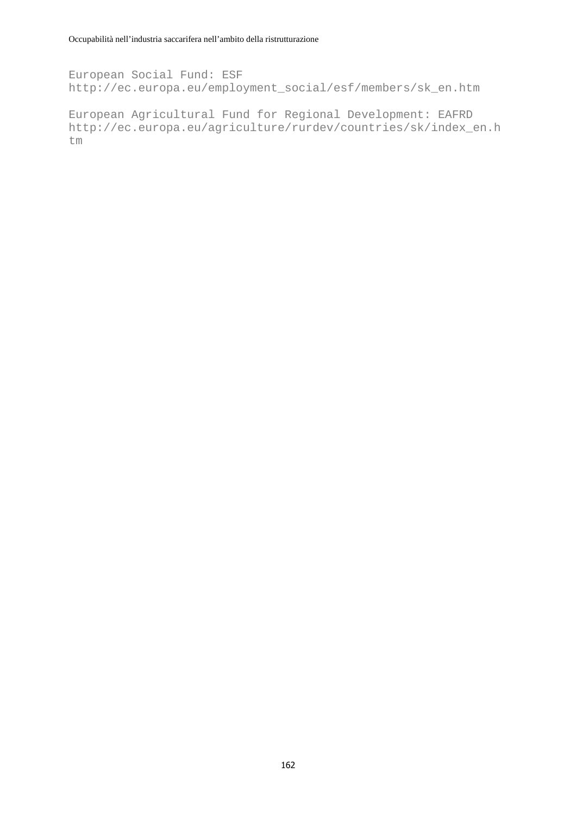European Social Fund: ESF http://ec.europa.eu/employment\_social/esf/members/sk\_en.htm

European Agricultural Fund for Regional Development: EAFRD http://ec.europa.eu/agriculture/rurdev/countries/sk/index\_en.h tm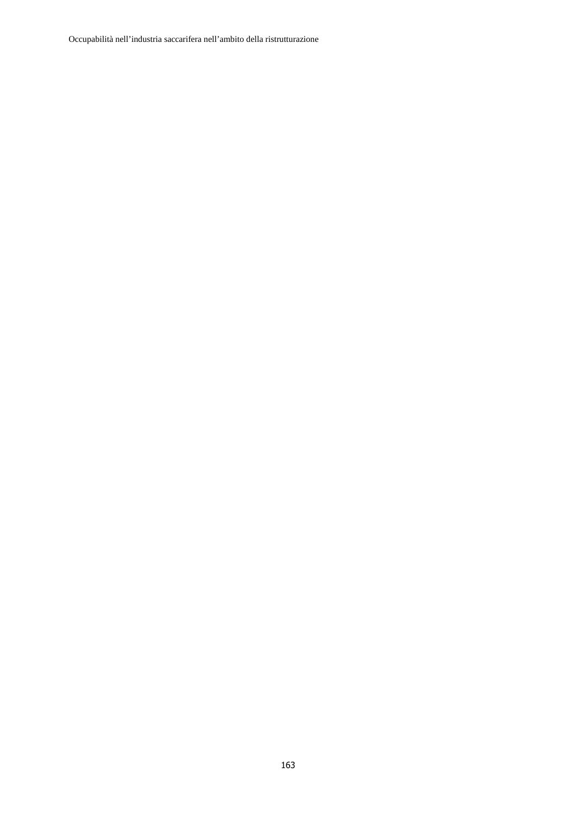Occupabilità nell'industria saccarifera nell'ambito della ristrutturazione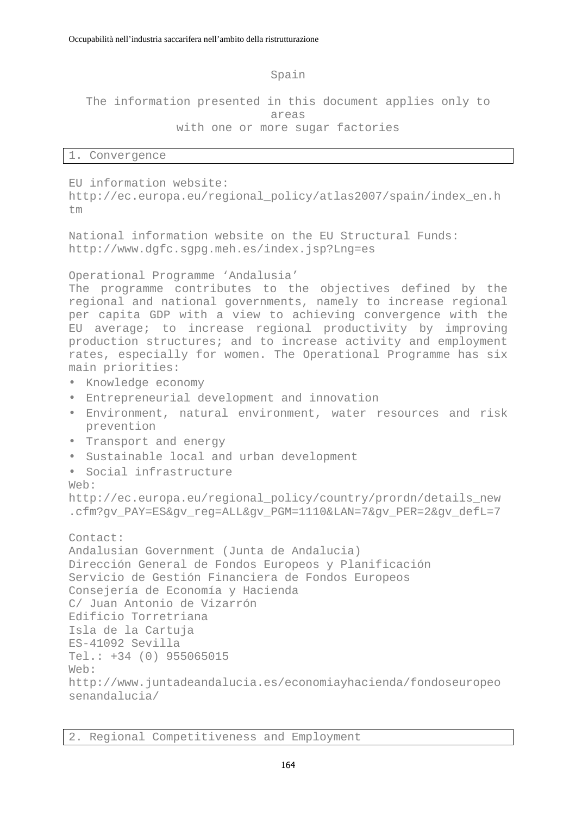Spain

The information presented in this document applies only to areas

with one or more sugar factories

# 1. Convergence

EU information website:

http://ec.europa.eu/regional\_policy/atlas2007/spain/index\_en.h tm

National information website on the EU Structural Funds: http://www.dgfc.sgpg.meh.es/index.jsp?Lng=es

Operational Programme 'Andalusia'

The programme contributes to the objectives defined by the regional and national governments, namely to increase regional per capita GDP with a view to achieving convergence with the EU average; to increase regional productivity by improving production structures; and to increase activity and employment rates, especially for women. The Operational Programme has six main priorities:

- Knowledge economy
- Entrepreneurial development and innovation
- Environment, natural environment, water resources and risk prevention
- Transport and energy
- Sustainable local and urban development
- Social infrastructure

Web:

```
http://ec.europa.eu/regional_policy/country/prordn/details_new
.cfm?gv_PAY=ES&gv_reg=ALL&gv_PGM=1110&LAN=7&gv_PER=2&gv_defL=7
```

```
Contact: 
Andalusian Government (Junta de Andalucia) 
Dirección General de Fondos Europeos y Planificación 
Servicio de Gestión Financiera de Fondos Europeos 
Consejería de Economía y Hacienda 
C/ Juan Antonio de Vizarrón 
Edificio Torretriana 
Isla de la Cartuja 
ES-41092 Sevilla 
Tel.: +34 (0) 955065015 
Web: 
http://www.juntadeandalucia.es/economiayhacienda/fondoseuropeo
senandalucia/
```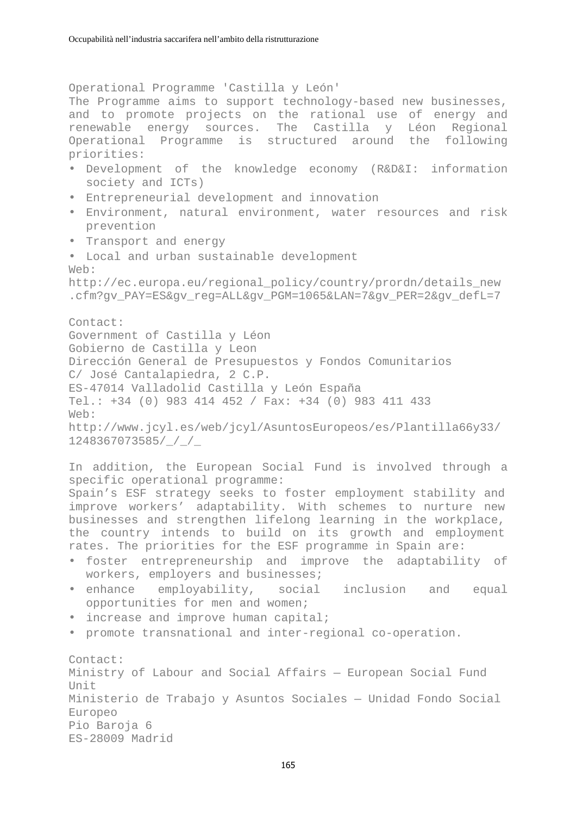Operational Programme 'Castilla y León' The Programme aims to support technology-based new businesses, and to promote projects on the rational use of energy and renewable energy sources. The Castilla y Léon Regional

- Operational Programme is structured around the following priorities:
- Development of the knowledge economy (R&D&I: information society and ICTs)
- Entrepreneurial development and innovation
- Environment, natural environment, water resources and risk prevention
- Transport and energy

• Local and urban sustainable development Web: http://ec.europa.eu/regional\_policy/country/prordn/details\_new .cfm?gv\_PAY=ES&gv\_reg=ALL&gv\_PGM=1065&LAN=7&gv\_PER=2&gv\_defL=7

Contact: Government of Castilla y Léon Gobierno de Castilla y Leon Dirección General de Presupuestos y Fondos Comunitarios C/ José Cantalapiedra, 2 C.P. ES-47014 Valladolid Castilla y León España Tel.: +34 (0) 983 414 452 / Fax: +34 (0) 983 411 433 Web: http://www.jcyl.es/web/jcyl/AsuntosEuropeos/es/Plantilla66y33/ 1248367073585/\_/\_/\_

In addition, the European Social Fund is involved through a specific operational programme: Spain's ESF strategy seeks to foster employment stability and improve workers' adaptability. With schemes to nurture new businesses and strengthen lifelong learning in the workplace, the country intends to build on its growth and employment rates. The priorities for the ESF programme in Spain are:

- foster entrepreneurship and improve the adaptability of workers, employers and businesses;
- enhance employability, social inclusion and equal opportunities for men and women;
- increase and improve human capital;
- promote transnational and inter-regional co-operation.

Contact: Ministry of Labour and Social Affairs — European Social Fund Unit Ministerio de Trabajo y Asuntos Sociales — Unidad Fondo Social Europeo Pio Baroja 6 ES-28009 Madrid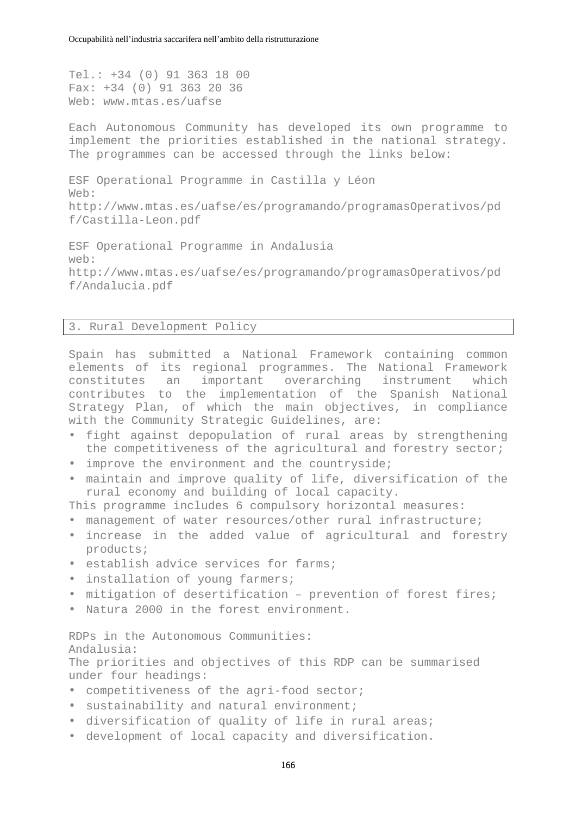Tel.: +34 (0) 91 363 18 00 Fax: +34 (0) 91 363 20 36 Web: www.mtas.es/uafse

Each Autonomous Community has developed its own programme to implement the priorities established in the national strategy. The programmes can be accessed through the links below:

ESF Operational Programme in Castilla y Léon Web: http://www.mtas.es/uafse/es/programando/programasOperativos/pd f/Castilla-Leon.pdf

ESF Operational Programme in Andalusia web: http://www.mtas.es/uafse/es/programando/programasOperativos/pd f/Andalucia.pdf

## 3. Rural Development Policy

Spain has submitted a National Framework containing common elements of its regional programmes. The National Framework constitutes an important overarching instrument which contributes to the implementation of the Spanish National Strategy Plan, of which the main objectives, in compliance with the Community Strategic Guidelines, are:

- fight against depopulation of rural areas by strengthening the competitiveness of the agricultural and forestry sector;
- improve the environment and the countryside;
- maintain and improve quality of life, diversification of the rural economy and building of local capacity.
- This programme includes 6 compulsory horizontal measures:
- management of water resources/other rural infrastructure;
- increase in the added value of agricultural and forestry products;
- establish advice services for farms;
- installation of young farmers;
- mitigation of desertification prevention of forest fires;
- Natura 2000 in the forest environment.

# RDPs in the Autonomous Communities: Andalusia:

The priorities and objectives of this RDP can be summarised under four headings:

- competitiveness of the agri-food sector;
- sustainability and natural environment;
- diversification of quality of life in rural areas;
- development of local capacity and diversification.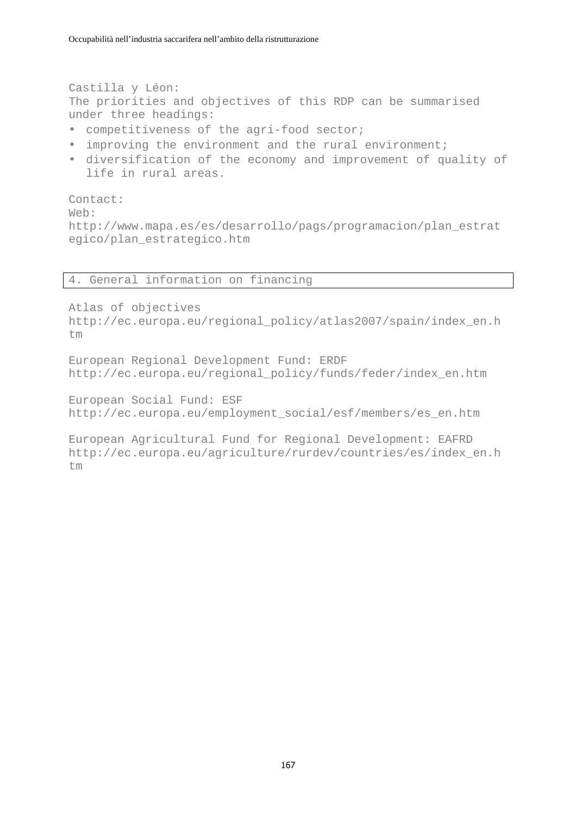Castilla y Léon: The priorities and objectives of this RDP can be summarised under three headings:

- competitiveness of the agri-food sector;
- improving the environment and the rural environment;
- diversification of the economy and improvement of quality of life in rural areas.

```
Contact: 
Web: 
http://www.mapa.es/es/desarrollo/pags/programacion/plan_estrat
egico/plan_estrategico.htm
```
# 4. General information on financing

```
Atlas of objectives 
http://ec.europa.eu/regional_policy/atlas2007/spain/index_en.h
tm
```
European Regional Development Fund: ERDF http://ec.europa.eu/regional\_policy/funds/feder/index\_en.htm

European Social Fund: ESF http://ec.europa.eu/employment\_social/esf/members/es\_en.htm

European Agricultural Fund for Regional Development: EAFRD http://ec.europa.eu/agriculture/rurdev/countries/es/index\_en.h tm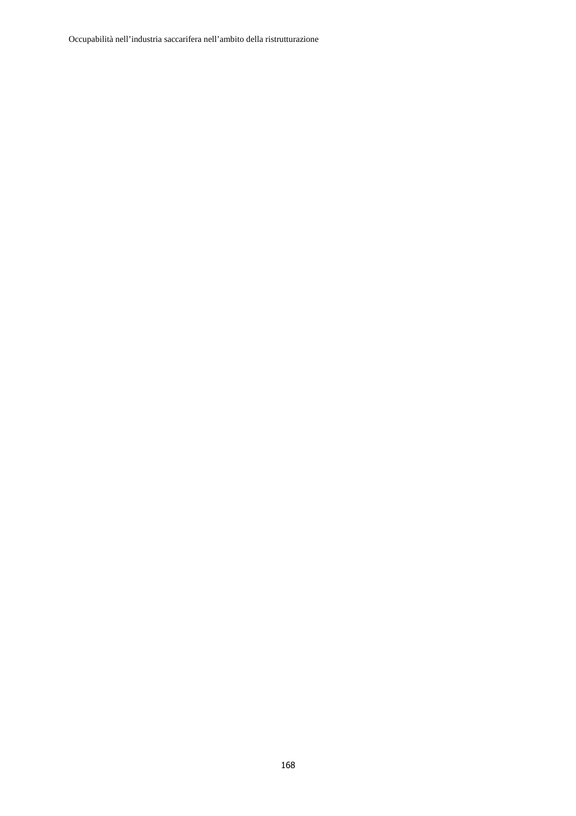Occupabilità nell'industria saccarifera nell'ambito della ristrutturazione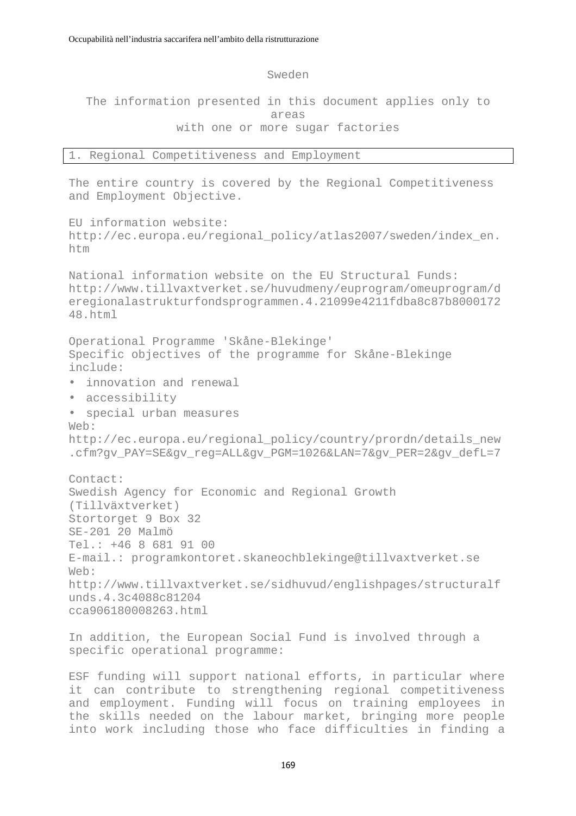Sweden

The information presented in this document applies only to areas with one or more sugar factories

1. Regional Competitiveness and Employment

The entire country is covered by the Regional Competitiveness and Employment Objective.

EU information website: http://ec.europa.eu/regional\_policy/atlas2007/sweden/index\_en. htm

National information website on the EU Structural Funds: http://www.tillvaxtverket.se/huvudmeny/euprogram/omeuprogram/d eregionalastrukturfondsprogrammen.4.21099e4211fdba8c87b8000172 48.html

Operational Programme 'Skåne-Blekinge' Specific objectives of the programme for Skåne-Blekinge include:

- innovation and renewal
- accessibility

• special urban measures Web: http://ec.europa.eu/regional\_policy/country/prordn/details\_new .cfm?gv\_PAY=SE&gv\_reg=ALL&gv\_PGM=1026&LAN=7&gv\_PER=2&gv\_defL=7

Contact: Swedish Agency for Economic and Regional Growth (Tillväxtverket) Stortorget 9 Box 32 SE-201 20 Malmö Tel.: +46 8 681 91 00 E-mail.: programkontoret.skaneochblekinge@tillvaxtverket.se Web: http://www.tillvaxtverket.se/sidhuvud/englishpages/structuralf unds.4.3c4088c81204 cca906180008263.html

In addition, the European Social Fund is involved through a specific operational programme:

ESF funding will support national efforts, in particular where it can contribute to strengthening regional competitiveness and employment. Funding will focus on training employees in the skills needed on the labour market, bringing more people into work including those who face difficulties in finding a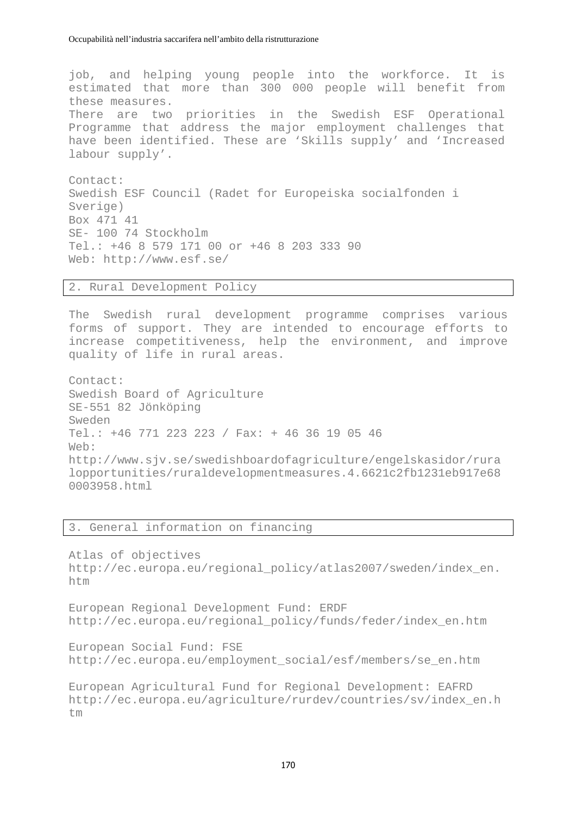job, and helping young people into the workforce. It is estimated that more than 300 000 people will benefit from these measures. There are two priorities in the Swedish ESF Operational Programme that address the major employment challenges that have been identified. These are 'Skills supply' and 'Increased labour supply'.

Contact: Swedish ESF Council (Radet for Europeiska socialfonden i Sverige) Box 471 41 SE- 100 74 Stockholm Tel.: +46 8 579 171 00 or +46 8 203 333 90 Web: http://www.esf.se/

### 2. Rural Development Policy

The Swedish rural development programme comprises various forms of support. They are intended to encourage efforts to increase competitiveness, help the environment, and improve quality of life in rural areas.

Contact: Swedish Board of Agriculture SE-551 82 Jönköping Sweden Tel.: +46 771 223 223 / Fax: + 46 36 19 05 46 Web: http://www.sjv.se/swedishboardofagriculture/engelskasidor/rura lopportunities/ruraldevelopmentmeasures.4.6621c2fb1231eb917e68 0003958.html

### 3. General information on financing

Atlas of objectives http://ec.europa.eu/regional\_policy/atlas2007/sweden/index\_en. htm

European Regional Development Fund: ERDF http://ec.europa.eu/regional\_policy/funds/feder/index\_en.htm

European Social Fund: FSE http://ec.europa.eu/employment\_social/esf/members/se\_en.htm

```
European Agricultural Fund for Regional Development: EAFRD 
http://ec.europa.eu/agriculture/rurdev/countries/sv/index_en.h
tm
```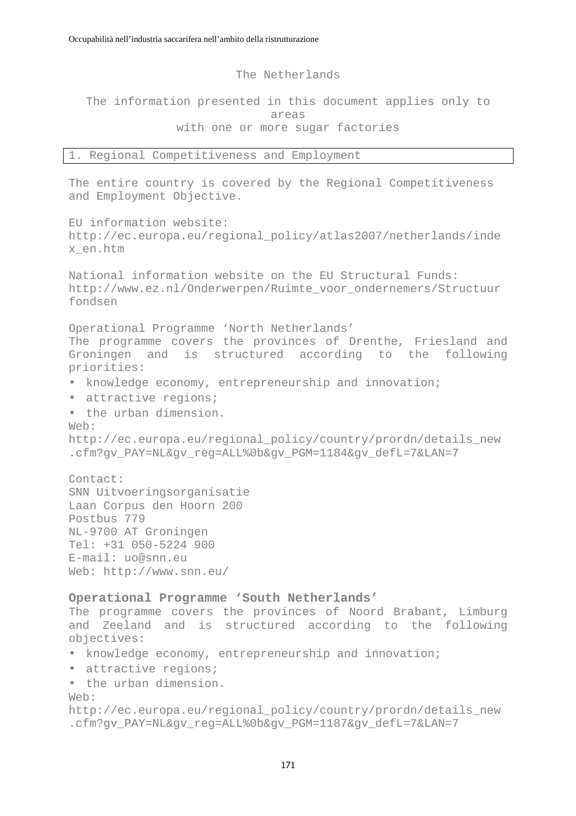The Netherlands

The information presented in this document applies only to areas with one or more sugar factories

## 1. Regional Competitiveness and Employment

The entire country is covered by the Regional Competitiveness and Employment Objective.

EU information website: http://ec.europa.eu/regional\_policy/atlas2007/netherlands/inde x\_en.htm

National information website on the EU Structural Funds: http://www.ez.nl/Onderwerpen/Ruimte\_voor\_ondernemers/Structuur fondsen

Operational Programme 'North Netherlands'

The programme covers the provinces of Drenthe, Friesland and Groningen and is structured according to the following priorities:

- knowledge economy, entrepreneurship and innovation;
- attractive regions;
- the urban dimension.

Web:

http://ec.europa.eu/regional\_policy/country/prordn/details\_new .cfm?gv\_PAY=NL&gv\_reg=ALL%0b&gv\_PGM=1184&gv\_defL=7&LAN=7

Contact: SNN Uitvoeringsorganisatie Laan Corpus den Hoorn 200 Postbus 779 NL-9700 AT Groningen Tel: +31 050-5224 900 E-mail: uo@snn.eu Web: http://www.snn.eu/

# **Operational Programme 'South Netherlands'**

The programme covers the provinces of Noord Brabant, Limburg and Zeeland and is structured according to the following objectives:

- knowledge economy, entrepreneurship and innovation;
- attractive regions;
- the urban dimension.

 $W \cap h$ :

```
http://ec.europa.eu/regional_policy/country/prordn/details_new
.cfm?gv_PAY=NL&gv_reg=ALL%0b&gv_PGM=1187&gv_defL=7&LAN=7
```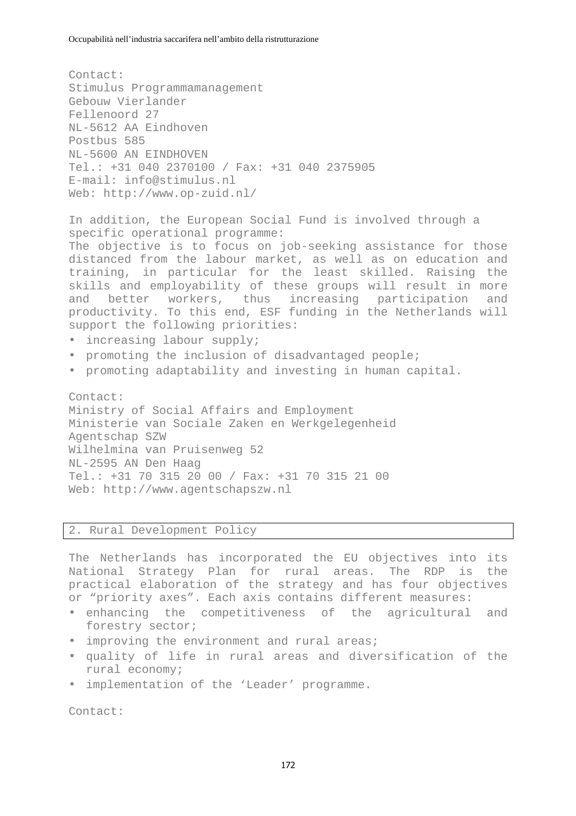Contact: Stimulus Programmamanagement Gebouw Vierlander Fellenoord 27 NL-5612 AA Eindhoven Postbus 585 NL-5600 AN EINDHOVEN Tel.: +31 040 2370100 / Fax: +31 040 2375905 E-mail: info@stimulus.nl Web: http://www.op-zuid.nl/ In addition, the European Social Fund is involved through a specific operational programme: The objective is to focus on job-seeking assistance for those distanced from the labour market, as well as on education and training, in particular for the least skilled. Raising the skills and employability of these groups will result in more and better workers, thus increasing participation and productivity. To this end, ESF funding in the Netherlands will support the following priorities: • increasing labour supply; • promoting the inclusion of disadvantaged people; • promoting adaptability and investing in human capital. Contact: Ministry of Social Affairs and Employment Ministerie van Sociale Zaken en Werkgelegenheid Agentschap SZW Wilhelmina van Pruisenweg 52 NL-2595 AN Den Haag Tel.: +31 70 315 20 00 / Fax: +31 70 315 21 00 Web: http://www.agentschapszw.nl 2. Rural Development Policy

The Netherlands has incorporated the EU objectives into its National Strategy Plan for rural areas. The RDP is the practical elaboration of the strategy and has four objectives or "priority axes". Each axis contains different measures:

- enhancing the competitiveness of the agricultural and forestry sector;
- improving the environment and rural areas;
- quality of life in rural areas and diversification of the rural economy;
- implementation of the 'Leader' programme.

Contact: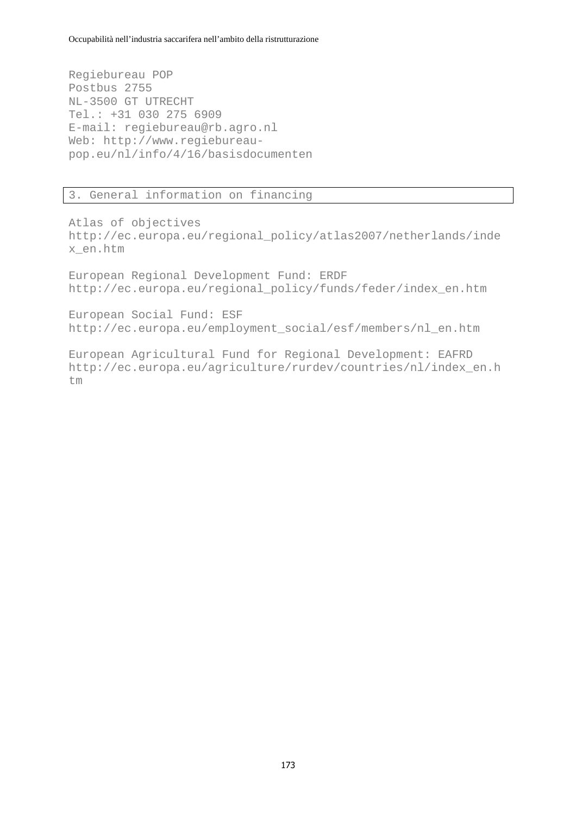Regiebureau POP Postbus 2755 NL-3500 GT UTRECHT Tel.: +31 030 275 6909 E-mail: regiebureau@rb.agro.nl Web: http://www.regiebureaupop.eu/nl/info/4/16/basisdocumenten

3. General information on financing

Atlas of objectives http://ec.europa.eu/regional\_policy/atlas2007/netherlands/inde x\_en.htm

European Regional Development Fund: ERDF http://ec.europa.eu/regional\_policy/funds/feder/index\_en.htm

European Social Fund: ESF http://ec.europa.eu/employment\_social/esf/members/nl\_en.htm

European Agricultural Fund for Regional Development: EAFRD http://ec.europa.eu/agriculture/rurdev/countries/nl/index\_en.h tm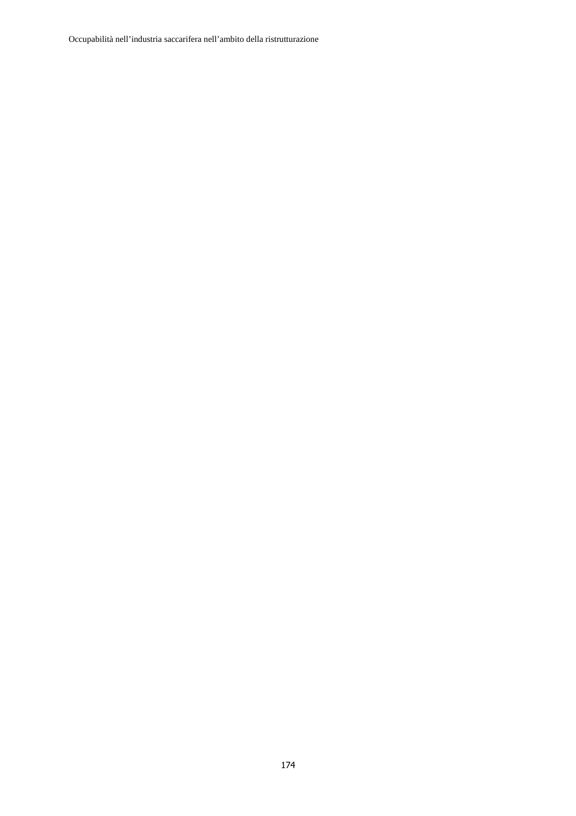Occupabilità nell'industria saccarifera nell'ambito della ristrutturazione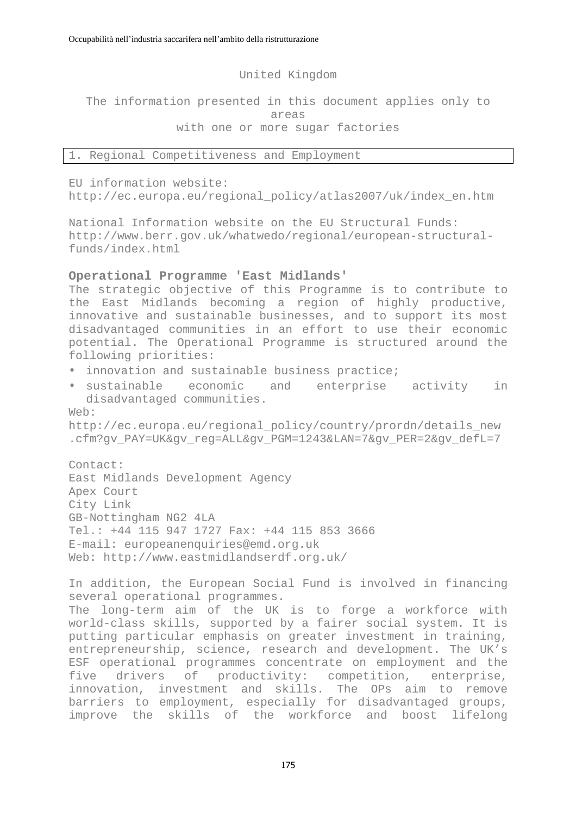United Kingdom

The information presented in this document applies only to areas

with one or more sugar factories

## 1. Regional Competitiveness and Employment

EU information website: http://ec.europa.eu/regional\_policy/atlas2007/uk/index\_en.htm

National Information website on the EU Structural Funds: http://www.berr.gov.uk/whatwedo/regional/european-structuralfunds/index.html

## **Operational Programme 'East Midlands'**

The strategic objective of this Programme is to contribute to the East Midlands becoming a region of highly productive, innovative and sustainable businesses, and to support its most disadvantaged communities in an effort to use their economic potential. The Operational Programme is structured around the following priorities:

- innovation and sustainable business practice;
- sustainable economic and enterprise activity in disadvantaged communities. Web:

http://ec.europa.eu/regional\_policy/country/prordn/details\_new .cfm?gv\_PAY=UK&gv\_reg=ALL&gv\_PGM=1243&LAN=7&gv\_PER=2&gv\_defL=7

Contact: East Midlands Development Agency Apex Court City Link GB-Nottingham NG2 4LA Tel.: +44 115 947 1727 Fax: +44 115 853 3666 E-mail: europeanenquiries@emd.org.uk Web: http://www.eastmidlandserdf.org.uk/

In addition, the European Social Fund is involved in financing several operational programmes.

The long-term aim of the UK is to forge a workforce with world-class skills, supported by a fairer social system. It is putting particular emphasis on greater investment in training, entrepreneurship, science, research and development. The UK's ESF operational programmes concentrate on employment and the five drivers of productivity: competition, enterprise, innovation, investment and skills. The OPs aim to remove barriers to employment, especially for disadvantaged groups, improve the skills of the workforce and boost lifelong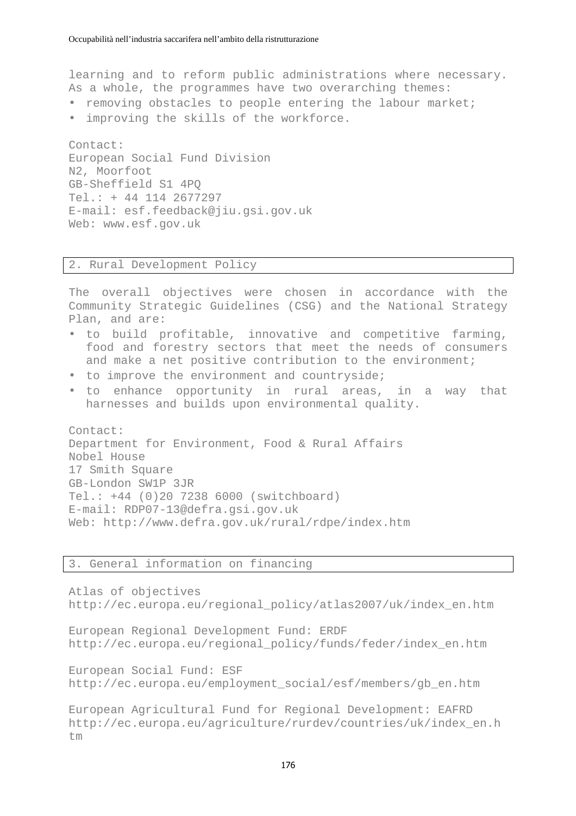learning and to reform public administrations where necessary. As a whole, the programmes have two overarching themes:

- removing obstacles to people entering the labour market;
- improving the skills of the workforce.

Contact: European Social Fund Division N2, Moorfoot GB-Sheffield S1 4PQ Tel.: + 44 114 2677297 E-mail: esf.feedback@jiu.gsi.gov.uk Web: www.esf.gov.uk

#### 2. Rural Development Policy

The overall objectives were chosen in accordance with the Community Strategic Guidelines (CSG) and the National Strategy Plan, and are:

- to build profitable, innovative and competitive farming, food and forestry sectors that meet the needs of consumers and make a net positive contribution to the environment;
- to improve the environment and countryside;
- to enhance opportunity in rural areas, in a way that harnesses and builds upon environmental quality.

Contact: Department for Environment, Food & Rural Affairs Nobel House 17 Smith Square GB-London SW1P 3JR Tel.: +44 (0)20 7238 6000 (switchboard) E-mail: RDP07-13@defra.gsi.gov.uk Web: http://www.defra.gov.uk/rural/rdpe/index.htm

#### 3. General information on financing

Atlas of objectives http://ec.europa.eu/regional\_policy/atlas2007/uk/index\_en.htm

European Regional Development Fund: ERDF http://ec.europa.eu/regional\_policy/funds/feder/index\_en.htm

European Social Fund: ESF http://ec.europa.eu/employment\_social/esf/members/gb\_en.htm

European Agricultural Fund for Regional Development: EAFRD http://ec.europa.eu/agriculture/rurdev/countries/uk/index\_en.h tm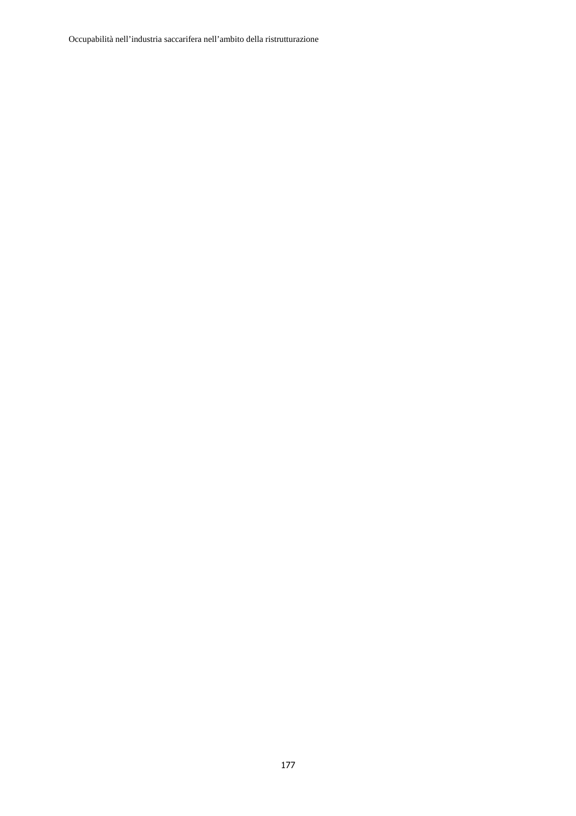Occupabilità nell'industria saccarifera nell'ambito della ristrutturazione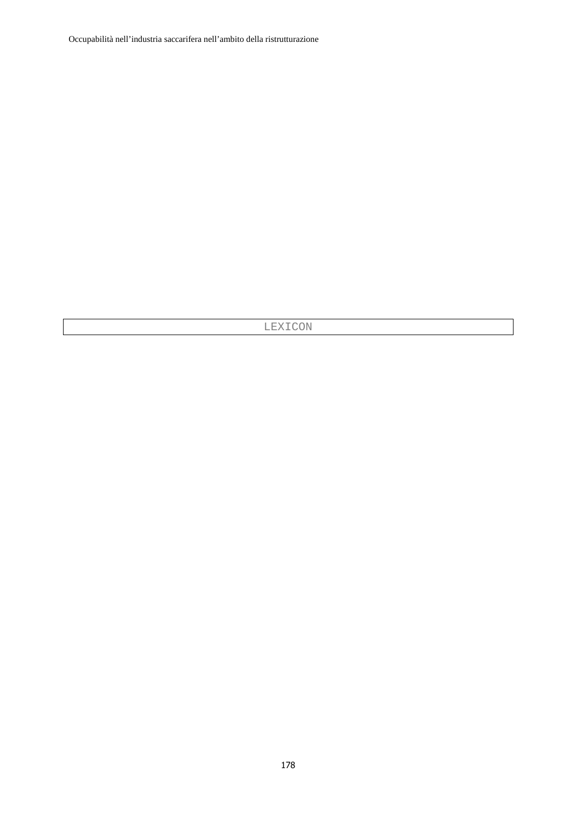Occupabilità nell'industria saccarifera nell'ambito della ristrutturazione

LEXICON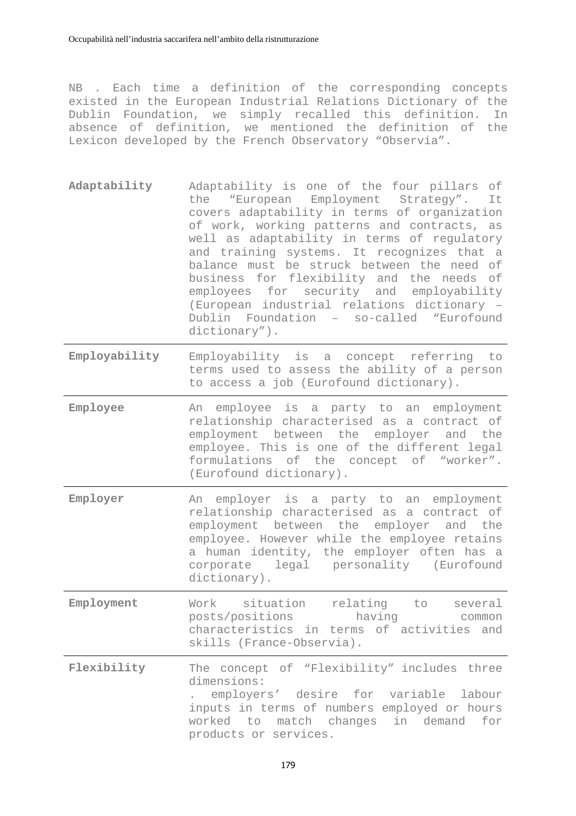NB . Each time a definition of the corresponding concepts existed in the European Industrial Relations Dictionary of the Dublin Foundation, we simply recalled this definition. In absence of definition, we mentioned the definition of the Lexicon developed by the French Observatory "Observia".

- **Adaptability** Adaptability is one of the four pillars of the "European Employment Strategy". It covers adaptability in terms of organization of work, working patterns and contracts, as well as adaptability in terms of regulatory and training systems. It recognizes that a balance must be struck between the need of business for flexibility and the needs of employees for security and employability (European industrial relations dictionary – Dublin Foundation – so-called "Eurofound dictionary").
- **Employability** Employability is a concept referring to terms used to assess the ability of a person to access a job (Eurofound dictionary).
- **Employee An** employee is a party to an employment relationship characterised as a contract of employment between the employer and the employee. This is one of the different legal formulations of the concept of "worker". (Eurofound dictionary).
- **Employer An** employer is a party to an employment relationship characterised as a contract of employment between the employer and the employee. However while the employee retains a human identity, the employer often has a corporate legal personality (Eurofound dictionary).
- **Employment** Work situation relating to several posts/positions having common characteristics in terms of activities and skills (France-Observia).

**Flexibility** The concept of "Flexibility" includes three dimensions: . employers' desire for variable labour inputs in terms of numbers employed or hours worked to match changes in demand for products or services.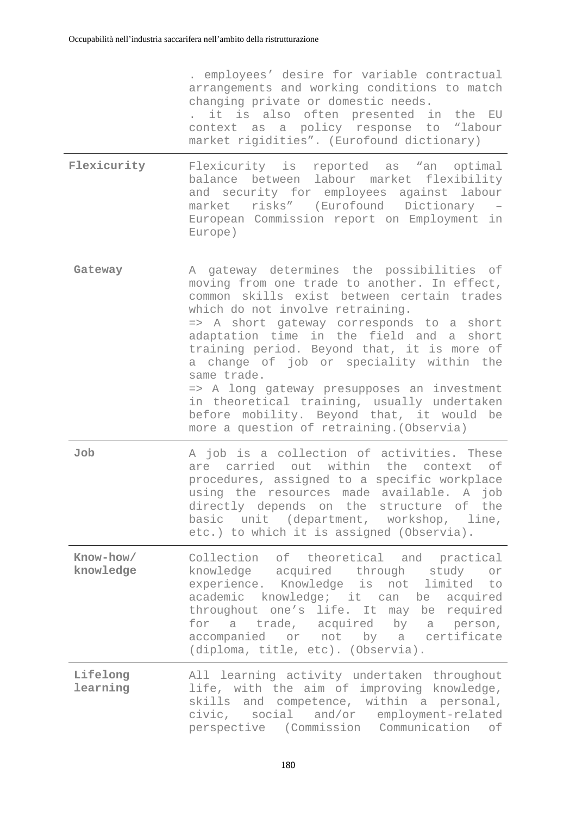. employees' desire for variable contractual arrangements and working conditions to match changing private or domestic needs. . it is also often presented in the EU context as a policy response to "labour market rigidities". (Eurofound dictionary)

**Flexicurity** Flexicurity is reported as "an optimal balance between labour market flexibility and security for employees against labour market risks" (Eurofound Dictionary – European Commission report on Employment in Europe)

Gateway **A** gateway determines the possibilities of moving from one trade to another. In effect, common skills exist between certain trades which do not involve retraining. => A short gateway corresponds to a short adaptation time in the field and a short training period. Beyond that, it is more of a change of job or speciality within the same trade. => A long gateway presupposes an investment in theoretical training, usually undertaken before mobility. Beyond that, it would be more a question of retraining.(Observia)

Job **A** job is a collection of activities. These are carried out within the context of procedures, assigned to a specific workplace using the resources made available. A job directly depends on the structure of the basic unit (department, workshop, line, etc.) to which it is assigned (Observia).

**Know-how/ knowledge**  Collection of theoretical and practical knowledge acquired through study or experience. Knowledge is not limited to academic knowledge; it can be acquired throughout one's life. It may be required for a trade, acquired by a person, accompanied or not by a certificate (diploma, title, etc). (Observia).

**Lifelong learning**  All learning activity undertaken throughout life, with the aim of improving knowledge, skills and competence, within a personal, civic, social and/or employment-related perspective (Commission Communication of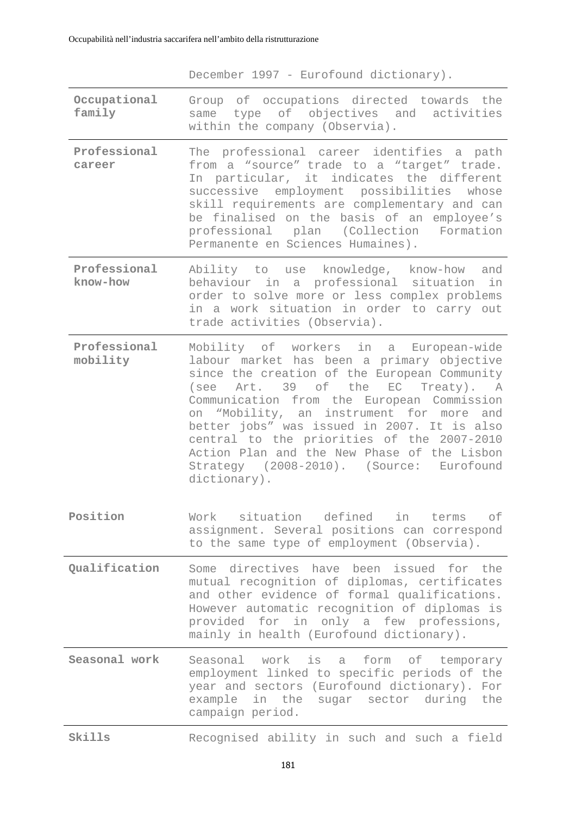December 1997 - Eurofound dictionary).

- **Occupational family**  Group of occupations directed towards the same type of objectives and activities within the company (Observia).
- **Professional career**  The professional career identifies a path from a "source" trade to a "target" trade. In particular, it indicates the different successive employment possibilities whose skill requirements are complementary and can be finalised on the basis of an employee's professional plan (Collection Formation Permanente en Sciences Humaines).
- **Professional know-how**  Ability to use knowledge, know-how and behaviour in a professional situation in order to solve more or less complex problems in a work situation in order to carry out trade activities (Observia).
- **Professional mobility**  Mobility of workers in a European-wide labour market has been a primary objective since the creation of the European Community (see Art. 39 of the EC Treaty). A Communication from the European Commission on "Mobility, an instrument for more and better jobs" was issued in 2007. It is also central to the priorities of the 2007-2010 Action Plan and the New Phase of the Lisbon Strategy (2008-2010). (Source: Eurofound dictionary).
- **Position** Work situation defined in terms of assignment. Several positions can correspond to the same type of employment (Observia).
- **Qualification** Some directives have been issued for the mutual recognition of diplomas, certificates and other evidence of formal qualifications. However automatic recognition of diplomas is provided for in only a few professions, mainly in health (Eurofound dictionary).
- **Seasonal work** Seasonal work is a form of temporary employment linked to specific periods of the year and sectors (Eurofound dictionary). For example in the sugar sector during the campaign period.

**Skills** Recognised ability in such and such a field